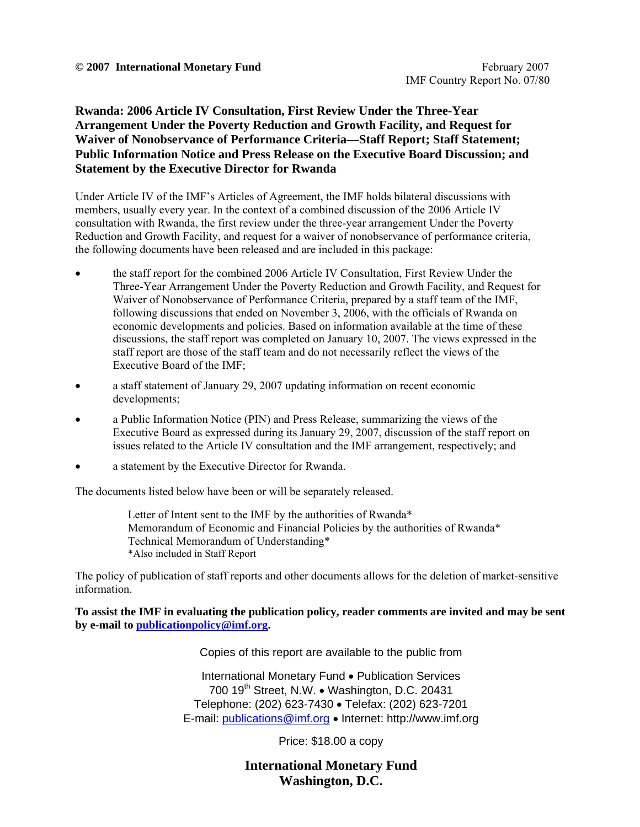#### **Rwanda: 2006 Article IV Consultation, First Review Under the Three-Year Arrangement Under the Poverty Reduction and Growth Facility, and Request for Waiver of Nonobservance of Performance Criteria—Staff Report; Staff Statement; Public Information Notice and Press Release on the Executive Board Discussion; and Statement by the Executive Director for Rwanda**

Under Article IV of the IMF's Articles of Agreement, the IMF holds bilateral discussions with members, usually every year. In the context of a combined discussion of the 2006 Article IV consultation with Rwanda, the first review under the three-year arrangement Under the Poverty Reduction and Growth Facility, and request for a waiver of nonobservance of performance criteria, the following documents have been released and are included in this package:

- the staff report for the combined 2006 Article IV Consultation, First Review Under the Three-Year Arrangement Under the Poverty Reduction and Growth Facility, and Request for Waiver of Nonobservance of Performance Criteria, prepared by a staff team of the IMF, following discussions that ended on November 3, 2006, with the officials of Rwanda on economic developments and policies. Based on information available at the time of these discussions, the staff report was completed on January 10, 2007. The views expressed in the staff report are those of the staff team and do not necessarily reflect the views of the Executive Board of the IMF;
- a staff statement of January 29, 2007 updating information on recent economic developments;
- a Public Information Notice (PIN) and Press Release, summarizing the views of the Executive Board as expressed during its January 29, 2007, discussion of the staff report on issues related to the Article IV consultation and the IMF arrangement, respectively; and
- a statement by the Executive Director for Rwanda.

The documents listed below have been or will be separately released.

Letter of Intent sent to the IMF by the authorities of Rwanda\* Memorandum of Economic and Financial Policies by the authorities of Rwanda\* Technical Memorandum of Understanding\* \*Also included in Staff Report

The policy of publication of staff reports and other documents allows for the deletion of market-sensitive information.

**To assist the IMF in evaluating the publication policy, reader comments are invited and may be sent by e-mail to publicationpolicy@imf.org.**

Copies of this report are available to the public from

International Monetary Fund • Publication Services 700 19<sup>th</sup> Street, N.W. • Washington, D.C. 20431 Telephone: (202) 623-7430 • Telefax: (202) 623-7201 E-mail: publications@imf.org • Internet: http://www.imf.org

Price: \$18.00 a copy

**International Monetary Fund Washington, D.C.**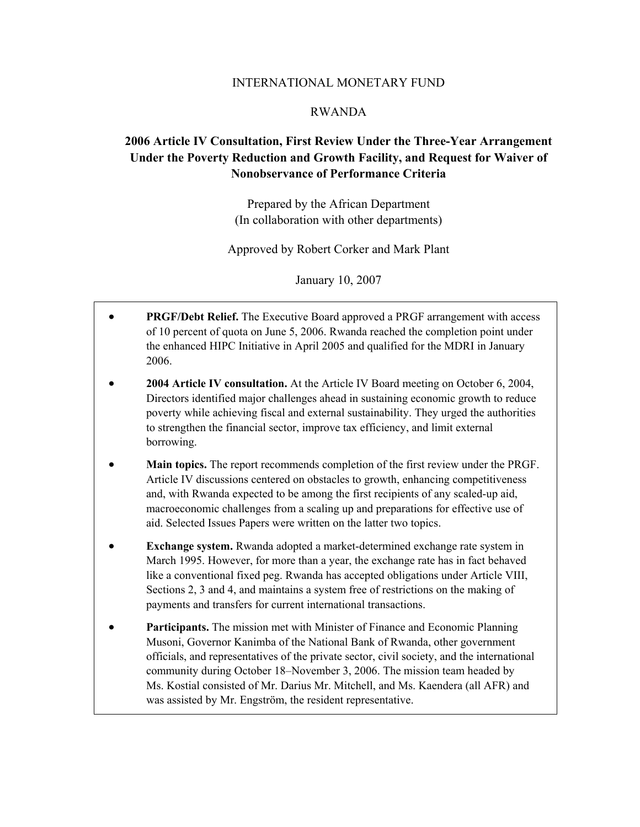#### INTERNATIONAL MONETARY FUND

#### RWANDA

### **2006 Article IV Consultation, First Review Under the Three-Year Arrangement Under the Poverty Reduction and Growth Facility, and Request for Waiver of Nonobservance of Performance Criteria**

Prepared by the African Department (In collaboration with other departments)

Approved by Robert Corker and Mark Plant

January 10, 2007

- **PRGF/Debt Relief.** The Executive Board approved a PRGF arrangement with access of 10 percent of quota on June 5, 2006. Rwanda reached the completion point under the enhanced HIPC Initiative in April 2005 and qualified for the MDRI in January 2006.
- **2004 Article IV consultation.** At the Article IV Board meeting on October 6, 2004, Directors identified major challenges ahead in sustaining economic growth to reduce poverty while achieving fiscal and external sustainability. They urged the authorities to strengthen the financial sector, improve tax efficiency, and limit external borrowing.
- **Main topics.** The report recommends completion of the first review under the PRGF. Article IV discussions centered on obstacles to growth, enhancing competitiveness and, with Rwanda expected to be among the first recipients of any scaled-up aid, macroeconomic challenges from a scaling up and preparations for effective use of aid. Selected Issues Papers were written on the latter two topics.
- **Exchange system.** Rwanda adopted a market-determined exchange rate system in March 1995. However, for more than a year, the exchange rate has in fact behaved like a conventional fixed peg. Rwanda has accepted obligations under Article VIII, Sections 2, 3 and 4, and maintains a system free of restrictions on the making of payments and transfers for current international transactions.
- **Participants.** The mission met with Minister of Finance and Economic Planning Musoni, Governor Kanimba of the National Bank of Rwanda, other government officials, and representatives of the private sector, civil society, and the international community during October 18–November 3, 2006. The mission team headed by Ms. Kostial consisted of Mr. Darius Mr. Mitchell, and Ms. Kaendera (all AFR) and was assisted by Mr. Engström, the resident representative.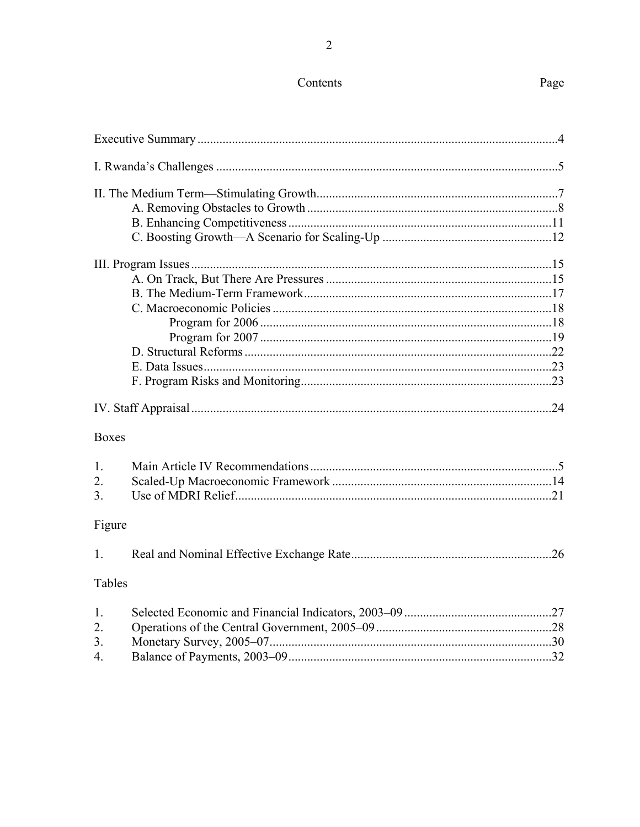# Contents

| <b>Boxes</b> |
|--------------|
| 1.           |
| 2.           |
| 3.           |
| Figure       |
| 1.           |
| Tables       |
| 1.           |
| 2.           |
| 3.           |
| 4.           |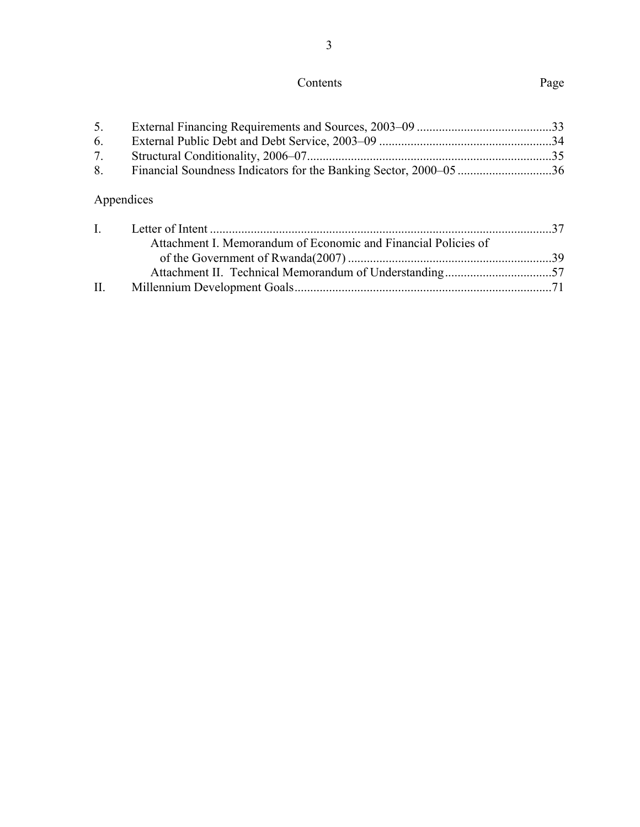# Contents Page

| 5.           |                                                                |  |
|--------------|----------------------------------------------------------------|--|
| 6.           |                                                                |  |
| 7.           |                                                                |  |
| 8.           |                                                                |  |
|              | Appendices                                                     |  |
| $\mathbf{I}$ |                                                                |  |
|              | Attachment I. Memorandum of Economic and Financial Policies of |  |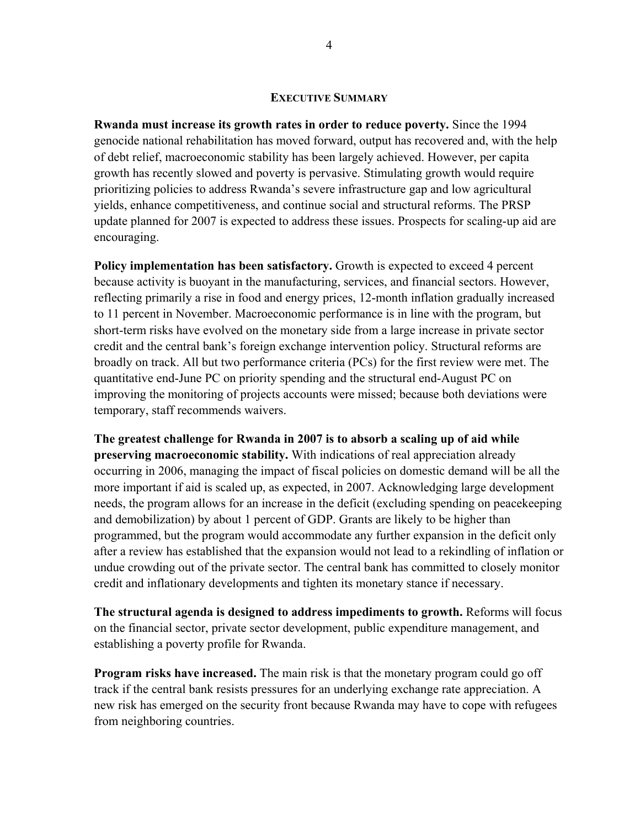#### **EXECUTIVE SUMMARY**

**Rwanda must increase its growth rates in order to reduce poverty.** Since the 1994 genocide national rehabilitation has moved forward, output has recovered and, with the help of debt relief, macroeconomic stability has been largely achieved. However, per capita growth has recently slowed and poverty is pervasive. Stimulating growth would require prioritizing policies to address Rwanda's severe infrastructure gap and low agricultural yields, enhance competitiveness, and continue social and structural reforms. The PRSP update planned for 2007 is expected to address these issues. Prospects for scaling-up aid are encouraging.

**Policy implementation has been satisfactory.** Growth is expected to exceed 4 percent because activity is buoyant in the manufacturing, services, and financial sectors. However, reflecting primarily a rise in food and energy prices, 12-month inflation gradually increased to 11 percent in November. Macroeconomic performance is in line with the program, but short-term risks have evolved on the monetary side from a large increase in private sector credit and the central bank's foreign exchange intervention policy. Structural reforms are broadly on track. All but two performance criteria (PCs) for the first review were met. The quantitative end-June PC on priority spending and the structural end-August PC on improving the monitoring of projects accounts were missed; because both deviations were temporary, staff recommends waivers.

**The greatest challenge for Rwanda in 2007 is to absorb a scaling up of aid while preserving macroeconomic stability.** With indications of real appreciation already occurring in 2006, managing the impact of fiscal policies on domestic demand will be all the more important if aid is scaled up, as expected, in 2007. Acknowledging large development needs, the program allows for an increase in the deficit (excluding spending on peacekeeping and demobilization) by about 1 percent of GDP. Grants are likely to be higher than programmed, but the program would accommodate any further expansion in the deficit only after a review has established that the expansion would not lead to a rekindling of inflation or undue crowding out of the private sector. The central bank has committed to closely monitor credit and inflationary developments and tighten its monetary stance if necessary.

**The structural agenda is designed to address impediments to growth.** Reforms will focus on the financial sector, private sector development, public expenditure management, and establishing a poverty profile for Rwanda.

**Program risks have increased.** The main risk is that the monetary program could go off track if the central bank resists pressures for an underlying exchange rate appreciation. A new risk has emerged on the security front because Rwanda may have to cope with refugees from neighboring countries.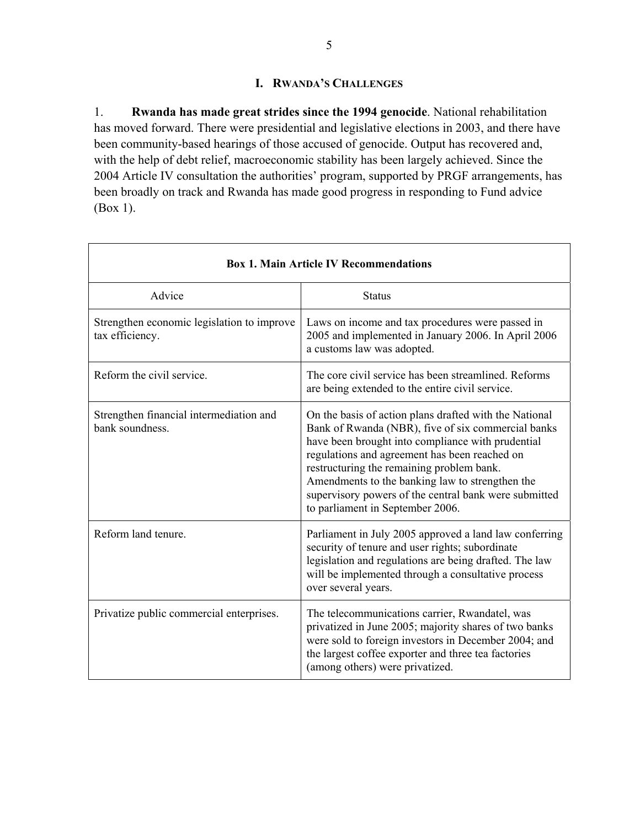### **I. RWANDA'S CHALLENGES**

1. **Rwanda has made great strides since the 1994 genocide**. National rehabilitation has moved forward. There were presidential and legislative elections in 2003, and there have been community-based hearings of those accused of genocide. Output has recovered and, with the help of debt relief, macroeconomic stability has been largely achieved. Since the 2004 Article IV consultation the authorities' program, supported by PRGF arrangements, has been broadly on track and Rwanda has made good progress in responding to Fund advice (Box 1).

٦

 $\overline{1}$ 

|                                                               | <b>Box 1. Main Article IV Recommendations</b>                                                                                                                                                                                                                                                                                                                                                                   |
|---------------------------------------------------------------|-----------------------------------------------------------------------------------------------------------------------------------------------------------------------------------------------------------------------------------------------------------------------------------------------------------------------------------------------------------------------------------------------------------------|
| Advice                                                        | <b>Status</b>                                                                                                                                                                                                                                                                                                                                                                                                   |
| Strengthen economic legislation to improve<br>tax efficiency. | Laws on income and tax procedures were passed in<br>2005 and implemented in January 2006. In April 2006<br>a customs law was adopted.                                                                                                                                                                                                                                                                           |
| Reform the civil service.                                     | The core civil service has been streamlined. Reforms<br>are being extended to the entire civil service.                                                                                                                                                                                                                                                                                                         |
| Strengthen financial intermediation and<br>bank soundness.    | On the basis of action plans drafted with the National<br>Bank of Rwanda (NBR), five of six commercial banks<br>have been brought into compliance with prudential<br>regulations and agreement has been reached on<br>restructuring the remaining problem bank.<br>Amendments to the banking law to strengthen the<br>supervisory powers of the central bank were submitted<br>to parliament in September 2006. |
| Reform land tenure.                                           | Parliament in July 2005 approved a land law conferring<br>security of tenure and user rights; subordinate<br>legislation and regulations are being drafted. The law<br>will be implemented through a consultative process<br>over several years.                                                                                                                                                                |
| Privatize public commercial enterprises.                      | The telecommunications carrier, Rwandatel, was<br>privatized in June 2005; majority shares of two banks<br>were sold to foreign investors in December 2004; and<br>the largest coffee exporter and three tea factories<br>(among others) were privatized.                                                                                                                                                       |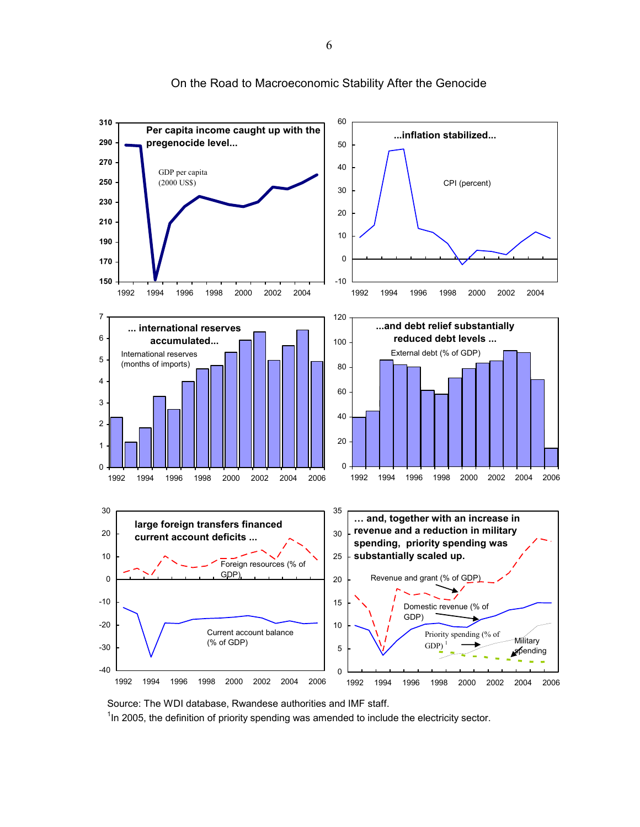

On the Road to Macroeconomic Stability After the Genocide

Source: The WDI database, Rwandese authorities and IMF staff.  $1$ In 2005, the definition of priority spending was amended to include the electricity sector.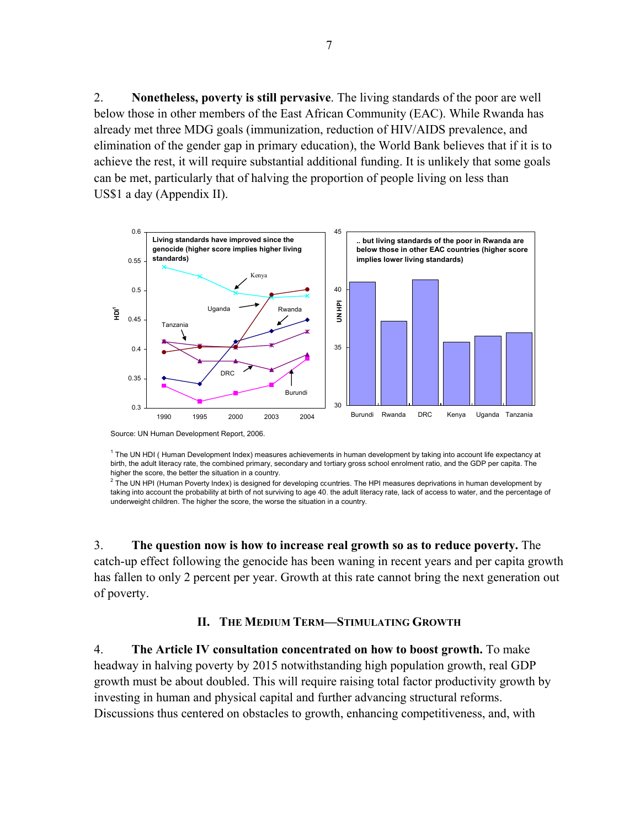2. **Nonetheless, poverty is still pervasive**. The living standards of the poor are well below those in other members of the East African Community (EAC). While Rwanda has already met three MDG goals (immunization, reduction of HIV/AIDS prevalence, and elimination of the gender gap in primary education), the World Bank believes that if it is to achieve the rest, it will require substantial additional funding. It is unlikely that some goals can be met, particularly that of halving the proportion of people living on less than US\$1 a day (Appendix II).



Source: UN Human Development Report, 2006.

<sup>1</sup> The UN HDI (Human Development Index) measures achievements in human development by taking into account life expectancy at birth, the adult literacy rate, the combined primary, secondary and tertiary gross school enrolment ratio, and the GDP per capita. The higher the score, the better the situation in a country.

 $^2$  The UN HPI (Human Poverty Index) is designed for developing countries. The HPI measures deprivations in human development by taking into account the probability at birth of not surviving to age 40, the adult literacy rate, lack of access to water, and the percentage of underweight children. The higher the score, the worse the situation in a country.

3. **The question now is how to increase real growth so as to reduce poverty.** The catch-up effect following the genocide has been waning in recent years and per capita growth has fallen to only 2 percent per year. Growth at this rate cannot bring the next generation out of poverty.

#### **II. THE MEDIUM TERM—STIMULATING GROWTH**

4. **The Article IV consultation concentrated on how to boost growth.** To make headway in halving poverty by 2015 notwithstanding high population growth, real GDP growth must be about doubled. This will require raising total factor productivity growth by investing in human and physical capital and further advancing structural reforms. Discussions thus centered on obstacles to growth, enhancing competitiveness, and, with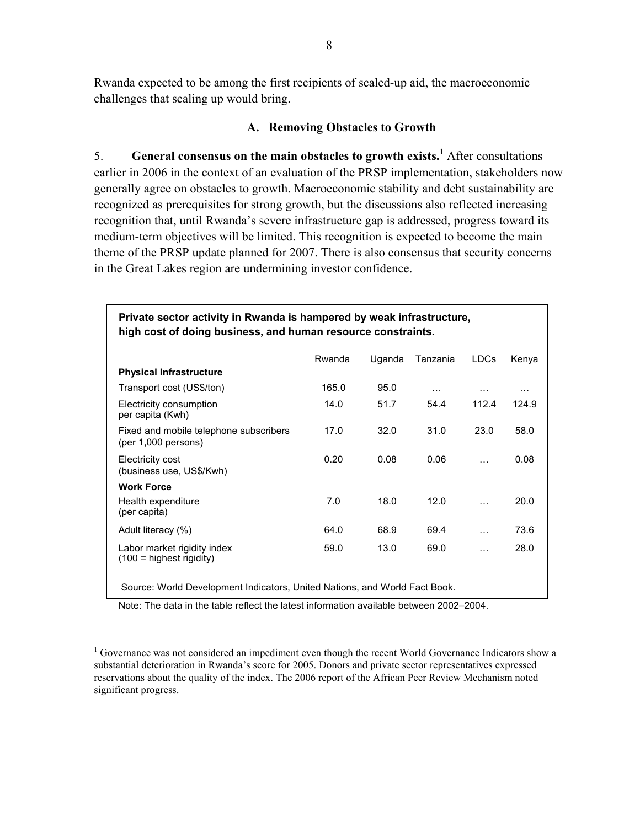Rwanda expected to be among the first recipients of scaled-up aid, the macroeconomic challenges that scaling up would bring.

#### **A. Removing Obstacles to Growth**

5. **General consensus on the main obstacles to growth exists.**<sup>1</sup> After consultations earlier in 2006 in the context of an evaluation of the PRSP implementation, stakeholders now generally agree on obstacles to growth. Macroeconomic stability and debt sustainability are recognized as prerequisites for strong growth, but the discussions also reflected increasing recognition that, until Rwanda's severe infrastructure gap is addressed, progress toward its medium-term objectives will be limited. This recognition is expected to become the main theme of the PRSP update planned for 2007. There is also consensus that security concerns in the Great Lakes region are undermining investor confidence.

| Private sector activity in Rwanda is hampered by weak infrastructure,<br>high cost of doing business, and human resource constraints. |        |        |          |             |          |
|---------------------------------------------------------------------------------------------------------------------------------------|--------|--------|----------|-------------|----------|
|                                                                                                                                       | Rwanda | Uganda | Tanzania | <b>LDCs</b> | Kenya    |
| <b>Physical Infrastructure</b>                                                                                                        |        |        |          |             |          |
| Transport cost (US\$/ton)                                                                                                             | 165.0  | 95.0   | $\cdots$ | .           | $\cdots$ |
| Electricity consumption<br>per capita (Kwh)                                                                                           | 14.0   | 51.7   | 54.4     | 112.4       | 124.9    |
| Fixed and mobile telephone subscribers<br>(per 1,000 persons)                                                                         | 17.0   | 32.0   | 31.0     | 23.0        | 58.0     |
| Electricity cost<br>(business use, US\$/Kwh)                                                                                          | 0.20   | 0.08   | 0.06     | $\cdots$    | 0.08     |
| <b>Work Force</b>                                                                                                                     |        |        |          |             |          |
| Health expenditure<br>(per capita)                                                                                                    | 7.0    | 18.0   | 12.0     | $\cdots$    | 20.0     |
| Adult literacy (%)                                                                                                                    | 64.0   | 68.9   | 69.4     | $\cdots$    | 73.6     |
| Labor market rigidity index<br>$(100 =$ highest rigidity)                                                                             | 59.0   | 13.0   | 69.0     | .           | 28.0     |
| Source: World Development Indicators, United Nations, and World Fact Book.                                                            |        |        |          |             |          |

Note: The data in the table reflect the latest information available between 2002–2004.

 $\overline{a}$ 

<sup>&</sup>lt;sup>1</sup> Governance was not considered an impediment even though the recent World Governance Indicators show a substantial deterioration in Rwanda's score for 2005. Donors and private sector representatives expressed reservations about the quality of the index. The 2006 report of the African Peer Review Mechanism noted significant progress.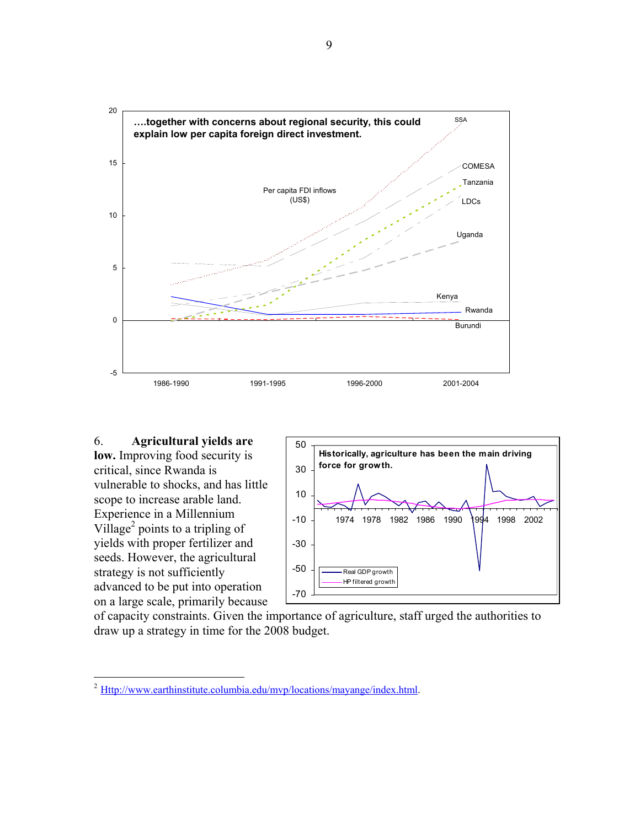

#### 6. **Agricultural yields are low.** Improving food security is critical, since Rwanda is vulnerable to shocks, and has little scope to increase arable land. Experience in a Millennium Village<sup>2</sup> points to a tripling of yields with proper fertilizer and seeds. However, the agricultural strategy is not sufficiently

advanced to be put into operation on a large scale, primarily because



of capacity constraints. Given the importance of agriculture, staff urged the authorities to draw up a strategy in time for the 2008 budget.

 $\overline{a}$  $^{2}$  Http://www.earthinstitute.columbia.edu/mvp/locations/mayange/index.html.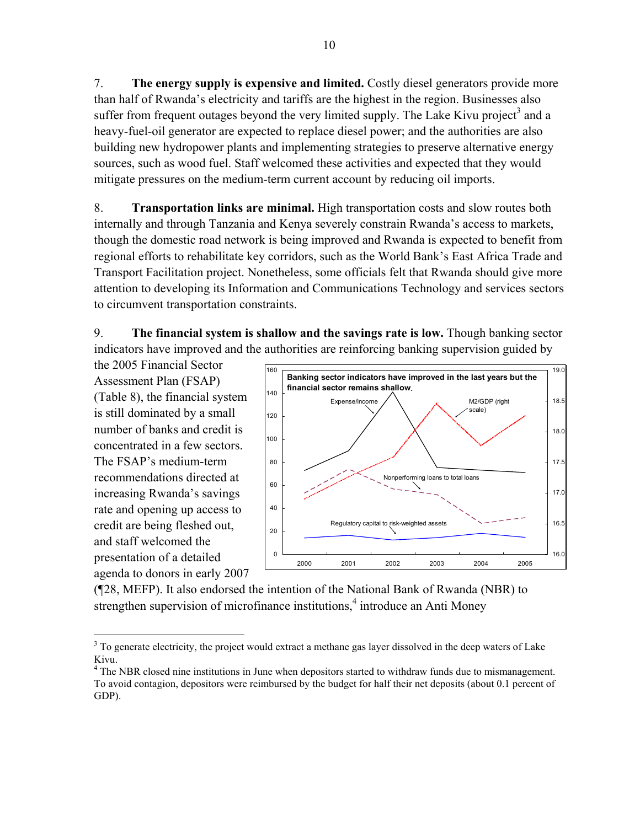7. **The energy supply is expensive and limited.** Costly diesel generators provide more than half of Rwanda's electricity and tariffs are the highest in the region. Businesses also suffer from frequent outages beyond the very limited supply. The Lake Kivu project<sup>3</sup> and a heavy-fuel-oil generator are expected to replace diesel power; and the authorities are also building new hydropower plants and implementing strategies to preserve alternative energy sources, such as wood fuel. Staff welcomed these activities and expected that they would mitigate pressures on the medium-term current account by reducing oil imports.

8. **Transportation links are minimal.** High transportation costs and slow routes both internally and through Tanzania and Kenya severely constrain Rwanda's access to markets, though the domestic road network is being improved and Rwanda is expected to benefit from regional efforts to rehabilitate key corridors, such as the World Bank's East Africa Trade and Transport Facilitation project. Nonetheless, some officials felt that Rwanda should give more attention to developing its Information and Communications Technology and services sectors to circumvent transportation constraints.

9. **The financial system is shallow and the savings rate is low.** Though banking sector indicators have improved and the authorities are reinforcing banking supervision guided by

the 2005 Financial Sector Assessment Plan (FSAP) (Table 8), the financial system is still dominated by a small number of banks and credit is concentrated in a few sectors. The FSAP's medium-term recommendations directed at increasing Rwanda's savings rate and opening up access to credit are being fleshed out, and staff welcomed the presentation of a detailed agenda to donors in early 2007

 $\overline{a}$ 



(¶28, MEFP). It also endorsed the intention of the National Bank of Rwanda (NBR) to strengthen supervision of microfinance institutions, $4$  introduce an Anti Money

<sup>&</sup>lt;sup>3</sup> To generate electricity, the project would extract a methane gas layer dissolved in the deep waters of Lake Kivu.

<sup>&</sup>lt;sup>4</sup> The NBR closed nine institutions in June when depositors started to withdraw funds due to mismanagement. To avoid contagion, depositors were reimbursed by the budget for half their net deposits (about 0.1 percent of GDP).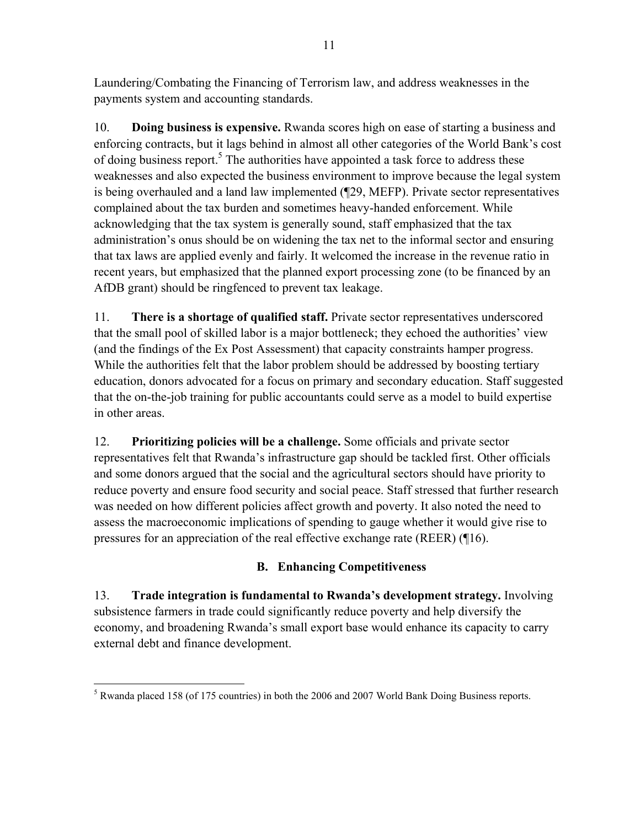Laundering/Combating the Financing of Terrorism law, and address weaknesses in the payments system and accounting standards.

10. **Doing business is expensive.** Rwanda scores high on ease of starting a business and enforcing contracts, but it lags behind in almost all other categories of the World Bank's cost of doing business report.<sup>5</sup> The authorities have appointed a task force to address these weaknesses and also expected the business environment to improve because the legal system is being overhauled and a land law implemented (¶29, MEFP). Private sector representatives complained about the tax burden and sometimes heavy-handed enforcement. While acknowledging that the tax system is generally sound, staff emphasized that the tax administration's onus should be on widening the tax net to the informal sector and ensuring that tax laws are applied evenly and fairly. It welcomed the increase in the revenue ratio in recent years, but emphasized that the planned export processing zone (to be financed by an AfDB grant) should be ringfenced to prevent tax leakage.

11. **There is a shortage of qualified staff.** Private sector representatives underscored that the small pool of skilled labor is a major bottleneck; they echoed the authorities' view (and the findings of the Ex Post Assessment) that capacity constraints hamper progress. While the authorities felt that the labor problem should be addressed by boosting tertiary education, donors advocated for a focus on primary and secondary education. Staff suggested that the on-the-job training for public accountants could serve as a model to build expertise in other areas.

12. **Prioritizing policies will be a challenge.** Some officials and private sector representatives felt that Rwanda's infrastructure gap should be tackled first. Other officials and some donors argued that the social and the agricultural sectors should have priority to reduce poverty and ensure food security and social peace. Staff stressed that further research was needed on how different policies affect growth and poverty. It also noted the need to assess the macroeconomic implications of spending to gauge whether it would give rise to pressures for an appreciation of the real effective exchange rate (REER) (¶16).

## **B. Enhancing Competitiveness**

13. **Trade integration is fundamental to Rwanda's development strategy.** Involving subsistence farmers in trade could significantly reduce poverty and help diversify the economy, and broadening Rwanda's small export base would enhance its capacity to carry external debt and finance development.

 $\overline{a}$  $<sup>5</sup>$  Rwanda placed 158 (of 175 countries) in both the 2006 and 2007 World Bank Doing Business reports.</sup>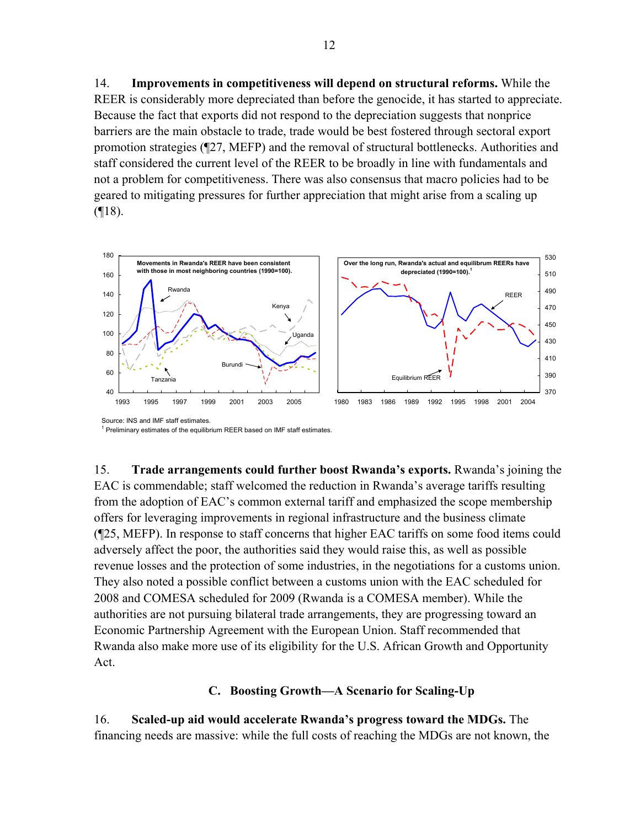14. **Improvements in competitiveness will depend on structural reforms.** While the REER is considerably more depreciated than before the genocide, it has started to appreciate. Because the fact that exports did not respond to the depreciation suggests that nonprice barriers are the main obstacle to trade, trade would be best fostered through sectoral export promotion strategies (¶27, MEFP) and the removal of structural bottlenecks. Authorities and staff considered the current level of the REER to be broadly in line with fundamentals and not a problem for competitiveness. There was also consensus that macro policies had to be geared to mitigating pressures for further appreciation that might arise from a scaling up  $($ [18).



<sup>1</sup> Preliminary estimates of the equilibrium REER based on IMF staff estimates.

15. **Trade arrangements could further boost Rwanda's exports.** Rwanda's joining the EAC is commendable; staff welcomed the reduction in Rwanda's average tariffs resulting from the adoption of EAC's common external tariff and emphasized the scope membership offers for leveraging improvements in regional infrastructure and the business climate (¶25, MEFP). In response to staff concerns that higher EAC tariffs on some food items could adversely affect the poor, the authorities said they would raise this, as well as possible revenue losses and the protection of some industries, in the negotiations for a customs union. They also noted a possible conflict between a customs union with the EAC scheduled for 2008 and COMESA scheduled for 2009 (Rwanda is a COMESA member). While the authorities are not pursuing bilateral trade arrangements, they are progressing toward an Economic Partnership Agreement with the European Union. Staff recommended that Rwanda also make more use of its eligibility for the U.S. African Growth and Opportunity Act.

#### **C. Boosting Growth—A Scenario for Scaling-Up**

16. **Scaled-up aid would accelerate Rwanda's progress toward the MDGs.** The financing needs are massive: while the full costs of reaching the MDGs are not known, the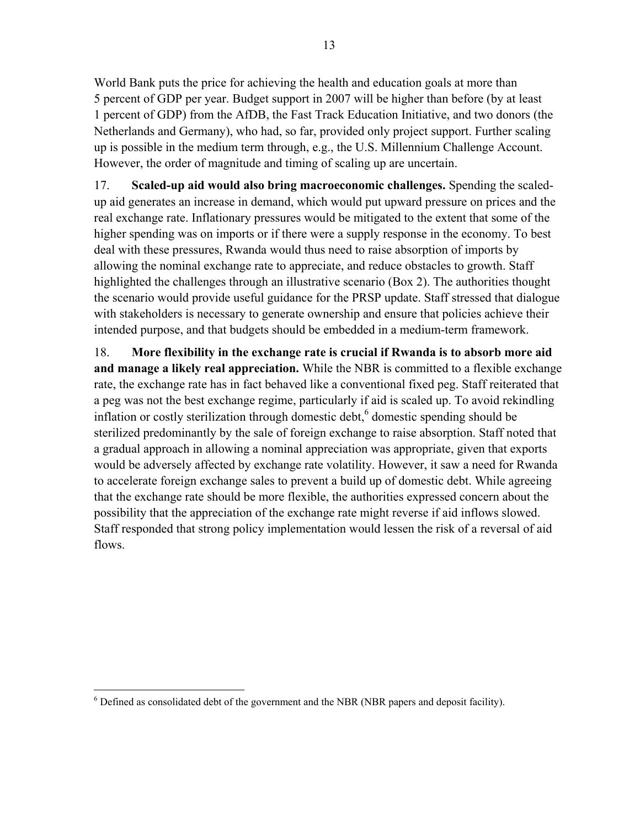World Bank puts the price for achieving the health and education goals at more than 5 percent of GDP per year. Budget support in 2007 will be higher than before (by at least 1 percent of GDP) from the AfDB, the Fast Track Education Initiative, and two donors (the Netherlands and Germany), who had, so far, provided only project support. Further scaling up is possible in the medium term through, e.g., the U.S. Millennium Challenge Account. However, the order of magnitude and timing of scaling up are uncertain.

17. **Scaled-up aid would also bring macroeconomic challenges.** Spending the scaledup aid generates an increase in demand, which would put upward pressure on prices and the real exchange rate. Inflationary pressures would be mitigated to the extent that some of the higher spending was on imports or if there were a supply response in the economy. To best deal with these pressures, Rwanda would thus need to raise absorption of imports by allowing the nominal exchange rate to appreciate, and reduce obstacles to growth. Staff highlighted the challenges through an illustrative scenario (Box 2). The authorities thought the scenario would provide useful guidance for the PRSP update. Staff stressed that dialogue with stakeholders is necessary to generate ownership and ensure that policies achieve their intended purpose, and that budgets should be embedded in a medium-term framework.

18. **More flexibility in the exchange rate is crucial if Rwanda is to absorb more aid and manage a likely real appreciation.** While the NBR is committed to a flexible exchange rate, the exchange rate has in fact behaved like a conventional fixed peg. Staff reiterated that a peg was not the best exchange regime, particularly if aid is scaled up. To avoid rekindling inflation or costly sterilization through domestic debt, $6$  domestic spending should be sterilized predominantly by the sale of foreign exchange to raise absorption. Staff noted that a gradual approach in allowing a nominal appreciation was appropriate, given that exports would be adversely affected by exchange rate volatility. However, it saw a need for Rwanda to accelerate foreign exchange sales to prevent a build up of domestic debt. While agreeing that the exchange rate should be more flexible, the authorities expressed concern about the possibility that the appreciation of the exchange rate might reverse if aid inflows slowed. Staff responded that strong policy implementation would lessen the risk of a reversal of aid flows.

 6 Defined as consolidated debt of the government and the NBR (NBR papers and deposit facility).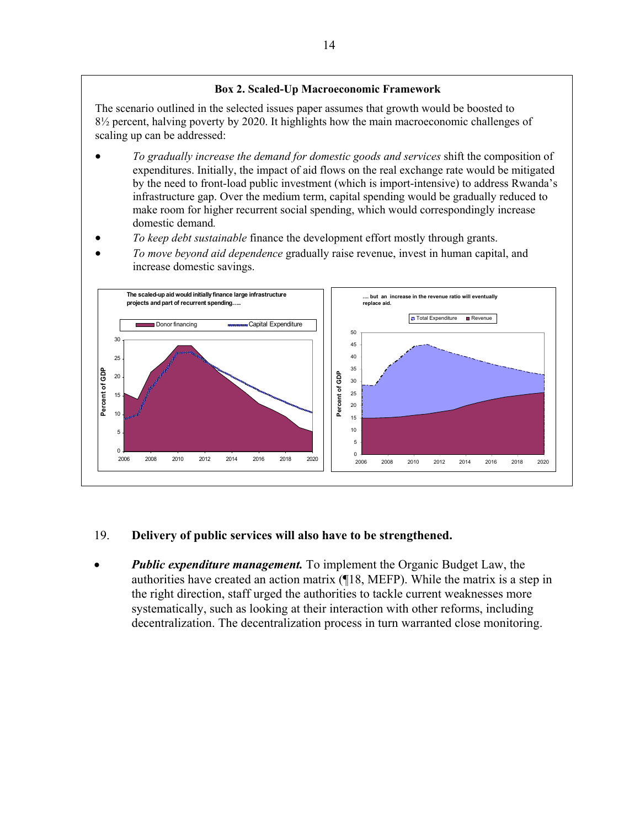#### **Box 2. Scaled-Up Macroeconomic Framework**

The scenario outlined in the selected issues paper assumes that growth would be boosted to  $8\frac{1}{2}$  percent, halving poverty by 2020. It highlights how the main macroeconomic challenges of scaling up can be addressed:

- *To gradually increase the demand for domestic goods and services* shift the composition of expenditures. Initially, the impact of aid flows on the real exchange rate would be mitigated by the need to front-load public investment (which is import-intensive) to address Rwanda's infrastructure gap. Over the medium term, capital spending would be gradually reduced to make room for higher recurrent social spending, which would correspondingly increase domestic demand*.*
- *To keep debt sustainable* finance the development effort mostly through grants.
- *To move beyond aid dependence* gradually raise revenue, invest in human capital, and increase domestic savings.



### 19. **Delivery of public services will also have to be strengthened.**

• *Public expenditure management.* To implement the Organic Budget Law, the authorities have created an action matrix (¶18, MEFP). While the matrix is a step in the right direction, staff urged the authorities to tackle current weaknesses more systematically, such as looking at their interaction with other reforms, including decentralization. The decentralization process in turn warranted close monitoring.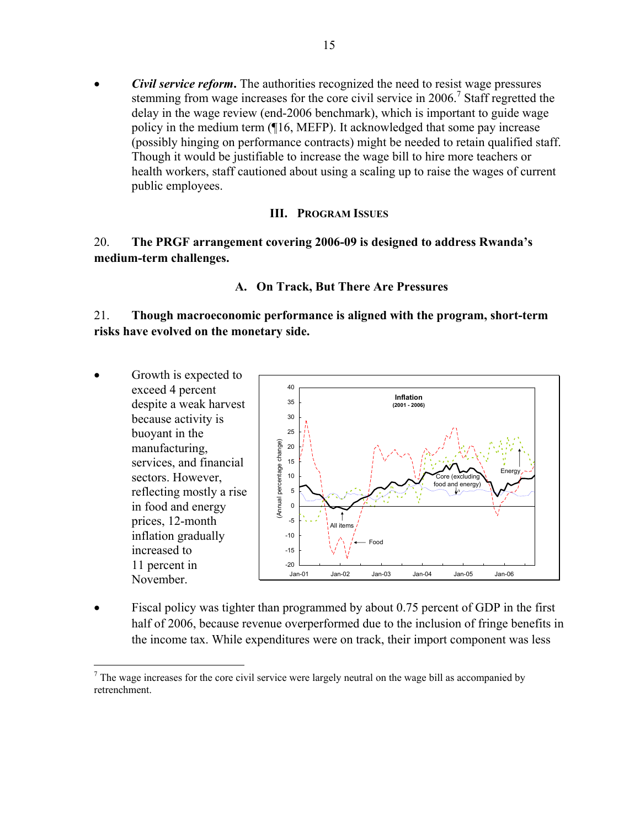• *Civil service reform***.** The authorities recognized the need to resist wage pressures stemming from wage increases for the core civil service in 2006.<sup>7</sup> Staff regretted the delay in the wage review (end-2006 benchmark), which is important to guide wage policy in the medium term (¶16, MEFP). It acknowledged that some pay increase (possibly hinging on performance contracts) might be needed to retain qualified staff. Though it would be justifiable to increase the wage bill to hire more teachers or health workers, staff cautioned about using a scaling up to raise the wages of current public employees.

#### **III. PROGRAM ISSUES**

### 20. **The PRGF arrangement covering 2006-09 is designed to address Rwanda's medium-term challenges.**

### **A. On Track, But There Are Pressures**

21. **Though macroeconomic performance is aligned with the program, short-term risks have evolved on the monetary side.**

- Growth is expected to exceed 4 percent 40 **Inflation**  35 despite a weak harvest **(2001 - 2006)** because activity is 30  $25$ buoyant in the (Annual percentage change) (Annual percentage change) manufacturing, 20 services, and financial 15 Energy sectors. However, 10 Core (excluding food and energy reflecting mostly a rise 5 *y)*in food and energy 0 prices, 12-month -5 All items inflation gradually -10 Food increased to -15 11 percent in  $-20$ Jan-01 Jan-02 Jan-03 Jan-04 Jan-05 Jan-06 November.
- Fiscal policy was tighter than programmed by about 0.75 percent of GDP in the first half of 2006, because revenue overperformed due to the inclusion of fringe benefits in the income tax. While expenditures were on track, their import component was less

1

 $<sup>7</sup>$  The wage increases for the core civil service were largely neutral on the wage bill as accompanied by</sup> retrenchment.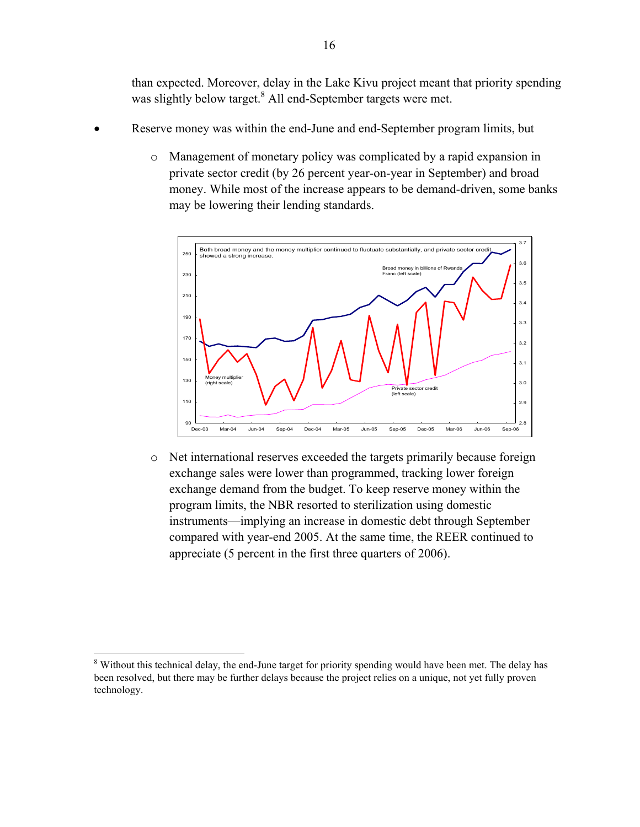than expected. Moreover, delay in the Lake Kivu project meant that priority spending was slightly below target.<sup>8</sup> All end-September targets were met.

- Reserve money was within the end-June and end-September program limits, but
	- o Management of monetary policy was complicated by a rapid expansion in private sector credit (by 26 percent year-on-year in September) and broad money. While most of the increase appears to be demand-driven, some banks may be lowering their lending standards.



o Net international reserves exceeded the targets primarily because foreign exchange sales were lower than programmed, tracking lower foreign exchange demand from the budget. To keep reserve money within the program limits, the NBR resorted to sterilization using domestic instruments—implying an increase in domestic debt through September compared with year-end 2005. At the same time, the REER continued to appreciate (5 percent in the first three quarters of 2006).

 $\overline{a}$ 

<sup>&</sup>lt;sup>8</sup> Without this technical delay, the end-June target for priority spending would have been met. The delay has been resolved, but there may be further delays because the project relies on a unique, not yet fully proven technology.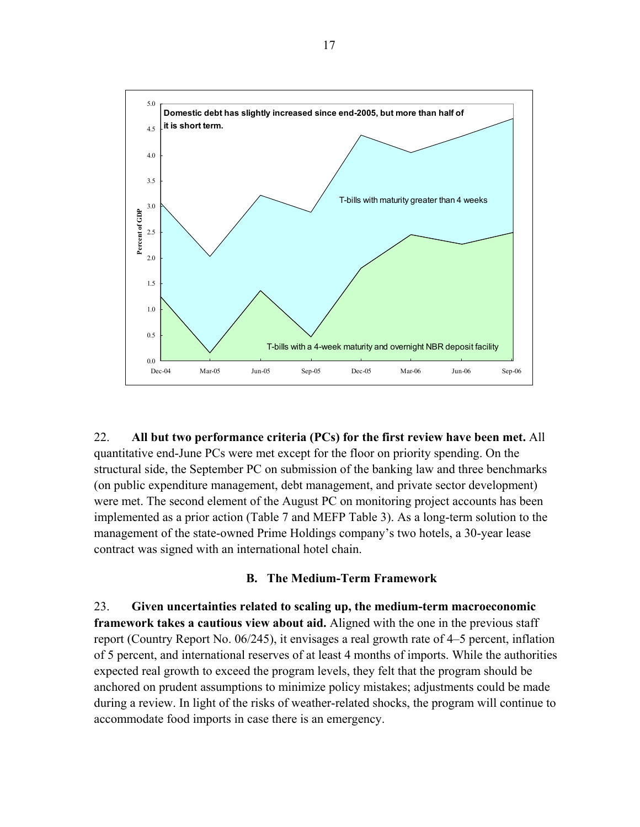

22. **All but two performance criteria (PCs) for the first review have been met.** All quantitative end-June PCs were met except for the floor on priority spending. On the structural side, the September PC on submission of the banking law and three benchmarks (on public expenditure management, debt management, and private sector development) were met. The second element of the August PC on monitoring project accounts has been implemented as a prior action (Table 7 and MEFP Table 3). As a long-term solution to the management of the state-owned Prime Holdings company's two hotels, a 30-year lease contract was signed with an international hotel chain.

#### **B. The Medium-Term Framework**

23. **Given uncertainties related to scaling up, the medium-term macroeconomic framework takes a cautious view about aid.** Aligned with the one in the previous staff report (Country Report No. 06/245), it envisages a real growth rate of 4–5 percent, inflation of 5 percent, and international reserves of at least 4 months of imports. While the authorities expected real growth to exceed the program levels, they felt that the program should be anchored on prudent assumptions to minimize policy mistakes; adjustments could be made during a review. In light of the risks of weather-related shocks, the program will continue to accommodate food imports in case there is an emergency.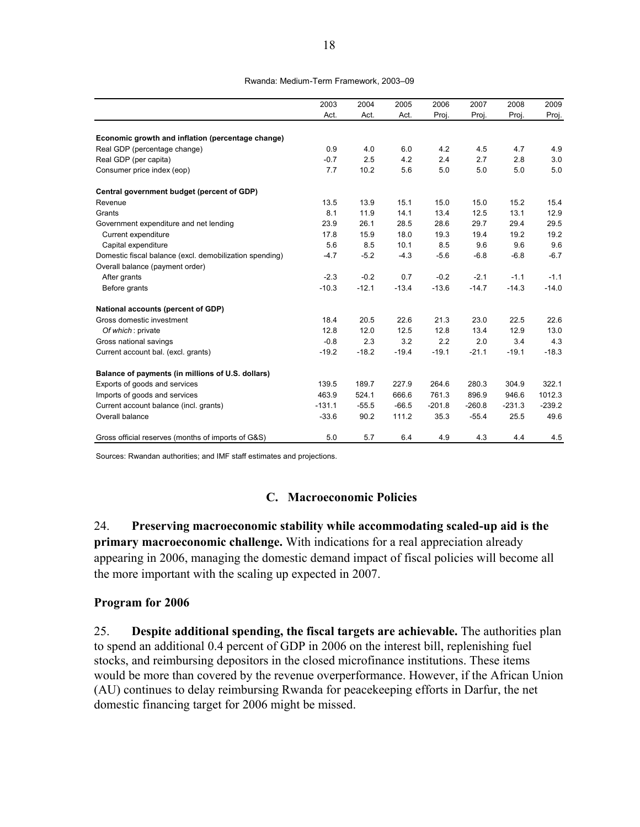#### Rwanda: Medium-Term Framework, 2003–09

|                                                         | 2003     | 2004    | 2005    | 2006     | 2007     | 2008     | 2009     |
|---------------------------------------------------------|----------|---------|---------|----------|----------|----------|----------|
|                                                         | Act.     | Act.    | Act.    | Proj.    | Proj.    | Proj.    | Proj.    |
| Economic growth and inflation (percentage change)       |          |         |         |          |          |          |          |
| Real GDP (percentage change)                            | 0.9      | 4.0     | 6.0     | 4.2      | 4.5      | 4.7      | 4.9      |
| Real GDP (per capita)                                   | $-0.7$   | 2.5     | 4.2     | 2.4      | 2.7      | 2.8      | 3.0      |
| Consumer price index (eop)                              | 7.7      | 10.2    | 5.6     | 5.0      | 5.0      | 5.0      | 5.0      |
|                                                         |          |         |         |          |          |          |          |
| Central government budget (percent of GDP)              |          |         |         |          |          |          |          |
| Revenue                                                 | 13.5     | 13.9    | 15.1    | 15.0     | 15.0     | 15.2     | 15.4     |
| Grants                                                  | 8.1      | 11.9    | 14.1    | 13.4     | 12.5     | 13.1     | 12.9     |
| Government expenditure and net lending                  | 23.9     | 26.1    | 28.5    | 28.6     | 29.7     | 29.4     | 29.5     |
| Current expenditure                                     | 17.8     | 15.9    | 18.0    | 19.3     | 19.4     | 19.2     | 19.2     |
| Capital expenditure                                     | 5.6      | 8.5     | 10.1    | 8.5      | 9.6      | 9.6      | 9.6      |
| Domestic fiscal balance (excl. demobilization spending) | $-4.7$   | $-5.2$  | $-4.3$  | $-5.6$   | $-6.8$   | $-6.8$   | $-6.7$   |
| Overall balance (payment order)                         |          |         |         |          |          |          |          |
| After grants                                            | $-2.3$   | $-0.2$  | 0.7     | $-0.2$   | $-2.1$   | $-1.1$   | $-1.1$   |
| Before grants                                           | $-10.3$  | $-12.1$ | $-13.4$ | $-13.6$  | $-14.7$  | $-14.3$  | $-14.0$  |
| National accounts (percent of GDP)                      |          |         |         |          |          |          |          |
| Gross domestic investment                               | 18.4     | 20.5    | 22.6    | 21.3     | 23.0     | 22.5     | 22.6     |
| Of which: private                                       | 12.8     | 12.0    | 12.5    | 12.8     | 13.4     | 12.9     | 13.0     |
| Gross national savings                                  | $-0.8$   | 2.3     | 3.2     | 2.2      | 2.0      | 3.4      | 4.3      |
| Current account bal. (excl. grants)                     | $-19.2$  | $-18.2$ | $-19.4$ | $-19.1$  | $-21.1$  | $-19.1$  | $-18.3$  |
| Balance of payments (in millions of U.S. dollars)       |          |         |         |          |          |          |          |
| Exports of goods and services                           | 139.5    | 189.7   | 227.9   | 264.6    | 280.3    | 304.9    | 322.1    |
| Imports of goods and services                           | 463.9    | 524.1   | 666.6   | 761.3    | 896.9    | 946.6    | 1012.3   |
| Current account balance (incl. grants)                  | $-131.1$ | $-55.5$ | $-66.5$ | $-201.8$ | $-260.8$ | $-231.3$ | $-239.2$ |
| Overall balance                                         | $-33.6$  | 90.2    | 111.2   | 35.3     | $-55.4$  | 25.5     | 49.6     |
| Gross official reserves (months of imports of G&S)      | 5.0      | 5.7     | 6.4     | 4.9      | 4.3      | 4.4      | 4.5      |

Sources: Rwandan authorities; and IMF staff estimates and projections.

#### **C. Macroeconomic Policies**

24. **Preserving macroeconomic stability while accommodating scaled-up aid is the primary macroeconomic challenge.** With indications for a real appreciation already appearing in 2006, managing the domestic demand impact of fiscal policies will become all the more important with the scaling up expected in 2007.

#### **Program for 2006**

25. **Despite additional spending, the fiscal targets are achievable.** The authorities plan to spend an additional 0.4 percent of GDP in 2006 on the interest bill, replenishing fuel stocks, and reimbursing depositors in the closed microfinance institutions. These items would be more than covered by the revenue overperformance. However, if the African Union (AU) continues to delay reimbursing Rwanda for peacekeeping efforts in Darfur, the net domestic financing target for 2006 might be missed.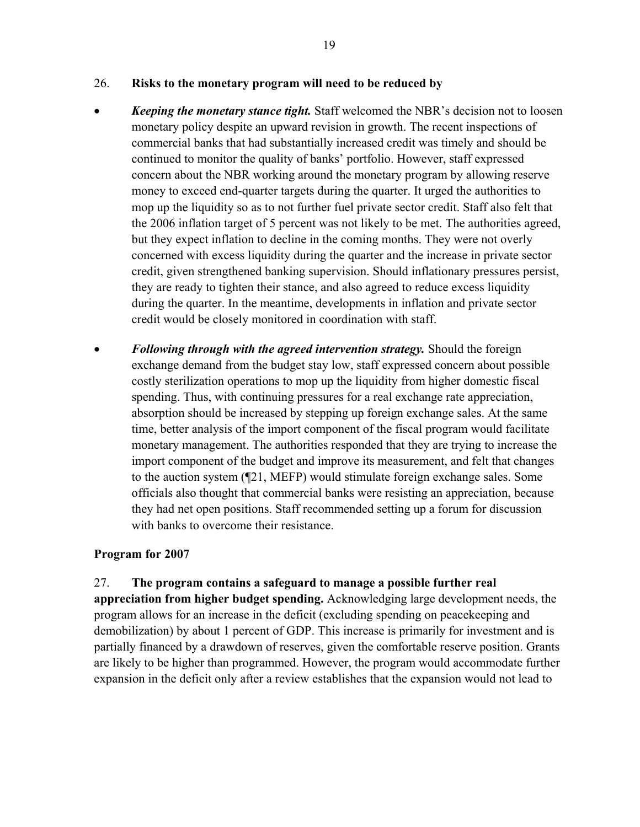#### 26. **Risks to the monetary program will need to be reduced by**

- *Keeping the monetary stance tight.* Staff welcomed the NBR's decision not to loosen monetary policy despite an upward revision in growth. The recent inspections of commercial banks that had substantially increased credit was timely and should be continued to monitor the quality of banks' portfolio. However, staff expressed concern about the NBR working around the monetary program by allowing reserve money to exceed end-quarter targets during the quarter. It urged the authorities to mop up the liquidity so as to not further fuel private sector credit. Staff also felt that the 2006 inflation target of 5 percent was not likely to be met. The authorities agreed, but they expect inflation to decline in the coming months. They were not overly concerned with excess liquidity during the quarter and the increase in private sector credit, given strengthened banking supervision. Should inflationary pressures persist, they are ready to tighten their stance, and also agreed to reduce excess liquidity during the quarter. In the meantime, developments in inflation and private sector credit would be closely monitored in coordination with staff.
- *Following through with the agreed intervention strategy.* Should the foreign exchange demand from the budget stay low, staff expressed concern about possible costly sterilization operations to mop up the liquidity from higher domestic fiscal spending. Thus, with continuing pressures for a real exchange rate appreciation, absorption should be increased by stepping up foreign exchange sales. At the same time, better analysis of the import component of the fiscal program would facilitate monetary management. The authorities responded that they are trying to increase the import component of the budget and improve its measurement, and felt that changes to the auction system (¶21, MEFP) would stimulate foreign exchange sales. Some officials also thought that commercial banks were resisting an appreciation, because they had net open positions. Staff recommended setting up a forum for discussion with banks to overcome their resistance.

#### **Program for 2007**

### 27. **The program contains a safeguard to manage a possible further real**

**appreciation from higher budget spending.** Acknowledging large development needs, the program allows for an increase in the deficit (excluding spending on peacekeeping and demobilization) by about 1 percent of GDP. This increase is primarily for investment and is partially financed by a drawdown of reserves, given the comfortable reserve position. Grants are likely to be higher than programmed. However, the program would accommodate further expansion in the deficit only after a review establishes that the expansion would not lead to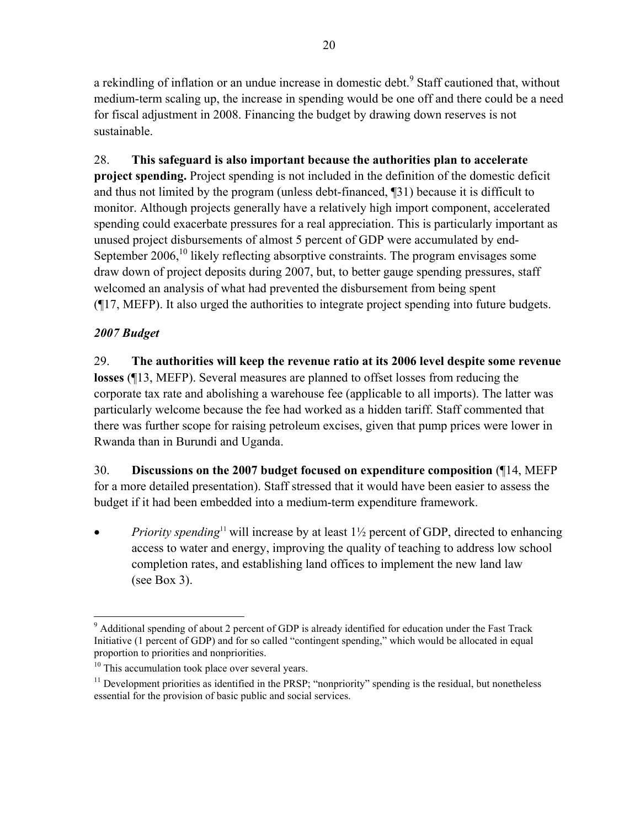a rekindling of inflation or an undue increase in domestic debt.<sup>9</sup> Staff cautioned that, without medium-term scaling up, the increase in spending would be one off and there could be a need for fiscal adjustment in 2008. Financing the budget by drawing down reserves is not sustainable.

28. **This safeguard is also important because the authorities plan to accelerate project spending.** Project spending is not included in the definition of the domestic deficit and thus not limited by the program (unless debt-financed, ¶31) because it is difficult to monitor. Although projects generally have a relatively high import component, accelerated spending could exacerbate pressures for a real appreciation. This is particularly important as unused project disbursements of almost 5 percent of GDP were accumulated by end-September  $2006$ ,<sup>10</sup> likely reflecting absorptive constraints. The program envisages some draw down of project deposits during 2007, but, to better gauge spending pressures, staff welcomed an analysis of what had prevented the disbursement from being spent (¶17, MEFP). It also urged the authorities to integrate project spending into future budgets.

## *2007 Budget*

29. **The authorities will keep the revenue ratio at its 2006 level despite some revenue losses** (¶13, MEFP). Several measures are planned to offset losses from reducing the corporate tax rate and abolishing a warehouse fee (applicable to all imports). The latter was particularly welcome because the fee had worked as a hidden tariff. Staff commented that there was further scope for raising petroleum excises, given that pump prices were lower in Rwanda than in Burundi and Uganda.

30. **Discussions on the 2007 budget focused on expenditure composition** (¶14, MEFP for a more detailed presentation). Staff stressed that it would have been easier to assess the budget if it had been embedded into a medium-term expenditure framework.

*Priority spending*<sup>11</sup> will increase by at least 1<sup>1</sup>/<sub>2</sub> percent of GDP, directed to enhancing access to water and energy, improving the quality of teaching to address low school completion rates, and establishing land offices to implement the new land law (see Box 3).

 $\overline{a}$ <sup>9</sup> Additional spending of about 2 percent of GDP is already identified for education under the Fast Track Initiative (1 percent of GDP) and for so called "contingent spending," which would be allocated in equal proportion to priorities and nonpriorities.

<sup>&</sup>lt;sup>10</sup> This accumulation took place over several years.

<sup>&</sup>lt;sup>11</sup> Development priorities as identified in the PRSP; "nonpriority" spending is the residual, but nonetheless essential for the provision of basic public and social services.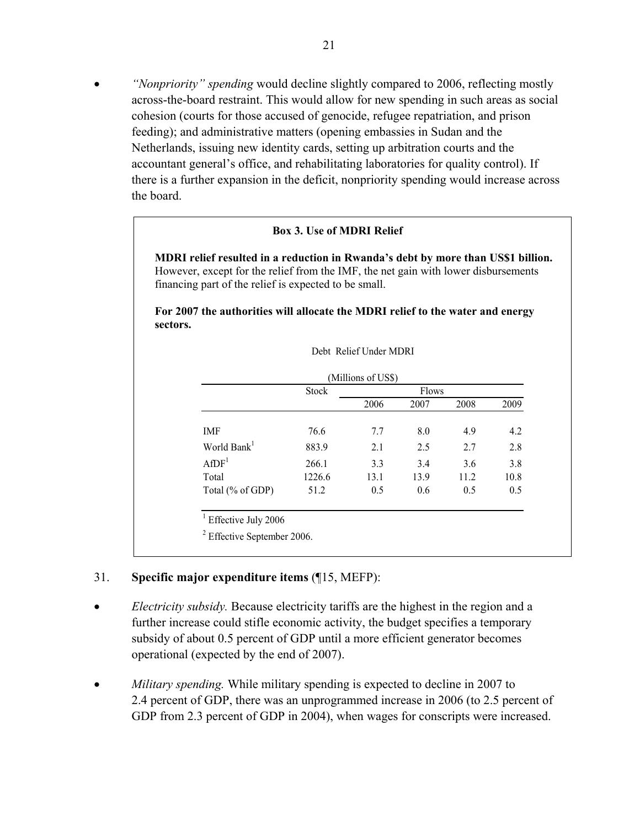• *"Nonpriority" spending* would decline slightly compared to 2006, reflecting mostly across-the-board restraint. This would allow for new spending in such areas as social cohesion (courts for those accused of genocide, refugee repatriation, and prison feeding); and administrative matters (opening embassies in Sudan and the Netherlands, issuing new identity cards, setting up arbitration courts and the accountant general's office, and rehabilitating laboratories for quality control). If there is a further expansion in the deficit, nonpriority spending would increase across the board.

#### **Box 3. Use of MDRI Relief**

**MDRI relief resulted in a reduction in Rwanda's debt by more than US\$1 billion.** However, except for the relief from the IMF, the net gain with lower disbursements financing part of the relief is expected to be small.

**For 2007 the authorities will allocate the MDRI relief to the water and energy sectors.**

|                         | <b>Stock</b> |      | <b>Flows</b> |      |      |
|-------------------------|--------------|------|--------------|------|------|
|                         |              | 2006 | 2007         | 2008 | 2009 |
| IMF                     | 76.6         | 7.7  | 8.0          | 4.9  | 4.2  |
| World Bank <sup>1</sup> | 883.9        | 2.1  | 2.5          | 2.7  | 2.8  |
| AfDF <sup>1</sup>       | 266.1        | 3.3  | 3.4          | 3.6  | 3.8  |
| Total                   | 1226.6       | 13.1 | 13.9         | 11.2 | 10.8 |
| Total (% of GDP)        | 51.2         | 0.5  | 0.6          | 0.5  | 0.5  |

Debt Relief Under MDRI

#### 31. **Specific major expenditure items** (¶15, MEFP):

- *Electricity subsidy.* Because electricity tariffs are the highest in the region and a further increase could stifle economic activity, the budget specifies a temporary subsidy of about 0.5 percent of GDP until a more efficient generator becomes operational (expected by the end of 2007).
- *Military spending.* While military spending is expected to decline in 2007 to 2.4 percent of GDP, there was an unprogrammed increase in 2006 (to 2.5 percent of GDP from 2.3 percent of GDP in 2004), when wages for conscripts were increased.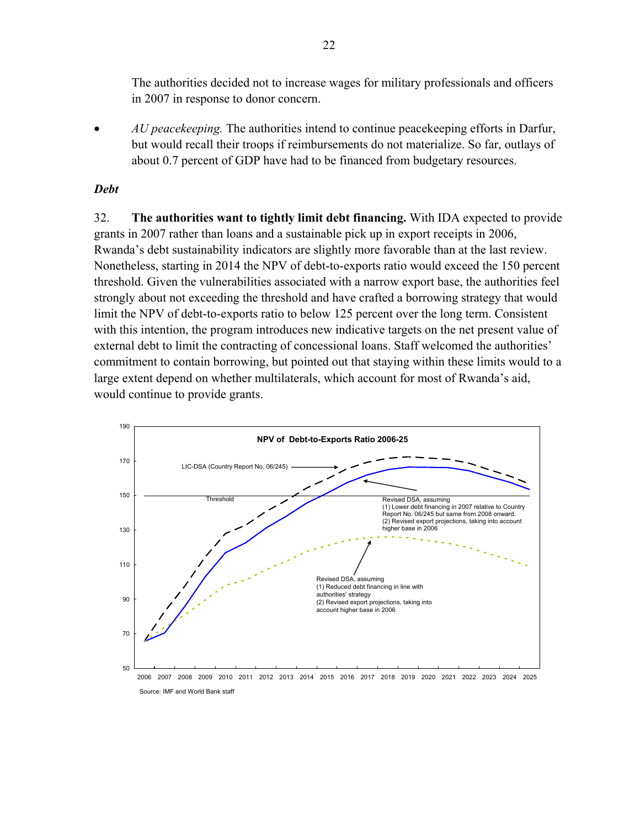The authorities decided not to increase wages for military professionals and officers in 2007 in response to donor concern.

• *AU peacekeeping*. The authorities intend to continue peacekeeping efforts in Darfur, but would recall their troops if reimbursements do not materialize. So far, outlays of about 0.7 percent of GDP have had to be financed from budgetary resources.

#### *Debt*

32. **The authorities want to tightly limit debt financing.** With IDA expected to provide grants in 2007 rather than loans and a sustainable pick up in export receipts in 2006, Rwanda's debt sustainability indicators are slightly more favorable than at the last review. Nonetheless, starting in 2014 the NPV of debt-to-exports ratio would exceed the 150 percent threshold. Given the vulnerabilities associated with a narrow export base, the authorities feel strongly about not exceeding the threshold and have crafted a borrowing strategy that would limit the NPV of debt-to-exports ratio to below 125 percent over the long term. Consistent with this intention, the program introduces new indicative targets on the net present value of external debt to limit the contracting of concessional loans. Staff welcomed the authorities' commitment to contain borrowing, but pointed out that staying within these limits would to a large extent depend on whether multilaterals, which account for most of Rwanda's aid, would continue to provide grants.

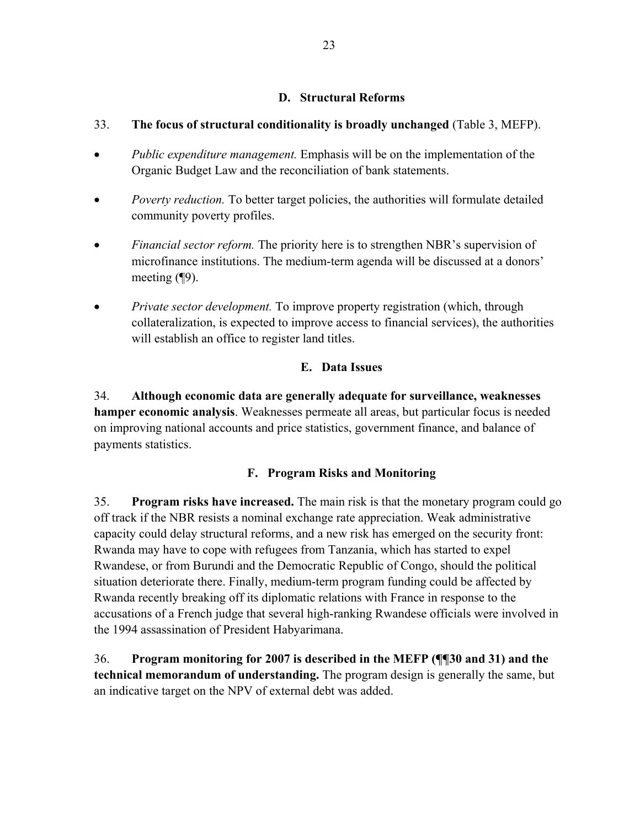### **D. Structural Reforms**

### 33. **The focus of structural conditionality is broadly unchanged** (Table 3, MEFP).

- *Public expenditure management.* Emphasis will be on the implementation of the Organic Budget Law and the reconciliation of bank statements.
- *Poverty reduction*. To better target policies, the authorities will formulate detailed community poverty profiles.
- *Financial sector reform.* The priority here is to strengthen NBR's supervision of microfinance institutions. The medium-term agenda will be discussed at a donors' meeting (¶9).
- *Private sector development*. To improve property registration (which, through collateralization, is expected to improve access to financial services), the authorities will establish an office to register land titles.

### **E. Data Issues**

34. **Although economic data are generally adequate for surveillance, weaknesses hamper economic analysis**. Weaknesses permeate all areas, but particular focus is needed on improving national accounts and price statistics, government finance, and balance of payments statistics.

### **F. Program Risks and Monitoring**

35. **Program risks have increased.** The main risk is that the monetary program could go off track if the NBR resists a nominal exchange rate appreciation. Weak administrative capacity could delay structural reforms, and a new risk has emerged on the security front: Rwanda may have to cope with refugees from Tanzania, which has started to expel Rwandese, or from Burundi and the Democratic Republic of Congo, should the political situation deteriorate there. Finally, medium-term program funding could be affected by Rwanda recently breaking off its diplomatic relations with France in response to the accusations of a French judge that several high-ranking Rwandese officials were involved in the 1994 assassination of President Habyarimana.

36. **Program monitoring for 2007 is described in the MEFP (¶¶30 and 31) and the technical memorandum of understanding.** The program design is generally the same, but an indicative target on the NPV of external debt was added.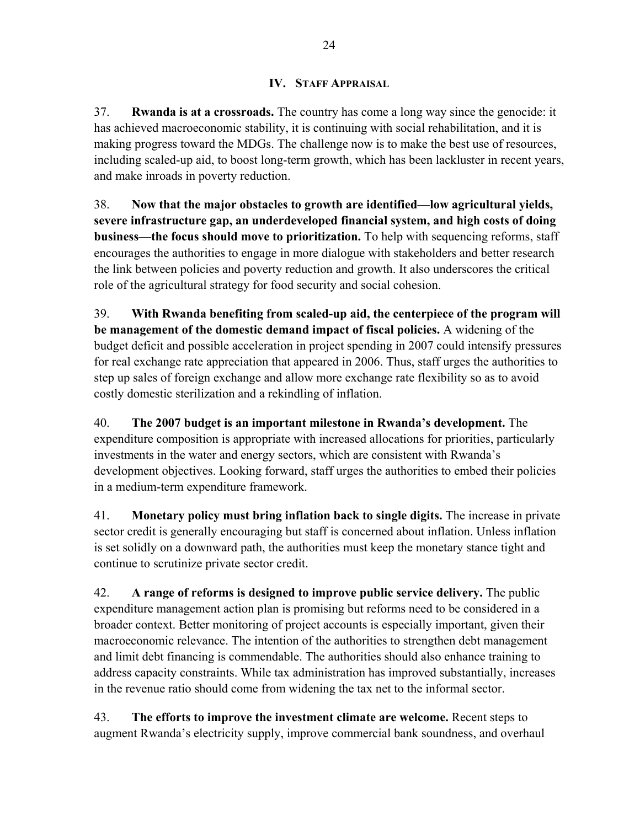### **IV. STAFF APPRAISAL**

37. **Rwanda is at a crossroads.** The country has come a long way since the genocide: it has achieved macroeconomic stability, it is continuing with social rehabilitation, and it is making progress toward the MDGs. The challenge now is to make the best use of resources, including scaled-up aid, to boost long-term growth, which has been lackluster in recent years, and make inroads in poverty reduction.

38. **Now that the major obstacles to growth are identified—low agricultural yields, severe infrastructure gap, an underdeveloped financial system, and high costs of doing business—the focus should move to prioritization.** To help with sequencing reforms, staff encourages the authorities to engage in more dialogue with stakeholders and better research the link between policies and poverty reduction and growth. It also underscores the critical role of the agricultural strategy for food security and social cohesion.

39. **With Rwanda benefiting from scaled-up aid, the centerpiece of the program will be management of the domestic demand impact of fiscal policies.** A widening of the budget deficit and possible acceleration in project spending in 2007 could intensify pressures for real exchange rate appreciation that appeared in 2006. Thus, staff urges the authorities to step up sales of foreign exchange and allow more exchange rate flexibility so as to avoid costly domestic sterilization and a rekindling of inflation.

40. **The 2007 budget is an important milestone in Rwanda's development.** The expenditure composition is appropriate with increased allocations for priorities, particularly investments in the water and energy sectors, which are consistent with Rwanda's development objectives. Looking forward, staff urges the authorities to embed their policies in a medium-term expenditure framework.

41. **Monetary policy must bring inflation back to single digits.** The increase in private sector credit is generally encouraging but staff is concerned about inflation. Unless inflation is set solidly on a downward path, the authorities must keep the monetary stance tight and continue to scrutinize private sector credit.

42. **A range of reforms is designed to improve public service delivery.** The public expenditure management action plan is promising but reforms need to be considered in a broader context. Better monitoring of project accounts is especially important, given their macroeconomic relevance. The intention of the authorities to strengthen debt management and limit debt financing is commendable. The authorities should also enhance training to address capacity constraints. While tax administration has improved substantially, increases in the revenue ratio should come from widening the tax net to the informal sector.

43. **The efforts to improve the investment climate are welcome.** Recent steps to augment Rwanda's electricity supply, improve commercial bank soundness, and overhaul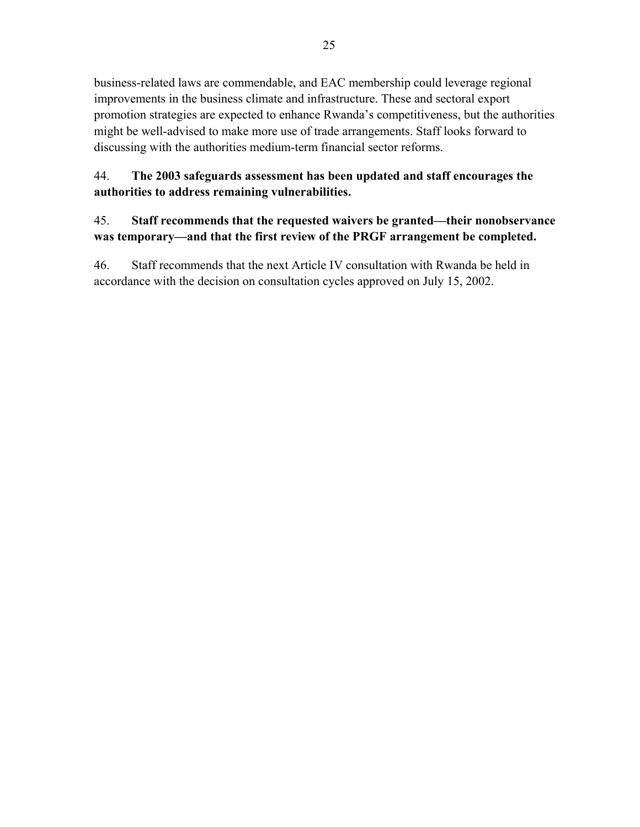business-related laws are commendable, and EAC membership could leverage regional improvements in the business climate and infrastructure. These and sectoral export promotion strategies are expected to enhance Rwanda's competitiveness, but the authorities might be well-advised to make more use of trade arrangements. Staff looks forward to discussing with the authorities medium-term financial sector reforms.

### 44. **The 2003 safeguards assessment has been updated and staff encourages the authorities to address remaining vulnerabilities.**

### 45. **Staff recommends that the requested waivers be granted—their nonobservance was temporary—and that the first review of the PRGF arrangement be completed.**

46. Staff recommends that the next Article IV consultation with Rwanda be held in accordance with the decision on consultation cycles approved on July 15, 2002.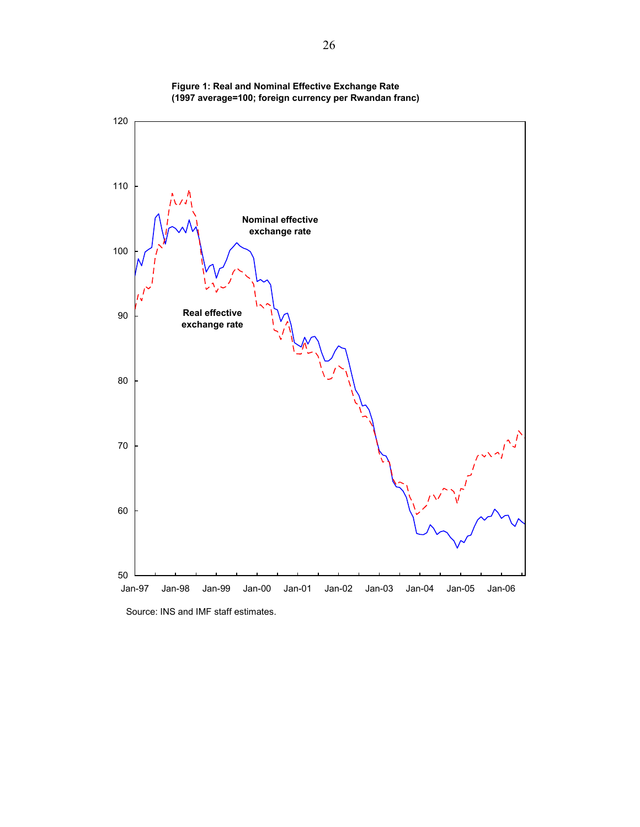

**Figure 1: Real and Nominal Effective Exchange Rate (1997 average=100; foreign currency per Rwandan franc)**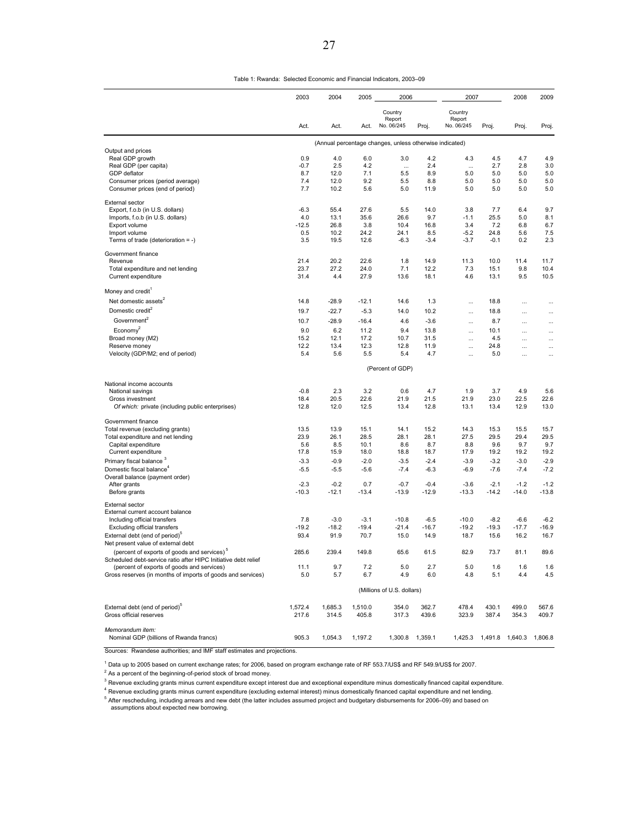Table 1: Rwanda: Selected Economic and Financial Indicators, 2003–09

|                                                                                  | 2003         | 2004         | 2005         | 2006                                                    |               | 2007                            |              | 2008                 | 2009                  |
|----------------------------------------------------------------------------------|--------------|--------------|--------------|---------------------------------------------------------|---------------|---------------------------------|--------------|----------------------|-----------------------|
|                                                                                  | Act.         | Act.         | Act.         | Country<br>Report<br>No. 06/245                         | Proj.         | Country<br>Report<br>No. 06/245 | Proj.        | Proj.                | Proj.                 |
|                                                                                  |              |              |              |                                                         |               |                                 |              |                      |                       |
| Output and prices                                                                |              |              |              | (Annual percentage changes, unless otherwise indicated) |               |                                 |              |                      |                       |
| Real GDP growth                                                                  | 0.9          | 4.0          | 6.0          | 3.0                                                     | 4.2           | 4.3                             | 4.5          | 4.7                  | 4.9                   |
| Real GDP (per capita)                                                            | $-0.7$       | 2.5          | 4.2          | $\cdots$                                                | 2.4           | $\cdots$                        | 2.7          | 2.8                  | 3.0                   |
| GDP deflator<br>Consumer prices (period average)                                 | 8.7<br>7.4   | 12.0<br>12.0 | 7.1<br>9.2   | 5.5<br>5.5                                              | 8.9<br>8.8    | 5.0<br>5.0                      | 5.0<br>5.0   | 5.0<br>5.0           | 5.0<br>5.0            |
| Consumer prices (end of period)                                                  | 7.7          | 10.2         | 5.6          | 5.0                                                     | 11.9          | 5.0                             | 5.0          | 5.0                  | 5.0                   |
| <b>External sector</b>                                                           |              |              |              |                                                         |               |                                 |              |                      |                       |
| Export, f.o.b (in U.S. dollars)                                                  | $-6.3$       | 55.4         | 27.6         | 5.5                                                     | 14.0          | 3.8                             | 7.7          | 6.4                  | 9.7                   |
| Imports, f.o.b (in U.S. dollars)                                                 | 4.0          | 13.1         | 35.6         | 26.6                                                    | 9.7           | -1.1                            | 25.5         | 5.0                  | 8.1                   |
| Export volume<br>Import volume                                                   | $-12.5$      | 26.8<br>10.2 | 3.8<br>24.2  | 10.4<br>24.1                                            | 16.8          | 3.4                             | 7.2<br>24.8  | 6.8<br>5.6           | 6.7                   |
| Terms of trade (deterioration = -)                                               | 0.5<br>3.5   | 19.5         | 12.6         | $-6.3$                                                  | 8.5<br>$-3.4$ | $-5.2$<br>-3.7                  | $-0.1$       | 0.2                  | 7.5<br>2.3            |
| Government finance                                                               |              |              |              |                                                         |               |                                 |              |                      |                       |
| Revenue                                                                          | 21.4         | 20.2         | 22.6         | 1.8                                                     | 14.9          | 11.3                            | 10.0         | 11.4                 | 11.7                  |
| Total expenditure and net lending<br>Current expenditure                         | 23.7<br>31.4 | 27.2<br>4.4  | 24.0<br>27.9 | 7.1<br>13.6                                             | 12.2<br>18.1  | 7.3<br>4.6                      | 15.1<br>13.1 | 9.8<br>9.5           | 10.4<br>10.5          |
|                                                                                  |              |              |              |                                                         |               |                                 |              |                      |                       |
| Money and credit<br>Net domestic assets <sup>2</sup>                             | 14.8         | $-28.9$      | $-12.1$      | 14.6                                                    | 1.3           |                                 | 18.8         |                      |                       |
| Domestic credit <sup>2</sup>                                                     |              |              |              |                                                         |               | $\ldots$                        |              |                      |                       |
|                                                                                  | 19.7         | $-22.7$      | $-5.3$       | 14.0                                                    | 10.2          | $\cdots$                        | 18.8         |                      |                       |
| Government <sup>2</sup>                                                          | 10.7         | $-28.9$      | $-16.4$      | 4.6                                                     | $-3.6$        | $\cdots$                        | 8.7          |                      | $\cdots$              |
| Econom $v^2$                                                                     | 9.0          | 6.2          | 11.2         | 9.4                                                     | 13.8          | $\cdots$                        | 10.1         | $\cdots$             | $\cdots$              |
| Broad money (M2)<br>Reserve money                                                | 15.2<br>12.2 | 12.1<br>13.4 | 17.2<br>12.3 | 10.7<br>12.8                                            | 31.5<br>11.9  | $\cdots$<br>$\cdots$            | 4.5<br>24.8  | $\cdots$<br>$\cdots$ | $\ddotsc$<br>$\cdots$ |
| Velocity (GDP/M2; end of period)                                                 | 5.4          | 5.6          | 5.5          | 5.4                                                     | 4.7           | $\cdots$                        | 5.0          |                      | $\cdots$              |
|                                                                                  |              |              |              | (Percent of GDP)                                        |               |                                 |              |                      |                       |
| National income accounts                                                         |              |              |              |                                                         |               |                                 |              |                      |                       |
| National savings                                                                 | $-0.8$       | 2.3          | 3.2          | 0.6                                                     | 4.7           | 1.9                             | 3.7          | 4.9                  | 5.6                   |
| Gross investment                                                                 | 18.4         | 20.5         | 22.6         | 21.9                                                    | 21.5          | 21.9                            | 23.0         | 22.5                 | 22.6                  |
| Of which: private (including public enterprises)                                 | 12.8         | 12.0         | 12.5         | 13.4                                                    | 12.8          | 13.1                            | 13.4         | 12.9                 | 13.0                  |
| Government finance                                                               |              |              |              |                                                         |               |                                 |              |                      |                       |
| Total revenue (excluding grants)                                                 | 13.5         | 13.9         | 15.1         | 14.1                                                    | 15.2          | 14.3                            | 15.3         | 15.5                 | 15.7                  |
| Total expenditure and net lending                                                | 23.9<br>5.6  | 26.1<br>8.5  | 28.5<br>10.1 | 28.1<br>8.6                                             | 28.1<br>8.7   | 27.5<br>8.8                     | 29.5<br>9.6  | 29.4<br>9.7          | 29.5<br>9.7           |
| Capital expenditure<br>Current expenditure                                       | 17.8         | 15.9         | 18.0         | 18.8                                                    | 18.7          | 17.9                            | 19.2         | 19.2                 | 19.2                  |
| Primary fiscal balance <sup>3</sup>                                              | $-3.3$       | $-0.9$       | $-2.0$       | $-3.5$                                                  | $-2.4$        | $-3.9$                          | $-3.2$       | $-3.0$               | $-2.9$                |
| Domestic fiscal balance <sup>4</sup>                                             | $-5.5$       | $-5.5$       | $-5.6$       | $-7.4$                                                  | $-6.3$        | $-6.9$                          | $-7.6$       | $-7.4$               | $-7.2$                |
| Overall balance (payment order)                                                  |              |              |              |                                                         |               |                                 |              |                      |                       |
| After grants                                                                     | $-2.3$       | $-0.2$       | 0.7          | $-0.7$                                                  | $-0.4$        | $-3.6$                          | $-2.1$       | $-1.2$               | $-1.2$                |
| Before grants                                                                    | $-10.3$      | $-12.1$      | $-13.4$      | $-13.9$                                                 | $-12.9$       | $-13.3$                         | $-14.2$      | $-14.0$              | $-13.8$               |
| <b>External sector</b><br>External current account balance                       |              |              |              |                                                         |               |                                 |              |                      |                       |
| Including official transfers                                                     | 7.8          | $-3.0$       | $-3.1$       | $-10.8$                                                 | $-6.5$        | $-10.0$                         | $-8.2$       | $-6.6$               | $-6.2$                |
| Excluding official transfers                                                     | $-19.2$      | $-18.2$      | $-19.4$      | $-21.4$                                                 | $-16.7$       | $-19.2$                         | $-19.3$      | $-17.7$              | $-16.9$               |
| External debt (end of period) <sup>o</sup><br>Net present value of external debt | 93.4         | 91.9         | 70.7         | 15.0                                                    | 14.9          | 18.7                            | 15.6         | 16.2                 | 16.7                  |
| (percent of exports of goods and services) <sup>5</sup>                          | 285.6        | 239.4        | 149.8        | 65.6                                                    | 61.5          | 82.9                            | 73.7         | 81.1                 | 89.6                  |
| Scheduled debt-service ratio after HIPC Initiative debt relief                   |              |              |              |                                                         |               |                                 |              |                      |                       |
| (percent of exports of goods and services)                                       | 11.1         | 9.7          | 7.2          | 5.0                                                     | 2.7           | 5.0                             | 1.6          | 1.6                  | 1.6                   |
| Gross reserves (in months of imports of goods and services)                      | 5.0          | 5.7          | 6.7          | 4.9                                                     | 6.0           | 4.8                             | 5.1          | 4.4                  | 4.5                   |
|                                                                                  |              |              |              | (Millions of U.S. dollars)                              |               |                                 |              |                      |                       |
| External debt (end of period) <sup>5</sup>                                       | 1,572.4      | 1,685.3      | 1,510.0      | 354.0                                                   | 362.7         | 478.4                           | 430.1        | 499.0                | 567.6                 |
| Gross official reserves                                                          | 217.6        | 314.5        | 405.8        | 317.3                                                   | 439.6         | 323.9                           | 387.4        | 354.3                | 409.7                 |
| Memorandum item:                                                                 |              |              |              |                                                         |               |                                 |              |                      |                       |
| Nominal GDP (billions of Rwanda francs)                                          | 905.3        | 1,054.3      | 1,197.2      | 1,300.8                                                 | 1,359.1       | 1,425.3                         | 1,491.8      | 1,640.3              | 1,806.8               |

Sources: Rwandese authorities; and IMF staff estimates and projections.

1 Data up to 2005 based on current exchange rates; for 2006, based on program exchange rate of RF 553.7/US\$ and RF 549.9/US\$ for 2007.

 $2^{2}$  As a percent of the beginning-of-period stock of broad money.

<sup>3</sup> Revenue excluding grants minus current expenditure except interest due and exceptional expenditure minus domestically financed capital expenditure.

4 Revenue excluding grants minus current expenditure (excluding external interest) minus domestically financed capital expenditure and net lending.

5 After rescheduling, including arrears and new debt (the latter includes assumed project and budgetary disbursements for 2006–09) and based on assumptions about expected new borrowing.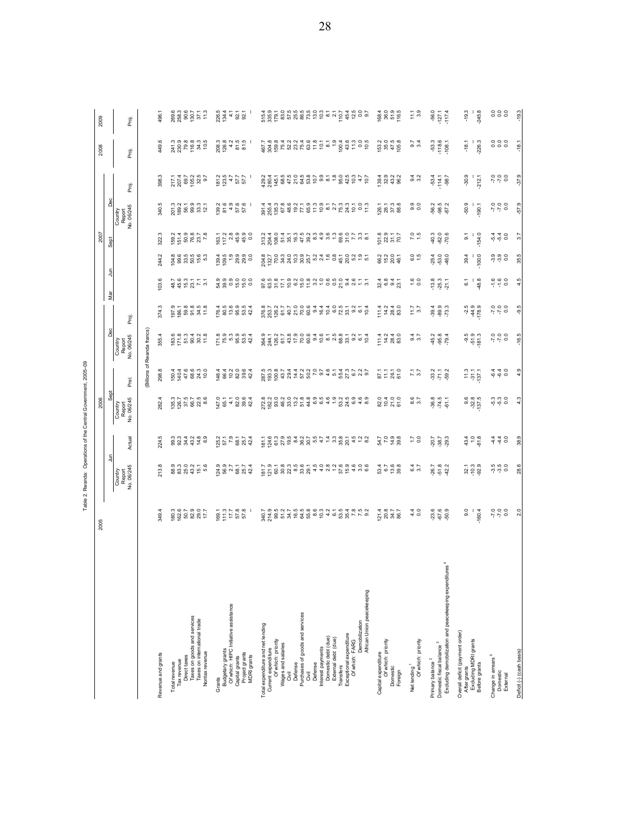| í<br>ı<br>ı |
|-------------|
| ı           |
|             |
|             |
| l           |
|             |
| ı           |

|                                                                                                             | 2005                                                                    |                                                                                                                                                                                                                                                                                                                     |                                                                                                                                                                                                                                 | 2006                            |                                                                                                                                                                                                                                                                                                                     |                                                                                       |                                                                                                                                                                                                                                                                                                               |                            |                                  | 2007                                                                                                                                                                                                                                                                                                |                                                                                           |                                                                                                                                                                                                                                                                                                                                       | 2008                                                                                                                                                                                                                             | 2009                                                                             |
|-------------------------------------------------------------------------------------------------------------|-------------------------------------------------------------------------|---------------------------------------------------------------------------------------------------------------------------------------------------------------------------------------------------------------------------------------------------------------------------------------------------------------------|---------------------------------------------------------------------------------------------------------------------------------------------------------------------------------------------------------------------------------|---------------------------------|---------------------------------------------------------------------------------------------------------------------------------------------------------------------------------------------------------------------------------------------------------------------------------------------------------------------|---------------------------------------------------------------------------------------|---------------------------------------------------------------------------------------------------------------------------------------------------------------------------------------------------------------------------------------------------------------------------------------------------------------|----------------------------|----------------------------------|-----------------------------------------------------------------------------------------------------------------------------------------------------------------------------------------------------------------------------------------------------------------------------------------------------|-------------------------------------------------------------------------------------------|---------------------------------------------------------------------------------------------------------------------------------------------------------------------------------------------------------------------------------------------------------------------------------------------------------------------------------------|----------------------------------------------------------------------------------------------------------------------------------------------------------------------------------------------------------------------------------|----------------------------------------------------------------------------------|
|                                                                                                             |                                                                         | $\frac{5}{2}$                                                                                                                                                                                                                                                                                                       |                                                                                                                                                                                                                                 | Sept                            |                                                                                                                                                                                                                                                                                                                     | Dec                                                                                   |                                                                                                                                                                                                                                                                                                               | Mar                        | 킃                                | Sept                                                                                                                                                                                                                                                                                                | Dec                                                                                       |                                                                                                                                                                                                                                                                                                                                       |                                                                                                                                                                                                                                  |                                                                                  |
|                                                                                                             |                                                                         | Country<br>Report<br>No. 06/245                                                                                                                                                                                                                                                                                     | 쿅<br>Ę                                                                                                                                                                                                                          | Country<br>Report<br>No. 06/245 | Prei                                                                                                                                                                                                                                                                                                                | Country<br>Report<br>No. 06/245                                                       | Proj.                                                                                                                                                                                                                                                                                                         |                            |                                  |                                                                                                                                                                                                                                                                                                     | Country<br>Report<br>No. 06/245                                                           | Proj.                                                                                                                                                                                                                                                                                                                                 | Proj                                                                                                                                                                                                                             | Proj.                                                                            |
|                                                                                                             |                                                                         |                                                                                                                                                                                                                                                                                                                     |                                                                                                                                                                                                                                 |                                 | Billions of                                                                                                                                                                                                                                                                                                         | Rwanda francs                                                                         |                                                                                                                                                                                                                                                                                                               |                            |                                  |                                                                                                                                                                                                                                                                                                     |                                                                                           |                                                                                                                                                                                                                                                                                                                                       |                                                                                                                                                                                                                                  |                                                                                  |
| Revenue and grants                                                                                          | 349.                                                                    | 213.                                                                                                                                                                                                                                                                                                                | ယ္<br>$^{24}$                                                                                                                                                                                                                   | 282.4                           | 298.8                                                                                                                                                                                                                                                                                                               | 355.                                                                                  | 374.3                                                                                                                                                                                                                                                                                                         | $\mathbf{S}$               | 244.                             | 322.                                                                                                                                                                                                                                                                                                | 340                                                                                       | 398.3                                                                                                                                                                                                                                                                                                                                 | 449.                                                                                                                                                                                                                             | 496.                                                                             |
| Total revenue                                                                                               |                                                                         |                                                                                                                                                                                                                                                                                                                     |                                                                                                                                                                                                                                 |                                 |                                                                                                                                                                                                                                                                                                                     |                                                                                       |                                                                                                                                                                                                                                                                                                               |                            |                                  |                                                                                                                                                                                                                                                                                                     |                                                                                           |                                                                                                                                                                                                                                                                                                                                       |                                                                                                                                                                                                                                  |                                                                                  |
| Tax revenue                                                                                                 |                                                                         |                                                                                                                                                                                                                                                                                                                     |                                                                                                                                                                                                                                 |                                 |                                                                                                                                                                                                                                                                                                                     |                                                                                       |                                                                                                                                                                                                                                                                                                               |                            |                                  |                                                                                                                                                                                                                                                                                                     |                                                                                           |                                                                                                                                                                                                                                                                                                                                       |                                                                                                                                                                                                                                  |                                                                                  |
| Direct taxes                                                                                                |                                                                         |                                                                                                                                                                                                                                                                                                                     |                                                                                                                                                                                                                                 |                                 |                                                                                                                                                                                                                                                                                                                     |                                                                                       |                                                                                                                                                                                                                                                                                                               |                            |                                  |                                                                                                                                                                                                                                                                                                     |                                                                                           |                                                                                                                                                                                                                                                                                                                                       |                                                                                                                                                                                                                                  |                                                                                  |
| Taxes on goods and services<br>Taxes on international trade<br>Nontax revenue                               | $80.3$<br>$80.7$<br>$80.8$<br>$80.7$<br>$7.7$                           | 8<br>8 8 8 9 9 5 6<br>8 8 8 9 9 5 6                                                                                                                                                                                                                                                                                 | c c c 4 c e e<br>0 c 4 c 4 c e e                                                                                                                                                                                                | 135.7<br>126.7<br>126.7<br>60.2 | 54466330<br>54466330                                                                                                                                                                                                                                                                                                | $8.6$<br>$8.7$ $4$ $3$ $8$<br>$5$ $5$ $8$ $8$ $7$                                     | $97.9$<br>$96.7$<br>$98.8$<br>$95.8$<br>$7$<br>$7$                                                                                                                                                                                                                                                            | 445277                     | ទី ខិត មិន ដ<br>មិន្ត្រី ខិត មិន | $\frac{692}{6568878}$                                                                                                                                                                                                                                                                               | ក្តួន ។<br>ខេត្ត ខេត្ត ដូ ភូ                                                              | $217.1$<br>$207.4$<br>$09.7$<br>$09.25$<br>$09.7$<br>$09.7$                                                                                                                                                                                                                                                                           | $24.3$<br>$23.8$<br>$25.8$<br>$25.3$<br>$25.3$<br>$25.5$                                                                                                                                                                         | $\begin{array}{l} 269.6 \\ 263.3 \\ 263.6 \\ 263.7 \\ 1.7 \\ 1.3 \\ \end{array}$ |
| Grants                                                                                                      |                                                                         |                                                                                                                                                                                                                                                                                                                     |                                                                                                                                                                                                                                 |                                 |                                                                                                                                                                                                                                                                                                                     |                                                                                       |                                                                                                                                                                                                                                                                                                               |                            |                                  |                                                                                                                                                                                                                                                                                                     |                                                                                           |                                                                                                                                                                                                                                                                                                                                       |                                                                                                                                                                                                                                  |                                                                                  |
| Budgetary grants                                                                                            |                                                                         |                                                                                                                                                                                                                                                                                                                     | $125.2$<br>57.1                                                                                                                                                                                                                 |                                 |                                                                                                                                                                                                                                                                                                                     |                                                                                       |                                                                                                                                                                                                                                                                                                               |                            |                                  |                                                                                                                                                                                                                                                                                                     |                                                                                           |                                                                                                                                                                                                                                                                                                                                       |                                                                                                                                                                                                                                  |                                                                                  |
| Of which: HIPC Initiative assistance<br>Capital grants                                                      |                                                                         |                                                                                                                                                                                                                                                                                                                     |                                                                                                                                                                                                                                 |                                 |                                                                                                                                                                                                                                                                                                                     |                                                                                       |                                                                                                                                                                                                                                                                                                               |                            |                                  |                                                                                                                                                                                                                                                                                                     |                                                                                           | $\begin{array}{c} 1812 \\ 235 \\ 577 \\ 577 \\ 577 \\ \end{array}$                                                                                                                                                                                                                                                                    |                                                                                                                                                                                                                                  |                                                                                  |
| Project grants<br>MDRI grants                                                                               | $\begin{array}{r} 169.1 \\ 17.1 \\ 17.1 \\ 18.8 \\ 57.8 \\ \end{array}$ | $\frac{1}{2}$ $\frac{1}{2}$ $\frac{1}{2}$ $\frac{1}{2}$ $\frac{1}{2}$ $\frac{1}{2}$ $\frac{1}{2}$ $\frac{1}{2}$ $\frac{1}{2}$ $\frac{1}{2}$ $\frac{1}{2}$ $\frac{1}{2}$ $\frac{1}{2}$ $\frac{1}{2}$ $\frac{1}{2}$ $\frac{1}{2}$ $\frac{1}{2}$ $\frac{1}{2}$ $\frac{1}{2}$ $\frac{1}{2}$ $\frac{1}{2}$ $\frac{1}{2}$ | $78.7$<br>$8.7$<br>$8.7$<br>$42.4$                                                                                                                                                                                              | $45.77084$<br>$42.884$          | $4800004$<br>$4900004$                                                                                                                                                                                                                                                                                              | $7.8$<br>$7.8$<br>$7.8$<br>$8.8$<br>$8.4$<br>$4.4$                                    | $7899994$<br>$789994$                                                                                                                                                                                                                                                                                         | residad<br>ando co         | 3.99999<br>8.99999               |                                                                                                                                                                                                                                                                                                     | $\frac{36}{2}$ $\frac{36}{2}$ $\frac{46}{2}$ $\frac{66}{2}$ $\frac{66}{2}$ $\frac{66}{2}$ |                                                                                                                                                                                                                                                                                                                                       | $208.3$<br>$208.4$ 5 $-$ 5 $-$ 5 $-$ 5 $-$ 5 $-$ 5 $-$ 5 $-$ 5 $-$ 5 $-$ 5 $-$ 5 $-$ 5 $-$ 5 $-$ 5 $-$ 5 $-$ 5 $-$ 5 $-$ 5 $-$ 5 $-$ 5 $-$ 5 $-$ 5 $-$ 5 $-$ 5 $-$ 5 $-$ 5 $-$ 5 $-$ 5 $-$ 5 $-$ 5 $-$ 5 $-$ 5 $-$ 5 $-$ 5 $-$ 5 | 226.4<br>134.4<br>25.1<br>26.5                                                   |
| Total expenditure and net lending                                                                           |                                                                         |                                                                                                                                                                                                                                                                                                                     |                                                                                                                                                                                                                                 |                                 |                                                                                                                                                                                                                                                                                                                     |                                                                                       |                                                                                                                                                                                                                                                                                                               |                            |                                  |                                                                                                                                                                                                                                                                                                     |                                                                                           |                                                                                                                                                                                                                                                                                                                                       |                                                                                                                                                                                                                                  |                                                                                  |
| Of which: priority<br>Current expenditure                                                                   |                                                                         |                                                                                                                                                                                                                                                                                                                     |                                                                                                                                                                                                                                 |                                 |                                                                                                                                                                                                                                                                                                                     |                                                                                       |                                                                                                                                                                                                                                                                                                               |                            |                                  |                                                                                                                                                                                                                                                                                                     |                                                                                           |                                                                                                                                                                                                                                                                                                                                       |                                                                                                                                                                                                                                  |                                                                                  |
| Wages and salaries                                                                                          |                                                                         |                                                                                                                                                                                                                                                                                                                     |                                                                                                                                                                                                                                 |                                 |                                                                                                                                                                                                                                                                                                                     |                                                                                       |                                                                                                                                                                                                                                                                                                               |                            |                                  |                                                                                                                                                                                                                                                                                                     |                                                                                           |                                                                                                                                                                                                                                                                                                                                       |                                                                                                                                                                                                                                  |                                                                                  |
| Defense<br>Ğ                                                                                                |                                                                         |                                                                                                                                                                                                                                                                                                                     |                                                                                                                                                                                                                                 |                                 |                                                                                                                                                                                                                                                                                                                     |                                                                                       |                                                                                                                                                                                                                                                                                                               |                            |                                  |                                                                                                                                                                                                                                                                                                     |                                                                                           |                                                                                                                                                                                                                                                                                                                                       |                                                                                                                                                                                                                                  |                                                                                  |
| Purchases of goods and services                                                                             |                                                                         |                                                                                                                                                                                                                                                                                                                     |                                                                                                                                                                                                                                 |                                 |                                                                                                                                                                                                                                                                                                                     |                                                                                       |                                                                                                                                                                                                                                                                                                               |                            |                                  |                                                                                                                                                                                                                                                                                                     |                                                                                           |                                                                                                                                                                                                                                                                                                                                       |                                                                                                                                                                                                                                  |                                                                                  |
| Givil                                                                                                       |                                                                         |                                                                                                                                                                                                                                                                                                                     |                                                                                                                                                                                                                                 |                                 |                                                                                                                                                                                                                                                                                                                     |                                                                                       |                                                                                                                                                                                                                                                                                                               |                            |                                  |                                                                                                                                                                                                                                                                                                     |                                                                                           |                                                                                                                                                                                                                                                                                                                                       |                                                                                                                                                                                                                                  |                                                                                  |
| Interest payments<br>Defense                                                                                |                                                                         |                                                                                                                                                                                                                                                                                                                     |                                                                                                                                                                                                                                 |                                 |                                                                                                                                                                                                                                                                                                                     |                                                                                       |                                                                                                                                                                                                                                                                                                               |                            |                                  |                                                                                                                                                                                                                                                                                                     |                                                                                           |                                                                                                                                                                                                                                                                                                                                       |                                                                                                                                                                                                                                  |                                                                                  |
| Domestic debt (due)                                                                                         |                                                                         |                                                                                                                                                                                                                                                                                                                     |                                                                                                                                                                                                                                 |                                 |                                                                                                                                                                                                                                                                                                                     |                                                                                       |                                                                                                                                                                                                                                                                                                               |                            |                                  |                                                                                                                                                                                                                                                                                                     |                                                                                           |                                                                                                                                                                                                                                                                                                                                       |                                                                                                                                                                                                                                  |                                                                                  |
| External debt (due)<br>Transfers                                                                            |                                                                         |                                                                                                                                                                                                                                                                                                                     |                                                                                                                                                                                                                                 |                                 |                                                                                                                                                                                                                                                                                                                     |                                                                                       |                                                                                                                                                                                                                                                                                                               |                            |                                  |                                                                                                                                                                                                                                                                                                     |                                                                                           |                                                                                                                                                                                                                                                                                                                                       |                                                                                                                                                                                                                                  |                                                                                  |
| Exceptional expenditure                                                                                     |                                                                         |                                                                                                                                                                                                                                                                                                                     | fi di controli di di controli di controlla di controlla di controlla di controlla di controlla di controlla di<br>Li di controlla di controlla di controlla di controlla di controlla di controlla di controlla di controlla di |                                 | $\begin{array}{l} 0.990744000767407076 \\ 0.9907404007676000 \\ 0.9907400076600 \\ 0.990740007600 \\ 0.990740000 \\ 0.990740000 \\ 0.99074000 \\ 0.99074000 \\ 0.99074000 \\ 0.99074000 \\ 0.99074000 \\ 0.99074000 \\ 0.99074000 \\ 0.99074000 \\ 0.99074000 \\ 0.9$                                               | 8<br>8 4 8 5 8 5 6 8 9 6 7 8 9 8 9 9 0 0 0 0<br>9 7 9 1 9 9 9 9 9 9 9 9 9 9 9 9 9 9 9 | $\begin{array}{l} 0.63 \\ 0.64 \\ 0.65 \\ 0.67 \\ 0.67 \\ 0.68 \\ 0.69 \\ 0.69 \\ 0.69 \\ 0.69 \\ 0.69 \\ 0.69 \\ 0.69 \\ 0.69 \\ 0.69 \\ 0.69 \\ 0.69 \\ 0.69 \\ 0.69 \\ 0.69 \\ 0.69 \\ 0.69 \\ 0.69 \\ 0.69 \\ 0.69 \\ 0.69 \\ 0.69 \\ 0.69 \\ 0.69 \\ 0.69 \\ 0.69 \\ 0.69 \\ 0.69 \\ 0.69 \\ 0.69 \\ 0.$ |                            |                                  | $\begin{array}{l} 0.976 \\ 0.976 \\ 0.976 \\ 0.976 \\ 0.976 \\ 0.976 \\ 0.976 \\ 0.976 \\ 0.976 \\ 0.976 \\ 0.976 \\ 0.976 \\ 0.976 \\ 0.976 \\ 0.976 \\ 0.976 \\ 0.976 \\ 0.976 \\ 0.976 \\ 0.976 \\ 0.976 \\ 0.976 \\ 0.976 \\ 0.976 \\ 0.976 \\ 0.976 \\ 0.976 \\ 0.976 \\ 0.976 \\ 0.976 \\ 0.$ | 888588578558258788505                                                                     | $\begin{array}{l} 484 \pm 0 \\ 484 \pm 0 \\ 245 \pm 0 \\ 346 \pm 0 \\ 466 \pm 0 \\ 566 \pm 0 \\ 666 \pm 0 \\ 666 \pm 0 \\ 666 \pm 0 \\ 666 \pm 0 \\ 666 \pm 0 \\ 666 \pm 0 \\ 666 \pm 0 \\ 666 \pm 0 \\ 666 \pm 0 \\ 666 \pm 0 \\ 666 \pm 0 \\ 666 \pm 0 \\ 666 \pm 0 \\ 666 \pm 0 \\ 666 \pm 0 \\ 666 \pm 0 \\ 666 \pm 0 \\ 666 \pm$ | $7.88840048875587587595$                                                                                                                                                                                                         |                                                                                  |
| Demobilization<br>Of which: FARG                                                                            |                                                                         |                                                                                                                                                                                                                                                                                                                     |                                                                                                                                                                                                                                 |                                 |                                                                                                                                                                                                                                                                                                                     |                                                                                       |                                                                                                                                                                                                                                                                                                               |                            |                                  |                                                                                                                                                                                                                                                                                                     |                                                                                           |                                                                                                                                                                                                                                                                                                                                       |                                                                                                                                                                                                                                  |                                                                                  |
| African Union peacekeeping                                                                                  |                                                                         |                                                                                                                                                                                                                                                                                                                     |                                                                                                                                                                                                                                 |                                 |                                                                                                                                                                                                                                                                                                                     |                                                                                       |                                                                                                                                                                                                                                                                                                               |                            |                                  |                                                                                                                                                                                                                                                                                                     |                                                                                           |                                                                                                                                                                                                                                                                                                                                       |                                                                                                                                                                                                                                  |                                                                                  |
| Capital expenditure                                                                                         |                                                                         |                                                                                                                                                                                                                                                                                                                     |                                                                                                                                                                                                                                 |                                 |                                                                                                                                                                                                                                                                                                                     |                                                                                       |                                                                                                                                                                                                                                                                                                               |                            |                                  |                                                                                                                                                                                                                                                                                                     |                                                                                           |                                                                                                                                                                                                                                                                                                                                       |                                                                                                                                                                                                                                  |                                                                                  |
| Of which: priority<br>Domestic                                                                              | $2877$<br>$2877$<br>$2877$                                              |                                                                                                                                                                                                                                                                                                                     |                                                                                                                                                                                                                                 | 820<br>104<br>510<br>610        | $\frac{5}{2}$ $\frac{1}{2}$ $\frac{5}{6}$ $\frac{1}{6}$ $\frac{5}{6}$ $\frac{1}{6}$ $\frac{1}{6}$ $\frac{1}{6}$ $\frac{1}{6}$ $\frac{1}{6}$ $\frac{1}{6}$ $\frac{1}{6}$ $\frac{1}{6}$ $\frac{1}{6}$ $\frac{1}{6}$ $\frac{1}{6}$ $\frac{1}{6}$ $\frac{1}{6}$ $\frac{1}{6}$ $\frac{1}{6}$ $\frac{1}{6}$ $\frac{1}{6}$ | $11.4$<br>$7.4$ 28.3<br>$8.3$                                                         | $74288$<br>$74288$                                                                                                                                                                                                                                                                                            | 2845<br>286923             | 822011<br>82046.1                | $0.8$<br>$0.7$<br>$0.7$<br>$0.7$<br>$0.7$                                                                                                                                                                                                                                                           | $\frac{1}{2}$<br>$\frac{2}{3}$<br>$\frac{3}{3}$<br>$\frac{3}{3}$<br>$\frac{3}{3}$         | 8<br>8<br>8<br>8<br>8<br>8<br>8<br>8<br>8                                                                                                                                                                                                                                                                                             | 153<br>154<br>154<br>158                                                                                                                                                                                                         | 1884<br>860<br>1955<br>1955                                                      |
| Foreign                                                                                                     |                                                                         |                                                                                                                                                                                                                                                                                                                     |                                                                                                                                                                                                                                 |                                 |                                                                                                                                                                                                                                                                                                                     |                                                                                       |                                                                                                                                                                                                                                                                                                               |                            |                                  |                                                                                                                                                                                                                                                                                                     |                                                                                           |                                                                                                                                                                                                                                                                                                                                       |                                                                                                                                                                                                                                  |                                                                                  |
| Of which: priority<br>Net lending <sup>1</sup>                                                              | 440                                                                     | ဖ က                                                                                                                                                                                                                                                                                                                 | $\frac{2}{10}$                                                                                                                                                                                                                  | 8.5                             | 7. 2                                                                                                                                                                                                                                                                                                                | ග් ෆ්                                                                                 | $7.7$<br>5.7                                                                                                                                                                                                                                                                                                  | $\frac{6}{10}$             | 6.0                              | 7.0                                                                                                                                                                                                                                                                                                 | 0.0                                                                                       | 3.3                                                                                                                                                                                                                                                                                                                                   | ග් ෆ්                                                                                                                                                                                                                            | $11.1$<br>3.9                                                                    |
| Primary balance <sup>2</sup>                                                                                |                                                                         |                                                                                                                                                                                                                                                                                                                     |                                                                                                                                                                                                                                 | 36.8                            |                                                                                                                                                                                                                                                                                                                     |                                                                                       |                                                                                                                                                                                                                                                                                                               |                            |                                  |                                                                                                                                                                                                                                                                                                     |                                                                                           |                                                                                                                                                                                                                                                                                                                                       |                                                                                                                                                                                                                                  |                                                                                  |
| Excluding demobilization and peacekeeping expenditures <sup>4</sup><br>Domestic fiscal balance <sup>3</sup> | $73.6$<br>$-50.9$                                                       | $26.7$<br>$51.8$<br>$42.2$                                                                                                                                                                                                                                                                                          | 20.7<br>28.7<br>29.3                                                                                                                                                                                                            | $-74.5$<br>$-61.1$              | 37.78                                                                                                                                                                                                                                                                                                               | $45.2$<br>$95.4$<br>$79.4$                                                            | 39.3<br>39.3<br>73.3                                                                                                                                                                                                                                                                                          | $73.3$<br>$75.3$<br>$21.1$ | $-25.4$<br>$-53.0$<br>$+6.0$     | $40.3$<br>$-82.0$<br>$-70.6$                                                                                                                                                                                                                                                                        |                                                                                           | -53.4<br>-114.1<br>-98.7                                                                                                                                                                                                                                                                                                              | $-53.3$<br>$-118.6$<br>$-108.1$                                                                                                                                                                                                  | $-56.0$<br>$-127.1$<br>$-17.4$                                                   |
|                                                                                                             |                                                                         |                                                                                                                                                                                                                                                                                                                     |                                                                                                                                                                                                                                 |                                 |                                                                                                                                                                                                                                                                                                                     |                                                                                       |                                                                                                                                                                                                                                                                                                               |                            |                                  |                                                                                                                                                                                                                                                                                                     |                                                                                           |                                                                                                                                                                                                                                                                                                                                       |                                                                                                                                                                                                                                  |                                                                                  |
| Overall deficit (payment order)<br>After grants                                                             | $\overline{9.0}$                                                        |                                                                                                                                                                                                                                                                                                                     |                                                                                                                                                                                                                                 |                                 |                                                                                                                                                                                                                                                                                                                     |                                                                                       |                                                                                                                                                                                                                                                                                                               | 5                          | 39.4                             | 5                                                                                                                                                                                                                                                                                                   | $-50.9$                                                                                   | $-30.9$                                                                                                                                                                                                                                                                                                                               | $-18.1$                                                                                                                                                                                                                          | $-19.3$                                                                          |
| Excluding MDRI grants<br>Before grants                                                                      | 160.4                                                                   | $32.3$<br>$92.3$                                                                                                                                                                                                                                                                                                    | $43.4$<br>$7.5$<br>$9.8$                                                                                                                                                                                                        | 9.8<br>9.28<br>9.75             | $\frac{13}{5}$<br>$\frac{17}{5}$                                                                                                                                                                                                                                                                                    | 9.5<br>51.9<br>181.3                                                                  | $-2.5$<br>$+4.9$<br>$+3.9$                                                                                                                                                                                                                                                                                    | œ<br>$\frac{4}{9}$         | $-100.0$                         | 54.0                                                                                                                                                                                                                                                                                                | 190.1                                                                                     | 212.1                                                                                                                                                                                                                                                                                                                                 | 226.3                                                                                                                                                                                                                            | 245.8                                                                            |
| Change in arrears <sup>5</sup>                                                                              |                                                                         |                                                                                                                                                                                                                                                                                                                     |                                                                                                                                                                                                                                 |                                 |                                                                                                                                                                                                                                                                                                                     |                                                                                       |                                                                                                                                                                                                                                                                                                               |                            |                                  |                                                                                                                                                                                                                                                                                                     |                                                                                           |                                                                                                                                                                                                                                                                                                                                       |                                                                                                                                                                                                                                  |                                                                                  |
| Domestic<br>External                                                                                        | $7,0$<br>0.7                                                            |                                                                                                                                                                                                                                                                                                                     | $440$<br>440                                                                                                                                                                                                                    | 5300                            | 640                                                                                                                                                                                                                                                                                                                 | $7,0$<br>0.7                                                                          | $7,0$<br>0.07                                                                                                                                                                                                                                                                                                 | $7, 6$<br>$7, 6$<br>$0$    | <u>အို ၁</u><br>၁၈၁              | $\frac{6}{9}$ $\frac{4}{9}$ 0.0                                                                                                                                                                                                                                                                     | 0.07                                                                                      | $0.07 - 0.0$                                                                                                                                                                                                                                                                                                                          |                                                                                                                                                                                                                                  | 00000                                                                            |
| Deficit (-) (cash basis)                                                                                    | $\frac{5}{2}$                                                           | 28.6                                                                                                                                                                                                                                                                                                                | 38.9                                                                                                                                                                                                                            | 4.3                             | 4.9                                                                                                                                                                                                                                                                                                                 | $-16.5$                                                                               | $-9.5$                                                                                                                                                                                                                                                                                                        | 4.5                        | S<br>35.                         | 57                                                                                                                                                                                                                                                                                                  | 57.9                                                                                      | 37.9                                                                                                                                                                                                                                                                                                                                  | $\frac{1}{2}$                                                                                                                                                                                                                    | $-19.3$                                                                          |

28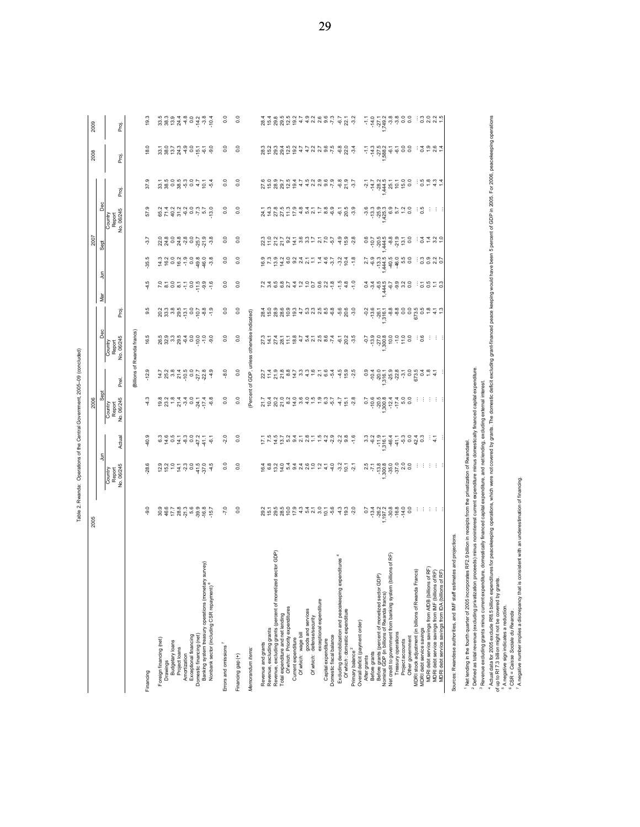| į                                  |
|------------------------------------|
|                                    |
|                                    |
|                                    |
|                                    |
|                                    |
| $\overline{a}$<br>i<br>ļ<br>ļ<br>Ï |

| for peacekeeping operations, which were not covered by grants. The domestic deficit excluding grant-financed peace keeping would have been 5 percent of GDP in 2005. For 2006, peacekeeping operations<br>3<br>ွ<br>$-6.7$<br>22.1<br>$-5.58888888$<br>ះខ្លួង។<br>19.3<br>Proj.<br>Q<br>$\overline{0}$ .0<br>S<br>$-3.4$<br>$0 + 0.64$<br>æ<br>Proj<br>3 3 9 9 9 9 9 4 5 4<br>°0<br>o o o r p q r p q q q q q q q<br>C p g g d p q + q q q q r q q q<br>$\begin{array}{c}\n\frac{1}{2} & \frac{1}{2} & \frac{1}{2} & \frac{1}{2} & \frac{1}{2} \\ \frac{1}{2} & \frac{1}{2} & \frac{1}{2} & \frac{1}{2} & \frac{1}{2} & \frac{1}{2} \\ \frac{1}{2} & \frac{1}{2} & \frac{1}{2} & \frac{1}{2} & \frac{1}{2} & \frac{1}{2} \\ \frac{1}{2} & \frac{1}{2} & \frac{1}{2} & \frac{1}{2} & \frac{1}{2} & \frac{1}{2}\n\end{array}$<br>37.9<br>S<br>$-3.7$<br>$50.664 +$<br>Proj.<br>Dec<br>A 4 5 7 5 7 5 4 6 7 6 8 6 7 7 8 9 6 7 7 8 9 6 7 7 8 9 6 7 7 8 9 7 7 8 9 7 7 8 9 7 7 8 9 7 7 8 9 7 7 8 9 7 7 7<br>5<br>ၜ<br>8743999769<br>$\frac{0}{2}$<br>$\frac{0}{2}$<br>ၜ<br>$\frac{1}{2}$<br>王王<br>Report<br>No. 06/245<br>မှ ဗွ<br>ကုံ<br>57<br>Country<br>$\begin{array}{l} 0.89 \\ 0.740 \\ 0.894 \\ 0.894 \\ 0.000 \\ 0.000 \\ 0.000 \\ 0.000 \\ 0.000 \\ 0.000 \\ 0.000 \\ 0.000 \\ 0.000 \\ 0.000 \\ 0.000 \\ 0.000 \\ 0.000 \\ 0.000 \\ 0.000 \\ 0.000 \\ 0.000 \\ 0.000 \\ 0.000 \\ 0.000 \\ 0.000 \\ 0.000 \\ 0.000 \\ 0.000 \\ 0.000 \\ 0.000 \\ 0.0$<br>$21.9$<br>$-3.8$<br>$\rm ^{\circ}$<br>$\begin{array}{l} 23.75 & 24.75 & 24.75 & 24.75 & 24.75 & 24.75 & 24.75 & 24.75 & 24.75 & 24.75 & 24.75 & 24.75 & 24.75 & 24.75 & 24.75 & 24.75 & 24.75 & 24.75 & 24.75 & 24.75 & 24.75 & 24.75 & 24.75 & 24.75 & 24.75 & 24.75 & 24.75 & 24.75 & 24.75 & 24.75 & 24$<br>$459$<br>$459$<br>$\begin{array}{c} 66744689720 \\ 0.000000 \\ -0.000000 \\ \end{array}$<br>°0<br>34490<br>ಧ<br>Sept<br>ယ္<br>$\overline{0}$<br>$\rm ^{0}$<br>3337<br>e de de de de de de de de de de<br>$\frac{8}{7}$<br>-35<br>ᆿ<br>S<br>$\frac{0}{2}$<br>$\frac{0}{2}$<br>$-1.0$<br>15858<br><u> 너 민준이는 어</u><br>۳<br>4<br>ēΜ<br>9.5<br>30<br>a con contra contro<br>A contra contra contro de di<br>3<br>$-5.6$<br>20.6<br>್ಲೆ<br>Proj.<br>indicated)<br>Dec<br>Billions of Rwanda francs<br>GDP, unless otherwise<br>16.5<br>S<br>SHALL BLALL BQA LO B<br>SHARL BARON BQL BQ<br>7,000<br>း ဇွ<br>ွ<br>Report<br>No. 06/245<br>H.<br>Country<br><sup>2</sup> Defined as total revenue (excluding privatization proceeds) minus noninterest current expenditure minus domestically financed capital expenditure.<br>Ō.<br>$\frac{0}{9}$<br>0.0<br>27.708879976764<br>o,<br>$7.8846$ $7.8946$ $7.894$<br>$7.8946$ $7.894$<br>$7.8946$ $7.894$<br>せんと<br>$\frac{5}{2}$<br>Prel.<br>expenditure, and net lending, excluding external interest<br>Percent of<br>Sept<br>$7.58797844446977$<br>59.884499<br>$-4.3$<br><b>BREATES</b><br>S<br>$\overline{0}$<br>$4.7$<br>$15.7$<br>$2.8$<br>Country<br>Report<br>Jo. 06/245<br>÷<br>4 H H<br>9.<br>$\begin{array}{c} 0.6 & 0.7 & 0.0 & 0.7 & 0.7 \\ 0.4 & 0.6 & 0.6 & 0.6 & 0.7 & 0.7 \\ 0.6 & 0.6 & 0.6 & 0.7 & 0.7 & 0.7 \\ 0.7 & 0.6 & 0.7 & 0.7 & 0.7 & 0.7 \\ 0.7 & 0.7 & 0.7 & 0.7 & 0.7 & 0.7 \\ 0.8 & 0.7 & 0.7 & 0.7 & 0.7 & 0.7 \\ 0.9 & 0.7 & 0.7 & 0.7 & 0.7 & 0.7 \\ 0.9 & 0.$<br>$F \times 4 \times 0$ a g $N \times 1$ a $\rightarrow 0$ a $\rightarrow 0$ a $\rightarrow 0$ a $\rightarrow 0$<br>$-1.6$<br>40.9<br>20<br>°0<br>Actual<br>크도<br><sup>1</sup> Net lending in the fourth quarter of 2005 incorporates RF2.9 billion in receipts from the privatization of Rwandatel.<br>클<br>Country<br>Report<br>Io. 06/245<br>$-28.6$<br>$2927270$<br>$292770$<br>$41.5$<br>$37.0$<br>4.5<br>S<br>$\overline{0}$<br>e e o d 4 4 4 6 6 6 7 7<br>$-4.0$<br>$32$<br>$92$<br>$7$<br>$2$<br>$7$<br>$55.588$<br>$55.588$<br>$55.58$<br>200<br>888 B<br>7 A negative number implies a discrepancy that is consistent with an underestimation of financing<br>g<br>domestically financed capital<br>$-9.0$<br>$-7.0$<br>30<br>法法法法<br>and projections<br>Revenue, excluding grants (percent of monetized sector GDP)<br>RF)<br>hditures<br>Net credit to government from banking system (billions of<br>Banking system treasury operations (monetary survey)<br>es<br>MDRI debt service savings from AfDB (billions of RF)<br>MDRI debt service savings from IMF (billions of RF)<br>MDRI debt service savings from IDA (billions of RF)<br>MDRI stock adjustment (in billions of Rwanda Francs)<br>Sources: Rwandese authorities, and IMF staff estimates<br>ئە<br>Excluding demobilization and peacekeeping exper<br>Before grants (percent of monetized sector GDP)<br><sup>3</sup> Revenue excluding grants minus current expenditur<br>4 Actual data for 2005 exclude Rf8.5 billion expenditu<br>of up to Rf 7.3 billion might not be covered by grants.<br>Nonbank sector (including CSR repayment) <sup>6</sup><br>Nominal GDP (in billions of Rwanda francs)<br>exceptional expenditure<br><sup>5</sup> A negative sign indicates a reduction.<br>Of which: Priority expenditures<br>Of which: domestic expenditure<br>goods and services<br>Of which: defense/security<br><sup>6</sup> CSR = Caisse Sociale du Rwanda.<br>Total expenditure and net lending<br>Overall deficit (payment order)<br>MDRI debt service savings<br>Revenue, excluding grants<br>Of which: wage bill<br>Treasury operations<br>Domestic financing (net)<br>Exceptional financing<br>Domestic fiscal balance<br>Other government<br>Foreign financing (net)<br>Current expenditure<br>Capital expenditure<br>Budgetary loans<br>Project accounts<br>Revenue and grants<br>Errors and omissions <sup>7</sup><br>Project loans<br>Memorandum items:<br>Primary balance <sup>2</sup><br>Before grants<br>Amortization<br>Financing gap (+)<br>After grants<br>Drawings<br>Financing | 2005 |  | 2006 |  |  | 2007 |  | 2008 | 2009 |
|---------------------------------------------------------------------------------------------------------------------------------------------------------------------------------------------------------------------------------------------------------------------------------------------------------------------------------------------------------------------------------------------------------------------------------------------------------------------------------------------------------------------------------------------------------------------------------------------------------------------------------------------------------------------------------------------------------------------------------------------------------------------------------------------------------------------------------------------------------------------------------------------------------------------------------------------------------------------------------------------------------------------------------------------------------------------------------------------------------------------------------------------------------------------------------------------------------------------------------------------------------------------------------------------------------------------------------------------------------------------------------------------------------------------------------------------------------------------------------------------------------------------------------------------------------------------------------------------------------------------------------------------------------------------------------------------------------------------------------------------------------------------------------------------------------------------------------------------------------------------------------------------------------------------------------------------------------------------------------------------------------------------------------------------------------------------------------------------------------------------------------------------------------------------------------------------------------------------------------------------------------------------------------------------------------------------------------------------------------------------------------------------------------------------------------------------------------------------------------------------------------------------------------------------------------------------------------------------------------------------------------------------------------------------------------------------------------------------------------------------------------------------------------------------------------------------------------------------------------------------------------------------------------------------------------------------------------------------------------------------------------------------------------------------------------------------------------------------------------------------------------------------------------------------------------------------------------------------------------------------------------------------------------------------------------------------------------------------------------------------------------------------------------------------------------------------------------------------------------------------------------------------------------------------------------------------------------------------------------------------------------------------------------------------------------------------------------------------------------------------------------------------------------------------------------------------------------------------------------------------------------------------------------------------------------------------------------------------------------------------------------------------------------------------------------------------------------------------------------------------------------------------------------------------------------------------------------------------------------------------------------------------------------------------------------------------------------------------------------------------------------------------------------------------------------------------------------------------------------------------------------------------------------------------------------------------------------------------------------------------------------------------------------------------------------------------------------------------------------------------------------------------------------------------------------------------------------------------------------------------------------------------------------------------------------------------------------------------------------------------------------------------------------------------------------------------------------------------------------------------------------------------------------------------------------------------------------------------------------------------------------------------------------------------------------------------------------------------------------------------------------------------------------------------------------------------------------------------------------------------------------------------------------------------------------------------------------------------------------------------------------------------------------------------------------------------------------------------------------------------------------------------------------------------------------------------------------------------------------------------------------------------------|------|--|------|--|--|------|--|------|------|
|                                                                                                                                                                                                                                                                                                                                                                                                                                                                                                                                                                                                                                                                                                                                                                                                                                                                                                                                                                                                                                                                                                                                                                                                                                                                                                                                                                                                                                                                                                                                                                                                                                                                                                                                                                                                                                                                                                                                                                                                                                                                                                                                                                                                                                                                                                                                                                                                                                                                                                                                                                                                                                                                                                                                                                                                                                                                                                                                                                                                                                                                                                                                                                                                                                                                                                                                                                                                                                                                                                                                                                                                                                                                                                                                                                                                                                                                                                                                                                                                                                                                                                                                                                                                                                                                                                                                                                                                                                                                                                                                                                                                                                                                                                                                                                                                                                                                                                                                                                                                                                                                                                                                                                                                                                                                                                                                                                                                                                                                                                                                                                                                                                                                                                                                                                                                                                                                                                   |      |  |      |  |  |      |  |      |      |
|                                                                                                                                                                                                                                                                                                                                                                                                                                                                                                                                                                                                                                                                                                                                                                                                                                                                                                                                                                                                                                                                                                                                                                                                                                                                                                                                                                                                                                                                                                                                                                                                                                                                                                                                                                                                                                                                                                                                                                                                                                                                                                                                                                                                                                                                                                                                                                                                                                                                                                                                                                                                                                                                                                                                                                                                                                                                                                                                                                                                                                                                                                                                                                                                                                                                                                                                                                                                                                                                                                                                                                                                                                                                                                                                                                                                                                                                                                                                                                                                                                                                                                                                                                                                                                                                                                                                                                                                                                                                                                                                                                                                                                                                                                                                                                                                                                                                                                                                                                                                                                                                                                                                                                                                                                                                                                                                                                                                                                                                                                                                                                                                                                                                                                                                                                                                                                                                                                   |      |  |      |  |  |      |  |      |      |
|                                                                                                                                                                                                                                                                                                                                                                                                                                                                                                                                                                                                                                                                                                                                                                                                                                                                                                                                                                                                                                                                                                                                                                                                                                                                                                                                                                                                                                                                                                                                                                                                                                                                                                                                                                                                                                                                                                                                                                                                                                                                                                                                                                                                                                                                                                                                                                                                                                                                                                                                                                                                                                                                                                                                                                                                                                                                                                                                                                                                                                                                                                                                                                                                                                                                                                                                                                                                                                                                                                                                                                                                                                                                                                                                                                                                                                                                                                                                                                                                                                                                                                                                                                                                                                                                                                                                                                                                                                                                                                                                                                                                                                                                                                                                                                                                                                                                                                                                                                                                                                                                                                                                                                                                                                                                                                                                                                                                                                                                                                                                                                                                                                                                                                                                                                                                                                                                                                   |      |  |      |  |  |      |  |      |      |
|                                                                                                                                                                                                                                                                                                                                                                                                                                                                                                                                                                                                                                                                                                                                                                                                                                                                                                                                                                                                                                                                                                                                                                                                                                                                                                                                                                                                                                                                                                                                                                                                                                                                                                                                                                                                                                                                                                                                                                                                                                                                                                                                                                                                                                                                                                                                                                                                                                                                                                                                                                                                                                                                                                                                                                                                                                                                                                                                                                                                                                                                                                                                                                                                                                                                                                                                                                                                                                                                                                                                                                                                                                                                                                                                                                                                                                                                                                                                                                                                                                                                                                                                                                                                                                                                                                                                                                                                                                                                                                                                                                                                                                                                                                                                                                                                                                                                                                                                                                                                                                                                                                                                                                                                                                                                                                                                                                                                                                                                                                                                                                                                                                                                                                                                                                                                                                                                                                   |      |  |      |  |  |      |  |      |      |
|                                                                                                                                                                                                                                                                                                                                                                                                                                                                                                                                                                                                                                                                                                                                                                                                                                                                                                                                                                                                                                                                                                                                                                                                                                                                                                                                                                                                                                                                                                                                                                                                                                                                                                                                                                                                                                                                                                                                                                                                                                                                                                                                                                                                                                                                                                                                                                                                                                                                                                                                                                                                                                                                                                                                                                                                                                                                                                                                                                                                                                                                                                                                                                                                                                                                                                                                                                                                                                                                                                                                                                                                                                                                                                                                                                                                                                                                                                                                                                                                                                                                                                                                                                                                                                                                                                                                                                                                                                                                                                                                                                                                                                                                                                                                                                                                                                                                                                                                                                                                                                                                                                                                                                                                                                                                                                                                                                                                                                                                                                                                                                                                                                                                                                                                                                                                                                                                                                   |      |  |      |  |  |      |  |      |      |
|                                                                                                                                                                                                                                                                                                                                                                                                                                                                                                                                                                                                                                                                                                                                                                                                                                                                                                                                                                                                                                                                                                                                                                                                                                                                                                                                                                                                                                                                                                                                                                                                                                                                                                                                                                                                                                                                                                                                                                                                                                                                                                                                                                                                                                                                                                                                                                                                                                                                                                                                                                                                                                                                                                                                                                                                                                                                                                                                                                                                                                                                                                                                                                                                                                                                                                                                                                                                                                                                                                                                                                                                                                                                                                                                                                                                                                                                                                                                                                                                                                                                                                                                                                                                                                                                                                                                                                                                                                                                                                                                                                                                                                                                                                                                                                                                                                                                                                                                                                                                                                                                                                                                                                                                                                                                                                                                                                                                                                                                                                                                                                                                                                                                                                                                                                                                                                                                                                   |      |  |      |  |  |      |  |      |      |
|                                                                                                                                                                                                                                                                                                                                                                                                                                                                                                                                                                                                                                                                                                                                                                                                                                                                                                                                                                                                                                                                                                                                                                                                                                                                                                                                                                                                                                                                                                                                                                                                                                                                                                                                                                                                                                                                                                                                                                                                                                                                                                                                                                                                                                                                                                                                                                                                                                                                                                                                                                                                                                                                                                                                                                                                                                                                                                                                                                                                                                                                                                                                                                                                                                                                                                                                                                                                                                                                                                                                                                                                                                                                                                                                                                                                                                                                                                                                                                                                                                                                                                                                                                                                                                                                                                                                                                                                                                                                                                                                                                                                                                                                                                                                                                                                                                                                                                                                                                                                                                                                                                                                                                                                                                                                                                                                                                                                                                                                                                                                                                                                                                                                                                                                                                                                                                                                                                   |      |  |      |  |  |      |  |      |      |
|                                                                                                                                                                                                                                                                                                                                                                                                                                                                                                                                                                                                                                                                                                                                                                                                                                                                                                                                                                                                                                                                                                                                                                                                                                                                                                                                                                                                                                                                                                                                                                                                                                                                                                                                                                                                                                                                                                                                                                                                                                                                                                                                                                                                                                                                                                                                                                                                                                                                                                                                                                                                                                                                                                                                                                                                                                                                                                                                                                                                                                                                                                                                                                                                                                                                                                                                                                                                                                                                                                                                                                                                                                                                                                                                                                                                                                                                                                                                                                                                                                                                                                                                                                                                                                                                                                                                                                                                                                                                                                                                                                                                                                                                                                                                                                                                                                                                                                                                                                                                                                                                                                                                                                                                                                                                                                                                                                                                                                                                                                                                                                                                                                                                                                                                                                                                                                                                                                   |      |  |      |  |  |      |  |      |      |
|                                                                                                                                                                                                                                                                                                                                                                                                                                                                                                                                                                                                                                                                                                                                                                                                                                                                                                                                                                                                                                                                                                                                                                                                                                                                                                                                                                                                                                                                                                                                                                                                                                                                                                                                                                                                                                                                                                                                                                                                                                                                                                                                                                                                                                                                                                                                                                                                                                                                                                                                                                                                                                                                                                                                                                                                                                                                                                                                                                                                                                                                                                                                                                                                                                                                                                                                                                                                                                                                                                                                                                                                                                                                                                                                                                                                                                                                                                                                                                                                                                                                                                                                                                                                                                                                                                                                                                                                                                                                                                                                                                                                                                                                                                                                                                                                                                                                                                                                                                                                                                                                                                                                                                                                                                                                                                                                                                                                                                                                                                                                                                                                                                                                                                                                                                                                                                                                                                   |      |  |      |  |  |      |  |      |      |
|                                                                                                                                                                                                                                                                                                                                                                                                                                                                                                                                                                                                                                                                                                                                                                                                                                                                                                                                                                                                                                                                                                                                                                                                                                                                                                                                                                                                                                                                                                                                                                                                                                                                                                                                                                                                                                                                                                                                                                                                                                                                                                                                                                                                                                                                                                                                                                                                                                                                                                                                                                                                                                                                                                                                                                                                                                                                                                                                                                                                                                                                                                                                                                                                                                                                                                                                                                                                                                                                                                                                                                                                                                                                                                                                                                                                                                                                                                                                                                                                                                                                                                                                                                                                                                                                                                                                                                                                                                                                                                                                                                                                                                                                                                                                                                                                                                                                                                                                                                                                                                                                                                                                                                                                                                                                                                                                                                                                                                                                                                                                                                                                                                                                                                                                                                                                                                                                                                   |      |  |      |  |  |      |  |      |      |
|                                                                                                                                                                                                                                                                                                                                                                                                                                                                                                                                                                                                                                                                                                                                                                                                                                                                                                                                                                                                                                                                                                                                                                                                                                                                                                                                                                                                                                                                                                                                                                                                                                                                                                                                                                                                                                                                                                                                                                                                                                                                                                                                                                                                                                                                                                                                                                                                                                                                                                                                                                                                                                                                                                                                                                                                                                                                                                                                                                                                                                                                                                                                                                                                                                                                                                                                                                                                                                                                                                                                                                                                                                                                                                                                                                                                                                                                                                                                                                                                                                                                                                                                                                                                                                                                                                                                                                                                                                                                                                                                                                                                                                                                                                                                                                                                                                                                                                                                                                                                                                                                                                                                                                                                                                                                                                                                                                                                                                                                                                                                                                                                                                                                                                                                                                                                                                                                                                   |      |  |      |  |  |      |  |      |      |
|                                                                                                                                                                                                                                                                                                                                                                                                                                                                                                                                                                                                                                                                                                                                                                                                                                                                                                                                                                                                                                                                                                                                                                                                                                                                                                                                                                                                                                                                                                                                                                                                                                                                                                                                                                                                                                                                                                                                                                                                                                                                                                                                                                                                                                                                                                                                                                                                                                                                                                                                                                                                                                                                                                                                                                                                                                                                                                                                                                                                                                                                                                                                                                                                                                                                                                                                                                                                                                                                                                                                                                                                                                                                                                                                                                                                                                                                                                                                                                                                                                                                                                                                                                                                                                                                                                                                                                                                                                                                                                                                                                                                                                                                                                                                                                                                                                                                                                                                                                                                                                                                                                                                                                                                                                                                                                                                                                                                                                                                                                                                                                                                                                                                                                                                                                                                                                                                                                   |      |  |      |  |  |      |  |      |      |
|                                                                                                                                                                                                                                                                                                                                                                                                                                                                                                                                                                                                                                                                                                                                                                                                                                                                                                                                                                                                                                                                                                                                                                                                                                                                                                                                                                                                                                                                                                                                                                                                                                                                                                                                                                                                                                                                                                                                                                                                                                                                                                                                                                                                                                                                                                                                                                                                                                                                                                                                                                                                                                                                                                                                                                                                                                                                                                                                                                                                                                                                                                                                                                                                                                                                                                                                                                                                                                                                                                                                                                                                                                                                                                                                                                                                                                                                                                                                                                                                                                                                                                                                                                                                                                                                                                                                                                                                                                                                                                                                                                                                                                                                                                                                                                                                                                                                                                                                                                                                                                                                                                                                                                                                                                                                                                                                                                                                                                                                                                                                                                                                                                                                                                                                                                                                                                                                                                   |      |  |      |  |  |      |  |      |      |
|                                                                                                                                                                                                                                                                                                                                                                                                                                                                                                                                                                                                                                                                                                                                                                                                                                                                                                                                                                                                                                                                                                                                                                                                                                                                                                                                                                                                                                                                                                                                                                                                                                                                                                                                                                                                                                                                                                                                                                                                                                                                                                                                                                                                                                                                                                                                                                                                                                                                                                                                                                                                                                                                                                                                                                                                                                                                                                                                                                                                                                                                                                                                                                                                                                                                                                                                                                                                                                                                                                                                                                                                                                                                                                                                                                                                                                                                                                                                                                                                                                                                                                                                                                                                                                                                                                                                                                                                                                                                                                                                                                                                                                                                                                                                                                                                                                                                                                                                                                                                                                                                                                                                                                                                                                                                                                                                                                                                                                                                                                                                                                                                                                                                                                                                                                                                                                                                                                   |      |  |      |  |  |      |  |      |      |
|                                                                                                                                                                                                                                                                                                                                                                                                                                                                                                                                                                                                                                                                                                                                                                                                                                                                                                                                                                                                                                                                                                                                                                                                                                                                                                                                                                                                                                                                                                                                                                                                                                                                                                                                                                                                                                                                                                                                                                                                                                                                                                                                                                                                                                                                                                                                                                                                                                                                                                                                                                                                                                                                                                                                                                                                                                                                                                                                                                                                                                                                                                                                                                                                                                                                                                                                                                                                                                                                                                                                                                                                                                                                                                                                                                                                                                                                                                                                                                                                                                                                                                                                                                                                                                                                                                                                                                                                                                                                                                                                                                                                                                                                                                                                                                                                                                                                                                                                                                                                                                                                                                                                                                                                                                                                                                                                                                                                                                                                                                                                                                                                                                                                                                                                                                                                                                                                                                   |      |  |      |  |  |      |  |      |      |
|                                                                                                                                                                                                                                                                                                                                                                                                                                                                                                                                                                                                                                                                                                                                                                                                                                                                                                                                                                                                                                                                                                                                                                                                                                                                                                                                                                                                                                                                                                                                                                                                                                                                                                                                                                                                                                                                                                                                                                                                                                                                                                                                                                                                                                                                                                                                                                                                                                                                                                                                                                                                                                                                                                                                                                                                                                                                                                                                                                                                                                                                                                                                                                                                                                                                                                                                                                                                                                                                                                                                                                                                                                                                                                                                                                                                                                                                                                                                                                                                                                                                                                                                                                                                                                                                                                                                                                                                                                                                                                                                                                                                                                                                                                                                                                                                                                                                                                                                                                                                                                                                                                                                                                                                                                                                                                                                                                                                                                                                                                                                                                                                                                                                                                                                                                                                                                                                                                   |      |  |      |  |  |      |  |      |      |
|                                                                                                                                                                                                                                                                                                                                                                                                                                                                                                                                                                                                                                                                                                                                                                                                                                                                                                                                                                                                                                                                                                                                                                                                                                                                                                                                                                                                                                                                                                                                                                                                                                                                                                                                                                                                                                                                                                                                                                                                                                                                                                                                                                                                                                                                                                                                                                                                                                                                                                                                                                                                                                                                                                                                                                                                                                                                                                                                                                                                                                                                                                                                                                                                                                                                                                                                                                                                                                                                                                                                                                                                                                                                                                                                                                                                                                                                                                                                                                                                                                                                                                                                                                                                                                                                                                                                                                                                                                                                                                                                                                                                                                                                                                                                                                                                                                                                                                                                                                                                                                                                                                                                                                                                                                                                                                                                                                                                                                                                                                                                                                                                                                                                                                                                                                                                                                                                                                   |      |  |      |  |  |      |  |      |      |
|                                                                                                                                                                                                                                                                                                                                                                                                                                                                                                                                                                                                                                                                                                                                                                                                                                                                                                                                                                                                                                                                                                                                                                                                                                                                                                                                                                                                                                                                                                                                                                                                                                                                                                                                                                                                                                                                                                                                                                                                                                                                                                                                                                                                                                                                                                                                                                                                                                                                                                                                                                                                                                                                                                                                                                                                                                                                                                                                                                                                                                                                                                                                                                                                                                                                                                                                                                                                                                                                                                                                                                                                                                                                                                                                                                                                                                                                                                                                                                                                                                                                                                                                                                                                                                                                                                                                                                                                                                                                                                                                                                                                                                                                                                                                                                                                                                                                                                                                                                                                                                                                                                                                                                                                                                                                                                                                                                                                                                                                                                                                                                                                                                                                                                                                                                                                                                                                                                   |      |  |      |  |  |      |  |      |      |
|                                                                                                                                                                                                                                                                                                                                                                                                                                                                                                                                                                                                                                                                                                                                                                                                                                                                                                                                                                                                                                                                                                                                                                                                                                                                                                                                                                                                                                                                                                                                                                                                                                                                                                                                                                                                                                                                                                                                                                                                                                                                                                                                                                                                                                                                                                                                                                                                                                                                                                                                                                                                                                                                                                                                                                                                                                                                                                                                                                                                                                                                                                                                                                                                                                                                                                                                                                                                                                                                                                                                                                                                                                                                                                                                                                                                                                                                                                                                                                                                                                                                                                                                                                                                                                                                                                                                                                                                                                                                                                                                                                                                                                                                                                                                                                                                                                                                                                                                                                                                                                                                                                                                                                                                                                                                                                                                                                                                                                                                                                                                                                                                                                                                                                                                                                                                                                                                                                   |      |  |      |  |  |      |  |      |      |
|                                                                                                                                                                                                                                                                                                                                                                                                                                                                                                                                                                                                                                                                                                                                                                                                                                                                                                                                                                                                                                                                                                                                                                                                                                                                                                                                                                                                                                                                                                                                                                                                                                                                                                                                                                                                                                                                                                                                                                                                                                                                                                                                                                                                                                                                                                                                                                                                                                                                                                                                                                                                                                                                                                                                                                                                                                                                                                                                                                                                                                                                                                                                                                                                                                                                                                                                                                                                                                                                                                                                                                                                                                                                                                                                                                                                                                                                                                                                                                                                                                                                                                                                                                                                                                                                                                                                                                                                                                                                                                                                                                                                                                                                                                                                                                                                                                                                                                                                                                                                                                                                                                                                                                                                                                                                                                                                                                                                                                                                                                                                                                                                                                                                                                                                                                                                                                                                                                   |      |  |      |  |  |      |  |      |      |
|                                                                                                                                                                                                                                                                                                                                                                                                                                                                                                                                                                                                                                                                                                                                                                                                                                                                                                                                                                                                                                                                                                                                                                                                                                                                                                                                                                                                                                                                                                                                                                                                                                                                                                                                                                                                                                                                                                                                                                                                                                                                                                                                                                                                                                                                                                                                                                                                                                                                                                                                                                                                                                                                                                                                                                                                                                                                                                                                                                                                                                                                                                                                                                                                                                                                                                                                                                                                                                                                                                                                                                                                                                                                                                                                                                                                                                                                                                                                                                                                                                                                                                                                                                                                                                                                                                                                                                                                                                                                                                                                                                                                                                                                                                                                                                                                                                                                                                                                                                                                                                                                                                                                                                                                                                                                                                                                                                                                                                                                                                                                                                                                                                                                                                                                                                                                                                                                                                   |      |  |      |  |  |      |  |      |      |
|                                                                                                                                                                                                                                                                                                                                                                                                                                                                                                                                                                                                                                                                                                                                                                                                                                                                                                                                                                                                                                                                                                                                                                                                                                                                                                                                                                                                                                                                                                                                                                                                                                                                                                                                                                                                                                                                                                                                                                                                                                                                                                                                                                                                                                                                                                                                                                                                                                                                                                                                                                                                                                                                                                                                                                                                                                                                                                                                                                                                                                                                                                                                                                                                                                                                                                                                                                                                                                                                                                                                                                                                                                                                                                                                                                                                                                                                                                                                                                                                                                                                                                                                                                                                                                                                                                                                                                                                                                                                                                                                                                                                                                                                                                                                                                                                                                                                                                                                                                                                                                                                                                                                                                                                                                                                                                                                                                                                                                                                                                                                                                                                                                                                                                                                                                                                                                                                                                   |      |  |      |  |  |      |  |      |      |
|                                                                                                                                                                                                                                                                                                                                                                                                                                                                                                                                                                                                                                                                                                                                                                                                                                                                                                                                                                                                                                                                                                                                                                                                                                                                                                                                                                                                                                                                                                                                                                                                                                                                                                                                                                                                                                                                                                                                                                                                                                                                                                                                                                                                                                                                                                                                                                                                                                                                                                                                                                                                                                                                                                                                                                                                                                                                                                                                                                                                                                                                                                                                                                                                                                                                                                                                                                                                                                                                                                                                                                                                                                                                                                                                                                                                                                                                                                                                                                                                                                                                                                                                                                                                                                                                                                                                                                                                                                                                                                                                                                                                                                                                                                                                                                                                                                                                                                                                                                                                                                                                                                                                                                                                                                                                                                                                                                                                                                                                                                                                                                                                                                                                                                                                                                                                                                                                                                   |      |  |      |  |  |      |  |      |      |
|                                                                                                                                                                                                                                                                                                                                                                                                                                                                                                                                                                                                                                                                                                                                                                                                                                                                                                                                                                                                                                                                                                                                                                                                                                                                                                                                                                                                                                                                                                                                                                                                                                                                                                                                                                                                                                                                                                                                                                                                                                                                                                                                                                                                                                                                                                                                                                                                                                                                                                                                                                                                                                                                                                                                                                                                                                                                                                                                                                                                                                                                                                                                                                                                                                                                                                                                                                                                                                                                                                                                                                                                                                                                                                                                                                                                                                                                                                                                                                                                                                                                                                                                                                                                                                                                                                                                                                                                                                                                                                                                                                                                                                                                                                                                                                                                                                                                                                                                                                                                                                                                                                                                                                                                                                                                                                                                                                                                                                                                                                                                                                                                                                                                                                                                                                                                                                                                                                   |      |  |      |  |  |      |  |      |      |
|                                                                                                                                                                                                                                                                                                                                                                                                                                                                                                                                                                                                                                                                                                                                                                                                                                                                                                                                                                                                                                                                                                                                                                                                                                                                                                                                                                                                                                                                                                                                                                                                                                                                                                                                                                                                                                                                                                                                                                                                                                                                                                                                                                                                                                                                                                                                                                                                                                                                                                                                                                                                                                                                                                                                                                                                                                                                                                                                                                                                                                                                                                                                                                                                                                                                                                                                                                                                                                                                                                                                                                                                                                                                                                                                                                                                                                                                                                                                                                                                                                                                                                                                                                                                                                                                                                                                                                                                                                                                                                                                                                                                                                                                                                                                                                                                                                                                                                                                                                                                                                                                                                                                                                                                                                                                                                                                                                                                                                                                                                                                                                                                                                                                                                                                                                                                                                                                                                   |      |  |      |  |  |      |  |      |      |
|                                                                                                                                                                                                                                                                                                                                                                                                                                                                                                                                                                                                                                                                                                                                                                                                                                                                                                                                                                                                                                                                                                                                                                                                                                                                                                                                                                                                                                                                                                                                                                                                                                                                                                                                                                                                                                                                                                                                                                                                                                                                                                                                                                                                                                                                                                                                                                                                                                                                                                                                                                                                                                                                                                                                                                                                                                                                                                                                                                                                                                                                                                                                                                                                                                                                                                                                                                                                                                                                                                                                                                                                                                                                                                                                                                                                                                                                                                                                                                                                                                                                                                                                                                                                                                                                                                                                                                                                                                                                                                                                                                                                                                                                                                                                                                                                                                                                                                                                                                                                                                                                                                                                                                                                                                                                                                                                                                                                                                                                                                                                                                                                                                                                                                                                                                                                                                                                                                   |      |  |      |  |  |      |  |      |      |
|                                                                                                                                                                                                                                                                                                                                                                                                                                                                                                                                                                                                                                                                                                                                                                                                                                                                                                                                                                                                                                                                                                                                                                                                                                                                                                                                                                                                                                                                                                                                                                                                                                                                                                                                                                                                                                                                                                                                                                                                                                                                                                                                                                                                                                                                                                                                                                                                                                                                                                                                                                                                                                                                                                                                                                                                                                                                                                                                                                                                                                                                                                                                                                                                                                                                                                                                                                                                                                                                                                                                                                                                                                                                                                                                                                                                                                                                                                                                                                                                                                                                                                                                                                                                                                                                                                                                                                                                                                                                                                                                                                                                                                                                                                                                                                                                                                                                                                                                                                                                                                                                                                                                                                                                                                                                                                                                                                                                                                                                                                                                                                                                                                                                                                                                                                                                                                                                                                   |      |  |      |  |  |      |  |      |      |
|                                                                                                                                                                                                                                                                                                                                                                                                                                                                                                                                                                                                                                                                                                                                                                                                                                                                                                                                                                                                                                                                                                                                                                                                                                                                                                                                                                                                                                                                                                                                                                                                                                                                                                                                                                                                                                                                                                                                                                                                                                                                                                                                                                                                                                                                                                                                                                                                                                                                                                                                                                                                                                                                                                                                                                                                                                                                                                                                                                                                                                                                                                                                                                                                                                                                                                                                                                                                                                                                                                                                                                                                                                                                                                                                                                                                                                                                                                                                                                                                                                                                                                                                                                                                                                                                                                                                                                                                                                                                                                                                                                                                                                                                                                                                                                                                                                                                                                                                                                                                                                                                                                                                                                                                                                                                                                                                                                                                                                                                                                                                                                                                                                                                                                                                                                                                                                                                                                   |      |  |      |  |  |      |  |      |      |
|                                                                                                                                                                                                                                                                                                                                                                                                                                                                                                                                                                                                                                                                                                                                                                                                                                                                                                                                                                                                                                                                                                                                                                                                                                                                                                                                                                                                                                                                                                                                                                                                                                                                                                                                                                                                                                                                                                                                                                                                                                                                                                                                                                                                                                                                                                                                                                                                                                                                                                                                                                                                                                                                                                                                                                                                                                                                                                                                                                                                                                                                                                                                                                                                                                                                                                                                                                                                                                                                                                                                                                                                                                                                                                                                                                                                                                                                                                                                                                                                                                                                                                                                                                                                                                                                                                                                                                                                                                                                                                                                                                                                                                                                                                                                                                                                                                                                                                                                                                                                                                                                                                                                                                                                                                                                                                                                                                                                                                                                                                                                                                                                                                                                                                                                                                                                                                                                                                   |      |  |      |  |  |      |  |      |      |
|                                                                                                                                                                                                                                                                                                                                                                                                                                                                                                                                                                                                                                                                                                                                                                                                                                                                                                                                                                                                                                                                                                                                                                                                                                                                                                                                                                                                                                                                                                                                                                                                                                                                                                                                                                                                                                                                                                                                                                                                                                                                                                                                                                                                                                                                                                                                                                                                                                                                                                                                                                                                                                                                                                                                                                                                                                                                                                                                                                                                                                                                                                                                                                                                                                                                                                                                                                                                                                                                                                                                                                                                                                                                                                                                                                                                                                                                                                                                                                                                                                                                                                                                                                                                                                                                                                                                                                                                                                                                                                                                                                                                                                                                                                                                                                                                                                                                                                                                                                                                                                                                                                                                                                                                                                                                                                                                                                                                                                                                                                                                                                                                                                                                                                                                                                                                                                                                                                   |      |  |      |  |  |      |  |      |      |
|                                                                                                                                                                                                                                                                                                                                                                                                                                                                                                                                                                                                                                                                                                                                                                                                                                                                                                                                                                                                                                                                                                                                                                                                                                                                                                                                                                                                                                                                                                                                                                                                                                                                                                                                                                                                                                                                                                                                                                                                                                                                                                                                                                                                                                                                                                                                                                                                                                                                                                                                                                                                                                                                                                                                                                                                                                                                                                                                                                                                                                                                                                                                                                                                                                                                                                                                                                                                                                                                                                                                                                                                                                                                                                                                                                                                                                                                                                                                                                                                                                                                                                                                                                                                                                                                                                                                                                                                                                                                                                                                                                                                                                                                                                                                                                                                                                                                                                                                                                                                                                                                                                                                                                                                                                                                                                                                                                                                                                                                                                                                                                                                                                                                                                                                                                                                                                                                                                   |      |  |      |  |  |      |  |      |      |
|                                                                                                                                                                                                                                                                                                                                                                                                                                                                                                                                                                                                                                                                                                                                                                                                                                                                                                                                                                                                                                                                                                                                                                                                                                                                                                                                                                                                                                                                                                                                                                                                                                                                                                                                                                                                                                                                                                                                                                                                                                                                                                                                                                                                                                                                                                                                                                                                                                                                                                                                                                                                                                                                                                                                                                                                                                                                                                                                                                                                                                                                                                                                                                                                                                                                                                                                                                                                                                                                                                                                                                                                                                                                                                                                                                                                                                                                                                                                                                                                                                                                                                                                                                                                                                                                                                                                                                                                                                                                                                                                                                                                                                                                                                                                                                                                                                                                                                                                                                                                                                                                                                                                                                                                                                                                                                                                                                                                                                                                                                                                                                                                                                                                                                                                                                                                                                                                                                   |      |  |      |  |  |      |  |      |      |
|                                                                                                                                                                                                                                                                                                                                                                                                                                                                                                                                                                                                                                                                                                                                                                                                                                                                                                                                                                                                                                                                                                                                                                                                                                                                                                                                                                                                                                                                                                                                                                                                                                                                                                                                                                                                                                                                                                                                                                                                                                                                                                                                                                                                                                                                                                                                                                                                                                                                                                                                                                                                                                                                                                                                                                                                                                                                                                                                                                                                                                                                                                                                                                                                                                                                                                                                                                                                                                                                                                                                                                                                                                                                                                                                                                                                                                                                                                                                                                                                                                                                                                                                                                                                                                                                                                                                                                                                                                                                                                                                                                                                                                                                                                                                                                                                                                                                                                                                                                                                                                                                                                                                                                                                                                                                                                                                                                                                                                                                                                                                                                                                                                                                                                                                                                                                                                                                                                   |      |  |      |  |  |      |  |      |      |
|                                                                                                                                                                                                                                                                                                                                                                                                                                                                                                                                                                                                                                                                                                                                                                                                                                                                                                                                                                                                                                                                                                                                                                                                                                                                                                                                                                                                                                                                                                                                                                                                                                                                                                                                                                                                                                                                                                                                                                                                                                                                                                                                                                                                                                                                                                                                                                                                                                                                                                                                                                                                                                                                                                                                                                                                                                                                                                                                                                                                                                                                                                                                                                                                                                                                                                                                                                                                                                                                                                                                                                                                                                                                                                                                                                                                                                                                                                                                                                                                                                                                                                                                                                                                                                                                                                                                                                                                                                                                                                                                                                                                                                                                                                                                                                                                                                                                                                                                                                                                                                                                                                                                                                                                                                                                                                                                                                                                                                                                                                                                                                                                                                                                                                                                                                                                                                                                                                   |      |  |      |  |  |      |  |      |      |
|                                                                                                                                                                                                                                                                                                                                                                                                                                                                                                                                                                                                                                                                                                                                                                                                                                                                                                                                                                                                                                                                                                                                                                                                                                                                                                                                                                                                                                                                                                                                                                                                                                                                                                                                                                                                                                                                                                                                                                                                                                                                                                                                                                                                                                                                                                                                                                                                                                                                                                                                                                                                                                                                                                                                                                                                                                                                                                                                                                                                                                                                                                                                                                                                                                                                                                                                                                                                                                                                                                                                                                                                                                                                                                                                                                                                                                                                                                                                                                                                                                                                                                                                                                                                                                                                                                                                                                                                                                                                                                                                                                                                                                                                                                                                                                                                                                                                                                                                                                                                                                                                                                                                                                                                                                                                                                                                                                                                                                                                                                                                                                                                                                                                                                                                                                                                                                                                                                   |      |  |      |  |  |      |  |      |      |
|                                                                                                                                                                                                                                                                                                                                                                                                                                                                                                                                                                                                                                                                                                                                                                                                                                                                                                                                                                                                                                                                                                                                                                                                                                                                                                                                                                                                                                                                                                                                                                                                                                                                                                                                                                                                                                                                                                                                                                                                                                                                                                                                                                                                                                                                                                                                                                                                                                                                                                                                                                                                                                                                                                                                                                                                                                                                                                                                                                                                                                                                                                                                                                                                                                                                                                                                                                                                                                                                                                                                                                                                                                                                                                                                                                                                                                                                                                                                                                                                                                                                                                                                                                                                                                                                                                                                                                                                                                                                                                                                                                                                                                                                                                                                                                                                                                                                                                                                                                                                                                                                                                                                                                                                                                                                                                                                                                                                                                                                                                                                                                                                                                                                                                                                                                                                                                                                                                   |      |  |      |  |  |      |  |      |      |
|                                                                                                                                                                                                                                                                                                                                                                                                                                                                                                                                                                                                                                                                                                                                                                                                                                                                                                                                                                                                                                                                                                                                                                                                                                                                                                                                                                                                                                                                                                                                                                                                                                                                                                                                                                                                                                                                                                                                                                                                                                                                                                                                                                                                                                                                                                                                                                                                                                                                                                                                                                                                                                                                                                                                                                                                                                                                                                                                                                                                                                                                                                                                                                                                                                                                                                                                                                                                                                                                                                                                                                                                                                                                                                                                                                                                                                                                                                                                                                                                                                                                                                                                                                                                                                                                                                                                                                                                                                                                                                                                                                                                                                                                                                                                                                                                                                                                                                                                                                                                                                                                                                                                                                                                                                                                                                                                                                                                                                                                                                                                                                                                                                                                                                                                                                                                                                                                                                   |      |  |      |  |  |      |  |      |      |
|                                                                                                                                                                                                                                                                                                                                                                                                                                                                                                                                                                                                                                                                                                                                                                                                                                                                                                                                                                                                                                                                                                                                                                                                                                                                                                                                                                                                                                                                                                                                                                                                                                                                                                                                                                                                                                                                                                                                                                                                                                                                                                                                                                                                                                                                                                                                                                                                                                                                                                                                                                                                                                                                                                                                                                                                                                                                                                                                                                                                                                                                                                                                                                                                                                                                                                                                                                                                                                                                                                                                                                                                                                                                                                                                                                                                                                                                                                                                                                                                                                                                                                                                                                                                                                                                                                                                                                                                                                                                                                                                                                                                                                                                                                                                                                                                                                                                                                                                                                                                                                                                                                                                                                                                                                                                                                                                                                                                                                                                                                                                                                                                                                                                                                                                                                                                                                                                                                   |      |  |      |  |  |      |  |      |      |
|                                                                                                                                                                                                                                                                                                                                                                                                                                                                                                                                                                                                                                                                                                                                                                                                                                                                                                                                                                                                                                                                                                                                                                                                                                                                                                                                                                                                                                                                                                                                                                                                                                                                                                                                                                                                                                                                                                                                                                                                                                                                                                                                                                                                                                                                                                                                                                                                                                                                                                                                                                                                                                                                                                                                                                                                                                                                                                                                                                                                                                                                                                                                                                                                                                                                                                                                                                                                                                                                                                                                                                                                                                                                                                                                                                                                                                                                                                                                                                                                                                                                                                                                                                                                                                                                                                                                                                                                                                                                                                                                                                                                                                                                                                                                                                                                                                                                                                                                                                                                                                                                                                                                                                                                                                                                                                                                                                                                                                                                                                                                                                                                                                                                                                                                                                                                                                                                                                   |      |  |      |  |  |      |  |      |      |
|                                                                                                                                                                                                                                                                                                                                                                                                                                                                                                                                                                                                                                                                                                                                                                                                                                                                                                                                                                                                                                                                                                                                                                                                                                                                                                                                                                                                                                                                                                                                                                                                                                                                                                                                                                                                                                                                                                                                                                                                                                                                                                                                                                                                                                                                                                                                                                                                                                                                                                                                                                                                                                                                                                                                                                                                                                                                                                                                                                                                                                                                                                                                                                                                                                                                                                                                                                                                                                                                                                                                                                                                                                                                                                                                                                                                                                                                                                                                                                                                                                                                                                                                                                                                                                                                                                                                                                                                                                                                                                                                                                                                                                                                                                                                                                                                                                                                                                                                                                                                                                                                                                                                                                                                                                                                                                                                                                                                                                                                                                                                                                                                                                                                                                                                                                                                                                                                                                   |      |  |      |  |  |      |  |      |      |
|                                                                                                                                                                                                                                                                                                                                                                                                                                                                                                                                                                                                                                                                                                                                                                                                                                                                                                                                                                                                                                                                                                                                                                                                                                                                                                                                                                                                                                                                                                                                                                                                                                                                                                                                                                                                                                                                                                                                                                                                                                                                                                                                                                                                                                                                                                                                                                                                                                                                                                                                                                                                                                                                                                                                                                                                                                                                                                                                                                                                                                                                                                                                                                                                                                                                                                                                                                                                                                                                                                                                                                                                                                                                                                                                                                                                                                                                                                                                                                                                                                                                                                                                                                                                                                                                                                                                                                                                                                                                                                                                                                                                                                                                                                                                                                                                                                                                                                                                                                                                                                                                                                                                                                                                                                                                                                                                                                                                                                                                                                                                                                                                                                                                                                                                                                                                                                                                                                   |      |  |      |  |  |      |  |      |      |
|                                                                                                                                                                                                                                                                                                                                                                                                                                                                                                                                                                                                                                                                                                                                                                                                                                                                                                                                                                                                                                                                                                                                                                                                                                                                                                                                                                                                                                                                                                                                                                                                                                                                                                                                                                                                                                                                                                                                                                                                                                                                                                                                                                                                                                                                                                                                                                                                                                                                                                                                                                                                                                                                                                                                                                                                                                                                                                                                                                                                                                                                                                                                                                                                                                                                                                                                                                                                                                                                                                                                                                                                                                                                                                                                                                                                                                                                                                                                                                                                                                                                                                                                                                                                                                                                                                                                                                                                                                                                                                                                                                                                                                                                                                                                                                                                                                                                                                                                                                                                                                                                                                                                                                                                                                                                                                                                                                                                                                                                                                                                                                                                                                                                                                                                                                                                                                                                                                   |      |  |      |  |  |      |  |      |      |
|                                                                                                                                                                                                                                                                                                                                                                                                                                                                                                                                                                                                                                                                                                                                                                                                                                                                                                                                                                                                                                                                                                                                                                                                                                                                                                                                                                                                                                                                                                                                                                                                                                                                                                                                                                                                                                                                                                                                                                                                                                                                                                                                                                                                                                                                                                                                                                                                                                                                                                                                                                                                                                                                                                                                                                                                                                                                                                                                                                                                                                                                                                                                                                                                                                                                                                                                                                                                                                                                                                                                                                                                                                                                                                                                                                                                                                                                                                                                                                                                                                                                                                                                                                                                                                                                                                                                                                                                                                                                                                                                                                                                                                                                                                                                                                                                                                                                                                                                                                                                                                                                                                                                                                                                                                                                                                                                                                                                                                                                                                                                                                                                                                                                                                                                                                                                                                                                                                   |      |  |      |  |  |      |  |      |      |
|                                                                                                                                                                                                                                                                                                                                                                                                                                                                                                                                                                                                                                                                                                                                                                                                                                                                                                                                                                                                                                                                                                                                                                                                                                                                                                                                                                                                                                                                                                                                                                                                                                                                                                                                                                                                                                                                                                                                                                                                                                                                                                                                                                                                                                                                                                                                                                                                                                                                                                                                                                                                                                                                                                                                                                                                                                                                                                                                                                                                                                                                                                                                                                                                                                                                                                                                                                                                                                                                                                                                                                                                                                                                                                                                                                                                                                                                                                                                                                                                                                                                                                                                                                                                                                                                                                                                                                                                                                                                                                                                                                                                                                                                                                                                                                                                                                                                                                                                                                                                                                                                                                                                                                                                                                                                                                                                                                                                                                                                                                                                                                                                                                                                                                                                                                                                                                                                                                   |      |  |      |  |  |      |  |      |      |
|                                                                                                                                                                                                                                                                                                                                                                                                                                                                                                                                                                                                                                                                                                                                                                                                                                                                                                                                                                                                                                                                                                                                                                                                                                                                                                                                                                                                                                                                                                                                                                                                                                                                                                                                                                                                                                                                                                                                                                                                                                                                                                                                                                                                                                                                                                                                                                                                                                                                                                                                                                                                                                                                                                                                                                                                                                                                                                                                                                                                                                                                                                                                                                                                                                                                                                                                                                                                                                                                                                                                                                                                                                                                                                                                                                                                                                                                                                                                                                                                                                                                                                                                                                                                                                                                                                                                                                                                                                                                                                                                                                                                                                                                                                                                                                                                                                                                                                                                                                                                                                                                                                                                                                                                                                                                                                                                                                                                                                                                                                                                                                                                                                                                                                                                                                                                                                                                                                   |      |  |      |  |  |      |  |      |      |
|                                                                                                                                                                                                                                                                                                                                                                                                                                                                                                                                                                                                                                                                                                                                                                                                                                                                                                                                                                                                                                                                                                                                                                                                                                                                                                                                                                                                                                                                                                                                                                                                                                                                                                                                                                                                                                                                                                                                                                                                                                                                                                                                                                                                                                                                                                                                                                                                                                                                                                                                                                                                                                                                                                                                                                                                                                                                                                                                                                                                                                                                                                                                                                                                                                                                                                                                                                                                                                                                                                                                                                                                                                                                                                                                                                                                                                                                                                                                                                                                                                                                                                                                                                                                                                                                                                                                                                                                                                                                                                                                                                                                                                                                                                                                                                                                                                                                                                                                                                                                                                                                                                                                                                                                                                                                                                                                                                                                                                                                                                                                                                                                                                                                                                                                                                                                                                                                                                   |      |  |      |  |  |      |  |      |      |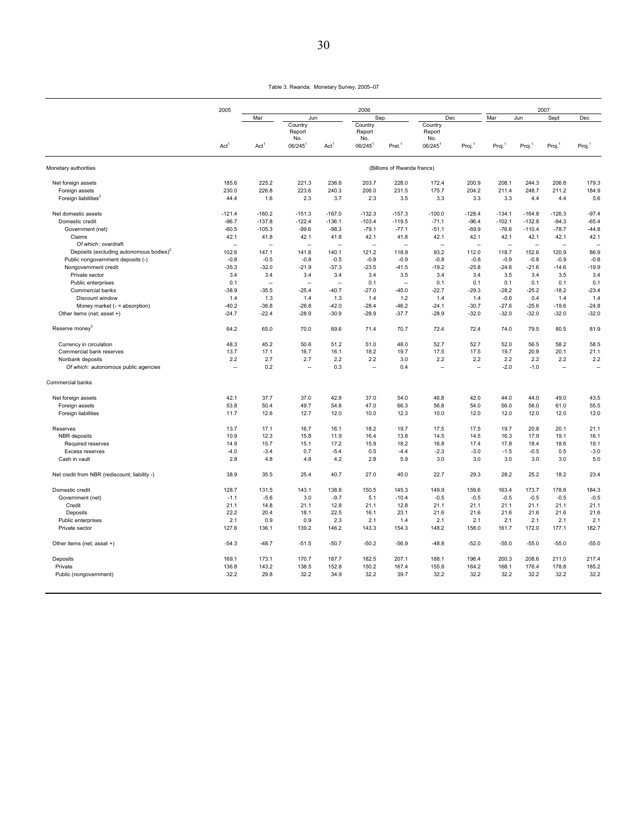|                                                     | 2005                 |                  |                              |                  | 2006                 |                             |                              |                      |                    |          | 2007                 |         |
|-----------------------------------------------------|----------------------|------------------|------------------------------|------------------|----------------------|-----------------------------|------------------------------|----------------------|--------------------|----------|----------------------|---------|
|                                                     |                      | Mar              | Jun                          |                  | Sep                  |                             | Dec                          |                      | Mar                | Jun      | Sept                 | Dec     |
|                                                     | Act <sup>1</sup>     |                  | Country                      |                  | Country              |                             | Country                      |                      |                    |          |                      |         |
|                                                     |                      |                  | Report                       |                  | Report               |                             | Report                       |                      |                    |          |                      |         |
|                                                     |                      | Act <sup>1</sup> | No.<br>$06/245$ <sup>1</sup> | Act <sup>1</sup> | No.<br>06/245        | $Prel.$ <sup>1</sup>        | No.<br>$06/245$ <sup>1</sup> | Proj.                | Proj. <sup>1</sup> | Proj.    | Proj. <sup>1</sup>   | Proj.   |
| Monetary authorities                                |                      |                  |                              |                  |                      | (Billions of Rwanda francs) |                              |                      |                    |          |                      |         |
|                                                     | 185.6                | 225.2            | 221.3                        | 236.6            | 203.7                | 228.0                       | 172.4                        | 200.9                | 208.1              | 244.3    | 206.8                | 179.3   |
| Net foreign assets<br>Foreign assets                | 230.0                | 226.8            | 223.6                        | 240.3            | 206.0                | 231.5                       | 175.7                        | 204.2                | 211.4              | 248.7    | 211.2                | 184.9   |
| Foreign liabilities <sup>2</sup>                    | 44.4                 | 1.6              | 2.3                          | 3.7              | 2.3                  | 3.5                         | 3.3                          | 3.3                  | 3.3                | 4.4      | 4.4                  | 5.6     |
| Net domestic assets                                 | $-121.4$             | $-160.2$         | $-151.3$                     | $-167.0$         | $-132.3$             | $-157.3$                    | $-100.0$                     | $-128.4$             | $-134.1$           | $-164.8$ | $-126.3$             | $-97.4$ |
| Domestic credit                                     | $-96.7$              | $-137.8$         | $-122.4$                     | $-136.1$         | $-103.4$             | $-119.5$                    | $-71.1$                      | $-96.4$              | $-102.1$           | $-132.8$ | $-94.3$              | $-65.4$ |
| Government (net)                                    | $-60.5$              | $-105.3$         | $-99.6$                      | $-98.3$          | $-79.1$              | $-77.1$                     | $-51.1$                      | $-69.9$              | $-76.6$            | $-110.4$ | $-78.7$              | $-44.8$ |
| Claims                                              | 42.1                 | 41.8             | 42.1                         | 41.8             | 42.1                 | 41.8                        | 42.1                         | 42.1                 | 42.1               | 42.1     | 42.1                 | 42.1    |
| Of which: overdraft                                 | ÷                    |                  | ÷.                           | L.               |                      | Ξ.                          | ÷                            |                      | ÷.                 |          |                      |         |
| Deposits (excluding autonomous bodies) <sup>2</sup> | 102.6                | 147.1            | 141.8                        | 140.1            | 121.2                | 118.9                       | 93.2                         | 112.0                | 118.7              | 152.6    | 120.9                | 86.9    |
| Public nongovernment deposits (-)                   | $-0.8$               | $-0.5$           | $-0.8$                       | $-0.5$           | $-0.8$               | $-0.9$                      | $-0.8$                       | $-0.8$               | $-0.9$             | $-0.8$   | $-0.9$               | $-0.8$  |
| Nongovernment credit                                | $-35.3$              | $-32.0$          | $-21.9$                      | $-37.3$          | $-23.5$              | $-41.5$                     | $-19.2$                      | $-25.8$              | $-24.6$            | $-21.6$  | $-14.6$              | $-19.9$ |
| Private sector                                      | 3.4                  | 3.4              | 3.4                          | 3.4              | 3.4                  | 3.5                         | 3.4                          | 3.4                  | 3.5                | 3.4      | 3.5                  | 3.4     |
| Public enterprises                                  | 0.1                  | ÷                | a.                           | ÷                | 0.1                  | $\sim$                      | 0.1                          | 0.1                  | 0.1                | 0.1      | 0.1                  | 0.1     |
| Commercial banks                                    | $-38.9$              | $-35.5$          | $-25.4$                      | $-40.7$          | $-27.0$              | $-45.0$                     | $-22.7$                      | $-29.3$              | $-28.2$            | $-25.2$  | $-18.2$              | $-23.4$ |
|                                                     |                      |                  |                              |                  |                      |                             |                              |                      |                    |          |                      |         |
| Discount window                                     | 1.4                  | 1.3              | 1.4                          | 1.3              | 1.4                  | 1.2                         | 1.4                          | 1.4                  | $-0.6$             | 0.4      | 1.4                  | 1.4     |
| Money market (- = absorption)                       | $-40.2$              | $-36.8$          | $-26.8$                      | $-42.0$          | $-28.4$              | $-46.2$                     | $-24.1$                      | $-30.7$              | $-27.6$            | $-25.6$  | $-19.6$              | $-24.8$ |
| Other items (net; asset +)                          | $-24.7$              | $-22.4$          | $-28.9$                      | $-30.9$          | $-28.9$              | $-37.7$                     | $-28.9$                      | $-32.0$              | $-32.0$            | $-32.0$  | $-32.0$              | $-32.0$ |
| Reserve money <sup>3</sup>                          | 64.2                 | 65.0             | 70.0                         | 69.6             | 71.4                 | 70.7                        | 72.4                         | 72.4                 | 74.0               | 79.5     | 80.5                 | 81.9    |
| Currency in circulation                             | 48.3                 | 45.2             | 50.6                         | 51.2             | 51.0                 | 48.0                        | 52.7                         | 52.7                 | 52.0               | 56.5     | 58.2                 | 58.5    |
| Commercial bank reserves                            | 13.7                 | 17.1             | 16.7                         | 16.1             | 18.2                 | 19.7                        | 17.5                         | 17.5                 | 19.7               | 20.8     | 20.1                 | 21.1    |
| Nonbank deposits                                    | 2.2                  | 2.7              | 2.7                          | 2.2              | 2.2                  | 3.0                         | 2.2                          | 2.2                  | 2.2                | 2.2      | 2.2                  | 2.2     |
| Of which: autonomous public agencies                | $\ddot{\phantom{a}}$ | 0.2              | ÷.                           | 0.3              | $\ddot{\phantom{a}}$ | 0.4                         | $\overline{\phantom{a}}$     | $\ddot{\phantom{1}}$ | $-2.0$             | $-1.0$   | $\ddot{\phantom{a}}$ | $\sim$  |
| Commercial banks                                    |                      |                  |                              |                  |                      |                             |                              |                      |                    |          |                      |         |
| Net foreign assets                                  | 42.1                 | 37.7             | 37.0                         | 42.9             | 37.0                 | 54.0                        | 46.8                         | 42.0                 | 44.0               | 44.0     | 49.0                 | 43.5    |
| Foreign assets                                      | 53.8                 | 50.4             | 49.7                         | 54.8             | 47.0                 | 66.3                        | 56.8                         | 54.0                 | 56.0               | 56.0     | 61.0                 | 55.5    |
| Foreign liabilities                                 | 11.7                 | 12.6             | 12.7                         | 12.0             | 10.0                 | 12.3                        | 10.0                         | 12.0                 | 12.0               | 12.0     | 12.0                 | 12.0    |
| Reserves                                            | 13.7                 | 17.1             | 16.7                         | 16.1             | 18.2                 | 19.7                        | 17.5                         | 17.5                 | 19.7               | 20.8     | 20.1                 | 21.1    |
| <b>NBR</b> deposits                                 | 10.9                 | 12.3             | 15.8                         | 11.9             | 16.4                 | 13.8                        | 14.5                         | 14.5                 | 16.3               | 17.9     | 19.1                 | 16.1    |
| Required reserves                                   | 14.9                 | 15.7             | 15.1                         | 17.2             | 15.9                 | 18.2                        | 16.8                         | 17.4                 | 17.8               | 18.4     | 18.6                 | 19.1    |
| Excess reserves                                     | $-4.0$               | $-3.4$           | 0.7                          | $-5.4$           | 0.5                  | $-4.4$                      | $-2.3$                       | $-3.0$               | $-1.5$             | $-0.5$   | 0.5                  | $-3.0$  |
| Cash in vault                                       | 2.8                  | 4.8              | 4.8                          | 4.2              | 2.8                  | 5.9                         | 3.0                          | 3.0                  | 3.0                | 3.0      | 3.0                  | 5.0     |
| Net credit from NBR (rediscount; liability -)       | 38.9                 | 35.5             | 25.4                         | 40.7             | 27.0                 | 45.0                        | 22.7                         | 29.3                 | 28.2               | 25.2     | 18.2                 | 23.4    |
| Domestic credit                                     | 128.7                | 131.5            | 143.1                        | 138.8            | 150.5                | 145.3                       | 149.9                        | 159.6                | 163.4              | 173.7    | 178.8                | 184.3   |
| Government (net)                                    | $-1.1$               | $-5.6$           | 3.0                          | $-9.7$           | 5.1                  | $-10.4$                     | $-0.5$                       | $-0.5$               | $-0.5$             | $-0.5$   | $-0.5$               | $-0.5$  |
| Credit                                              | 21.1                 | 14.8             | 21.1                         | 12.8             | 21.1                 | 12.8                        | 21.1                         | 21.1                 | 21.1               | 21.1     | 21.1                 | 21.1    |
| Deposits                                            | 22.2                 | 20.4             | 18.1                         | 22.5             | 16.1                 | 23.1                        | 21.6                         | 21.6                 | 21.6               | 21.6     | 21.6                 | 21.6    |
| Public enterprises                                  | 2.1                  | 0.9              | 0.9                          | 2.3              | 2.1                  | 1.4                         | 2.1                          | 2.1                  | 2.1                | 2.1      | 2.1                  | 2.1     |
| Private sector                                      | 127.6                | 136.1            | 139.2                        | 146.2            | 143.3                | 154.3                       | 148.2                        | 158.0                | 161.7              | 172.0    | 177.1                | 182.7   |
| Other items (net; asset +)                          | $-54.3$              | $-48.7$          | $-51.5$                      | $-50.7$          | $-50.2$              | $-56.9$                     | $-48.8$                      | $-52.0$              | $-55.0$            | $-55.0$  | $-55.0$              | $-55.0$ |
| Deposits                                            | 169.1                | 173.1            | 170.7                        | 187.7            | 182.5                | 207.1                       | 188.1                        | 196.4                | 200.3              | 208.6    | 211.0                | 217.4   |
| Private                                             | 136.8                | 143.2            | 138.5                        | 152.8            | 150.2                | 167.4                       | 155.8                        | 164.2                | 168.1              | 176.4    | 178.8                | 185.2   |
| Public (nongovernment)                              | 32.2                 | 29.8             | 32.2                         | 34.9             | 32.2                 | 39.7                        | 32.2                         | 32.2                 | 32.2               | 32.2     | 32.2                 | 32.2    |
|                                                     |                      |                  |                              |                  |                      |                             |                              |                      |                    |          |                      |         |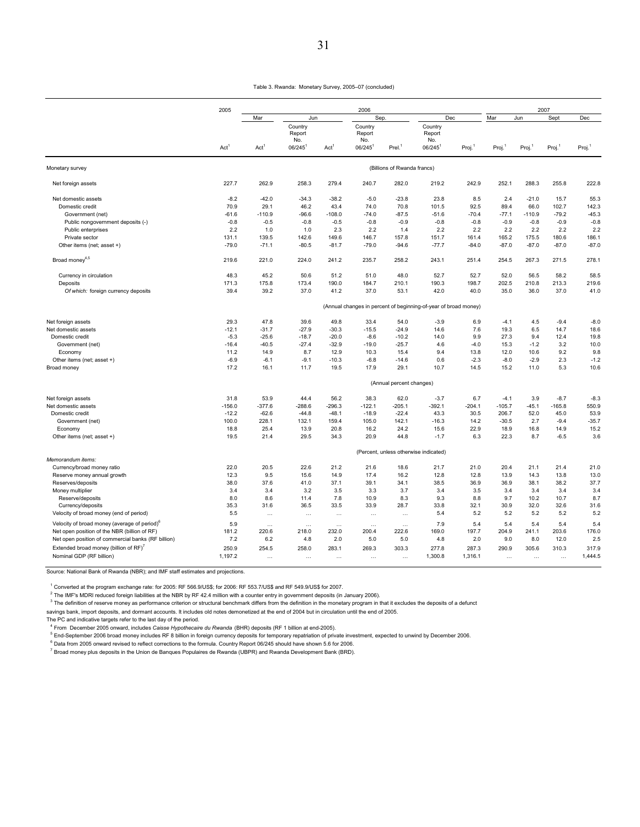|                                                                                                          | 2005                     |                   |                          |                   | 2006                     |                                       |                                                                 |                    |                    |              | 2007               |                    |
|----------------------------------------------------------------------------------------------------------|--------------------------|-------------------|--------------------------|-------------------|--------------------------|---------------------------------------|-----------------------------------------------------------------|--------------------|--------------------|--------------|--------------------|--------------------|
|                                                                                                          |                          | Mar               | Jun                      |                   | Sep.                     |                                       | Dec                                                             |                    | Mar                | Jun          | Sept               | Dec                |
|                                                                                                          |                          |                   | Country<br>Report<br>No. |                   | Country<br>Report<br>No. |                                       | Country<br>Report<br>No.                                        |                    |                    |              |                    |                    |
|                                                                                                          | Act <sup>1</sup>         | Act <sup>1</sup>  | 06/245                   | Act <sup>1</sup>  | 06/245                   | Prel. <sup>1</sup>                    | $06/245$ <sup>1</sup>                                           | Proj. <sup>1</sup> | Proj. <sup>1</sup> | Proj.        | Proj. <sup>1</sup> | Proj. <sup>1</sup> |
| Monetary survey                                                                                          |                          |                   |                          |                   |                          | (Billions of Rwanda francs)           |                                                                 |                    |                    |              |                    |                    |
| Net foreign assets                                                                                       | 227.7                    | 262.9             | 258.3                    | 279.4             | 240.7                    | 282.0                                 | 219.2                                                           | 242.9              | 252.1              | 288.3        | 255.8              | 222.8              |
| Net domestic assets                                                                                      | $-8.2$                   | $-42.0$           | $-34.3$                  | $-38.2$           | $-5.0$                   | $-23.8$                               | 23.8                                                            | 8.5                | 2.4                | $-21.0$      | 15.7               | 55.3               |
| Domestic credit                                                                                          | 70.9                     | 29.1              | 46.2                     | 43.4              | 74.0                     | 70.8                                  | 101.5                                                           | 92.5               | 89.4               | 66.0         | 102.7              | 142.3              |
| Government (net)                                                                                         | $-61.6$                  | $-110.9$          | $-96.6$                  | $-108.0$          | $-74.0$                  | $-87.5$                               | $-51.6$                                                         | $-70.4$            | $-77.1$            | $-110.9$     | $-79.2$            | $-45.3$            |
| Public nongovernment deposits (-)                                                                        | $-0.8$                   | $-0.5$            | $-0.8$                   | $-0.5$            | $-0.8$                   | $-0.9$                                | $-0.8$                                                          | $-0.8$             | $-0.9$             | $-0.8$       | $-0.9$             | $-0.8$             |
| Public enterprises                                                                                       | 2.2                      | 1.0               | 1.0                      | 2.3               | 2.2                      | 1.4                                   | 2.2                                                             | 2.2                | 2.2                | 2.2          | 2.2                | 2.2                |
| Private sector                                                                                           | 131.1                    | 139.5             | 142.6                    | 149.6             | 146.7                    | 157.8                                 | 151.7                                                           | 161.4              | 165.2              | 175.5        | 180.6              | 186.1              |
| Other items (net; asset +)                                                                               | $-79.0$                  | $-71.1$           | $-80.5$                  | $-81.7$           | $-79.0$                  | $-94.6$                               | $-77.7$                                                         | $-84.0$            | $-87.0$            | $-87.0$      | $-87.0$            | $-87.0$            |
| Broad money <sup>4,5</sup>                                                                               | 219.6                    | 221.0             | 224.0                    | 241.2             | 235.7                    | 258.2                                 | 243.1                                                           | 251.4              | 254.5              | 267.3        | 271.5              | 278.1              |
| Currency in circulation                                                                                  | 48.3                     | 45.2              | 50.6                     | 51.2              | 51.0                     | 48.0                                  | 52.7                                                            | 52.7               | 52.0               | 56.5         | 58.2               | 58.5               |
| Deposits                                                                                                 | 171.3                    | 175.8             | 173.4                    | 190.0             | 184.7                    | 210.1                                 | 190.3                                                           | 198.7              | 202.5              | 210.8        | 213.3              | 219.6              |
| Of which: foreign currency deposits                                                                      | 39.4                     | 39.2              | 37.0                     | 41.2              | 37.0                     | 53.1                                  | 42.0                                                            | 40.0               | 35.0               | 36.0         | 37.0               | 41.0               |
|                                                                                                          |                          |                   |                          |                   |                          |                                       | (Annual changes in percent of beginning-of-year of broad money) |                    |                    |              |                    |                    |
| Net foreign assets                                                                                       | 29.3                     | 47.8              | 39.6                     | 49.8              | 33.4                     | 54.0                                  | $-3.9$                                                          | 6.9                | $-4.1$             | 4.5          | $-9.4$             | $-8.0$             |
| Net domestic assets                                                                                      | $-12.1$                  | $-31.7$           | $-27.9$                  | $-30.3$           | $-15.5$                  | $-24.9$                               | 14.6                                                            | 7.6                | 19.3               | 6.5          | 14.7               | 18.6               |
| Domestic credit                                                                                          | $-5.3$                   | $-25.6$           | $-18.7$                  | $-20.0$           | $-8.6$                   | $-10.2$                               | 14.0                                                            | 9.9                | 27.3               | 9.4          | 12.4               | 19.8               |
| Government (net)                                                                                         | $-16.4$                  | $-40.5$           | $-27.4$                  | $-32.9$           | $-19.0$                  | $-25.7$                               | 4.6                                                             | $-4.0$             | 15.3               | $-1.2$       | 3.2                | 10.0               |
| Economy                                                                                                  | 11.2                     | 14.9              | 8.7                      | 12.9              | 10.3                     | 15.4                                  | 9.4                                                             | 13.8               | 12.0               | 10.6         | 9.2                | 9.8                |
| Other items (net; asset +)                                                                               | $-6.9$                   | $-6.1$            | $-9.1$                   | $-10.3$           | $-6.8$                   | $-14.6$                               | 0.6                                                             | $-2.3$             | $-8.0$             | $-2.9$       | 2.3                | $-1.2$             |
| Broad money                                                                                              | 17.2                     | 16.1              | 11.7                     | 19.5              | 17.9                     | 29.1                                  | 10.7                                                            | 14.5               | 15.2               | 11.0         | 5.3                | 10.6               |
|                                                                                                          | (Annual percent changes) |                   |                          |                   |                          |                                       |                                                                 |                    |                    |              |                    |                    |
| Net foreign assets                                                                                       | 31.8                     | 53.9              | 44.4                     | 56.2              | 38.3                     | 62.0                                  | $-3.7$                                                          | 6.7                | $-4.1$             | 3.9          | $-8.7$             | $-8.3$             |
| Net domestic assets                                                                                      | $-156.0$                 | $-377.6$          | $-288.6$                 | $-296.3$          | $-122.1$                 | $-205.1$                              | $-392.1$                                                        | $-204.1$           | $-105.7$           | $-45.1$      | $-165.8$           | 550.9              |
| Domestic credit                                                                                          | $-12.2$                  | $-62.6$           | $-44.8$                  | $-48.1$           | $-18.9$                  | $-22.4$                               | 43.3                                                            | 30.5               | 206.7              | 52.0         | 45.0               | 53.9               |
| Government (net)                                                                                         | 100.0                    | 228.1             | 132.1                    | 159.4             | 105.0                    | 142.1                                 | $-16.3$                                                         | 14.2               | $-30.5$            | 2.7          | $-9.4$             | $-35.7$            |
| Economy                                                                                                  | 18.8                     | 25.4              | 13.9                     | 20.8              | 16.2                     | 24.2                                  | 15.6                                                            | 22.9               | 18.9               | 16.8         | 14.9               | 15.2               |
| Other items (net; asset +)                                                                               | 19.5                     | 21.4              | 29.5                     | 34.3              | 20.9                     | 44.8                                  | $-1.7$                                                          | 6.3                | 22.3               | 8.7          | $-6.5$             | 3.6                |
|                                                                                                          |                          |                   |                          |                   |                          | (Percent, unless otherwise indicated) |                                                                 |                    |                    |              |                    |                    |
| Memorandum items:<br>Currency/broad money ratio                                                          | 22.0                     | 20.5              | 22.6                     | 21.2              | 21.6                     | 18.6                                  | 21.7                                                            | 21.0               | 20.4               | 21.1         | 21.4               | 21.0               |
| Reserve money annual growth                                                                              | 12.3                     | 9.5               | 15.6                     | 14.9              | 17.4                     | 16.2                                  | 12.8                                                            | 12.8               | 13.9               | 14.3         | 13.8               | 13.0               |
| Reserves/deposits                                                                                        | 38.0                     | 37.6              | 41.0                     | 37.1              | 39.1                     | 34.1                                  | 38.5                                                            | 36.9               | 36.9               | 38.1         | 38.2               | 37.7               |
| Money multiplier                                                                                         | 3.4                      | 3.4               | 3.2                      | 3.5               | 3.3                      | 3.7                                   | 3.4                                                             | 3.5                | 3.4                | 3.4          | 3.4                | 3.4                |
| Reserve/deposits                                                                                         | 8.0                      | 8.6               | 11.4                     | 7.8               | 10.9                     | 8.3                                   | 9.3                                                             | 8.8                | 9.7                | 10.2         | 10.7               | 8.7                |
| Currency/deposits                                                                                        | 35.3                     | 31.6              | 36.5                     | 33.5              | 33.9                     | 28.7                                  | 33.8                                                            | 32.1               | 30.9               | 32.0         | 32.6               | 31.6               |
| Velocity of broad money (end of period)                                                                  | 5.5                      |                   | $\ldots$                 | $\cdots$          |                          | $\ldots$                              | 5.4                                                             | 5.2                | 5.2                | 5.2          | 5.2                | 5.2                |
|                                                                                                          | 5.9                      |                   |                          |                   |                          |                                       | 7.9                                                             |                    |                    |              |                    |                    |
| Velocity of broad money (average of period) <sup>o</sup><br>Net open position of the NBR (billion of RF) | 181.2                    | $\cdots$<br>220.6 | $\ldots$<br>218.0        | $\cdots$<br>232.0 | $\ddots$<br>200.4        | $\cdots$<br>222.6                     | 169.0                                                           | 5.4<br>197.7       | 5.4<br>204.9       | 5.4<br>241.1 | 5.4<br>203.6       | 5.4<br>176.0       |
| Net open position of commercial banks (RF billion)                                                       | 7.2                      | 6.2               | 4.8                      | 2.0               | 5.0                      | 5.0                                   | 4.8                                                             | 2.0                | 9.0                | 8.0          | 12.0               | 2.5                |
|                                                                                                          |                          |                   |                          |                   |                          |                                       |                                                                 |                    | 290.9              |              |                    |                    |
| Extended broad money (billion of RF) <sup>7</sup><br>Nominal GDP (RF billion)                            | 250.9<br>1,197.2         | 254.5             | 258.0                    | 283.1             | 269.3                    | 303.3                                 | 277.8<br>1,300.8                                                | 287.3<br>1,316.1   |                    | 305.6        | 310.3              | 317.9<br>1,444.5   |
|                                                                                                          |                          | $\ddots$          | $\ddots$                 |                   | $\ldots$                 | $\ldots$                              |                                                                 |                    | $\cdots$           | $\ddots$     | $\ldots$           |                    |

Source: National Bank of Rwanda (NBR); and IMF staff estimates and projections.

1 Converted at the program exchange rate: for 2005: RF 566.9/US\$; for 2006: RF 553.7/US\$ and RF 549.9/US\$ for 2007.

 $^2$  The IMF's MDRI reduced foreign liabilities at the NBR by RF 42.4 million with a counter entry in government deposits (in January 2006).

 $^3$  The definition of reserve money as performance criterion or structural benchmark differs from the definition in the monetary program in that it excludes the deposits of a defunct

savings bank, import deposits, and dormant accounts. It includes old notes demonetized at the end of 2004 but in circulation until the end of 2005.

The PC and indicative targets refer to the last day of the period.

4 From December 2005 onward, includes *Caisse Hypothecaire du Rwanda* (BHR) deposits (RF 1 billion at end-2005).

<sup>5</sup> End-September 2006 broad money includes RF 8 billion in foreign currency deposits for temporary repatriation of private investment, expected to unwind by December 2006.

<sup>6</sup> Data from 2005 onward revised to reflect corrections to the formula. Country Report 06/245 should have shown 5.6 for 2006.

<sup>7</sup> Broad money plus deposits in the Union de Banques Populaires de Rwanda (UBPR) and Rwanda Development Bank (BRD).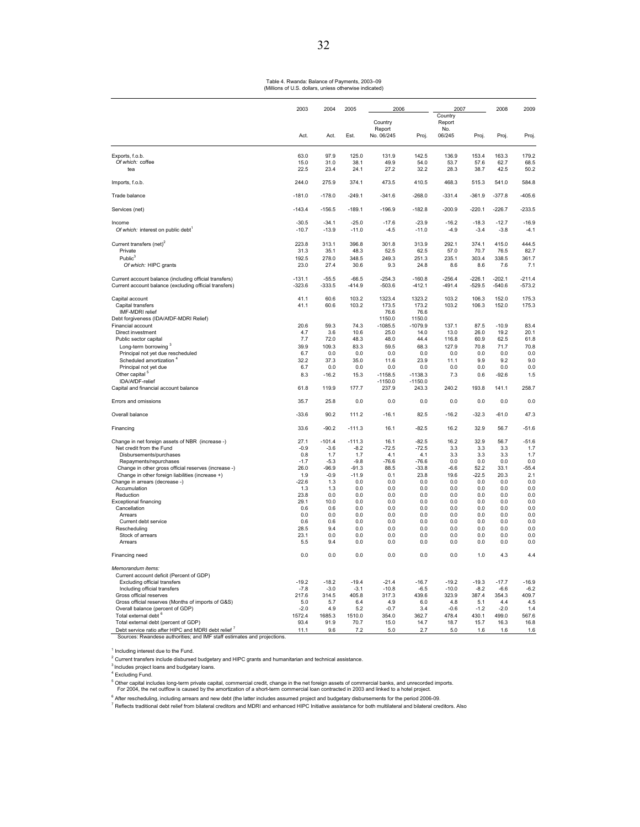Table 4. Rwanda: Balance of Payments, 2003–09 (Millions of U.S. dollars, unless otherwise indicated)

|                                                                                                                                | 2003            | 2004            | 2005            | 2006              |                 | 2007                     |                 | 2008            | 2009            |
|--------------------------------------------------------------------------------------------------------------------------------|-----------------|-----------------|-----------------|-------------------|-----------------|--------------------------|-----------------|-----------------|-----------------|
|                                                                                                                                |                 |                 |                 | Country<br>Report |                 | Country<br>Report<br>No. |                 |                 |                 |
|                                                                                                                                | Act.            | Act.            | Fst.            | No. 06/245        | Proj.           | 06/245                   | Proj.           | Proj.           | Proj.           |
| Exports, f.o.b.                                                                                                                | 63.0            | 97.9            | 125.0           | 131.9             | 142.5           | 136.9                    | 153.4           | 163.3           | 179.2           |
| Of which: coffee                                                                                                               | 15.0            | 31.0            | 38.1            | 49.9              | 54.0            | 53.7                     | 57.6            | 62.7            | 68.5            |
| tea                                                                                                                            | 22.5            | 23.4            | 24.1            | 27.2              | 32.2            | 28.3                     | 38.7            | 42.5            | 50.2            |
| Imports, f.o.b.                                                                                                                | 244.0           | 275.9           | 374.1           | 473.5             | 410.5           | 468.3                    | 515.3           | 541.0           | 584.8           |
| Trade balance                                                                                                                  | $-181.0$        | $-178.0$        | $-249.1$        | $-341.6$          | $-268.0$        | $-331.4$                 | $-361.9$        | $-377.8$        | $-405.6$        |
| Services (net)                                                                                                                 | $-143.4$        | $-156.5$        | $-189.1$        | $-196.9$          | $-182.8$        | $-200.9$                 | $-220.1$        | $-226.7$        | $-233.5$        |
| Income                                                                                                                         | $-30.5$         | $-34.1$         | $-25.0$         | $-17.6$           | $-23.9$         | $-16.2$                  | $-18.3$         | $-127$          | $-16.9$         |
| Of which: interest on public debt                                                                                              | $-10.7$         | $-13.9$         | $-11.0$         | $-4.5$            | $-11.0$         | $-4.9$                   | $-3.4$          | $-3.8$          | $-4.1$          |
| Current transfers (net) <sup>2</sup>                                                                                           | 223.8           | 313.1           | 396.8           | 301.8             | 313.9           | 292.1                    | 374.1           | 415.0           | 444.5           |
| Private                                                                                                                        | 31.3            | 35.1            | 48.3            | 52.5              | 62.5            | 57.0                     | 70.7            | 76.5            | 82.7            |
| Public <sup>3</sup>                                                                                                            | 192.5           | 278.0           | 348.5           | 249.3             | 251.3           | 235.1                    | 303.4           | 338.5           | 361.7           |
| Of which: HIPC grants                                                                                                          | 23.0            | 27.4            | 30.6            | 9.3               | 24.8            | 8.6                      | 8.6             | 7.6             | 7.1             |
| Current account balance (including official transfers)                                                                         | $-131.1$        | $-55.5$         | $-66.5$         | $-254.3$          | $-160.8$        | $-256.4$                 | $-226.1$        | $-202.1$        | $-211.4$        |
| Current account balance (excluding official transfers)                                                                         | $-323.6$        | $-333.5$        | $-414.9$        | $-503.6$          | $-412.1$        | $-491.4$                 | $-529.5$        | $-540.6$        | $-573.2$        |
| Capital account                                                                                                                | 41.1            | 60.6            | 103.2           | 1323.4            | 1323.2          | 103.2                    | 106.3           | 152.0           | 175.3           |
| Capital transfers<br>IMF-MDRI relief                                                                                           | 41.1            | 60.6            | 103.2           | 173.5<br>76.6     | 173.2<br>76.6   | 103.2                    | 106.3           | 152.0           | 175.3           |
| Debt forgiveness (IDA/AfDF-MDRI Relief)                                                                                        |                 |                 |                 | 1150.0            | 1150.0          |                          |                 |                 |                 |
| Financial account                                                                                                              | 20.6            | 59.3            | 74.3            | $-1085.5$         | -1079.9         | 137.1                    | 87.5            | $-10.9$         | 83.4            |
| Direct investment                                                                                                              | 4.7             | 3.6             | 10.6            | 25.0              | 14.0            | 13.0                     | 26.0            | 19.2            | 20.1            |
| Public sector capital                                                                                                          | 7.7             | 72.0            | 48.3            | 48.0              | 44.4            | 116.8                    | 60.9            | 62.5            | 61.8            |
| Long-term borrowing <sup>3</sup>                                                                                               | 39.9            | 109.3           | 83.3            | 59.5              | 68.3            | 127.9                    | 70.8            | 71.7            | 70.8            |
| Principal not yet due rescheduled                                                                                              | 6.7             | 0.0             | 0.0             | 0.0               | 0.0             | 0.0                      | 0.0             | 0.0             | 0.0             |
| Scheduled amortization <sup>4</sup><br>Principal not yet due                                                                   | 32.2<br>6.7     | 37.3<br>0.0     | 35.0<br>0.0     | 11.6<br>0.0       | 23.9<br>0.0     | 11.1<br>0.0              | 9.9<br>0.0      | 9.2<br>0.0      | 9.0<br>0.0      |
| Other capital                                                                                                                  | 8.3             | $-16.2$         | 15.3            | $-1158.5$         | $-1138.3$       | 7.3                      | 0.6             | $-92.6$         | 1.5             |
| IDA/AfDF-relief                                                                                                                |                 |                 |                 | $-1150.0$         | $-1150.0$       |                          |                 |                 |                 |
| Capital and financial account balance                                                                                          | 61.8            | 119.9           | 177.7           | 237.9             | 243.3           | 240.2                    | 193.8           | 141.1           | 258.7           |
| Errors and omissions                                                                                                           | 35.7            | 25.8            | 0.0             | 0.0               | 0.0             | 0.0                      | 0.0             | 0.0             | 0.0             |
| Overall balance                                                                                                                | $-33.6$         | 90.2            | 111.2           | $-16.1$           | 82.5            | $-16.2$                  | $-32.3$         | $-61.0$         | 47.3            |
| Financing                                                                                                                      | 33.6            | $-90.2$         | $-111.3$        | 16.1              | $-82.5$         | 16.2                     | 32.9            | 56.7            | $-51.6$         |
| Change in net foreign assets of NBR (increase -)                                                                               | 27.1            | $-101.4$        | $-111.3$        | 16.1              | $-82.5$         | 16.2                     | 32.9            | 56.7            | $-51.6$         |
| Net credit from the Fund                                                                                                       | $-0.9$          | $-3.6$          | $-8.2$          | $-72.5$           | $-72.5$         | 3.3                      | 3.3             | 3.3             | 1.7             |
| Disbursements/purchases                                                                                                        | 0.8<br>$-1.7$   | 1.7<br>$-5.3$   | 1.7<br>$-9.8$   | 4.1<br>$-76.6$    | 4.1<br>$-76.6$  | 3.3<br>0.0               | 3.3<br>0.0      | 3.3<br>0.0      | 1.7<br>0.0      |
| Repayments/repurchases<br>Change in other gross official reserves (increase -)                                                 | 26.0            | $-96.9$         | $-91.3$         | 88.5              | $-33.8$         | $-6.6$                   | 52.2            | 33.1            | $-55.4$         |
| Change in other foreign liabilities (increase +)                                                                               | 1.9             | $-0.9$          | $-11.9$         | 0.1               | 23.8            | 19.6                     | $-22.5$         | 20.3            | 2.1             |
| Change in arrears (decrease -)                                                                                                 | $-22.6$         | 1.3             | 0.0             | 0.0               | 0.0             | 0.0                      | 0.0             | 0.0             | 0.0             |
| Accumulation                                                                                                                   | 1.3             | 1.3             | 0.0             | 0.0               | 0.0             | 0.0                      | 0.0             | 0.0             | 0.0             |
| Reduction<br><b>Exceptional financing</b>                                                                                      | 23.8<br>29.1    | 0.0<br>10.0     | 0.0<br>0.0      | 0.0<br>0.0        | 0.0<br>0.0      | 0.0<br>0.0               | 0.0<br>0.0      | 0.0<br>0.0      | 0.0<br>0.0      |
| Cancellation                                                                                                                   | 0.6             | 0.6             | 0.0             | 0.0               | 0.0             | 0.0                      | 0.0             | 0.0             | 0.0             |
| Arrears                                                                                                                        | 0.0             | 0.0             | 0.0             | 0.0               | 0.0             | 0.0                      | 0.0             | 0.0             | 0.0             |
| Current debt service                                                                                                           | 0.6             | 0.6             | 0.0             | 0.0               | 0.0             | 0.0                      | 0.0             | 0.0             | 0.0             |
| Rescheduling                                                                                                                   | 28.5            | 9.4             | 0.0             | 0.0               | 0.0             | 0.0                      | 0.0             | 0.0             | 0.0             |
| Stock of arrears<br>Arrears                                                                                                    | 23.1<br>5.5     | 0.0<br>9.4      | 0.0<br>0.0      | 0.0<br>0.0        | 0.0<br>0.0      | 0.0<br>0.0               | 0.0<br>0.0      | 0.0<br>0.0      | 0.0<br>0.0      |
| Financing need                                                                                                                 | 0.0             | 0.0             | 0.0             | 0.0               | 0.0             | 0.0                      | 1.0             | 4.3             | 4.4             |
| Memorandum items:                                                                                                              |                 |                 |                 |                   |                 |                          |                 |                 |                 |
| Current account deficit (Percent of GDP)                                                                                       |                 |                 |                 |                   |                 |                          |                 |                 |                 |
| <b>Excluding official transfers</b>                                                                                            | $-19.2$         | $-18.2$         | $-19.4$         | $-21.4$           | $-16.7$         | $-19.2$                  | $-19.3$         | $-17.7$         | $-16.9$         |
| Including official transfers<br>Gross official reserves                                                                        | $-7.8$<br>217.6 | $-3.0$<br>314.5 | $-3.1$<br>405.8 | $-10.8$<br>317.3  | $-6.5$<br>439.6 | $-10.0$<br>323.9         | $-8.2$<br>387.4 | $-6.6$<br>354.3 | $-6.2$<br>409.7 |
| Gross official reserves (Months of imports of G&S)                                                                             | 5.0             | 5.7             | 6.4             | 4.9               | 6.0             | 4.8                      | 5.1             | 4.4             | 4.5             |
| Overall balance (percent of GDP)                                                                                               | $-2.0$          | 4.9             | 5.2             | $-0.7$            | 3.4             | $-0.6$                   | $-1.2$          | $-2.0$          | 1.4             |
| Total external debt                                                                                                            | 1572.4          | 1685.3          | 1510.0          | 354.0             | 362.7           | 478.4                    | 430.1           | 499.0           | 567.6           |
| Total external debt (percent of GDP)                                                                                           | 93.4            | 91.9            | 70.7            | 15.0              | 14.7            | 18.7                     | 15.7            | 16.3            | 16.8            |
| Debt service ratio after HIPC and MDRI debt relief 7<br>Sources: Rwandese authorities: and IMF staff estimates and projections | 11.1            | 9.6             | 7.2             | 5.0               | 2.7             | 5.0                      | 1.6             | 1.6             | 1.6             |

<sup>1</sup> Including interest due to the Fund.

<sup>2</sup> Current transfers include disbursed budgetary and HIPC grants and humanitarian and technical assistance.

<sup>3</sup> Includes project loans and budgetary loans.

4 Excluding Fund.

<sup>5</sup> Other capital includes long-term private capital, commercial credit, change in the net foreign assets of commercial banks, and unrecorded imports.<br>For 2004, the net outflow is caused by the amortization of a short-term

<sup>6</sup> After rescheduling, including arrears and new debt (the latter includes assumed project and budgetary disbursements for the period 2006-09.

<sup>7</sup> Reflects traditional debt relief from bilateral creditors and MDRI and enhanced HIPC Initiative assistance for both multilateral and bilateral creditors. Also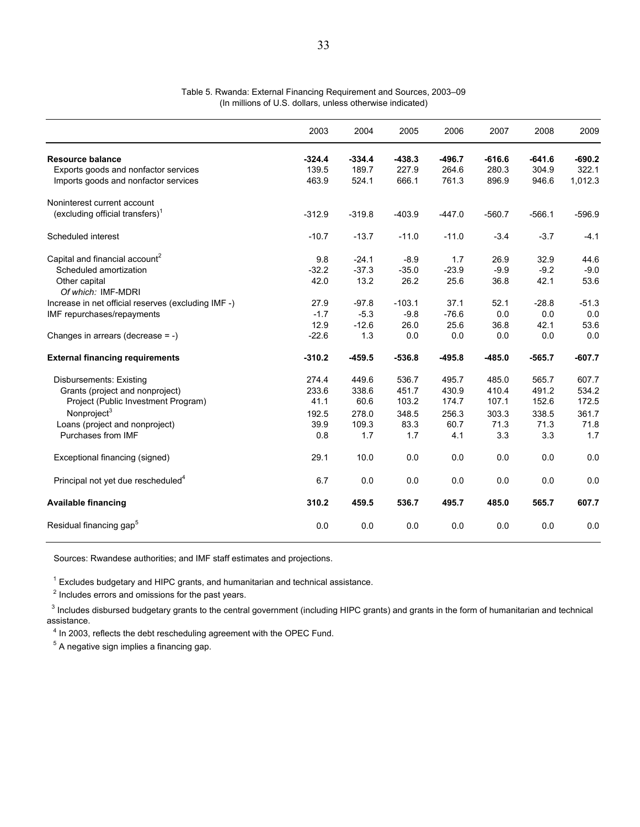|                                                                              | 2003           | 2004           | 2005           | 2006           | 2007           | 2008           | 2009             |
|------------------------------------------------------------------------------|----------------|----------------|----------------|----------------|----------------|----------------|------------------|
| <b>Resource balance</b>                                                      | $-324.4$       | $-334.4$       | $-438.3$       | $-496.7$       | $-616.6$       | $-641.6$       | $-690.2$         |
| Exports goods and nonfactor services<br>Imports goods and nonfactor services | 139.5<br>463.9 | 189.7<br>524.1 | 227.9<br>666.1 | 264.6<br>761.3 | 280.3<br>896.9 | 304.9<br>946.6 | 322.1<br>1,012.3 |
| Noninterest current account                                                  |                |                |                |                |                |                |                  |
| $(excluding official transfers)^T$                                           | $-312.9$       | $-319.8$       | $-403.9$       | $-447.0$       | $-560.7$       | $-566.1$       | $-596.9$         |
| Scheduled interest                                                           | $-10.7$        | $-13.7$        | $-11.0$        | $-11.0$        | $-3.4$         | $-3.7$         | $-4.1$           |
| Capital and financial account <sup>2</sup>                                   | 9.8            | $-24.1$        | $-8.9$         | 1.7            | 26.9           | 32.9           | 44.6             |
| Scheduled amortization                                                       | $-32.2$        | $-37.3$        | $-35.0$        | $-23.9$        | $-9.9$         | $-9.2$         | $-9.0$           |
| Other capital                                                                | 42.0           | 13.2           | 26.2           | 25.6           | 36.8           | 42.1           | 53.6             |
| Of which: IMF-MDRI                                                           |                |                |                |                |                |                |                  |
| Increase in net official reserves (excluding IMF -)                          | 27.9           | $-97.8$        | $-103.1$       | 37.1           | 52.1           | $-28.8$        | $-51.3$          |
| IMF repurchases/repayments                                                   | $-1.7$         | $-5.3$         | $-9.8$         | $-76.6$        | 0.0            | 0.0            | 0.0              |
|                                                                              | 12.9           | $-12.6$        | 26.0           | 25.6           | 36.8           | 42.1           | 53.6             |
| Changes in arrears (decrease $= -$ )                                         | $-22.6$        | 1.3            | 0.0            | 0.0            | 0.0            | 0.0            | 0.0              |
| <b>External financing requirements</b>                                       | $-310.2$       | $-459.5$       | $-536.8$       | $-495.8$       | $-485.0$       | $-565.7$       | $-607.7$         |
| <b>Disbursements: Existing</b>                                               | 274.4          | 449.6          | 536.7          | 495.7          | 485.0          | 565.7          | 607.7            |
| Grants (project and nonproject)                                              | 233.6          | 338.6          | 451.7          | 430.9          | 410.4          | 491.2          | 534.2            |
| Project (Public Investment Program)                                          | 41.1           | 60.6           | 103.2          | 174.7          | 107.1          | 152.6          | 172.5            |
| Nonproject <sup>3</sup>                                                      | 192.5          | 278.0          | 348.5          | 256.3          | 303.3          | 338.5          | 361.7            |
| Loans (project and nonproject)                                               | 39.9           | 109.3          | 83.3           | 60.7           | 71.3           | 71.3           | 71.8             |
| Purchases from IMF                                                           | 0.8            | 1.7            | 1.7            | 4.1            | 3.3            | 3.3            | 1.7              |
| Exceptional financing (signed)                                               | 29.1           | 10.0           | 0.0            | 0.0            | 0.0            | 0.0            | 0.0              |
| Principal not yet due rescheduled <sup>4</sup>                               | 6.7            | 0.0            | 0.0            | 0.0            | 0.0            | 0.0            | 0.0              |
| <b>Available financing</b>                                                   | 310.2          | 459.5          | 536.7          | 495.7          | 485.0          | 565.7          | 607.7            |
| Residual financing gap <sup>5</sup>                                          | 0.0            | 0.0            | 0.0            | 0.0            | 0.0            | 0.0            | 0.0              |

#### Table 5. Rwanda: External Financing Requirement and Sources, 2003–09 (In millions of U.S. dollars, unless otherwise indicated)

Sources: Rwandese authorities; and IMF staff estimates and projections.

 $1$  Excludes budgetary and HIPC grants, and humanitarian and technical assistance.

 $2$  Includes errors and omissions for the past years.

<sup>3</sup> Includes disbursed budgetary grants to the central government (including HIPC grants) and grants in the form of humanitarian and technical assistance.

 $4$  In 2003, reflects the debt rescheduling agreement with the OPEC Fund.

 $<sup>5</sup>$  A negative sign implies a financing gap.</sup>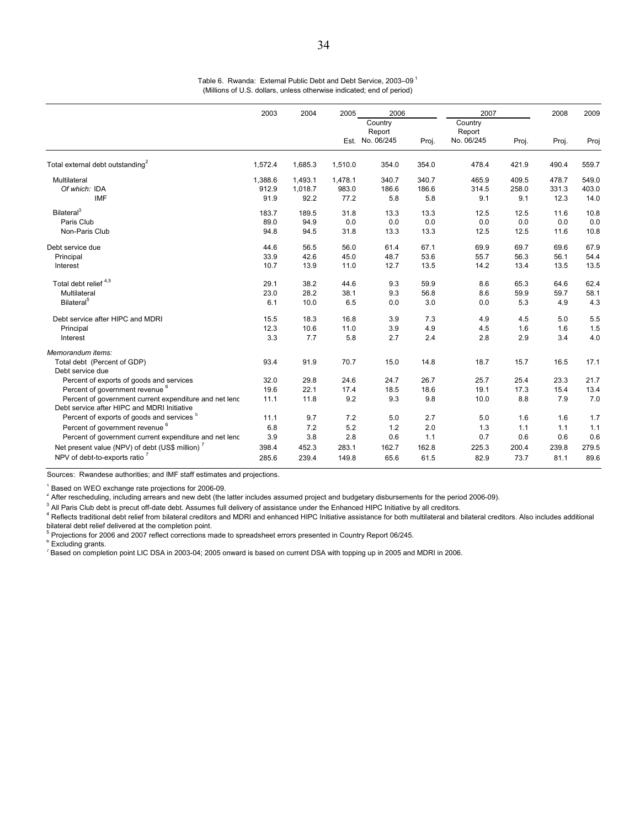| Country<br>Country<br>Report<br>Report<br>Est. No. 06/245<br>No. 06/245<br>Proj.<br>Proj.<br>Proj.<br>Total external debt outstanding <sup>2</sup><br>1,572.4<br>1,685.3<br>1,510.0<br>354.0<br>354.0<br>478.4<br>421.9<br>490.4<br>340.7<br>Multilateral<br>1,388.6<br>1,493.1<br>1,478.1<br>340.7<br>465.9<br>409.5<br>478.7<br>Of which: IDA<br>912.9<br>1,018.7<br>983.0<br>186.6<br>186.6<br>314.5<br>258.0<br>331.3<br><b>IMF</b><br>91.9<br>92.2<br>5.8<br>77.2<br>5.8<br>9.1<br>9.1<br>12.3<br>Bilateral <sup>3</sup><br>183.7<br>189.5<br>31.8<br>13.3<br>12.5<br>13.3<br>12.5<br>11.6 | Proj<br>559.7<br>549.0<br>403.0<br>14.0<br>10.8<br>0.0<br>10.8 |
|-------------------------------------------------------------------------------------------------------------------------------------------------------------------------------------------------------------------------------------------------------------------------------------------------------------------------------------------------------------------------------------------------------------------------------------------------------------------------------------------------------------------------------------------------------------------------------------------------|----------------------------------------------------------------|
|                                                                                                                                                                                                                                                                                                                                                                                                                                                                                                                                                                                                 |                                                                |
|                                                                                                                                                                                                                                                                                                                                                                                                                                                                                                                                                                                                 |                                                                |
|                                                                                                                                                                                                                                                                                                                                                                                                                                                                                                                                                                                                 |                                                                |
|                                                                                                                                                                                                                                                                                                                                                                                                                                                                                                                                                                                                 |                                                                |
|                                                                                                                                                                                                                                                                                                                                                                                                                                                                                                                                                                                                 |                                                                |
|                                                                                                                                                                                                                                                                                                                                                                                                                                                                                                                                                                                                 |                                                                |
| 0.0<br>0.0<br>Paris Club<br>89.0<br>94.9<br>0.0<br>0.0<br>0.0<br>0.0                                                                                                                                                                                                                                                                                                                                                                                                                                                                                                                            |                                                                |
| 13.3<br>Non-Paris Club<br>94.8<br>94.5<br>31.8<br>12.5<br>11.6<br>13.3<br>12.5                                                                                                                                                                                                                                                                                                                                                                                                                                                                                                                  |                                                                |
| Debt service due<br>44.6<br>56.5<br>56.0<br>67.1<br>69.9<br>69.7<br>69.6<br>61.4                                                                                                                                                                                                                                                                                                                                                                                                                                                                                                                | 67.9                                                           |
| 33.9<br>42.6<br>45.0<br>48.7<br>53.6<br>55.7<br>56.3<br>56.1<br>Principal                                                                                                                                                                                                                                                                                                                                                                                                                                                                                                                       | 54.4                                                           |
| 10.7<br>13.9<br>11.0<br>12.7<br>13.5<br>14.2<br>13.4<br>13.5<br>Interest                                                                                                                                                                                                                                                                                                                                                                                                                                                                                                                        | 13.5                                                           |
| Total debt relief <sup>4,5</sup><br>29.1<br>38.2<br>44.6<br>9.3<br>59.9<br>8.6<br>65.3<br>64.6                                                                                                                                                                                                                                                                                                                                                                                                                                                                                                  | 62.4                                                           |
| 23.0<br>28.2<br>56.8<br>59.9<br>59.7<br>Multilateral<br>38.1<br>9.3<br>8.6                                                                                                                                                                                                                                                                                                                                                                                                                                                                                                                      | 58.1                                                           |
| Bilateral <sup>5</sup><br>6.1<br>3.0<br>4.9<br>10.0<br>6.5<br>0.0<br>0.0<br>5.3                                                                                                                                                                                                                                                                                                                                                                                                                                                                                                                 | 4.3                                                            |
| 18.3<br>7.3<br>Debt service after HIPC and MDRI<br>15.5<br>16.8<br>3.9<br>4.9<br>4.5<br>5.0                                                                                                                                                                                                                                                                                                                                                                                                                                                                                                     | 5.5                                                            |
| 12.3<br>10.6<br>11.0<br>3.9<br>4.9<br>1.6<br>1.6<br>4.5<br>Principal                                                                                                                                                                                                                                                                                                                                                                                                                                                                                                                            | 1.5                                                            |
| 5.8<br>2.4<br>2.8<br>2.9<br>3.4<br>Interest<br>3.3<br>7.7<br>2.7                                                                                                                                                                                                                                                                                                                                                                                                                                                                                                                                | 4.0                                                            |
| Memorandum items:                                                                                                                                                                                                                                                                                                                                                                                                                                                                                                                                                                               |                                                                |
| 14.8<br>Total debt (Percent of GDP)<br>93.4<br>91.9<br>70.7<br>15.0<br>18.7<br>15.7<br>16.5                                                                                                                                                                                                                                                                                                                                                                                                                                                                                                     | 17.1                                                           |
| Debt service due                                                                                                                                                                                                                                                                                                                                                                                                                                                                                                                                                                                |                                                                |
| Percent of exports of goods and services<br>32.0<br>29.8<br>24.6<br>24.7<br>26.7<br>25.7<br>25.4<br>23.3                                                                                                                                                                                                                                                                                                                                                                                                                                                                                        | 21.7                                                           |
| Percent of government revenue <sup>6</sup><br>19.6<br>22.1<br>18.6<br>17.3<br>15.4<br>17.4<br>18.5<br>19.1                                                                                                                                                                                                                                                                                                                                                                                                                                                                                      | 13.4                                                           |
| 9.2<br>9.8<br>8.8<br>7.9<br>Percent of government current expenditure and net lend<br>11.1<br>11.8<br>9.3<br>10.0                                                                                                                                                                                                                                                                                                                                                                                                                                                                               | 7.0                                                            |
| Debt service after HIPC and MDRI Initiative                                                                                                                                                                                                                                                                                                                                                                                                                                                                                                                                                     |                                                                |
| Percent of exports of goods and services <sup>5</sup><br>11.1<br>9.7<br>7.2<br>2.7<br>1.6<br>5.0<br>5.0<br>1.6                                                                                                                                                                                                                                                                                                                                                                                                                                                                                  | 1.7                                                            |
| Percent of government revenue <sup>6</sup><br>6.8<br>7.2<br>5.2<br>1.2<br>2.0<br>1.3<br>1.1<br>1.1                                                                                                                                                                                                                                                                                                                                                                                                                                                                                              | 1.1                                                            |
| Percent of government current expenditure and net lend<br>3.9<br>3.8<br>2.8<br>1.1<br>0.7<br>0.6<br>0.6<br>0.6                                                                                                                                                                                                                                                                                                                                                                                                                                                                                  | 0.6                                                            |
| Net present value (NPV) of debt (US\$ million) <sup>7</sup><br>398.4<br>452.3<br>162.7<br>162.8<br>239.8<br>283.1<br>225.3<br>200.4                                                                                                                                                                                                                                                                                                                                                                                                                                                             | 279.5                                                          |
| NPV of debt-to-exports ratio <sup>7</sup><br>65.6<br>82.9<br>73.7<br>81.1<br>285.6<br>239.4<br>149.8<br>61.5                                                                                                                                                                                                                                                                                                                                                                                                                                                                                    | 89.6                                                           |

Table 6. Rwanda: External Public Debt and Debt Service, 2003-09<sup>1</sup> (Millions of U.S. dollars, unless otherwise indicated; end of period)

Sources: Rwandese authorities; and IMF staff estimates and projections.

<sup>1</sup> Based on WEO exchange rate projections for 2006-09.

<sup>2</sup> After rescheduling, including arrears and new debt (the latter includes assumed project and budgetary disbursements for the period 2006-09).

 $3$  All Paris Club debt is precut off-date debt. Assumes full delivery of assistance under the Enhanced HIPC Initiative by all creditors.

<sup>4</sup> Reflects traditional debt relief from bilateral creditors and MDRI and enhanced HIPC Initiative assistance for both multilateral and bilateral creditors. Also includes additional bilateral debt relief delivered at the completion point.

<sup>5</sup> Projections for 2006 and 2007 reflect corrections made to spreadsheet errors presented in Country Report 06/245.

<sup>6</sup> Excluding grants.

 $^7$  Based on completion point LIC DSA in 2003-04; 2005 onward is based on current DSA with topping up in 2005 and MDRI in 2006.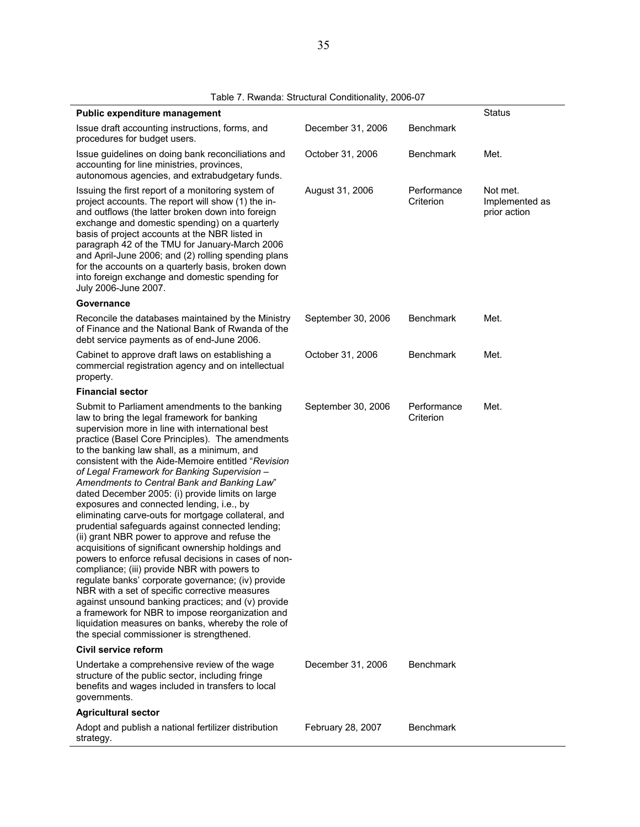| Public expenditure management                                                                                                                                                                                                                                                                                                                                                                                                                                                                                                                                                                                                                                                                                                                                                                                                                                                                                                                                                                                                                                                                                                                                |                    |                          | <b>Status</b>                              |
|--------------------------------------------------------------------------------------------------------------------------------------------------------------------------------------------------------------------------------------------------------------------------------------------------------------------------------------------------------------------------------------------------------------------------------------------------------------------------------------------------------------------------------------------------------------------------------------------------------------------------------------------------------------------------------------------------------------------------------------------------------------------------------------------------------------------------------------------------------------------------------------------------------------------------------------------------------------------------------------------------------------------------------------------------------------------------------------------------------------------------------------------------------------|--------------------|--------------------------|--------------------------------------------|
| Issue draft accounting instructions, forms, and<br>procedures for budget users.                                                                                                                                                                                                                                                                                                                                                                                                                                                                                                                                                                                                                                                                                                                                                                                                                                                                                                                                                                                                                                                                              | December 31, 2006  | <b>Benchmark</b>         |                                            |
| Issue guidelines on doing bank reconciliations and<br>accounting for line ministries, provinces,<br>autonomous agencies, and extrabudgetary funds.                                                                                                                                                                                                                                                                                                                                                                                                                                                                                                                                                                                                                                                                                                                                                                                                                                                                                                                                                                                                           | October 31, 2006   | <b>Benchmark</b>         | Met.                                       |
| Issuing the first report of a monitoring system of<br>project accounts. The report will show (1) the in-<br>and outflows (the latter broken down into foreign<br>exchange and domestic spending) on a quarterly<br>basis of project accounts at the NBR listed in<br>paragraph 42 of the TMU for January-March 2006<br>and April-June 2006; and (2) rolling spending plans<br>for the accounts on a quarterly basis, broken down<br>into foreign exchange and domestic spending for<br>July 2006-June 2007.                                                                                                                                                                                                                                                                                                                                                                                                                                                                                                                                                                                                                                                  | August 31, 2006    | Performance<br>Criterion | Not met.<br>Implemented as<br>prior action |
| Governance                                                                                                                                                                                                                                                                                                                                                                                                                                                                                                                                                                                                                                                                                                                                                                                                                                                                                                                                                                                                                                                                                                                                                   |                    |                          |                                            |
| Reconcile the databases maintained by the Ministry<br>of Finance and the National Bank of Rwanda of the<br>debt service payments as of end-June 2006.                                                                                                                                                                                                                                                                                                                                                                                                                                                                                                                                                                                                                                                                                                                                                                                                                                                                                                                                                                                                        | September 30, 2006 | <b>Benchmark</b>         | Met.                                       |
| Cabinet to approve draft laws on establishing a<br>commercial registration agency and on intellectual<br>property.                                                                                                                                                                                                                                                                                                                                                                                                                                                                                                                                                                                                                                                                                                                                                                                                                                                                                                                                                                                                                                           | October 31, 2006   | <b>Benchmark</b>         | Met.                                       |
| <b>Financial sector</b>                                                                                                                                                                                                                                                                                                                                                                                                                                                                                                                                                                                                                                                                                                                                                                                                                                                                                                                                                                                                                                                                                                                                      |                    |                          |                                            |
| Submit to Parliament amendments to the banking<br>law to bring the legal framework for banking<br>supervision more in line with international best<br>practice (Basel Core Principles). The amendments<br>to the banking law shall, as a minimum, and<br>consistent with the Aide-Memoire entitled "Revision<br>of Legal Framework for Banking Supervision -<br>Amendments to Central Bank and Banking Law"<br>dated December 2005: (i) provide limits on large<br>exposures and connected lending, i.e., by<br>eliminating carve-outs for mortgage collateral, and<br>prudential safeguards against connected lending;<br>(ii) grant NBR power to approve and refuse the<br>acquisitions of significant ownership holdings and<br>powers to enforce refusal decisions in cases of non-<br>compliance; (iii) provide NBR with powers to<br>regulate banks' corporate governance; (iv) provide<br>NBR with a set of specific corrective measures<br>against unsound banking practices; and (v) provide<br>a framework for NBR to impose reorganization and<br>liquidation measures on banks, whereby the role of<br>the special commissioner is strengthened. | September 30, 2006 | Performance<br>Criterion | Met.                                       |
| Civil service reform                                                                                                                                                                                                                                                                                                                                                                                                                                                                                                                                                                                                                                                                                                                                                                                                                                                                                                                                                                                                                                                                                                                                         |                    |                          |                                            |
| Undertake a comprehensive review of the wage<br>structure of the public sector, including fringe<br>benefits and wages included in transfers to local<br>governments.                                                                                                                                                                                                                                                                                                                                                                                                                                                                                                                                                                                                                                                                                                                                                                                                                                                                                                                                                                                        | December 31, 2006  | <b>Benchmark</b>         |                                            |
| <b>Agricultural sector</b>                                                                                                                                                                                                                                                                                                                                                                                                                                                                                                                                                                                                                                                                                                                                                                                                                                                                                                                                                                                                                                                                                                                                   |                    |                          |                                            |
| Adopt and publish a national fertilizer distribution<br>strategy.                                                                                                                                                                                                                                                                                                                                                                                                                                                                                                                                                                                                                                                                                                                                                                                                                                                                                                                                                                                                                                                                                            | February 28, 2007  | <b>Benchmark</b>         |                                            |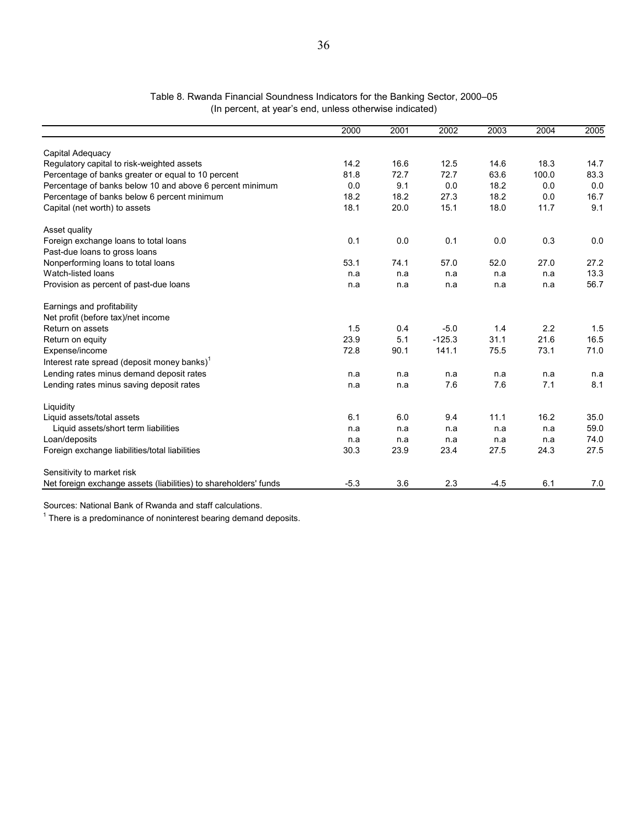#### Table 8. Rwanda Financial Soundness Indicators for the Banking Sector, 2000–05 (In percent, at year's end, unless otherwise indicated)

|                                                                  | 2000   | 2001 | 2002     | 2003   | 2004  | 2005 |
|------------------------------------------------------------------|--------|------|----------|--------|-------|------|
| Capital Adequacy                                                 |        |      |          |        |       |      |
| Regulatory capital to risk-weighted assets                       | 14.2   | 16.6 | 12.5     | 14.6   | 18.3  | 14.7 |
| Percentage of banks greater or equal to 10 percent               | 81.8   | 72.7 | 72.7     | 63.6   | 100.0 | 83.3 |
| Percentage of banks below 10 and above 6 percent minimum         | 0.0    | 9.1  | 0.0      | 18.2   | 0.0   | 0.0  |
| Percentage of banks below 6 percent minimum                      | 18.2   | 18.2 | 27.3     | 18.2   | 0.0   | 16.7 |
| Capital (net worth) to assets                                    | 18.1   | 20.0 | 15.1     | 18.0   | 11.7  | 9.1  |
| Asset quality                                                    |        |      |          |        |       |      |
| Foreign exchange loans to total loans                            | 0.1    | 0.0  | 0.1      | 0.0    | 0.3   | 0.0  |
| Past-due loans to gross loans                                    |        |      |          |        |       |      |
| Nonperforming loans to total loans                               | 53.1   | 74.1 | 57.0     | 52.0   | 27.0  | 27.2 |
| Watch-listed loans                                               | n.a    | n.a  | n.a      | n.a    | n.a   | 13.3 |
| Provision as percent of past-due loans                           | n.a    | n a  | n.a      | n.a    | n.a   | 56.7 |
| Earnings and profitability                                       |        |      |          |        |       |      |
| Net profit (before tax)/net income                               |        |      |          |        |       |      |
| Return on assets                                                 | 1.5    | 0.4  | $-5.0$   | 1.4    | 2.2   | 1.5  |
| Return on equity                                                 | 23.9   | 5.1  | $-125.3$ | 31.1   | 21.6  | 16.5 |
| Expense/income                                                   | 72.8   | 90.1 | 141.1    | 75.5   | 73.1  | 71.0 |
| Interest rate spread (deposit money banks) <sup>1</sup>          |        |      |          |        |       |      |
| Lending rates minus demand deposit rates                         | n.a    | n a  | n.a      | n.a    | n.a   | n.a  |
| Lending rates minus saving deposit rates                         | n.a    | n.a  | 7.6      | 7.6    | 7.1   | 8.1  |
| Liquidity                                                        |        |      |          |        |       |      |
| Liquid assets/total assets                                       | 6.1    | 6.0  | 9.4      | 11.1   | 16.2  | 35.0 |
| Liquid assets/short term liabilities                             | n.a    | n.a  | n.a      | n.a    | n.a   | 59.0 |
| Loan/deposits                                                    | n.a    | n.a  | n.a      | n.a    | n.a   | 74.0 |
| Foreign exchange liabilities/total liabilities                   | 30.3   | 23.9 | 23.4     | 27.5   | 24.3  | 27.5 |
| Sensitivity to market risk                                       |        |      |          |        |       |      |
| Net foreign exchange assets (liabilities) to shareholders' funds | $-5.3$ | 3.6  | 2.3      | $-4.5$ | 6.1   | 7.0  |

Sources: National Bank of Rwanda and staff calculations.

 $1$  There is a predominance of noninterest bearing demand deposits.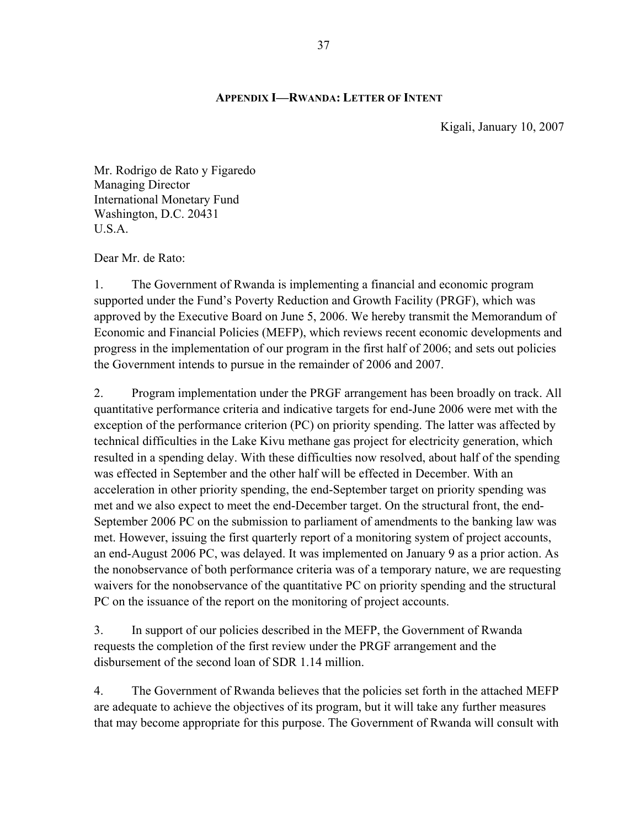### **APPENDIX I—RWANDA: LETTER OF INTENT**

Kigali, January 10, 2007

Mr. Rodrigo de Rato y Figaredo Managing Director International Monetary Fund Washington, D.C. 20431 U.S.A.

Dear Mr. de Rato:

1. The Government of Rwanda is implementing a financial and economic program supported under the Fund's Poverty Reduction and Growth Facility (PRGF), which was approved by the Executive Board on June 5, 2006. We hereby transmit the Memorandum of Economic and Financial Policies (MEFP), which reviews recent economic developments and progress in the implementation of our program in the first half of 2006; and sets out policies the Government intends to pursue in the remainder of 2006 and 2007.

2. Program implementation under the PRGF arrangement has been broadly on track. All quantitative performance criteria and indicative targets for end-June 2006 were met with the exception of the performance criterion (PC) on priority spending. The latter was affected by technical difficulties in the Lake Kivu methane gas project for electricity generation, which resulted in a spending delay. With these difficulties now resolved, about half of the spending was effected in September and the other half will be effected in December. With an acceleration in other priority spending, the end-September target on priority spending was met and we also expect to meet the end-December target. On the structural front, the end-September 2006 PC on the submission to parliament of amendments to the banking law was met. However, issuing the first quarterly report of a monitoring system of project accounts, an end-August 2006 PC, was delayed. It was implemented on January 9 as a prior action. As the nonobservance of both performance criteria was of a temporary nature, we are requesting waivers for the nonobservance of the quantitative PC on priority spending and the structural PC on the issuance of the report on the monitoring of project accounts.

3. In support of our policies described in the MEFP, the Government of Rwanda requests the completion of the first review under the PRGF arrangement and the disbursement of the second loan of SDR 1.14 million.

4. The Government of Rwanda believes that the policies set forth in the attached MEFP are adequate to achieve the objectives of its program, but it will take any further measures that may become appropriate for this purpose. The Government of Rwanda will consult with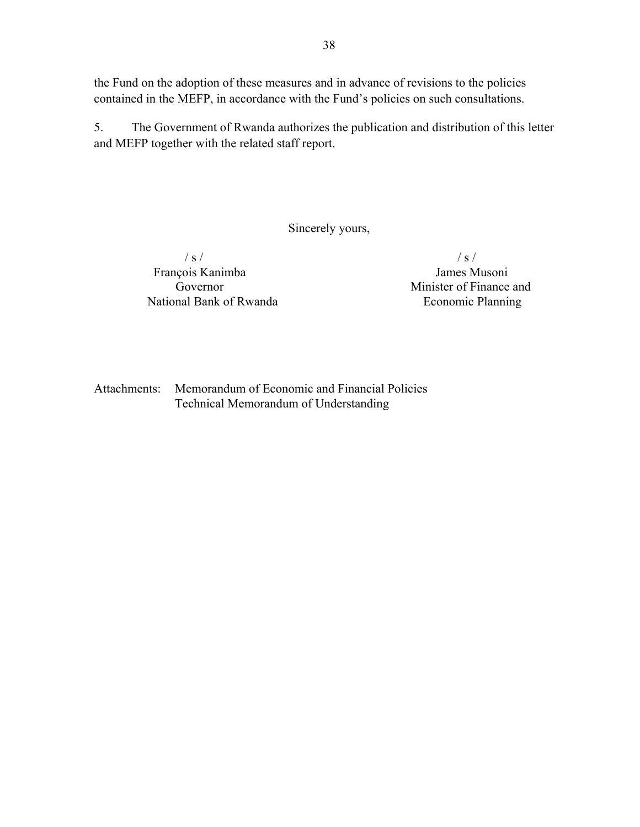the Fund on the adoption of these measures and in advance of revisions to the policies contained in the MEFP, in accordance with the Fund's policies on such consultations.

5. The Government of Rwanda authorizes the publication and distribution of this letter and MEFP together with the related staff report.

Sincerely yours,

 $\frac{1}{s}$  / s / François Kanimba James Musoni National Bank of Rwanda Economic Planning

Governor Minister of Finance and

Attachments: Memorandum of Economic and Financial Policies Technical Memorandum of Understanding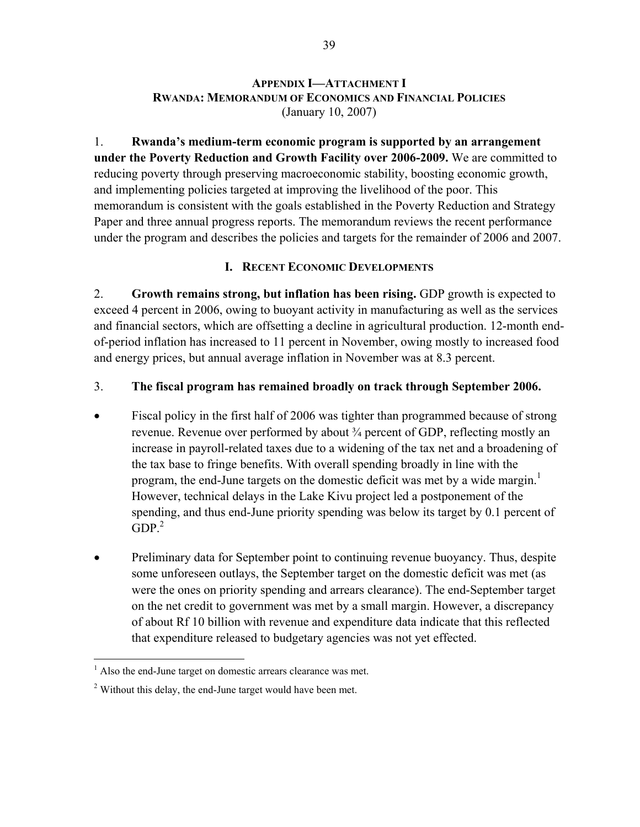#### **APPENDIX I—ATTACHMENT I RWANDA: MEMORANDUM OF ECONOMICS AND FINANCIAL POLICIES** (January 10, 2007)

1. **Rwanda's medium-term economic program is supported by an arrangement under the Poverty Reduction and Growth Facility over 2006-2009.** We are committed to reducing poverty through preserving macroeconomic stability, boosting economic growth, and implementing policies targeted at improving the livelihood of the poor. This memorandum is consistent with the goals established in the Poverty Reduction and Strategy Paper and three annual progress reports. The memorandum reviews the recent performance under the program and describes the policies and targets for the remainder of 2006 and 2007.

### **I. RECENT ECONOMIC DEVELOPMENTS**

2. **Growth remains strong, but inflation has been rising.** GDP growth is expected to exceed 4 percent in 2006, owing to buoyant activity in manufacturing as well as the services and financial sectors, which are offsetting a decline in agricultural production. 12-month endof-period inflation has increased to 11 percent in November, owing mostly to increased food and energy prices, but annual average inflation in November was at 8.3 percent.

### 3. **The fiscal program has remained broadly on track through September 2006.**

- Fiscal policy in the first half of 2006 was tighter than programmed because of strong revenue. Revenue over performed by about ¾ percent of GDP, reflecting mostly an increase in payroll-related taxes due to a widening of the tax net and a broadening of the tax base to fringe benefits. With overall spending broadly in line with the program, the end-June targets on the domestic deficit was met by a wide margin.<sup>1</sup> However, technical delays in the Lake Kivu project led a postponement of the spending, and thus end-June priority spending was below its target by 0.1 percent of  $GDP<sup>2</sup>$
- Preliminary data for September point to continuing revenue buoyancy. Thus, despite some unforeseen outlays, the September target on the domestic deficit was met (as were the ones on priority spending and arrears clearance). The end-September target on the net credit to government was met by a small margin. However, a discrepancy of about Rf 10 billion with revenue and expenditure data indicate that this reflected that expenditure released to budgetary agencies was not yet effected.

<sup>1</sup> <sup>1</sup> Also the end-June target on domestic arrears clearance was met.

 $2$  Without this delay, the end-June target would have been met.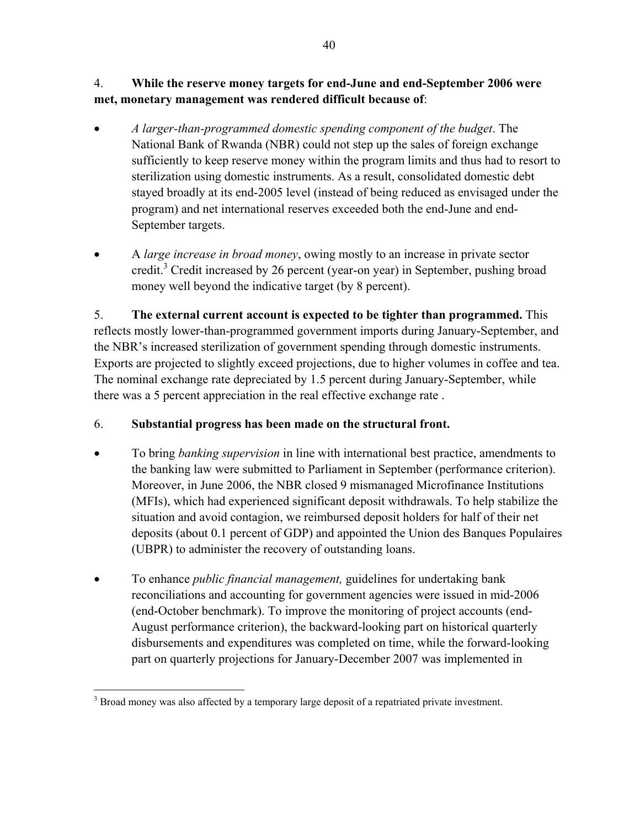### 4. **While the reserve money targets for end-June and end-September 2006 were met, monetary management was rendered difficult because of**:

- *A larger-than-programmed domestic spending component of the budget*. The National Bank of Rwanda (NBR) could not step up the sales of foreign exchange sufficiently to keep reserve money within the program limits and thus had to resort to sterilization using domestic instruments. As a result, consolidated domestic debt stayed broadly at its end-2005 level (instead of being reduced as envisaged under the program) and net international reserves exceeded both the end-June and end-September targets.
- A *large increase in broad money*, owing mostly to an increase in private sector credit.<sup>3</sup> Credit increased by 26 percent (year-on year) in September, pushing broad money well beyond the indicative target (by 8 percent).

5. **The external current account is expected to be tighter than programmed.** This reflects mostly lower-than-programmed government imports during January-September, and the NBR's increased sterilization of government spending through domestic instruments. Exports are projected to slightly exceed projections, due to higher volumes in coffee and tea. The nominal exchange rate depreciated by 1.5 percent during January-September, while there was a 5 percent appreciation in the real effective exchange rate .

# 6. **Substantial progress has been made on the structural front.**

- To bring *banking supervision* in line with international best practice, amendments to the banking law were submitted to Parliament in September (performance criterion). Moreover, in June 2006, the NBR closed 9 mismanaged Microfinance Institutions (MFIs), which had experienced significant deposit withdrawals. To help stabilize the situation and avoid contagion, we reimbursed deposit holders for half of their net deposits (about 0.1 percent of GDP) and appointed the Union des Banques Populaires (UBPR) to administer the recovery of outstanding loans.
- To enhance *public financial management,* guidelines for undertaking bank reconciliations and accounting for government agencies were issued in mid-2006 (end-October benchmark). To improve the monitoring of project accounts (end-August performance criterion), the backward-looking part on historical quarterly disbursements and expenditures was completed on time, while the forward-looking part on quarterly projections for January-December 2007 was implemented in

<sup>&</sup>lt;u>.</u>  $3$  Broad money was also affected by a temporary large deposit of a repatriated private investment.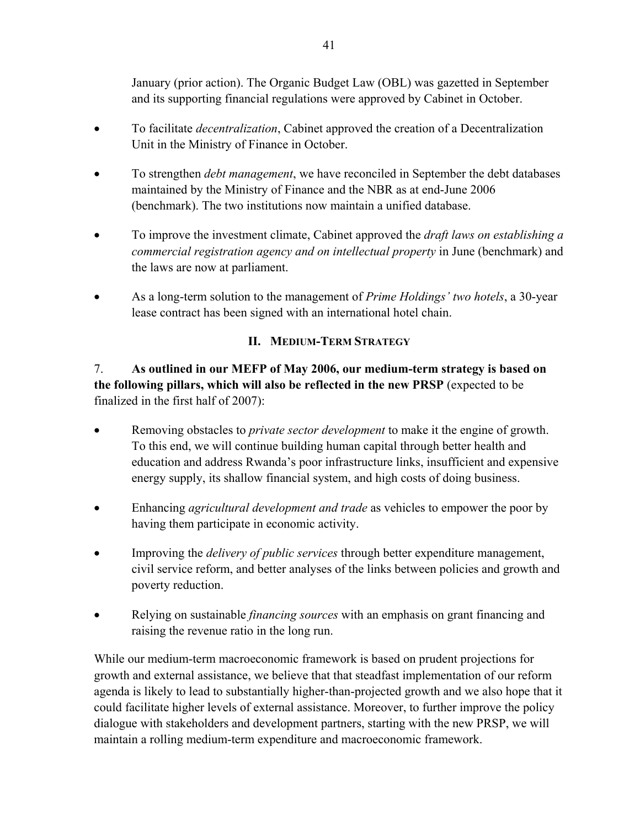January (prior action). The Organic Budget Law (OBL) was gazetted in September and its supporting financial regulations were approved by Cabinet in October.

- To facilitate *decentralization*, Cabinet approved the creation of a Decentralization Unit in the Ministry of Finance in October.
- To strengthen *debt management*, we have reconciled in September the debt databases maintained by the Ministry of Finance and the NBR as at end-June 2006 (benchmark). The two institutions now maintain a unified database.
- To improve the investment climate, Cabinet approved the *draft laws on establishing a commercial registration agency and on intellectual property* in June (benchmark) and the laws are now at parliament.
- As a long-term solution to the management of *Prime Holdings' two hotels*, a 30-year lease contract has been signed with an international hotel chain.

### **II. MEDIUM-TERM STRATEGY**

7. **As outlined in our MEFP of May 2006, our medium-term strategy is based on the following pillars, which will also be reflected in the new PRSP** (expected to be finalized in the first half of 2007):

- Removing obstacles to *private sector development* to make it the engine of growth. To this end, we will continue building human capital through better health and education and address Rwanda's poor infrastructure links, insufficient and expensive energy supply, its shallow financial system, and high costs of doing business.
- Enhancing *agricultural development and trade* as vehicles to empower the poor by having them participate in economic activity.
- Improving the *delivery of public services* through better expenditure management, civil service reform, and better analyses of the links between policies and growth and poverty reduction.
- Relying on sustainable *financing sources* with an emphasis on grant financing and raising the revenue ratio in the long run.

While our medium-term macroeconomic framework is based on prudent projections for growth and external assistance, we believe that that steadfast implementation of our reform agenda is likely to lead to substantially higher-than-projected growth and we also hope that it could facilitate higher levels of external assistance. Moreover, to further improve the policy dialogue with stakeholders and development partners, starting with the new PRSP, we will maintain a rolling medium-term expenditure and macroeconomic framework.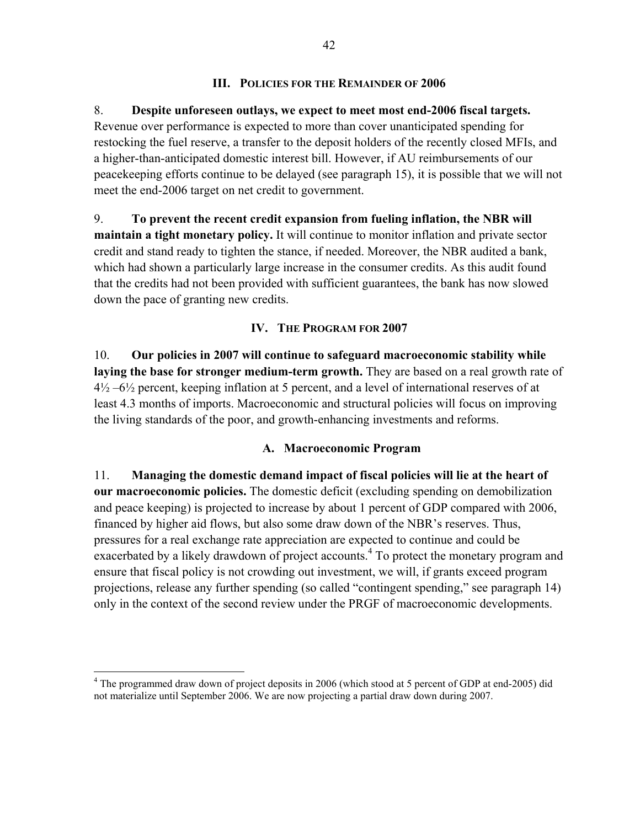### **III. POLICIES FOR THE REMAINDER OF 2006**

### 8. **Despite unforeseen outlays, we expect to meet most end-2006 fiscal targets.**

Revenue over performance is expected to more than cover unanticipated spending for restocking the fuel reserve, a transfer to the deposit holders of the recently closed MFIs, and a higher-than-anticipated domestic interest bill. However, if AU reimbursements of our peacekeeping efforts continue to be delayed (see paragraph 15), it is possible that we will not meet the end-2006 target on net credit to government.

9. **To prevent the recent credit expansion from fueling inflation, the NBR will maintain a tight monetary policy.** It will continue to monitor inflation and private sector credit and stand ready to tighten the stance, if needed. Moreover, the NBR audited a bank, which had shown a particularly large increase in the consumer credits. As this audit found that the credits had not been provided with sufficient guarantees, the bank has now slowed down the pace of granting new credits.

### **IV. THE PROGRAM FOR 2007**

10. **Our policies in 2007 will continue to safeguard macroeconomic stability while**  laying the base for stronger medium-term growth. They are based on a real growth rate of  $4\frac{1}{2}$  –6<sup>1</sup>/<sub>2</sub> percent, keeping inflation at 5 percent, and a level of international reserves of at least 4.3 months of imports. Macroeconomic and structural policies will focus on improving the living standards of the poor, and growth-enhancing investments and reforms.

### **A. Macroeconomic Program**

11. **Managing the domestic demand impact of fiscal policies will lie at the heart of our macroeconomic policies.** The domestic deficit (excluding spending on demobilization and peace keeping) is projected to increase by about 1 percent of GDP compared with 2006, financed by higher aid flows, but also some draw down of the NBR's reserves. Thus, pressures for a real exchange rate appreciation are expected to continue and could be exacerbated by a likely drawdown of project accounts.<sup>4</sup> To protect the monetary program and ensure that fiscal policy is not crowding out investment, we will, if grants exceed program projections, release any further spending (so called "contingent spending," see paragraph 14) only in the context of the second review under the PRGF of macroeconomic developments.

 $\overline{a}$ 

<sup>&</sup>lt;sup>4</sup> The programmed draw down of project deposits in 2006 (which stood at 5 percent of GDP at end-2005) did not materialize until September 2006. We are now projecting a partial draw down during 2007.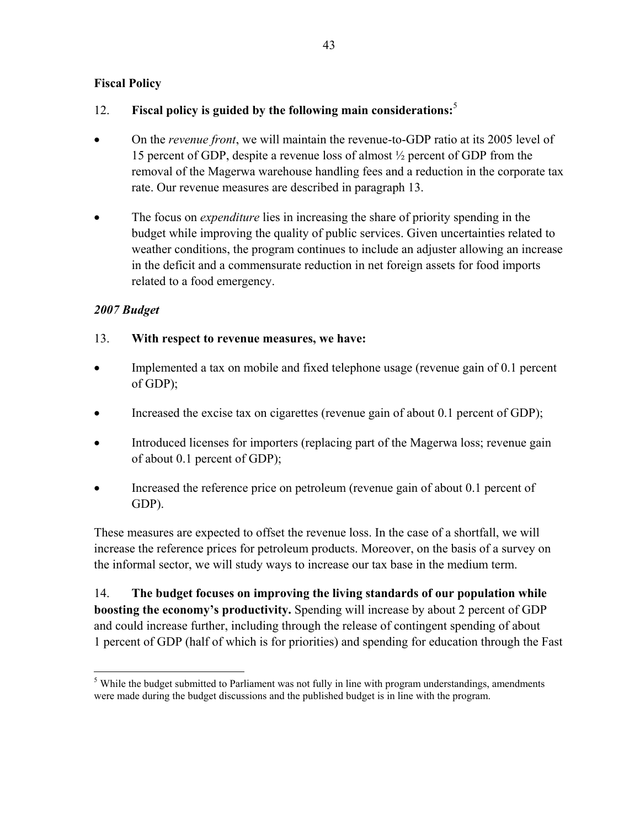### **Fiscal Policy**

### 12. **Fiscal policy is guided by the following main considerations:**<sup>5</sup>

- On the *revenue front*, we will maintain the revenue-to-GDP ratio at its 2005 level of 15 percent of GDP, despite a revenue loss of almost ½ percent of GDP from the removal of the Magerwa warehouse handling fees and a reduction in the corporate tax rate. Our revenue measures are described in paragraph 13.
- The focus on *expenditure* lies in increasing the share of priority spending in the budget while improving the quality of public services. Given uncertainties related to weather conditions, the program continues to include an adjuster allowing an increase in the deficit and a commensurate reduction in net foreign assets for food imports related to a food emergency.

### *2007 Budget*

### 13. **With respect to revenue measures, we have:**

- Implemented a tax on mobile and fixed telephone usage (revenue gain of 0.1 percent of GDP);
- Increased the excise tax on cigarettes (revenue gain of about 0.1 percent of GDP);
- Introduced licenses for importers (replacing part of the Magerwa loss; revenue gain of about 0.1 percent of GDP);
- Increased the reference price on petroleum (revenue gain of about 0.1 percent of GDP).

These measures are expected to offset the revenue loss. In the case of a shortfall, we will increase the reference prices for petroleum products. Moreover, on the basis of a survey on the informal sector, we will study ways to increase our tax base in the medium term.

14. **The budget focuses on improving the living standards of our population while boosting the economy's productivity.** Spending will increase by about 2 percent of GDP and could increase further, including through the release of contingent spending of about 1 percent of GDP (half of which is for priorities) and spending for education through the Fast

 $\overline{a}$  $<sup>5</sup>$  While the budget submitted to Parliament was not fully in line with program understandings, amendments</sup> were made during the budget discussions and the published budget is in line with the program.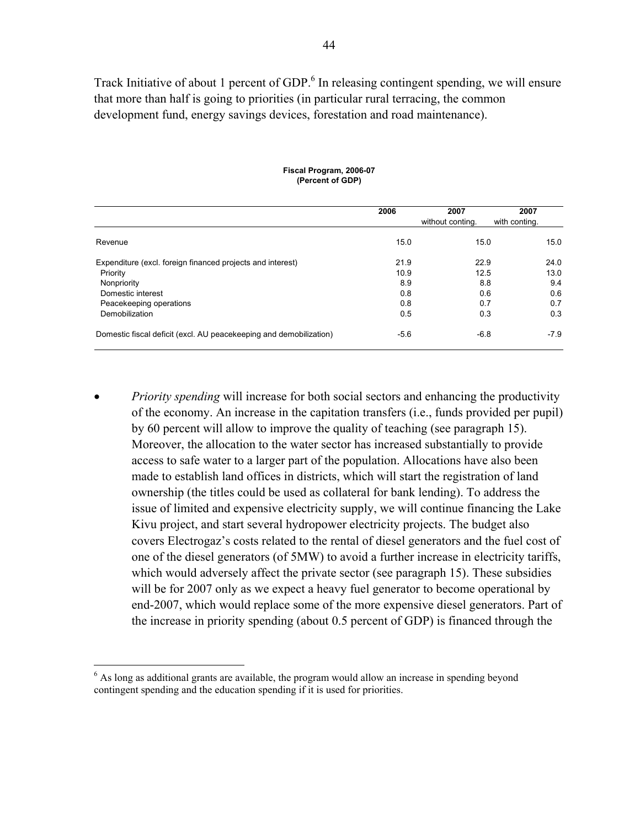Track Initiative of about 1 percent of GDP.<sup>6</sup> In releasing contingent spending, we will ensure that more than half is going to priorities (in particular rural terracing, the common development fund, energy savings devices, forestation and road maintenance).

|                                                                    | 2006        | 2007<br>without conting. | 2007<br>with conting. |
|--------------------------------------------------------------------|-------------|--------------------------|-----------------------|
| Revenue                                                            | 15.0        | 15.0                     | 15.0                  |
| Expenditure (excl. foreign financed projects and interest)         | 21.9        | 22.9                     | 24.0                  |
| Priority<br>Nonpriority                                            | 10.9<br>8.9 | 12.5<br>8.8              | 13.0<br>9.4           |
| Domestic interest<br>Peacekeeping operations                       | 0.8<br>0.8  | 0.6<br>0.7               | 0.6<br>0.7            |
| Demobilization                                                     | 0.5         | 0.3                      | 0.3                   |
| Domestic fiscal deficit (excl. AU peacekeeping and demobilization) | $-5.6$      | $-6.8$                   | $-7.9$                |

#### **Fiscal Program, 2006-07 (Percent of GDP)**

• *Priority spending* will increase for both social sectors and enhancing the productivity of the economy. An increase in the capitation transfers (i.e., funds provided per pupil) by 60 percent will allow to improve the quality of teaching (see paragraph 15). Moreover, the allocation to the water sector has increased substantially to provide access to safe water to a larger part of the population. Allocations have also been made to establish land offices in districts, which will start the registration of land ownership (the titles could be used as collateral for bank lending). To address the issue of limited and expensive electricity supply, we will continue financing the Lake Kivu project, and start several hydropower electricity projects. The budget also covers Electrogaz's costs related to the rental of diesel generators and the fuel cost of one of the diesel generators (of 5MW) to avoid a further increase in electricity tariffs, which would adversely affect the private sector (see paragraph 15). These subsidies will be for 2007 only as we expect a heavy fuel generator to become operational by end-2007, which would replace some of the more expensive diesel generators. Part of the increase in priority spending (about 0.5 percent of GDP) is financed through the

 $\overline{a}$ 

<sup>&</sup>lt;sup>6</sup> As long as additional grants are available, the program would allow an increase in spending beyond contingent spending and the education spending if it is used for priorities.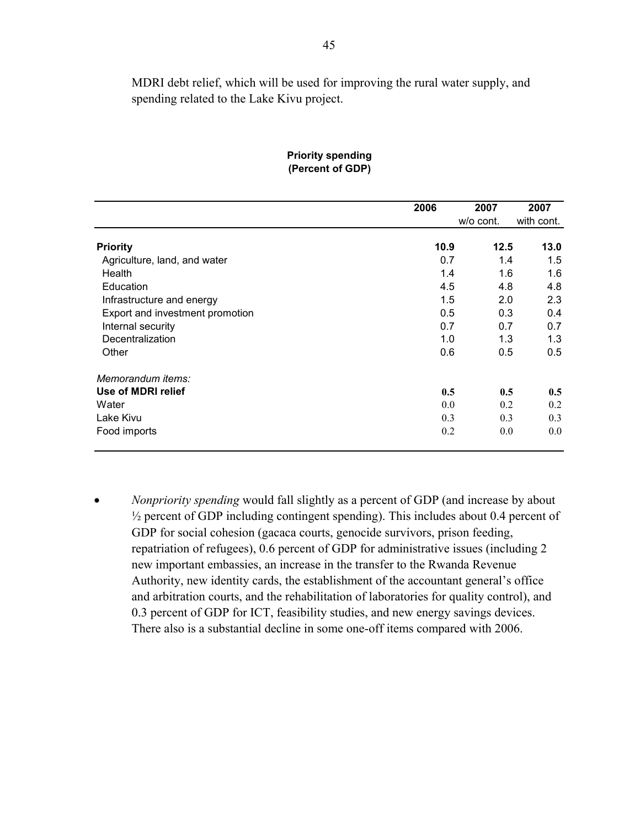MDRI debt relief, which will be used for improving the rural water supply, and spending related to the Lake Kivu project.

|                                 | 2006 | 2007      | 2007       |
|---------------------------------|------|-----------|------------|
|                                 |      | w/o cont. | with cont. |
| <b>Priority</b>                 | 10.9 | 12.5      | 13.0       |
| Agriculture, land, and water    | 0.7  | 1.4       | 1.5        |
| Health                          | 1.4  | 1.6       | 1.6        |
| Education                       | 4.5  | 4.8       | 4.8        |
| Infrastructure and energy       | 1.5  | 2.0       | 2.3        |
| Export and investment promotion | 0.5  | 0.3       | 0.4        |
| Internal security               | 0.7  | 0.7       | 0.7        |
| Decentralization                | 1.0  | 1.3       | 1.3        |
| Other                           | 0.6  | 0.5       | 0.5        |
| Memorandum items:               |      |           |            |
| Use of MDRI relief              | 0.5  | 0.5       | 0.5        |
| Water                           | 0.0  | 0.2       | 0.2        |
| Lake Kivu                       | 0.3  | 0.3       | 0.3        |
| Food imports                    | 0.2  | 0.0       | 0.0        |

#### **Priority spending (Percent of GDP)**

• *Nonpriority spending* would fall slightly as a percent of GDP (and increase by about ½ percent of GDP including contingent spending). This includes about 0.4 percent of GDP for social cohesion (gacaca courts, genocide survivors, prison feeding, repatriation of refugees), 0.6 percent of GDP for administrative issues (including 2 new important embassies, an increase in the transfer to the Rwanda Revenue Authority, new identity cards, the establishment of the accountant general's office and arbitration courts, and the rehabilitation of laboratories for quality control), and 0.3 percent of GDP for ICT, feasibility studies, and new energy savings devices. There also is a substantial decline in some one-off items compared with 2006.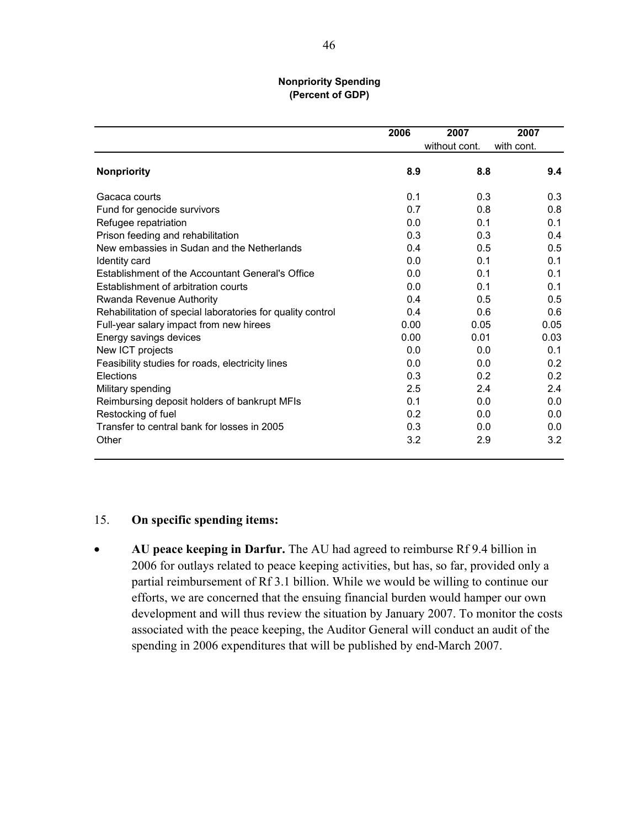#### **Nonpriority Spending (Percent of GDP)**

|                                                            | 2006 | 2007          | 2007       |
|------------------------------------------------------------|------|---------------|------------|
|                                                            |      | without cont. | with cont. |
| <b>Nonpriority</b>                                         | 8.9  | 8.8           | 9.4        |
| Gacaca courts                                              | 0.1  | 0.3           | 0.3        |
| Fund for genocide survivors                                | 0.7  | 0.8           | 0.8        |
| Refugee repatriation                                       | 0.0  | 0.1           | 0.1        |
| Prison feeding and rehabilitation                          | 0.3  | 0.3           | 0.4        |
| New embassies in Sudan and the Netherlands                 | 0.4  | 0.5           | 0.5        |
| Identity card                                              | 0.0  | 0.1           | 0.1        |
| Establishment of the Accountant General's Office           | 0.0  | 0.1           | 0.1        |
| Establishment of arbitration courts                        | 0.0  | 0.1           | 0.1        |
| Rwanda Revenue Authority                                   | 0.4  | 0.5           | 0.5        |
| Rehabilitation of special laboratories for quality control | 0.4  | 0.6           | 0.6        |
| Full-year salary impact from new hirees                    | 0.00 | 0.05          | 0.05       |
| Energy savings devices                                     | 0.00 | 0.01          | 0.03       |
| New ICT projects                                           | 0.0  | 0.0           | 0.1        |
| Feasibility studies for roads, electricity lines           | 0.0  | 0.0           | 0.2        |
| Elections                                                  | 0.3  | 0.2           | 0.2        |
| Military spending                                          | 2.5  | 2.4           | 2.4        |
| Reimbursing deposit holders of bankrupt MFIs               | 0.1  | 0.0           | 0.0        |
| Restocking of fuel                                         | 0.2  | 0.0           | 0.0        |
| Transfer to central bank for losses in 2005                | 0.3  | 0.0           | 0.0        |
| Other                                                      | 3.2  | 2.9           | 3.2        |

#### 15. **On specific spending items:**

• **AU peace keeping in Darfur.** The AU had agreed to reimburse Rf 9.4 billion in 2006 for outlays related to peace keeping activities, but has, so far, provided only a partial reimbursement of Rf 3.1 billion. While we would be willing to continue our efforts, we are concerned that the ensuing financial burden would hamper our own development and will thus review the situation by January 2007. To monitor the costs associated with the peace keeping, the Auditor General will conduct an audit of the spending in 2006 expenditures that will be published by end-March 2007.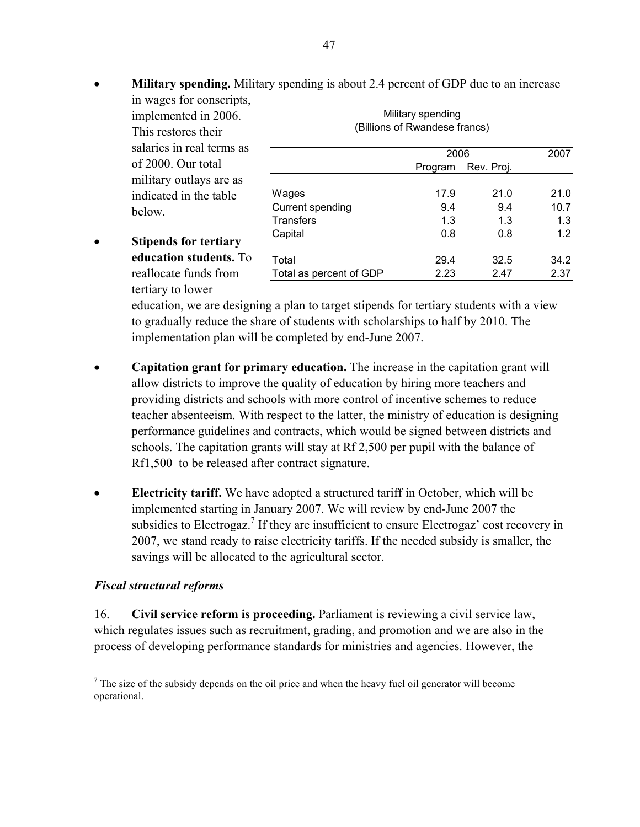**Military spending.** Military spending is about 2.4 percent of GDP due to an increase in wages for conscripts, implemented in 2006. Military spending

| This restores their          | (Billions of Rwandese francs) |         |            |      |  |
|------------------------------|-------------------------------|---------|------------|------|--|
| salaries in real terms as    |                               | 2006    |            | 2007 |  |
| of 2000. Our total           |                               | Program | Rev. Proj. |      |  |
| military outlays are as      |                               |         |            |      |  |
| indicated in the table       | Wages                         | 17.9    | 21.0       | 21.0 |  |
| below.                       | Current spending              | 9.4     | 9.4        | 10.7 |  |
|                              | <b>Transfers</b>              | 1.3     | 1.3        | 1.3  |  |
| <b>Stipends for tertiary</b> | Capital                       | 0.8     | 0.8        | 1.2  |  |
| education students. To       | Total                         | 29.4    | 32.5       | 34.2 |  |
| reallocate funds from        | Total as percent of GDP       | 2.23    | 2.47       | 2.37 |  |

(Billions of Rwandese francs)

• Stipends for tertia **education student** reallocate funds from tertiary to lower

education, we are designing a plan to target stipends for tertiary students with a view to gradually reduce the share of students with scholarships to half by 2010. The implementation plan will be completed by end-June 2007.

- **Capitation grant for primary education.** The increase in the capitation grant will allow districts to improve the quality of education by hiring more teachers and providing districts and schools with more control of incentive schemes to reduce teacher absenteeism. With respect to the latter, the ministry of education is designing performance guidelines and contracts, which would be signed between districts and schools. The capitation grants will stay at Rf 2,500 per pupil with the balance of Rf1,500 to be released after contract signature.
- **Electricity tariff.** We have adopted a structured tariff in October, which will be implemented starting in January 2007. We will review by end-June 2007 the subsidies to Electrogaz.<sup>7</sup> If they are insufficient to ensure Electrogaz' cost recovery in 2007, we stand ready to raise electricity tariffs. If the needed subsidy is smaller, the savings will be allocated to the agricultural sector.

### *Fiscal structural reforms*

1

16. **Civil service reform is proceeding.** Parliament is reviewing a civil service law, which regulates issues such as recruitment, grading, and promotion and we are also in the process of developing performance standards for ministries and agencies. However, the

 $<sup>7</sup>$  The size of the subsidy depends on the oil price and when the heavy fuel oil generator will become</sup> operational.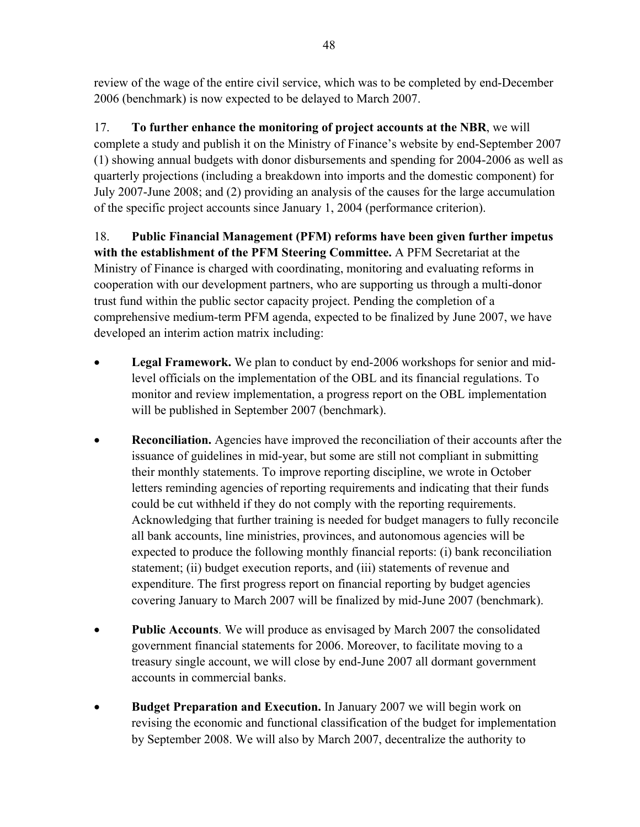review of the wage of the entire civil service, which was to be completed by end-December 2006 (benchmark) is now expected to be delayed to March 2007.

17. **To further enhance the monitoring of project accounts at the NBR**, we will complete a study and publish it on the Ministry of Finance's website by end-September 2007 (1) showing annual budgets with donor disbursements and spending for 2004-2006 as well as quarterly projections (including a breakdown into imports and the domestic component) for July 2007-June 2008; and (2) providing an analysis of the causes for the large accumulation of the specific project accounts since January 1, 2004 (performance criterion).

18. **Public Financial Management (PFM) reforms have been given further impetus with the establishment of the PFM Steering Committee.** A PFM Secretariat at the Ministry of Finance is charged with coordinating, monitoring and evaluating reforms in cooperation with our development partners, who are supporting us through a multi-donor trust fund within the public sector capacity project. Pending the completion of a comprehensive medium-term PFM agenda, expected to be finalized by June 2007, we have developed an interim action matrix including:

- **Legal Framework.** We plan to conduct by end-2006 workshops for senior and midlevel officials on the implementation of the OBL and its financial regulations. To monitor and review implementation, a progress report on the OBL implementation will be published in September 2007 (benchmark).
- **Reconciliation.** Agencies have improved the reconciliation of their accounts after the issuance of guidelines in mid-year, but some are still not compliant in submitting their monthly statements. To improve reporting discipline, we wrote in October letters reminding agencies of reporting requirements and indicating that their funds could be cut withheld if they do not comply with the reporting requirements. Acknowledging that further training is needed for budget managers to fully reconcile all bank accounts, line ministries, provinces, and autonomous agencies will be expected to produce the following monthly financial reports: (i) bank reconciliation statement; (ii) budget execution reports, and (iii) statements of revenue and expenditure. The first progress report on financial reporting by budget agencies covering January to March 2007 will be finalized by mid-June 2007 (benchmark).
- **Public Accounts**. We will produce as envisaged by March 2007 the consolidated government financial statements for 2006. Moreover, to facilitate moving to a treasury single account, we will close by end-June 2007 all dormant government accounts in commercial banks.
- **Budget Preparation and Execution.** In January 2007 we will begin work on revising the economic and functional classification of the budget for implementation by September 2008. We will also by March 2007, decentralize the authority to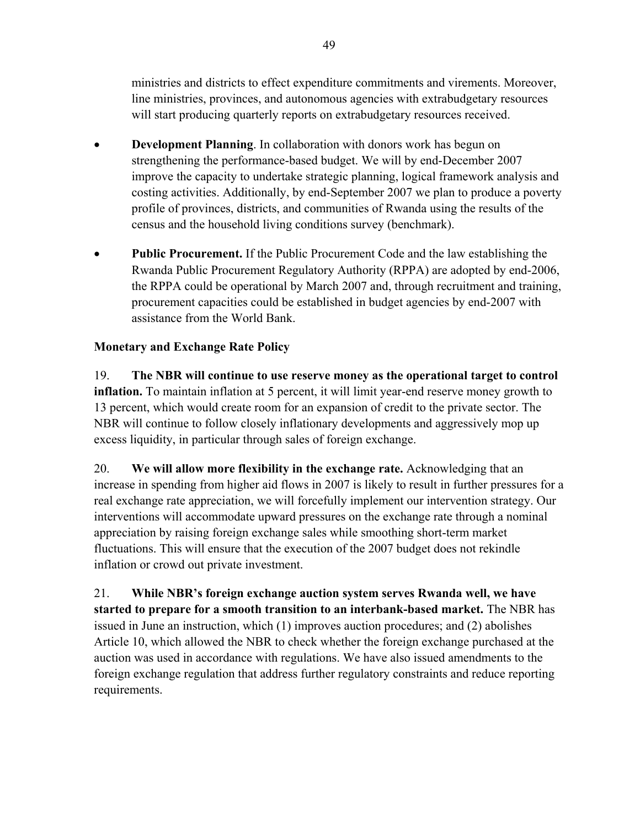ministries and districts to effect expenditure commitments and virements. Moreover, line ministries, provinces, and autonomous agencies with extrabudgetary resources will start producing quarterly reports on extrabudgetary resources received.

- **Development Planning**. In collaboration with donors work has begun on strengthening the performance-based budget. We will by end-December 2007 improve the capacity to undertake strategic planning, logical framework analysis and costing activities. Additionally, by end-September 2007 we plan to produce a poverty profile of provinces, districts, and communities of Rwanda using the results of the census and the household living conditions survey (benchmark).
- **Public Procurement.** If the Public Procurement Code and the law establishing the Rwanda Public Procurement Regulatory Authority (RPPA) are adopted by end-2006, the RPPA could be operational by March 2007 and, through recruitment and training, procurement capacities could be established in budget agencies by end-2007 with assistance from the World Bank.

### **Monetary and Exchange Rate Policy**

19. **The NBR will continue to use reserve money as the operational target to control inflation.** To maintain inflation at 5 percent, it will limit year-end reserve money growth to 13 percent, which would create room for an expansion of credit to the private sector. The NBR will continue to follow closely inflationary developments and aggressively mop up excess liquidity, in particular through sales of foreign exchange.

20. **We will allow more flexibility in the exchange rate.** Acknowledging that an increase in spending from higher aid flows in 2007 is likely to result in further pressures for a real exchange rate appreciation, we will forcefully implement our intervention strategy. Our interventions will accommodate upward pressures on the exchange rate through a nominal appreciation by raising foreign exchange sales while smoothing short-term market fluctuations. This will ensure that the execution of the 2007 budget does not rekindle inflation or crowd out private investment.

21. **While NBR's foreign exchange auction system serves Rwanda well, we have started to prepare for a smooth transition to an interbank-based market.** The NBR has issued in June an instruction, which (1) improves auction procedures; and (2) abolishes Article 10, which allowed the NBR to check whether the foreign exchange purchased at the auction was used in accordance with regulations. We have also issued amendments to the foreign exchange regulation that address further regulatory constraints and reduce reporting requirements.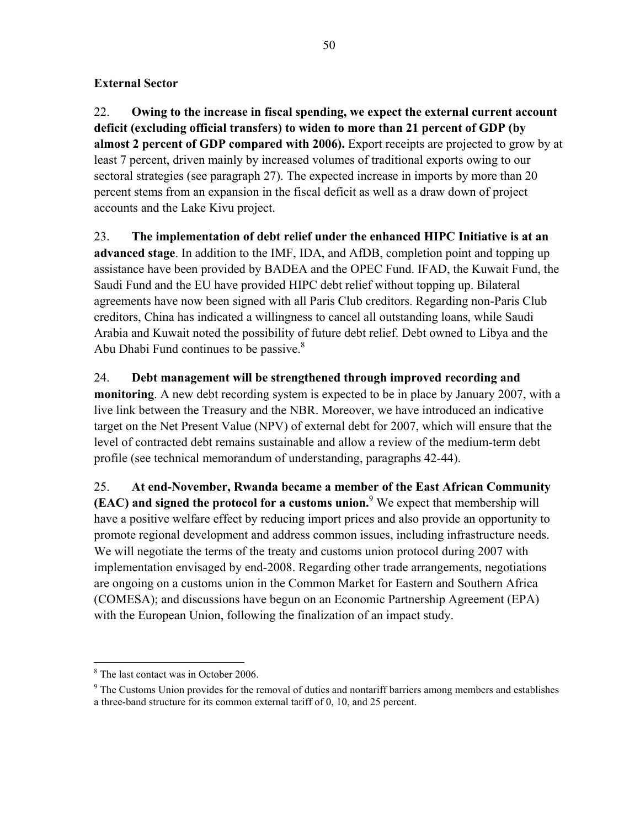### **External Sector**

22. **Owing to the increase in fiscal spending, we expect the external current account deficit (excluding official transfers) to widen to more than 21 percent of GDP (by almost 2 percent of GDP compared with 2006).** Export receipts are projected to grow by at least 7 percent, driven mainly by increased volumes of traditional exports owing to our sectoral strategies (see paragraph 27). The expected increase in imports by more than 20 percent stems from an expansion in the fiscal deficit as well as a draw down of project accounts and the Lake Kivu project.

23. **The implementation of debt relief under the enhanced HIPC Initiative is at an advanced stage**. In addition to the IMF, IDA, and AfDB, completion point and topping up assistance have been provided by BADEA and the OPEC Fund. IFAD, the Kuwait Fund, the Saudi Fund and the EU have provided HIPC debt relief without topping up. Bilateral agreements have now been signed with all Paris Club creditors. Regarding non-Paris Club creditors, China has indicated a willingness to cancel all outstanding loans, while Saudi Arabia and Kuwait noted the possibility of future debt relief. Debt owned to Libya and the Abu Dhabi Fund continues to be passive. $8<sup>8</sup>$ 

24. **Debt management will be strengthened through improved recording and monitoring**. A new debt recording system is expected to be in place by January 2007, with a live link between the Treasury and the NBR. Moreover, we have introduced an indicative target on the Net Present Value (NPV) of external debt for 2007, which will ensure that the level of contracted debt remains sustainable and allow a review of the medium-term debt profile (see technical memorandum of understanding, paragraphs 42-44).

25. **At end-November, Rwanda became a member of the East African Community (EAC) and signed the protocol for a customs union.**<sup>9</sup> We expect that membership will have a positive welfare effect by reducing import prices and also provide an opportunity to promote regional development and address common issues, including infrastructure needs. We will negotiate the terms of the treaty and customs union protocol during 2007 with implementation envisaged by end-2008. Regarding other trade arrangements, negotiations are ongoing on a customs union in the Common Market for Eastern and Southern Africa (COMESA); and discussions have begun on an Economic Partnership Agreement (EPA) with the European Union, following the finalization of an impact study.

 $\overline{a}$ 

<sup>8</sup> The last contact was in October 2006.

<sup>&</sup>lt;sup>9</sup> The Customs Union provides for the removal of duties and nontariff barriers among members and establishes a three-band structure for its common external tariff of 0, 10, and 25 percent.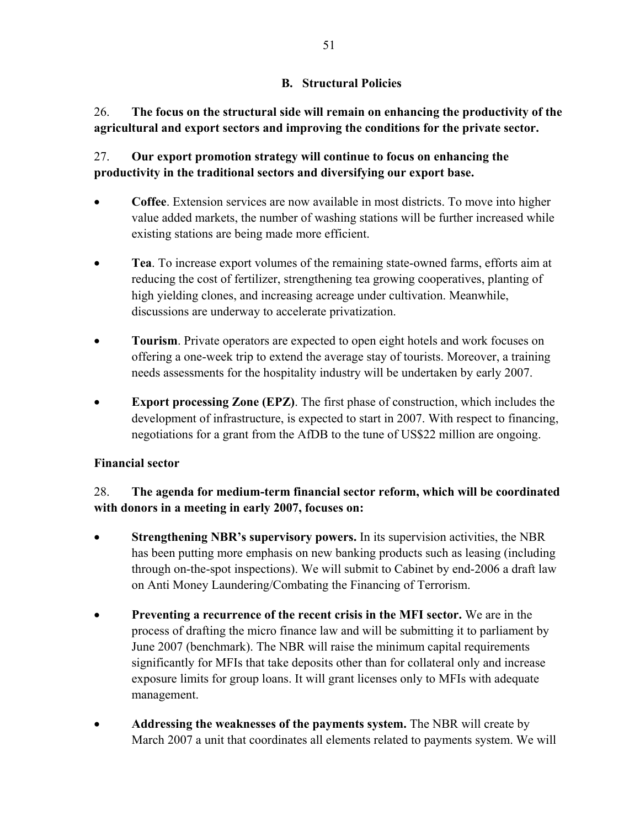### **B. Structural Policies**

26. **The focus on the structural side will remain on enhancing the productivity of the agricultural and export sectors and improving the conditions for the private sector.** 

### 27. **Our export promotion strategy will continue to focus on enhancing the productivity in the traditional sectors and diversifying our export base.**

- **Coffee**. Extension services are now available in most districts. To move into higher value added markets, the number of washing stations will be further increased while existing stations are being made more efficient.
- **Tea**. To increase export volumes of the remaining state-owned farms, efforts aim at reducing the cost of fertilizer, strengthening tea growing cooperatives, planting of high yielding clones, and increasing acreage under cultivation. Meanwhile, discussions are underway to accelerate privatization.
- **Tourism**. Private operators are expected to open eight hotels and work focuses on offering a one-week trip to extend the average stay of tourists. Moreover, a training needs assessments for the hospitality industry will be undertaken by early 2007.
- **Export processing Zone (EPZ)**. The first phase of construction, which includes the development of infrastructure, is expected to start in 2007. With respect to financing, negotiations for a grant from the AfDB to the tune of US\$22 million are ongoing.

### **Financial sector**

### 28. **The agenda for medium-term financial sector reform, which will be coordinated with donors in a meeting in early 2007, focuses on:**

- **Strengthening NBR's supervisory powers.** In its supervision activities, the NBR has been putting more emphasis on new banking products such as leasing (including through on-the-spot inspections). We will submit to Cabinet by end-2006 a draft law on Anti Money Laundering/Combating the Financing of Terrorism.
- **Preventing a recurrence of the recent crisis in the MFI sector.** We are in the process of drafting the micro finance law and will be submitting it to parliament by June 2007 (benchmark). The NBR will raise the minimum capital requirements significantly for MFIs that take deposits other than for collateral only and increase exposure limits for group loans. It will grant licenses only to MFIs with adequate management.
- **Addressing the weaknesses of the payments system.** The NBR will create by March 2007 a unit that coordinates all elements related to payments system. We will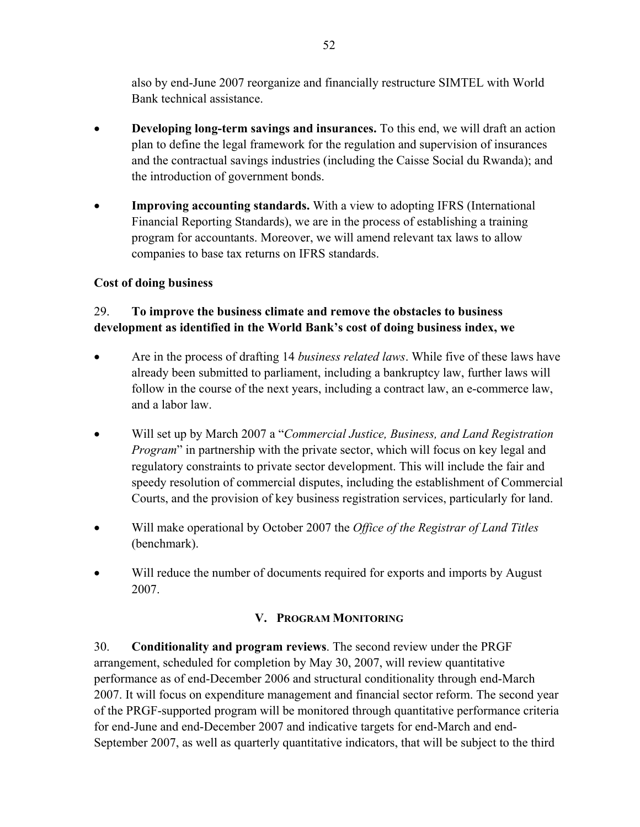also by end-June 2007 reorganize and financially restructure SIMTEL with World Bank technical assistance.

- **Developing long-term savings and insurances.** To this end, we will draft an action plan to define the legal framework for the regulation and supervision of insurances and the contractual savings industries (including the Caisse Social du Rwanda); and the introduction of government bonds.
- **Improving accounting standards.** With a view to adopting IFRS (International Financial Reporting Standards), we are in the process of establishing a training program for accountants. Moreover, we will amend relevant tax laws to allow companies to base tax returns on IFRS standards.

### **Cost of doing business**

### 29. **To improve the business climate and remove the obstacles to business development as identified in the World Bank's cost of doing business index, we**

- Are in the process of drafting 14 *business related laws*. While five of these laws have already been submitted to parliament, including a bankruptcy law, further laws will follow in the course of the next years, including a contract law, an e-commerce law, and a labor law.
- Will set up by March 2007 a "*Commercial Justice, Business, and Land Registration Program*" in partnership with the private sector, which will focus on key legal and regulatory constraints to private sector development. This will include the fair and speedy resolution of commercial disputes, including the establishment of Commercial Courts, and the provision of key business registration services, particularly for land.
- Will make operational by October 2007 the *Office of the Registrar of Land Titles* (benchmark).
- Will reduce the number of documents required for exports and imports by August 2007.

### **V. PROGRAM MONITORING**

30. **Conditionality and program reviews**. The second review under the PRGF arrangement, scheduled for completion by May 30, 2007, will review quantitative performance as of end-December 2006 and structural conditionality through end-March 2007. It will focus on expenditure management and financial sector reform. The second year of the PRGF-supported program will be monitored through quantitative performance criteria for end-June and end-December 2007 and indicative targets for end-March and end-September 2007, as well as quarterly quantitative indicators, that will be subject to the third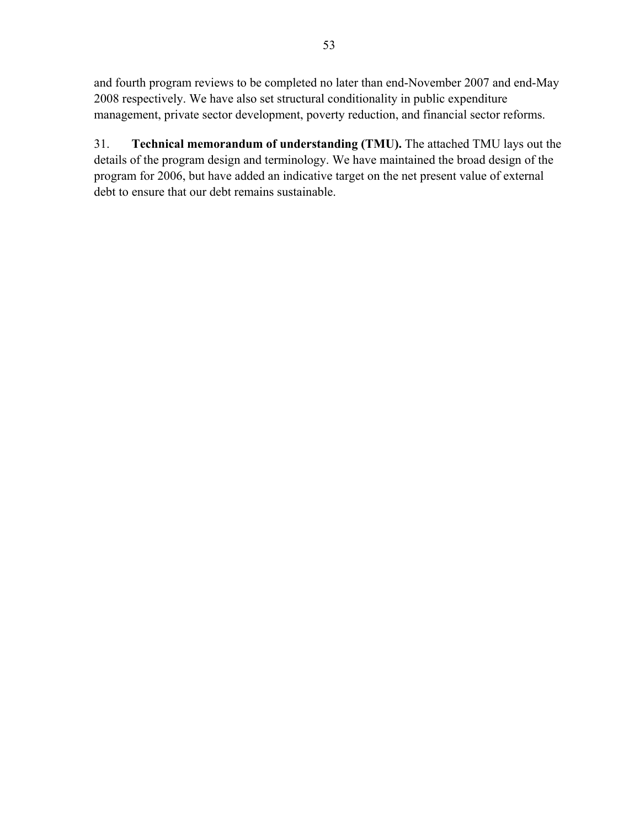and fourth program reviews to be completed no later than end-November 2007 and end-May 2008 respectively. We have also set structural conditionality in public expenditure management, private sector development, poverty reduction, and financial sector reforms.

31. **Technical memorandum of understanding (TMU).** The attached TMU lays out the details of the program design and terminology. We have maintained the broad design of the program for 2006, but have added an indicative target on the net present value of external debt to ensure that our debt remains sustainable.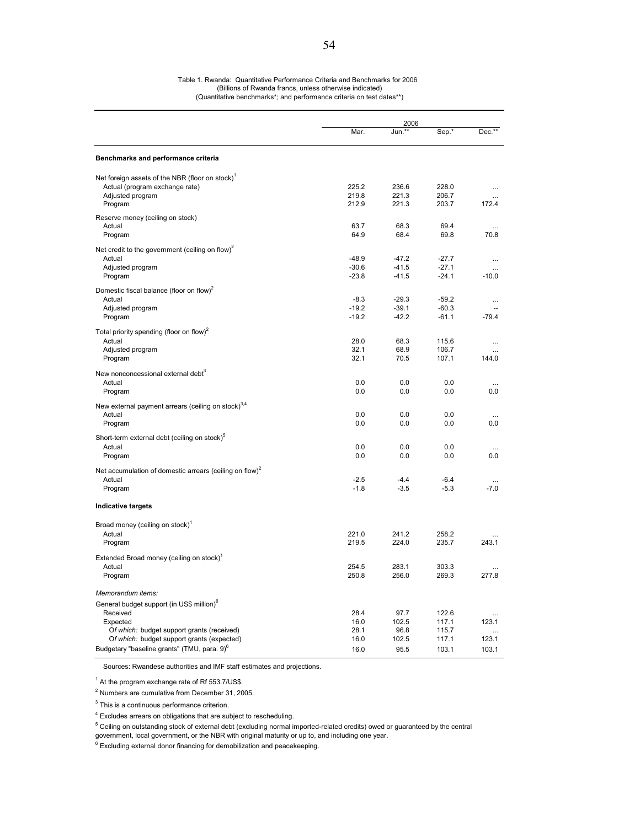#### Table 1. Rwanda: Quantitative Performance Criteria and Benchmarks for 2006 (Billions of Rwanda francs, unless otherwise indicated) (Quantitative benchmarks\*; and performance criteria on test dates\*\*)

|                                                                                          |              | 2006          |                |           |  |
|------------------------------------------------------------------------------------------|--------------|---------------|----------------|-----------|--|
|                                                                                          | Mar.         | Jun.**        | Sep.*          | Dec.**    |  |
| Benchmarks and performance criteria                                                      |              |               |                |           |  |
| Net foreign assets of the NBR (floor on stock) <sup>1</sup>                              |              |               |                |           |  |
| Actual (program exchange rate)                                                           | 225.2        | 236.6         | 228.0          | $\cdots$  |  |
| Adjusted program                                                                         | 219.8        | 221.3         | 206.7          |           |  |
| Program                                                                                  | 212.9        | 221.3         | 203.7          | 172.4     |  |
| Reserve money (ceiling on stock)                                                         |              |               |                |           |  |
| Actual                                                                                   | 63.7         | 68.3          | 69.4           |           |  |
| Program                                                                                  | 64.9         | 68.4          | 69.8           | 70.8      |  |
| Net credit to the government (ceiling on flow) <sup>2</sup>                              |              |               |                |           |  |
| Actual                                                                                   | $-48.9$      | $-47.2$       | $-27.7$        | $\cdots$  |  |
| Adjusted program                                                                         | $-30.6$      | $-41.5$       | $-27.1$        | $\cdots$  |  |
| Program                                                                                  | $-23.8$      | $-41.5$       | $-24.1$        | $-10.0$   |  |
| Domestic fiscal balance (floor on flow) <sup>2</sup>                                     |              |               |                |           |  |
| Actual                                                                                   | $-8.3$       | $-29.3$       | $-59.2$        |           |  |
| Adjusted program                                                                         | $-19.2$      | $-39.1$       | $-60.3$        |           |  |
| Program                                                                                  | $-19.2$      | $-42.2$       | $-61.1$        | $-79.4$   |  |
| Total priority spending (floor on flow) <sup>2</sup>                                     |              |               |                |           |  |
| Actual                                                                                   | 28.0         | 68.3          | 115.6          |           |  |
| Adjusted program                                                                         | 32.1         | 68.9          | 106.7          |           |  |
| Program                                                                                  | 32.1         | 70.5          | 107.1          | 144.0     |  |
| New nonconcessional external debt <sup>3</sup>                                           |              |               |                |           |  |
| Actual                                                                                   | 0.0          | 0.0           | 0.0            | $\ddotsc$ |  |
| Program                                                                                  | 0.0          | 0.0           | 0.0            | 0.0       |  |
|                                                                                          |              |               |                |           |  |
| New external payment arrears (ceiling on stock) <sup>3,4</sup>                           |              |               |                |           |  |
| Actual<br>Program                                                                        | 0.0<br>0.0   | 0.0           | 0.0<br>0.0     | 0.0       |  |
|                                                                                          |              | 0.0           |                |           |  |
| Short-term external debt (ceiling on stock) <sup>b</sup>                                 |              |               |                |           |  |
| Actual                                                                                   | 0.0          | 0.0           | 0.0            |           |  |
| Program                                                                                  | 0.0          | 0.0           | 0.0            | 0.0       |  |
| Net accumulation of domestic arrears (ceiling on flow) <sup>2</sup>                      |              |               |                |           |  |
| Actual                                                                                   | $-2.5$       | $-4.4$        | $-6.4$         | $\cdots$  |  |
| Program                                                                                  | $-1.8$       | $-3.5$        | $-5.3$         | $-7.0$    |  |
| <b>Indicative targets</b>                                                                |              |               |                |           |  |
|                                                                                          |              |               |                |           |  |
| Broad money (ceiling on stock) <sup>1</sup>                                              |              |               |                |           |  |
| Actual                                                                                   | 221.0        | 241.2         | 258.2          |           |  |
| Program                                                                                  | 219.5        | 224.0         | 235.7          | 243.1     |  |
| Extended Broad money (ceiling on stock) <sup>1</sup>                                     |              |               |                |           |  |
| Actual                                                                                   | 254.5        | 283.1         | 303.3          |           |  |
| Program                                                                                  | 250.8        | 256.0         | 269.3          | 277.8     |  |
|                                                                                          |              |               |                |           |  |
| Memorandum items:                                                                        |              |               |                |           |  |
| General budget support (in US\$ million) <sup>o</sup>                                    |              |               |                |           |  |
| Received                                                                                 | 28.4         | 97.7          | 122.6          |           |  |
| Expected                                                                                 | 16.0<br>28.1 | 102.5<br>96.8 | 117.1<br>115.7 | 123.1     |  |
| Of which: budget support grants (received)<br>Of which: budget support grants (expected) | 16.0         | 102.5         | 117.1          | 123.1     |  |
| Budgetary "baseline grants" (TMU, para. 9) <sup>6</sup>                                  | 16.0         | 95.5          | 103.1          | 103.1     |  |
|                                                                                          |              |               |                |           |  |

Sources: Rwandese authorities and IMF staff estimates and projections.

 $<sup>1</sup>$  At the program exchange rate of Rf 553.7/US\$.</sup>

 $2$  Numbers are cumulative from December 31, 2005.

 $3$  This is a continuous performance criterion.

<sup>4</sup> Excludes arrears on obligations that are subject to rescheduling.

<sup>5</sup> Ceiling on outstanding stock of external debt (excluding normal imported-related credits) owed or guaranteed by the central

government, local government, or the NBR with original maturity or up to, and including one year.

 $6$  Excluding external donor financing for demobilization and peacekeeping.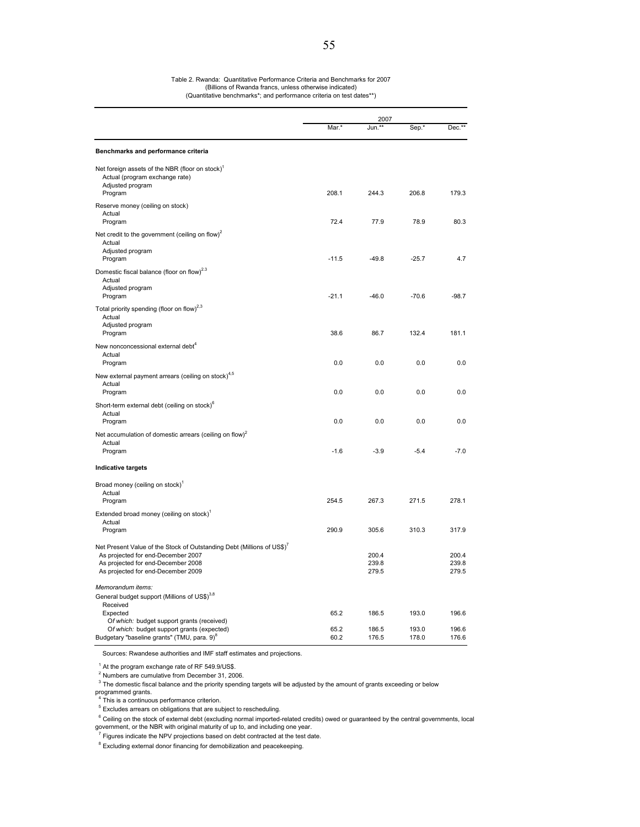|                                                                                                                                                                                                      |         | 2007                    |                |                         |
|------------------------------------------------------------------------------------------------------------------------------------------------------------------------------------------------------|---------|-------------------------|----------------|-------------------------|
|                                                                                                                                                                                                      | Mar.*   | Jun.                    | Sep.*          | $Dec.*$                 |
| Benchmarks and performance criteria                                                                                                                                                                  |         |                         |                |                         |
| Net foreign assets of the NBR (floor on stock) <sup>1</sup><br>Actual (program exchange rate)<br>Adjusted program<br>Program                                                                         | 208.1   | 244.3                   | 206.8          | 179.3                   |
| Reserve money (ceiling on stock)<br>Actual<br>Program                                                                                                                                                | 72.4    | 77.9                    | 78.9           | 80.3                    |
| Net credit to the government (ceiling on flow) <sup>2</sup><br>Actual<br>Adjusted program                                                                                                            |         |                         |                |                         |
| Program                                                                                                                                                                                              | $-11.5$ | $-49.8$                 | $-25.7$        | 4.7                     |
| Domestic fiscal balance (floor on flow) <sup>2.3</sup><br>Actual<br>Adjusted program<br>Program                                                                                                      | $-21.1$ | $-46.0$                 | $-70.6$        | $-98.7$                 |
| Total priority spending (floor on flow) <sup>2,3</sup><br>Actual<br>Adjusted program                                                                                                                 |         |                         |                |                         |
| Program                                                                                                                                                                                              | 38.6    | 86.7                    | 132.4          | 181.1                   |
| New nonconcessional external debt <sup>4</sup><br>Actual<br>Program                                                                                                                                  | 0.0     | 0.0                     | 0.0            | 0.0                     |
| New external payment arrears (ceiling on stock) <sup>4,5</sup><br>Actual<br>Program                                                                                                                  | 0.0     | 0.0                     | 0.0            | 0.0                     |
| Short-term external debt (ceiling on stock) <sup>6</sup><br>Actual<br>Program                                                                                                                        | 0.0     | 0.0                     | 0.0            | 0.0                     |
| Net accumulation of domestic arrears (ceiling on flow) <sup>2</sup>                                                                                                                                  |         |                         |                |                         |
| Actual<br>Program                                                                                                                                                                                    | $-1.6$  | $-3.9$                  | $-5.4$         | $-7.0$                  |
| <b>Indicative targets</b>                                                                                                                                                                            |         |                         |                |                         |
| Broad money (ceiling on stock) <sup>1</sup><br>Actual                                                                                                                                                |         |                         |                |                         |
| Program<br>Extended broad money (ceiling on stock) <sup>1</sup>                                                                                                                                      | 254.5   | 267.3                   | 271.5          | 278.1                   |
| Actual<br>Program                                                                                                                                                                                    | 290.9   | 305.6                   | 310.3          | 317.9                   |
| Net Present Value of the Stock of Outstanding Debt (Millions of US\$) <sup>7</sup><br>As projected for end-December 2007<br>As projected for end-December 2008<br>As projected for end-December 2009 |         | 200.4<br>239.8<br>279.5 |                | 200.4<br>239.8<br>279.5 |
| Memorandum items:                                                                                                                                                                                    |         |                         |                |                         |
| General budget support (Millions of US\$) <sup>3,8</sup><br>Received                                                                                                                                 | 65.2    |                         |                |                         |
| Expected<br>Of which: budget support grants (received)<br>Of which: budget support grants (expected)                                                                                                 | 65.2    | 186.5<br>186.5          | 193.0<br>193.0 | 196.6<br>196.6          |
| Budgetary "baseline grants" (TMU, para. 9) <sup>8</sup>                                                                                                                                              | 60.2    | 176.5                   | 178.0          | 176.6                   |

Sources: Rwandese authorities and IMF staff estimates and projections.

 $1$  At the program exchange rate of RF 549.9/US\$.<br>
<sup>2</sup> Numbers are cumulative from December 31, 2006.

 $3$  The domestic fiscal balance and the priority spending targets will be adjusted by the amount of grants exceeding or below

programmed grants.<br><sup>4</sup> This is a sentinua

<sup>5</sup> Excludes arrears on obligations that are subject to rescheduling.

<sup>6</sup> Ceiling on the stock of external debt (excluding normal imported-related credits) owed or guaranteed by the central governments, local government, or the NBR with original maturity of up to, and including one year.

 $7$  Figures indicate the NPV projections based on debt contracted at the test date.

<sup>8</sup> Excluding external donor financing for demobilization and peacekeeping.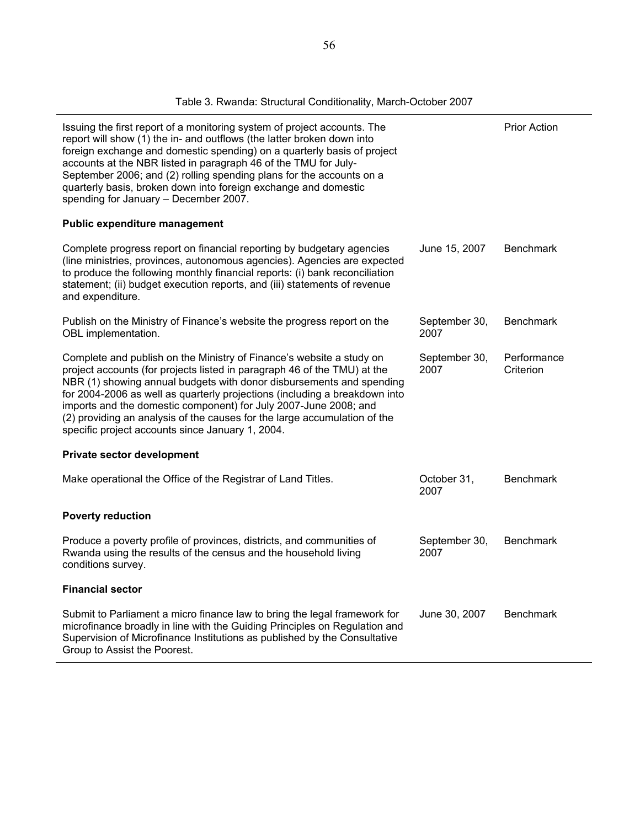| Issuing the first report of a monitoring system of project accounts. The<br>report will show (1) the in- and outflows (the latter broken down into<br>foreign exchange and domestic spending) on a quarterly basis of project<br>accounts at the NBR listed in paragraph 46 of the TMU for July-<br>September 2006; and (2) rolling spending plans for the accounts on a<br>quarterly basis, broken down into foreign exchange and domestic<br>spending for January - December 2007. |               | <b>Prior Action</b> |
|--------------------------------------------------------------------------------------------------------------------------------------------------------------------------------------------------------------------------------------------------------------------------------------------------------------------------------------------------------------------------------------------------------------------------------------------------------------------------------------|---------------|---------------------|
| Public expenditure management                                                                                                                                                                                                                                                                                                                                                                                                                                                        |               |                     |
| Complete progress report on financial reporting by budgetary agencies<br>(line ministries provinces autonomous agencies) Agencies are expected                                                                                                                                                                                                                                                                                                                                       | June 15, 2007 | <b>Benchmark</b>    |

Complete progress report on financial reporting by budgetary agencies (line ministries, provinces, autonomous agencies). Agencies are expected to produce the following monthly financial reports: (i) bank reconciliation statement; (ii) budget execution reports, and (iii) statements of revenue and expenditure. hmark Publish on the Ministry of Finance's website the progress report on the OBL implementation. September 30, 2007 **Benchmark** Complete and publish on the Ministry of Finance's website a study on project accounts (for projects listed in paragraph 46 of the TMU) at the NBR (1) showing annual budgets with donor disbursements and spending for 2004-2006 as well as quarterly projections (including a breakdown into imports and the domestic component) for July 2007-June 2008; and (2) providing an analysis of the causes for the large accumulation of the specific project accounts since January 1, 2004. September 30, 2007 **Performance Criterion** 

#### **Private sector development**

| Make operational the Office of the Registrar of Land Titles.                                                                                                                                                                                                         | October 31.<br>2007   | <b>Benchmark</b> |
|----------------------------------------------------------------------------------------------------------------------------------------------------------------------------------------------------------------------------------------------------------------------|-----------------------|------------------|
| <b>Poverty reduction</b>                                                                                                                                                                                                                                             |                       |                  |
| Produce a poverty profile of provinces, districts, and communities of<br>Rwanda using the results of the census and the household living<br>conditions survey.                                                                                                       | September 30,<br>2007 | Benchmark        |
| <b>Financial sector</b>                                                                                                                                                                                                                                              |                       |                  |
| Submit to Parliament a micro finance law to bring the legal framework for<br>microfinance broadly in line with the Guiding Principles on Regulation and<br>Supervision of Microfinance Institutions as published by the Consultative<br>Group to Assist the Poorest. | June 30, 2007         | <b>Benchmark</b> |

#### Table 3. Rwanda: Structural Conditionality, March-October 2007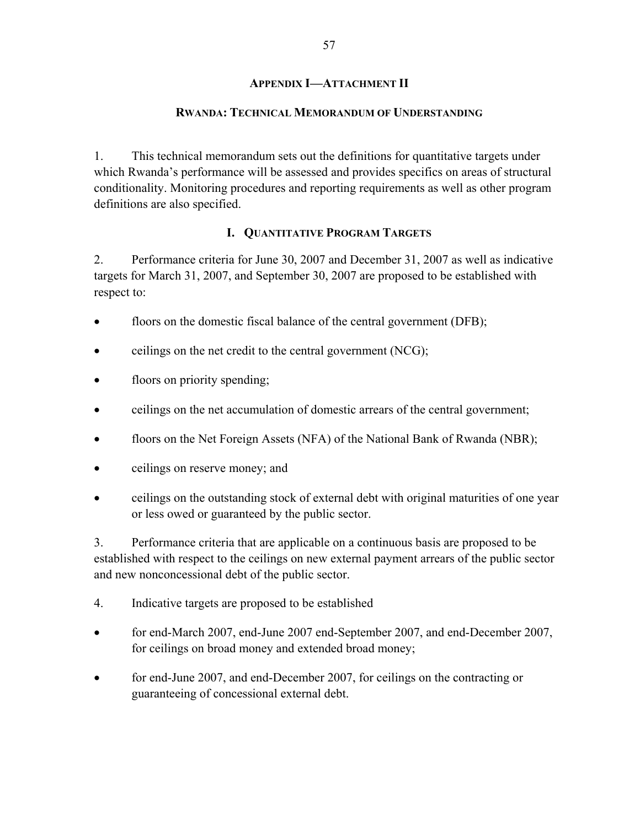### **APPENDIX I—ATTACHMENT II**

#### **RWANDA: TECHNICAL MEMORANDUM OF UNDERSTANDING**

1. This technical memorandum sets out the definitions for quantitative targets under which Rwanda's performance will be assessed and provides specifics on areas of structural conditionality. Monitoring procedures and reporting requirements as well as other program definitions are also specified.

### **I. QUANTITATIVE PROGRAM TARGETS**

2. Performance criteria for June 30, 2007 and December 31, 2007 as well as indicative targets for March 31, 2007, and September 30, 2007 are proposed to be established with respect to:

- floors on the domestic fiscal balance of the central government (DFB);
- ceilings on the net credit to the central government (NCG);
- floors on priority spending;
- ceilings on the net accumulation of domestic arrears of the central government;
- floors on the Net Foreign Assets (NFA) of the National Bank of Rwanda (NBR);
- ceilings on reserve money; and
- ceilings on the outstanding stock of external debt with original maturities of one year or less owed or guaranteed by the public sector.

3. Performance criteria that are applicable on a continuous basis are proposed to be established with respect to the ceilings on new external payment arrears of the public sector and new nonconcessional debt of the public sector.

- 4. Indicative targets are proposed to be established
- for end-March 2007, end-June 2007 end-September 2007, and end-December 2007, for ceilings on broad money and extended broad money;
- for end-June 2007, and end-December 2007, for ceilings on the contracting or guaranteeing of concessional external debt.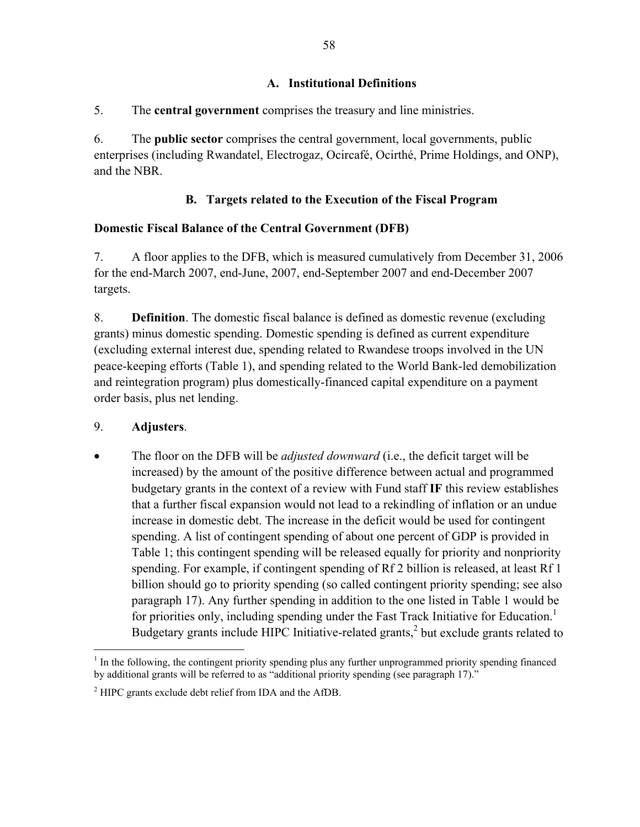### **A. Institutional Definitions**

### 5. The **central government** comprises the treasury and line ministries.

6. The **public sector** comprises the central government, local governments, public enterprises (including Rwandatel, Electrogaz, Ocircafé, Ocirthé, Prime Holdings, and ONP), and the NBR.

# **B. Targets related to the Execution of the Fiscal Program**

### **Domestic Fiscal Balance of the Central Government (DFB)**

7. A floor applies to the DFB, which is measured cumulatively from December 31, 2006 for the end-March 2007, end-June, 2007, end-September 2007 and end-December 2007 targets.

8. **Definition**. The domestic fiscal balance is defined as domestic revenue (excluding grants) minus domestic spending. Domestic spending is defined as current expenditure (excluding external interest due, spending related to Rwandese troops involved in the UN peace-keeping efforts (Table 1), and spending related to the World Bank-led demobilization and reintegration program) plus domestically-financed capital expenditure on a payment order basis, plus net lending.

### 9. **Adjusters**.

• The floor on the DFB will be *adjusted downward* (i.e., the deficit target will be increased) by the amount of the positive difference between actual and programmed budgetary grants in the context of a review with Fund staff **IF** this review establishes that a further fiscal expansion would not lead to a rekindling of inflation or an undue increase in domestic debt. The increase in the deficit would be used for contingent spending. A list of contingent spending of about one percent of GDP is provided in Table 1; this contingent spending will be released equally for priority and nonpriority spending. For example, if contingent spending of Rf 2 billion is released, at least Rf 1 billion should go to priority spending (so called contingent priority spending; see also paragraph 17). Any further spending in addition to the one listed in Table 1 would be for priorities only, including spending under the Fast Track Initiative for Education.<sup>1</sup> Budgetary grants include HIPC Initiative-related grants, $<sup>2</sup>$  but exclude grants related to</sup>

 $\overline{a}$  $<sup>1</sup>$  In the following, the contingent priority spending plus any further unprogrammed priority spending financed</sup> by additional grants will be referred to as "additional priority spending (see paragraph 17)."

 $2$  HIPC grants exclude debt relief from IDA and the AfDB.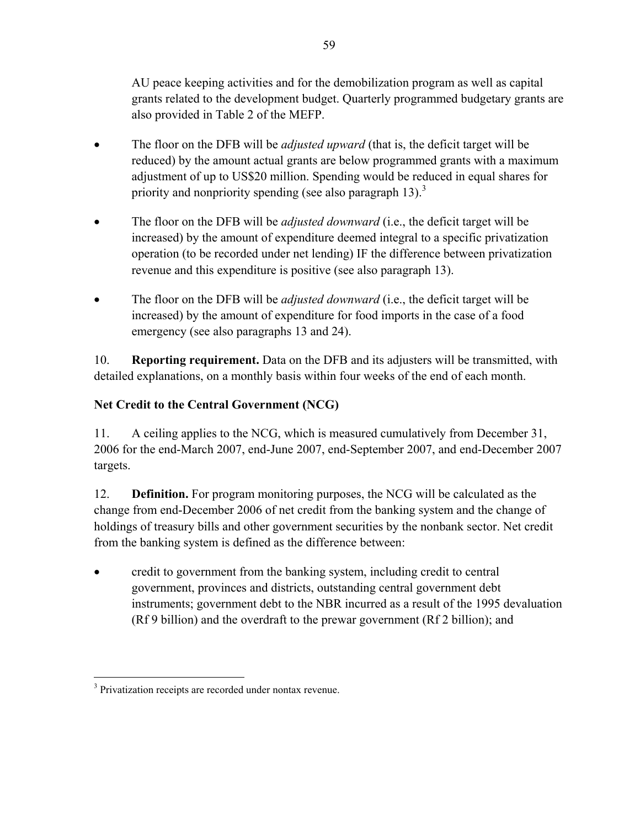AU peace keeping activities and for the demobilization program as well as capital grants related to the development budget. Quarterly programmed budgetary grants are also provided in Table 2 of the MEFP.

- The floor on the DFB will be *adjusted upward* (that is, the deficit target will be reduced) by the amount actual grants are below programmed grants with a maximum adjustment of up to US\$20 million. Spending would be reduced in equal shares for priority and nonpriority spending (see also paragraph 13).<sup>3</sup>
- The floor on the DFB will be *adjusted downward* (i.e., the deficit target will be increased) by the amount of expenditure deemed integral to a specific privatization operation (to be recorded under net lending) IF the difference between privatization revenue and this expenditure is positive (see also paragraph 13).
- The floor on the DFB will be *adjusted downward* (i.e., the deficit target will be increased) by the amount of expenditure for food imports in the case of a food emergency (see also paragraphs 13 and 24).

10. **Reporting requirement.** Data on the DFB and its adjusters will be transmitted, with detailed explanations, on a monthly basis within four weeks of the end of each month.

# **Net Credit to the Central Government (NCG)**

11. A ceiling applies to the NCG, which is measured cumulatively from December 31, 2006 for the end-March 2007, end-June 2007, end-September 2007, and end-December 2007 targets.

12. **Definition.** For program monitoring purposes, the NCG will be calculated as the change from end-December 2006 of net credit from the banking system and the change of holdings of treasury bills and other government securities by the nonbank sector. Net credit from the banking system is defined as the difference between:

• credit to government from the banking system, including credit to central government, provinces and districts, outstanding central government debt instruments; government debt to the NBR incurred as a result of the 1995 devaluation (Rf 9 billion) and the overdraft to the prewar government (Rf 2 billion); and

<sup>&</sup>lt;u>.</u> <sup>3</sup> Privatization receipts are recorded under nontax revenue.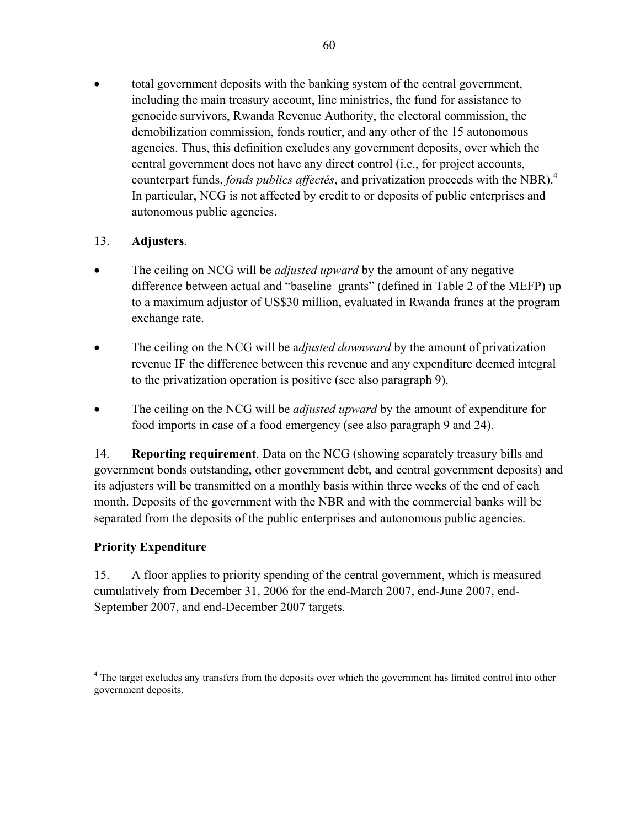• total government deposits with the banking system of the central government, including the main treasury account, line ministries, the fund for assistance to genocide survivors, Rwanda Revenue Authority, the electoral commission, the demobilization commission, fonds routier, and any other of the 15 autonomous agencies. Thus, this definition excludes any government deposits, over which the central government does not have any direct control (i.e., for project accounts, counterpart funds, *fonds publics affectés*, and privatization proceeds with the NBR).4 In particular, NCG is not affected by credit to or deposits of public enterprises and autonomous public agencies.

### 13. **Adjusters**.

- The ceiling on NCG will be *adjusted upward* by the amount of any negative difference between actual and "baseline grants" (defined in Table 2 of the MEFP) up to a maximum adjustor of US\$30 million, evaluated in Rwanda francs at the program exchange rate.
- The ceiling on the NCG will be *adjusted downward* by the amount of privatization revenue IF the difference between this revenue and any expenditure deemed integral to the privatization operation is positive (see also paragraph 9).
- The ceiling on the NCG will be *adjusted upward* by the amount of expenditure for food imports in case of a food emergency (see also paragraph 9 and 24).

14. **Reporting requirement**. Data on the NCG (showing separately treasury bills and government bonds outstanding, other government debt, and central government deposits) and its adjusters will be transmitted on a monthly basis within three weeks of the end of each month. Deposits of the government with the NBR and with the commercial banks will be separated from the deposits of the public enterprises and autonomous public agencies.

### **Priority Expenditure**

 $\overline{a}$ 

15. A floor applies to priority spending of the central government, which is measured cumulatively from December 31, 2006 for the end-March 2007, end-June 2007, end-September 2007, and end-December 2007 targets.

<sup>&</sup>lt;sup>4</sup> The target excludes any transfers from the deposits over which the government has limited control into other government deposits.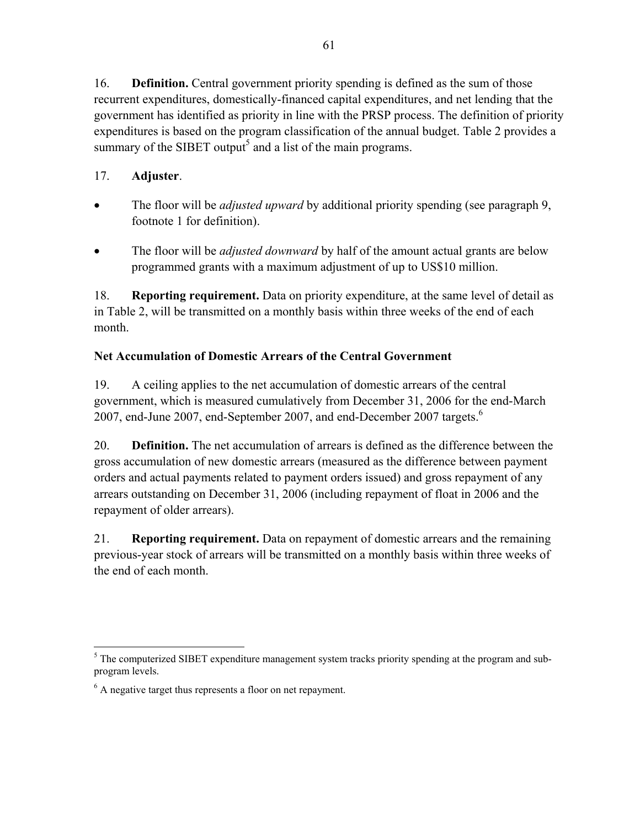16. **Definition.** Central government priority spending is defined as the sum of those recurrent expenditures, domestically-financed capital expenditures, and net lending that the government has identified as priority in line with the PRSP process. The definition of priority expenditures is based on the program classification of the annual budget. Table 2 provides a summary of the SIBET output<sup>5</sup> and a list of the main programs.

# 17. **Adjuster**.

- The floor will be *adjusted upward* by additional priority spending (see paragraph 9, footnote 1 for definition).
- The floor will be *adjusted downward* by half of the amount actual grants are below programmed grants with a maximum adjustment of up to US\$10 million.

18. **Reporting requirement.** Data on priority expenditure, at the same level of detail as in Table 2, will be transmitted on a monthly basis within three weeks of the end of each month.

# **Net Accumulation of Domestic Arrears of the Central Government**

19. A ceiling applies to the net accumulation of domestic arrears of the central government, which is measured cumulatively from December 31, 2006 for the end-March 2007, end-June 2007, end-September 2007, and end-December 2007 targets.<sup>6</sup>

20. **Definition.** The net accumulation of arrears is defined as the difference between the gross accumulation of new domestic arrears (measured as the difference between payment orders and actual payments related to payment orders issued) and gross repayment of any arrears outstanding on December 31, 2006 (including repayment of float in 2006 and the repayment of older arrears).

21. **Reporting requirement.** Data on repayment of domestic arrears and the remaining previous-year stock of arrears will be transmitted on a monthly basis within three weeks of the end of each month.

 $\overline{a}$  $<sup>5</sup>$  The computerized SIBET expenditure management system tracks priority spending at the program and sub-</sup> program levels.

<sup>&</sup>lt;sup>6</sup> A negative target thus represents a floor on net repayment.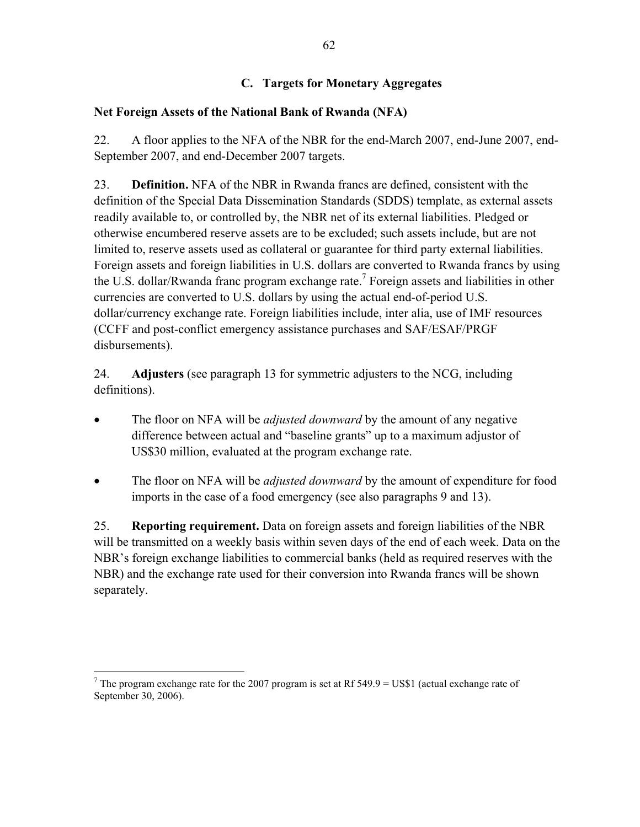### **C. Targets for Monetary Aggregates**

### **Net Foreign Assets of the National Bank of Rwanda (NFA)**

22. A floor applies to the NFA of the NBR for the end-March 2007, end-June 2007, end-September 2007, and end-December 2007 targets.

23. **Definition.** NFA of the NBR in Rwanda francs are defined, consistent with the definition of the Special Data Dissemination Standards (SDDS) template, as external assets readily available to, or controlled by, the NBR net of its external liabilities. Pledged or otherwise encumbered reserve assets are to be excluded; such assets include, but are not limited to, reserve assets used as collateral or guarantee for third party external liabilities. Foreign assets and foreign liabilities in U.S. dollars are converted to Rwanda francs by using the U.S. dollar/Rwanda franc program exchange rate.<sup>7</sup> Foreign assets and liabilities in other currencies are converted to U.S. dollars by using the actual end-of-period U.S. dollar/currency exchange rate. Foreign liabilities include, inter alia, use of IMF resources (CCFF and post-conflict emergency assistance purchases and SAF/ESAF/PRGF disbursements).

24. **Adjusters** (see paragraph 13 for symmetric adjusters to the NCG, including definitions).

- The floor on NFA will be *adjusted downward* by the amount of any negative difference between actual and "baseline grants" up to a maximum adjustor of US\$30 million, evaluated at the program exchange rate.
- The floor on NFA will be *adjusted downward* by the amount of expenditure for food imports in the case of a food emergency (see also paragraphs 9 and 13).

25. **Reporting requirement.** Data on foreign assets and foreign liabilities of the NBR will be transmitted on a weekly basis within seven days of the end of each week. Data on the NBR's foreign exchange liabilities to commercial banks (held as required reserves with the NBR) and the exchange rate used for their conversion into Rwanda francs will be shown separately.

 $\overline{a}$ <sup>7</sup> The program exchange rate for the 2007 program is set at Rf 549.9 = US\$1 (actual exchange rate of September 30, 2006).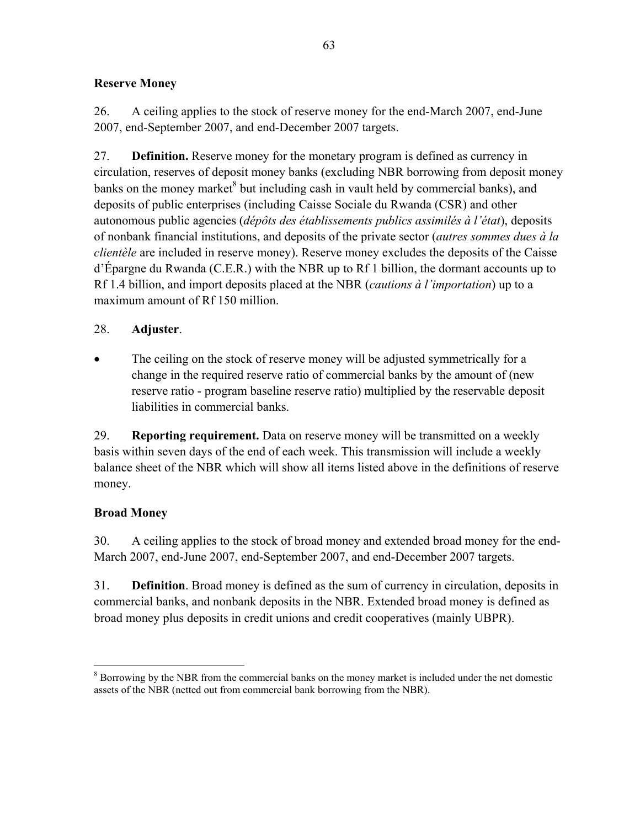### **Reserve Money**

26. A ceiling applies to the stock of reserve money for the end-March 2007, end-June 2007, end-September 2007, and end-December 2007 targets.

27. **Definition.** Reserve money for the monetary program is defined as currency in circulation, reserves of deposit money banks (excluding NBR borrowing from deposit money banks on the money market $^{8}$  but including cash in vault held by commercial banks), and deposits of public enterprises (including Caisse Sociale du Rwanda (CSR) and other autonomous public agencies (*dépôts des établissements publics assimilés à l'état*), deposits of nonbank financial institutions, and deposits of the private sector (*autres sommes dues à la clientèle* are included in reserve money). Reserve money excludes the deposits of the Caisse d'Épargne du Rwanda (C.E.R.) with the NBR up to Rf 1 billion, the dormant accounts up to Rf 1.4 billion, and import deposits placed at the NBR (*cautions à l'importation*) up to a maximum amount of Rf 150 million.

### 28. **Adjuster**.

The ceiling on the stock of reserve money will be adjusted symmetrically for a change in the required reserve ratio of commercial banks by the amount of (new reserve ratio - program baseline reserve ratio) multiplied by the reservable deposit liabilities in commercial banks.

29. **Reporting requirement.** Data on reserve money will be transmitted on a weekly basis within seven days of the end of each week. This transmission will include a weekly balance sheet of the NBR which will show all items listed above in the definitions of reserve money.

# **Broad Money**

30. A ceiling applies to the stock of broad money and extended broad money for the end-March 2007, end-June 2007, end-September 2007, and end-December 2007 targets.

31. **Definition**. Broad money is defined as the sum of currency in circulation, deposits in commercial banks, and nonbank deposits in the NBR. Extended broad money is defined as broad money plus deposits in credit unions and credit cooperatives (mainly UBPR).

<sup>1</sup>  $8$  Borrowing by the NBR from the commercial banks on the money market is included under the net domestic assets of the NBR (netted out from commercial bank borrowing from the NBR).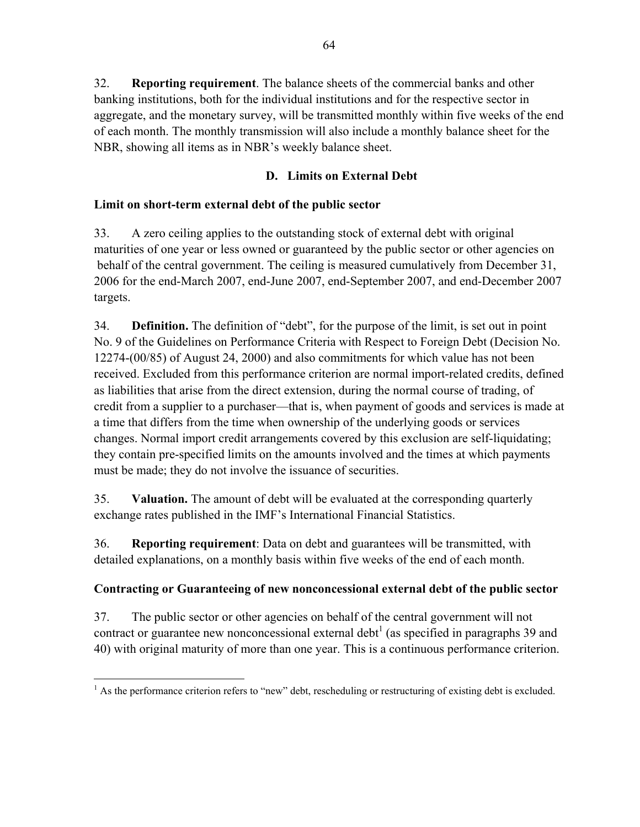32. **Reporting requirement**. The balance sheets of the commercial banks and other banking institutions, both for the individual institutions and for the respective sector in aggregate, and the monetary survey, will be transmitted monthly within five weeks of the end of each month. The monthly transmission will also include a monthly balance sheet for the NBR, showing all items as in NBR's weekly balance sheet.

### **D. Limits on External Debt**

### **Limit on short-term external debt of the public sector**

33. A zero ceiling applies to the outstanding stock of external debt with original maturities of one year or less owned or guaranteed by the public sector or other agencies on behalf of the central government. The ceiling is measured cumulatively from December 31, 2006 for the end-March 2007, end-June 2007, end-September 2007, and end-December 2007 targets.

34. **Definition.** The definition of "debt", for the purpose of the limit, is set out in point No. 9 of the Guidelines on Performance Criteria with Respect to Foreign Debt (Decision No. 12274-(00/85) of August 24, 2000) and also commitments for which value has not been received. Excluded from this performance criterion are normal import-related credits, defined as liabilities that arise from the direct extension, during the normal course of trading, of credit from a supplier to a purchaser—that is, when payment of goods and services is made at a time that differs from the time when ownership of the underlying goods or services changes. Normal import credit arrangements covered by this exclusion are self-liquidating; they contain pre-specified limits on the amounts involved and the times at which payments must be made; they do not involve the issuance of securities.

35. **Valuation.** The amount of debt will be evaluated at the corresponding quarterly exchange rates published in the IMF's International Financial Statistics.

36. **Reporting requirement**: Data on debt and guarantees will be transmitted, with detailed explanations, on a monthly basis within five weeks of the end of each month.

# **Contracting or Guaranteeing of new nonconcessional external debt of the public sector**

37. The public sector or other agencies on behalf of the central government will not contract or guarantee new nonconcessional external debt<sup>1</sup> (as specified in paragraphs 39 and 40) with original maturity of more than one year. This is a continuous performance criterion.

 $\overline{a}$  $<sup>1</sup>$  As the performance criterion refers to "new" debt, rescheduling or restructuring of existing debt is excluded.</sup>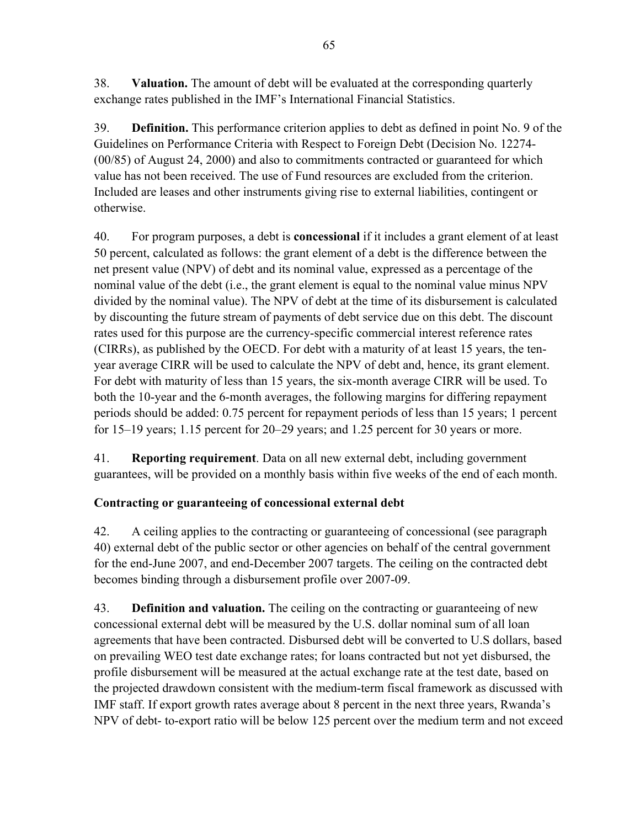38. **Valuation.** The amount of debt will be evaluated at the corresponding quarterly exchange rates published in the IMF's International Financial Statistics.

39. **Definition.** This performance criterion applies to debt as defined in point No. 9 of the Guidelines on Performance Criteria with Respect to Foreign Debt (Decision No. 12274- (00/85) of August 24, 2000) and also to commitments contracted or guaranteed for which value has not been received. The use of Fund resources are excluded from the criterion. Included are leases and other instruments giving rise to external liabilities, contingent or otherwise.

40. For program purposes, a debt is **concessional** if it includes a grant element of at least 50 percent, calculated as follows: the grant element of a debt is the difference between the net present value (NPV) of debt and its nominal value, expressed as a percentage of the nominal value of the debt (i.e., the grant element is equal to the nominal value minus NPV divided by the nominal value). The NPV of debt at the time of its disbursement is calculated by discounting the future stream of payments of debt service due on this debt. The discount rates used for this purpose are the currency-specific commercial interest reference rates (CIRRs), as published by the OECD. For debt with a maturity of at least 15 years, the tenyear average CIRR will be used to calculate the NPV of debt and, hence, its grant element. For debt with maturity of less than 15 years, the six-month average CIRR will be used. To both the 10-year and the 6-month averages, the following margins for differing repayment periods should be added: 0.75 percent for repayment periods of less than 15 years; 1 percent for 15–19 years; 1.15 percent for 20–29 years; and 1.25 percent for 30 years or more.

41. **Reporting requirement**. Data on all new external debt, including government guarantees, will be provided on a monthly basis within five weeks of the end of each month.

# **Contracting or guaranteeing of concessional external debt**

42. A ceiling applies to the contracting or guaranteeing of concessional (see paragraph 40) external debt of the public sector or other agencies on behalf of the central government for the end-June 2007, and end-December 2007 targets. The ceiling on the contracted debt becomes binding through a disbursement profile over 2007-09.

43. **Definition and valuation.** The ceiling on the contracting or guaranteeing of new concessional external debt will be measured by the U.S. dollar nominal sum of all loan agreements that have been contracted. Disbursed debt will be converted to U.S dollars, based on prevailing WEO test date exchange rates; for loans contracted but not yet disbursed, the profile disbursement will be measured at the actual exchange rate at the test date, based on the projected drawdown consistent with the medium-term fiscal framework as discussed with IMF staff. If export growth rates average about 8 percent in the next three years, Rwanda's NPV of debt- to-export ratio will be below 125 percent over the medium term and not exceed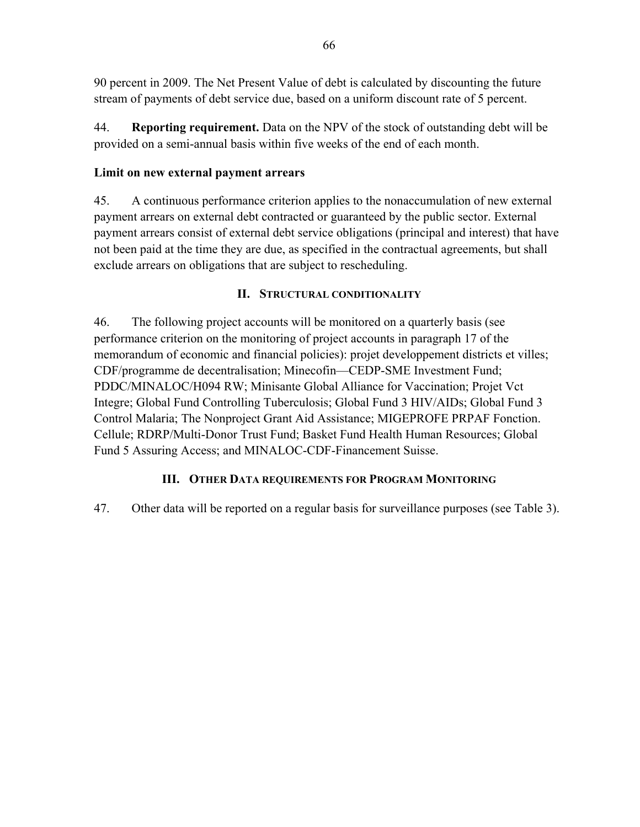90 percent in 2009. The Net Present Value of debt is calculated by discounting the future stream of payments of debt service due, based on a uniform discount rate of 5 percent.

44. **Reporting requirement.** Data on the NPV of the stock of outstanding debt will be provided on a semi-annual basis within five weeks of the end of each month.

### **Limit on new external payment arrears**

45. A continuous performance criterion applies to the nonaccumulation of new external payment arrears on external debt contracted or guaranteed by the public sector. External payment arrears consist of external debt service obligations (principal and interest) that have not been paid at the time they are due, as specified in the contractual agreements, but shall exclude arrears on obligations that are subject to rescheduling.

### **II. STRUCTURAL CONDITIONALITY**

46. The following project accounts will be monitored on a quarterly basis (see performance criterion on the monitoring of project accounts in paragraph 17 of the memorandum of economic and financial policies): projet developpement districts et villes; CDF/programme de decentralisation; Minecofin—CEDP-SME Investment Fund; PDDC/MINALOC/H094 RW; Minisante Global Alliance for Vaccination; Projet Vct Integre; Global Fund Controlling Tuberculosis; Global Fund 3 HIV/AIDs; Global Fund 3 Control Malaria; The Nonproject Grant Aid Assistance; MIGEPROFE PRPAF Fonction. Cellule; RDRP/Multi-Donor Trust Fund; Basket Fund Health Human Resources; Global Fund 5 Assuring Access; and MINALOC-CDF-Financement Suisse.

# **III. OTHER DATA REQUIREMENTS FOR PROGRAM MONITORING**

47. Other data will be reported on a regular basis for surveillance purposes (see Table 3).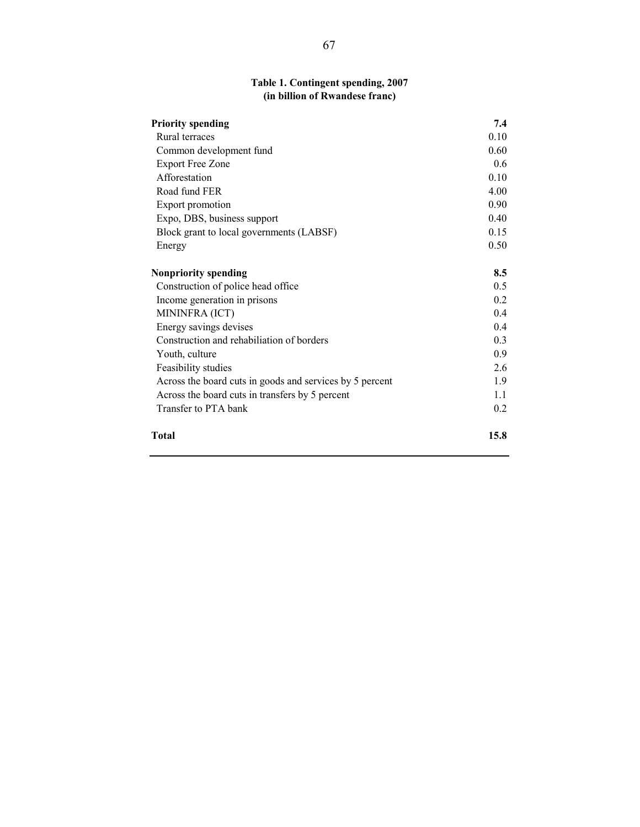### **Table 1. Contingent spending, 2007 (in billion of Rwandese franc)**

| <b>Priority spending</b>                                 | 7.4  |
|----------------------------------------------------------|------|
| Rural terraces                                           | 0.10 |
| Common development fund                                  | 0.60 |
| <b>Export Free Zone</b>                                  | 0.6  |
| Afforestation                                            | 0.10 |
| Road fund FER                                            | 4.00 |
| Export promotion                                         | 0.90 |
| Expo, DBS, business support                              | 0.40 |
| Block grant to local governments (LABSF)                 | 0.15 |
| Energy                                                   | 0.50 |
| <b>Nonpriority spending</b>                              | 8.5  |
| Construction of police head office                       | 0.5  |
| Income generation in prisons                             | 0.2  |
| MININFRA (ICT)                                           | 0.4  |
| Energy savings devises                                   | 0.4  |
| Construction and rehabiliation of borders                | 0.3  |
| Youth, culture                                           | 0.9  |
| Feasibility studies                                      | 2.6  |
| Across the board cuts in goods and services by 5 percent | 1.9  |
| Across the board cuts in transfers by 5 percent          | 1.1  |
| Transfer to PTA bank                                     | 0.2  |
| <b>Total</b>                                             | 15.8 |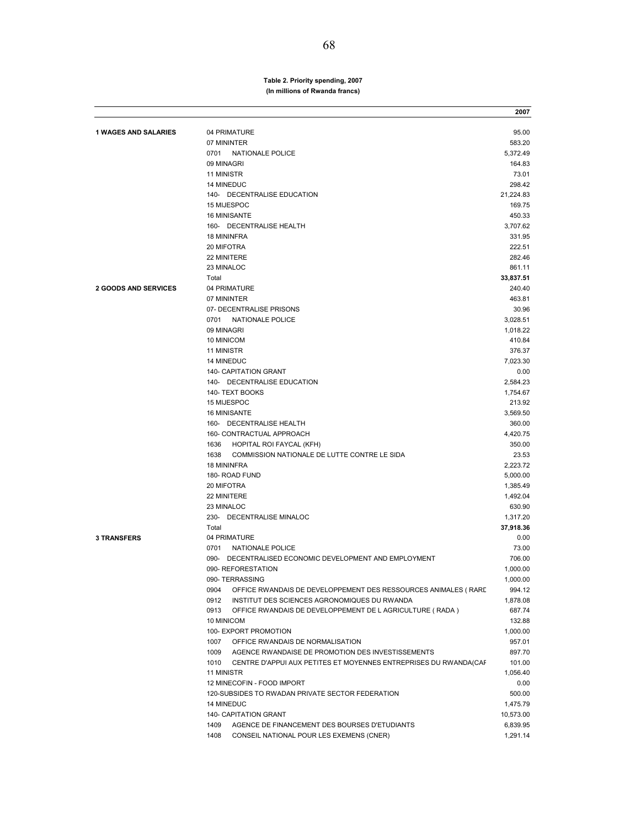#### **Table 2. Priority spending, 2007 (In millions of Rwanda francs)**

|                             |                                                                         | 2007             |
|-----------------------------|-------------------------------------------------------------------------|------------------|
| <b>1 WAGES AND SALARIES</b> | 04 PRIMATURE                                                            | 95.00            |
|                             | 07 MININTER                                                             | 583.20           |
|                             | NATIONALE POLICE<br>0701                                                | 5,372.49         |
|                             | 09 MINAGRI                                                              | 164.83           |
|                             | 11 MINISTR                                                              | 73.01            |
|                             | 14 MINEDUC                                                              | 298.42           |
|                             | 140- DECENTRALISE EDUCATION                                             | 21,224.83        |
|                             | 15 MIJESPOC                                                             | 169.75           |
|                             | 16 MINISANTE                                                            | 450.33           |
|                             | 160- DECENTRALISE HEALTH                                                | 3,707.62         |
|                             | <b>18 MININFRA</b>                                                      | 331.95           |
|                             | 20 MIFOTRA                                                              | 222.51           |
|                             | 22 MINITERE                                                             | 282.46           |
|                             | 23 MINALOC                                                              | 861.11           |
|                             | Total                                                                   | 33,837.51        |
| <b>2 GOODS AND SERVICES</b> | 04 PRIMATURE                                                            | 240.40           |
|                             | 07 MININTER                                                             | 463.81           |
|                             | 07- DECENTRALISE PRISONS                                                | 30.96            |
|                             | 0701<br><b>NATIONALE POLICE</b>                                         | 3,028.51         |
|                             | 09 MINAGRI                                                              | 1,018.22         |
|                             | 10 MINICOM                                                              | 410.84           |
|                             | 11 MINISTR                                                              | 376.37           |
|                             | <b>14 MINEDUC</b>                                                       | 7,023.30         |
|                             | 140- CAPITATION GRANT                                                   | 0.00             |
|                             | 140- DECENTRALISE EDUCATION                                             | 2.584.23         |
|                             | 140- TEXT BOOKS                                                         | 1,754.67         |
|                             | 15 MIJESPOC                                                             | 213.92           |
|                             | 16 MINISANTE                                                            | 3,569.50         |
|                             | 160- DECENTRALISE HEALTH                                                | 360.00           |
|                             | 160- CONTRACTUAL APPROACH                                               | 4,420.75         |
|                             | 1636<br>HOPITAL ROI FAYCAL (KFH)                                        | 350.00           |
|                             | 1638<br>COMMISSION NATIONALE DE LUTTE CONTRE LE SIDA                    | 23.53            |
|                             | <b>18 MININFRA</b>                                                      | 2,223.72         |
|                             | 180- ROAD FUND                                                          | 5,000.00         |
|                             | 20 MIFOTRA                                                              | 1,385.49         |
|                             | 22 MINITERE                                                             | 1,492.04         |
|                             | 23 MINALOC                                                              | 630.90           |
|                             | 230- DECENTRALISE MINALOC                                               | 1,317.20         |
|                             | Total                                                                   | 37,918.36        |
| <b>3 TRANSFERS</b>          | 04 PRIMATURE                                                            | 0.00             |
|                             | 0701<br>NATIONALE POLICE                                                | 73.00            |
|                             | 090- DECENTRALISED ECONOMIC DEVELOPMENT AND EMPLOYMENT                  | 706.00           |
|                             | 090- REFORESTATION                                                      | 1,000.00         |
|                             | 090- TERRASSING                                                         | 1,000.00         |
|                             | 0904<br>OFFICE RWANDAIS DE DEVELOPPEMENT DES RESSOURCES ANIMALES ( RARE | 994.12           |
|                             | 0912<br>INSTITUT DES SCIENCES AGRONOMIQUES DU RWANDA                    | 1,878.08         |
|                             | 0913<br>OFFICE RWANDAIS DE DEVELOPPEMENT DE L AGRICULTURE (RADA)        | 687.74           |
|                             | 10 MINICOM                                                              | 132.88           |
|                             | 100- EXPORT PROMOTION<br>OFFICE RWANDAIS DE NORMALISATION               | 1,000.00         |
|                             | 1007<br>AGENCE RWANDAISE DE PROMOTION DES INVESTISSEMENTS               | 957.01           |
|                             | 1009<br>1010                                                            | 897.70<br>101.00 |
|                             | CENTRE D'APPUI AUX PETITES ET MOYENNES ENTREPRISES DU RWANDA(CAF        |                  |
|                             | 11 MINISTR                                                              | 1,056.40         |
|                             | 12 MINECOFIN - FOOD IMPORT                                              | 0.00             |
|                             | 120-SUBSIDES TO RWADAN PRIVATE SECTOR FEDERATION                        | 500.00           |
|                             | 14 MINEDUC                                                              | 1,475.79         |
|                             | 140- CAPITATION GRANT                                                   | 10,573.00        |
|                             | AGENCE DE FINANCEMENT DES BOURSES D'ETUDIANTS<br>1409                   | 6,839.95         |
|                             | 1408<br>CONSEIL NATIONAL POUR LES EXEMENS (CNER)                        | 1,291.14         |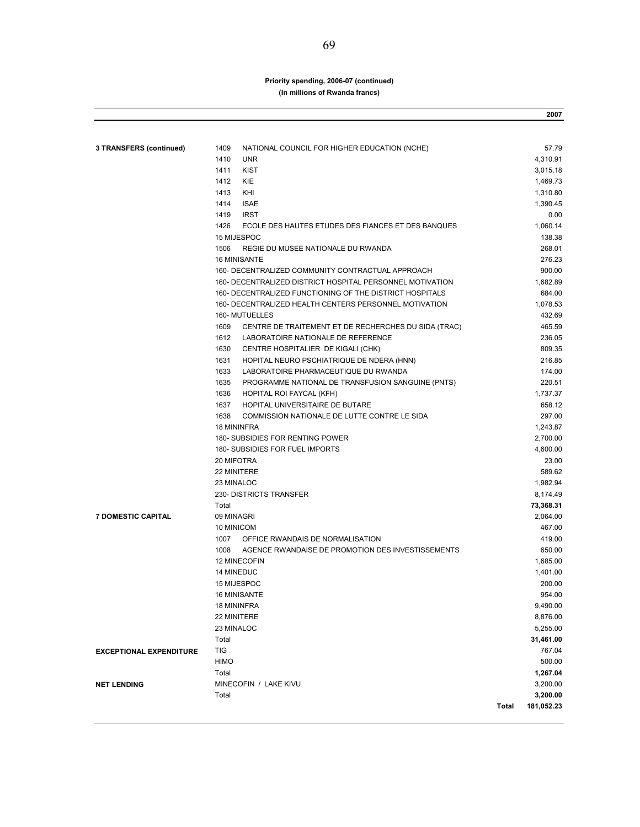#### **Priority spending, 2006-07 (continued) (In millions of Rwanda francs)**

|                                |                                                              |       | 2007       |
|--------------------------------|--------------------------------------------------------------|-------|------------|
|                                |                                                              |       |            |
| 3 TRANSFERS (continued)        | 1409<br>NATIONAL COUNCIL FOR HIGHER EDUCATION (NCHE)         |       | 57.79      |
|                                | 1410<br><b>UNR</b>                                           |       | 4,310.91   |
|                                | <b>KIST</b><br>1411                                          |       | 3,015.18   |
|                                | <b>KIE</b><br>1412                                           |       | 1,469.73   |
|                                | 1413<br>KHI                                                  |       | 1,310.80   |
|                                | 1414<br><b>ISAE</b>                                          |       | 1,390.45   |
|                                | 1419<br><b>IRST</b>                                          |       | 0.00       |
|                                | 1426<br>ECOLE DES HAUTES ETUDES DES FIANCES ET DES BANQUES   |       | 1,060.14   |
|                                | 15 MIJESPOC                                                  |       | 138.38     |
|                                | 1506<br>REGIE DU MUSEE NATIONALE DU RWANDA                   |       | 268.01     |
|                                | <b>16 MINISANTE</b>                                          |       | 276.23     |
|                                | 160- DECENTRALIZED COMMUNITY CONTRACTUAL APPROACH            |       | 900.00     |
|                                | 160- DECENTRALIZED DISTRICT HOSPITAL PERSONNEL MOTIVATION    |       | 1,682.89   |
|                                | 160- DECENTRALIZED FUNCTIONING OF THE DISTRICT HOSPITALS     |       | 684.00     |
|                                | 160- DECENTRALIZED HEALTH CENTERS PERSONNEL MOTIVATION       |       | 1,078.53   |
|                                | 160- MUTUELLES                                               |       | 432.69     |
|                                | 1609<br>CENTRE DE TRAITEMENT ET DE RECHERCHES DU SIDA (TRAC) |       | 465.59     |
|                                | 1612<br>LABORATOIRE NATIONALE DE REFERENCE                   |       | 236.05     |
|                                | 1630<br>CENTRE HOSPITALIER DE KIGALI (CHK)                   |       | 809.35     |
|                                | 1631<br>HOPITAL NEURO PSCHIATRIQUE DE NDERA (HNN)            |       | 216.85     |
|                                | 1633<br>LABORATOIRE PHARMACEUTIQUE DU RWANDA                 |       | 174.00     |
|                                | 1635<br>PROGRAMME NATIONAL DE TRANSFUSION SANGUINE (PNTS)    |       | 220.51     |
|                                | 1636<br>HOPITAL ROI FAYCAL (KFH)                             |       | 1,737.37   |
|                                | 1637<br>HOPITAL UNIVERSITAIRE DE BUTARE                      |       | 658.12     |
|                                | 1638<br>COMMISSION NATIONALE DE LUTTE CONTRE LE SIDA         |       | 297.00     |
|                                | <b>18 MININFRA</b>                                           |       | 1,243.87   |
|                                | 180- SUBSIDIES FOR RENTING POWER                             |       | 2,700.00   |
|                                | 180- SUBSIDIES FOR FUEL IMPORTS                              |       | 4,600.00   |
|                                | 20 MIFOTRA                                                   |       | 23.00      |
|                                | 22 MINITERE                                                  |       | 589.62     |
|                                | 23 MINALOC                                                   |       | 1,982.94   |
|                                | 230- DISTRICTS TRANSFER                                      |       | 8,174.49   |
|                                | Total                                                        |       | 73,368.31  |
| <b>7 DOMESTIC CAPITAL</b>      | 09 MINAGRI                                                   |       | 2,064.00   |
|                                | 10 MINICOM                                                   |       | 467.00     |
|                                | 1007<br>OFFICE RWANDAIS DE NORMALISATION                     |       | 419.00     |
|                                | 1008<br>AGENCE RWANDAISE DE PROMOTION DES INVESTISSEMENTS    |       | 650.00     |
|                                | 12 MINECOFIN                                                 |       | 1,685.00   |
|                                | <b>14 MINEDUC</b>                                            |       | 1,401.00   |
|                                | 15 MIJESPOC                                                  |       | 200.00     |
|                                | 16 MINISANTE                                                 |       | 954.00     |
|                                | <b>18 MININFRA</b>                                           |       | 9,490.00   |
|                                | 22 MINITERE                                                  |       | 8,876.00   |
|                                | 23 MINALOC                                                   |       | 5,255.00   |
|                                | Total                                                        |       | 31,461.00  |
| <b>EXCEPTIONAL EXPENDITURE</b> | TIG                                                          |       | 767.04     |
|                                | <b>HIMO</b>                                                  |       | 500.00     |
|                                | Total                                                        |       | 1,267.04   |
| <b>NET LENDING</b>             | MINECOFIN / LAKE KIVU                                        |       | 3,200.00   |
|                                | Total                                                        |       | 3,200.00   |
|                                |                                                              | Total | 181,052.23 |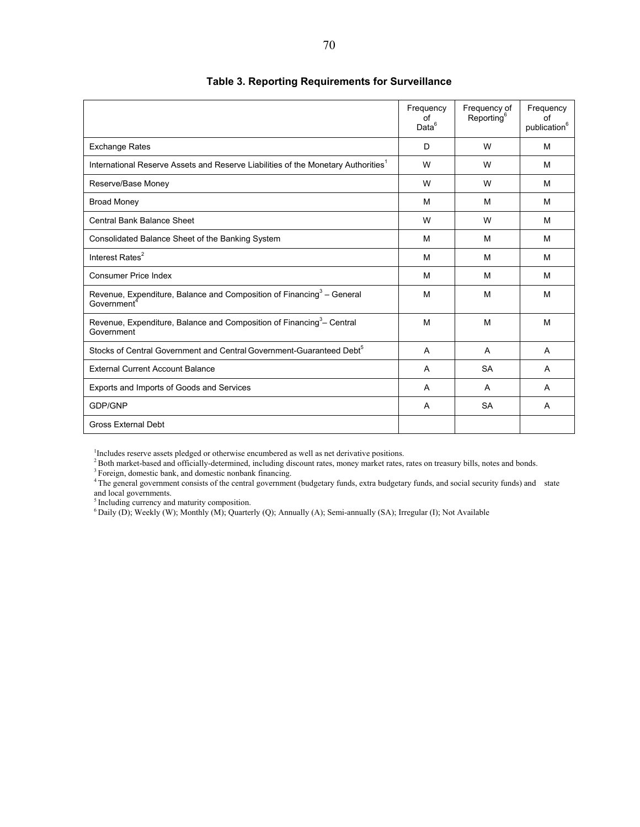|                                                                                                              | Frequency<br>οf<br>Data <sup>6</sup> | Frequency of<br>Reporting <sup>6</sup> | Frequency<br>οf<br>publication <sup>6</sup> |
|--------------------------------------------------------------------------------------------------------------|--------------------------------------|----------------------------------------|---------------------------------------------|
| <b>Exchange Rates</b>                                                                                        | D.                                   | W                                      | M                                           |
| International Reserve Assets and Reserve Liabilities of the Monetary Authorities <sup>1</sup>                | W                                    | W                                      | M                                           |
| Reserve/Base Money                                                                                           | W                                    | W                                      | M                                           |
| <b>Broad Money</b>                                                                                           | м                                    | M                                      | м                                           |
| Central Bank Balance Sheet                                                                                   | W                                    | W                                      | м                                           |
| Consolidated Balance Sheet of the Banking System                                                             | м                                    | M                                      | м                                           |
| Interest Rates <sup>2</sup>                                                                                  | м                                    | M                                      | м                                           |
| <b>Consumer Price Index</b>                                                                                  | M                                    | M                                      | M                                           |
| Revenue, Expenditure, Balance and Composition of Financing <sup>3</sup> – General<br>Government <sup>4</sup> | M                                    | M                                      | M                                           |
| Revenue, Expenditure, Balance and Composition of Financing <sup>3</sup> - Central<br>Government              | M                                    | M                                      | M                                           |
| Stocks of Central Government and Central Government-Guaranteed Debt <sup>5</sup>                             | A                                    | A                                      | $\overline{A}$                              |
| <b>External Current Account Balance</b>                                                                      | A                                    | <b>SA</b>                              | A                                           |
| Exports and Imports of Goods and Services                                                                    | A                                    | A                                      | A                                           |
| <b>GDP/GNP</b>                                                                                               | A                                    | <b>SA</b>                              | A                                           |
| Gross External Debt                                                                                          |                                      |                                        |                                             |

#### **Table 3. Reporting Requirements for Surveillance**

<sup>1</sup>Includes reserve assets pledged or otherwise encumbered as well as net derivative positions.<br>
<sup>2</sup>Both market-based and officially-determined, including discount rates, money market rates, rates on treasury bills, notes and local governments.

<sup>5</sup> Including currency and maturity composition.

6 Daily (D); Weekly (W); Monthly (M); Quarterly (Q); Annually (A); Semi-annually (SA); Irregular (I); Not Available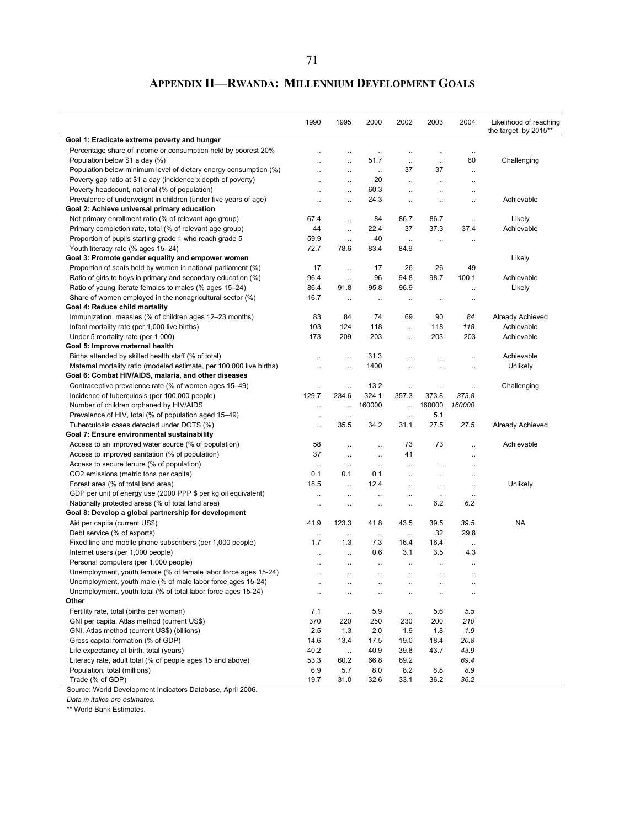# **APPENDIX II—RWANDA: MILLENNIUM DEVELOPMENT GOALS**

|                                                                      | 1990                 | 1995                 | 2000                 | 2002                 | 2003                 | 2004                 | Likelihood of reaching<br>the target by 2015** |
|----------------------------------------------------------------------|----------------------|----------------------|----------------------|----------------------|----------------------|----------------------|------------------------------------------------|
| Goal 1: Eradicate extreme poverty and hunger                         |                      |                      |                      |                      |                      |                      |                                                |
| Percentage share of income or consumption held by poorest 20%        | $\ddot{\phantom{a}}$ |                      | $\ddotsc$            |                      | $\ddotsc$            | $\ddotsc$            |                                                |
| Population below \$1 a day (%)                                       | $\ddot{\phantom{0}}$ | $\ldots$             | 51.7                 | $\ldots$             | $\ldots$             | 60                   | Challenging                                    |
| Population below minimum level of dietary energy consumption (%)     | $\ddotsc$            | $\ddotsc$            | $\ddotsc$            | 37                   | 37                   | $\ldots$             |                                                |
| Poverty gap ratio at \$1 a day (incidence x depth of poverty)        | $\ddotsc$            | $\ddotsc$            | 20                   | $\ddot{\phantom{a}}$ | $\ddotsc$            | $\ddotsc$            |                                                |
| Poverty headcount, national (% of population)                        | $\ddot{\phantom{a}}$ | $\ddot{\phantom{a}}$ | 60.3                 | $\mathbb{R}^2$       | $\ddot{\phantom{a}}$ | $\ddot{\phantom{a}}$ |                                                |
| Prevalence of underweight in children (under five years of age)      | $\ddot{\phantom{a}}$ | $\ldots$             | 24.3                 | $\ddotsc$            | $\ddot{\phantom{0}}$ | $\ddot{\phantom{0}}$ | Achievable                                     |
| Goal 2: Achieve universal primary education                          |                      |                      |                      |                      |                      |                      |                                                |
| Net primary enrollment ratio (% of relevant age group)               | 67.4                 | $\ddot{\phantom{a}}$ | 84                   | 86.7                 | 86.7                 | $\ddotsc$            | Likely                                         |
| Primary completion rate, total (% of relevant age group)             | 44                   | $\mathbb{Z}^2$       | 22.4                 | 37                   | 37.3                 | 37.4                 | Achievable                                     |
| Proportion of pupils starting grade 1 who reach grade 5              | 59.9                 | $\ldots$             | 40                   |                      |                      |                      |                                                |
| Youth literacy rate (% ages 15-24)                                   | 72.7                 | 78.6                 | 83.4                 | $\ldots$<br>84.9     | $\ldots$             | $\ldots$             |                                                |
| Goal 3: Promote gender equality and empower women                    |                      |                      |                      |                      |                      |                      | Likely                                         |
| Proportion of seats held by women in national parliament (%)         | 17                   |                      | 17                   | 26                   | 26                   | 49                   |                                                |
|                                                                      | 96.4                 | $\ddot{\phantom{a}}$ | 96                   | 94.8                 | 98.7                 | 100.1                | Achievable                                     |
| Ratio of girls to boys in primary and secondary education (%)        | 86.4                 | $\ddotsc$<br>91.8    | 95.8                 | 96.9                 |                      |                      |                                                |
| Ratio of young literate females to males (% ages 15–24)              |                      |                      |                      |                      |                      | $\ddotsc$            | Likely                                         |
| Share of women employed in the nonagricultural sector (%)            | 16.7                 | $\ddotsc$            | $\ddot{\phantom{a}}$ | $\ddotsc$            | $\ddotsc$            | $\ddotsc$            |                                                |
| Goal 4: Reduce child mortality                                       |                      |                      |                      |                      |                      |                      |                                                |
| Immunization, measles (% of children ages 12-23 months)              | 83                   | 84                   | 74                   | 69                   | 90                   | 84                   | Already Achieved                               |
| Infant mortality rate (per 1,000 live births)                        | 103                  | 124                  | 118                  | $\ddot{\phantom{a}}$ | 118                  | 118                  | Achievable                                     |
| Under 5 mortality rate (per 1,000)                                   | 173                  | 209                  | 203                  | $\ddotsc$            | 203                  | 203                  | Achievable                                     |
| Goal 5: Improve maternal health                                      |                      |                      |                      |                      |                      |                      |                                                |
| Births attended by skilled health staff (% of total)                 | $\ddotsc$            | $\ddotsc$            | 31.3                 |                      |                      | $\ddotsc$            | Achievable                                     |
| Maternal mortality ratio (modeled estimate, per 100,000 live births) |                      | $\ddotsc$            | 1400                 |                      |                      | $\ddotsc$            | Unlikely                                       |
| Goal 6: Combat HIV/AIDS, malaria, and other diseases                 |                      |                      |                      |                      |                      |                      |                                                |
| Contraceptive prevalence rate (% of women ages 15–49)                | $\ddot{\phantom{0}}$ | $\ldots$             | 13.2                 | $\ddot{\phantom{a}}$ | $\ldots$             | $\ddotsc$            | Challenging                                    |
| Incidence of tuberculosis (per 100,000 people)                       | 129.7                | 234.6                | 324.1                | 357.3                | 373.8                | 373.8                |                                                |
| Number of children orphaned by HIV/AIDS                              | $\ddotsc$            | $\ddot{\phantom{a}}$ | 160000               |                      | 160000               | 160000               |                                                |
| Prevalence of HIV, total (% of population aged 15-49)                | $\ddot{\phantom{a}}$ | $\ddot{\phantom{0}}$ |                      | $\ddot{\phantom{a}}$ | 5.1                  |                      |                                                |
| Tuberculosis cases detected under DOTS (%)                           | $\ddot{\phantom{0}}$ | 35.5                 | 34.2                 | 31.1                 | 27.5                 | 27.5                 | Already Achieved                               |
| Goal 7: Ensure environmental sustainability                          |                      |                      |                      |                      |                      |                      |                                                |
| Access to an improved water source (% of population)                 | 58                   | $\ddot{\phantom{a}}$ | $\ddot{\phantom{a}}$ | 73                   | 73                   | $\ddot{\phantom{a}}$ | Achievable                                     |
| Access to improved sanitation (% of population)                      | 37                   | $\ldots$             | $\ldots$             | 41                   |                      | $\ddotsc$            |                                                |
| Access to secure tenure (% of population)                            | $\ldots$             | $\ldots$             | $\ldots$             | $\ddotsc$            | $\ddot{\phantom{0}}$ | $\ddotsc$            |                                                |
| CO2 emissions (metric tons per capita)                               | 0.1                  | 0.1                  | 0.1                  | $\ddot{\phantom{a}}$ | $\ddotsc$            | $\ldots$             |                                                |
| Forest area (% of total land area)                                   | 18.5                 | $\ddot{\phantom{a}}$ | 12.4                 | $\ddotsc$            | $\ddotsc$            | $\ddotsc$            | Unlikely                                       |
| GDP per unit of energy use (2000 PPP \$ per kg oil equivalent)       | $\ddotsc$            | $\ddotsc$            | $\ddotsc$            | $\ddot{\phantom{a}}$ | $\ddotsc$            | $\ldots$             |                                                |
| Nationally protected areas (% of total land area)                    |                      | $\ddot{\phantom{0}}$ | $\ddotsc$            | $\ddot{\phantom{a}}$ | 6.2                  | 6.2                  |                                                |
| Goal 8: Develop a global partnership for development                 |                      |                      |                      |                      |                      |                      |                                                |
| Aid per capita (current US\$)                                        | 41.9                 | 123.3                | 41.8                 | 43.5                 | 39.5                 | 39.5                 | <b>NA</b>                                      |
| Debt service (% of exports)                                          | $\ddot{\phantom{0}}$ | $\ldots$             | $\cdot$              | $\ddotsc$            | 32                   | 29.8                 |                                                |
| Fixed line and mobile phone subscribers (per 1,000 people)           | 1.7                  | 1.3                  | 7.3                  | 16.4                 | 16.4                 | $\ldots$             |                                                |
| Internet users (per 1,000 people)                                    | $\ddotsc$            | $\ddotsc$            | 0.6                  | 3.1                  | 3.5                  | 4.3                  |                                                |
| Personal computers (per 1,000 people)                                | $\ddotsc$            | $\ddotsc$            | $\ddotsc$            | $\ddotsc$            | $\ddotsc$            | $\ddotsc$            |                                                |
| Unemployment, youth female (% of female labor force ages 15-24)      | $\ddot{\phantom{a}}$ | $\ddotsc$            | $\ddot{\phantom{a}}$ | $\ddot{\phantom{a}}$ | $\ddotsc$            | $\ddotsc$            |                                                |
| Unemployment, youth male (% of male labor force ages 15-24)          |                      |                      |                      |                      |                      |                      |                                                |
| Unemployment, youth total (% of total labor force ages 15-24)        | $\ddotsc$            |                      | $\ddot{\phantom{a}}$ |                      | $\ddotsc$            | $\ddotsc$            |                                                |
| Other                                                                |                      |                      |                      |                      |                      |                      |                                                |
| Fertility rate, total (births per woman)                             | 7.1                  | $\ldots$             | 5.9                  | $\ldots$             | 5.6                  | 5.5                  |                                                |
| GNI per capita, Atlas method (current US\$)                          | 370                  | 220                  | 250                  | 230                  | 200                  | 210                  |                                                |
| GNI, Atlas method (current US\$) (billions)                          | 2.5                  | 1.3                  | 2.0                  | 1.9                  | 1.8                  | 1.9                  |                                                |
| Gross capital formation (% of GDP)                                   | 14.6                 | 13.4                 | 17.5                 | 19.0                 | 18.4                 | 20.8                 |                                                |
| Life expectancy at birth, total (years)                              | 40.2                 | $\ldots$             | 40.9                 | 39.8                 | 43.7                 | 43.9                 |                                                |
| Literacy rate, adult total (% of people ages 15 and above)           | 53.3                 | 60.2                 | 66.8                 | 69.2                 |                      | 69.4                 |                                                |
| Population, total (millions)                                         | 6.9                  | 5.7                  | 8.0                  | 8.2                  | 8.8                  | 8.9                  |                                                |
| Trade (% of GDP)                                                     | 19.7                 | 31.0                 | 32.6                 | 33.1                 | 36.2                 | 36.2                 |                                                |

Source: World Development Indicators Database, April 2006.

*Data in italics are estimates.*

\*\* World Bank Estimates.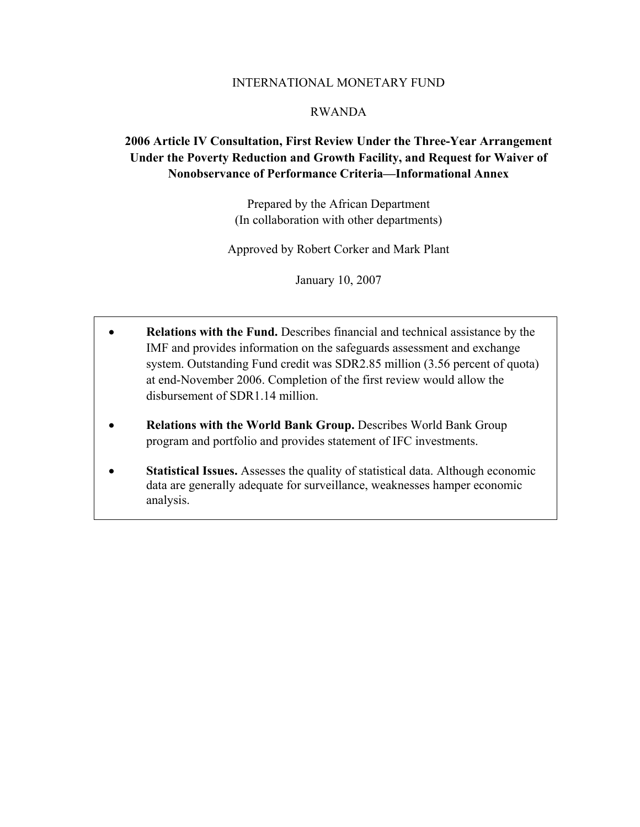#### INTERNATIONAL MONETARY FUND

#### RWANDA

# **2006 Article IV Consultation, First Review Under the Three-Year Arrangement Under the Poverty Reduction and Growth Facility, and Request for Waiver of Nonobservance of Performance Criteria—Informational Annex**

Prepared by the African Department (In collaboration with other departments)

Approved by Robert Corker and Mark Plant

January 10, 2007

- **Relations with the Fund.** Describes financial and technical assistance by the IMF and provides information on the safeguards assessment and exchange system. Outstanding Fund credit was SDR2.85 million (3.56 percent of quota) at end-November 2006. Completion of the first review would allow the disbursement of SDR1.14 million.
- **Relations with the World Bank Group.** Describes World Bank Group program and portfolio and provides statement of IFC investments.
- **Statistical Issues.** Assesses the quality of statistical data. Although economic data are generally adequate for surveillance, weaknesses hamper economic analysis.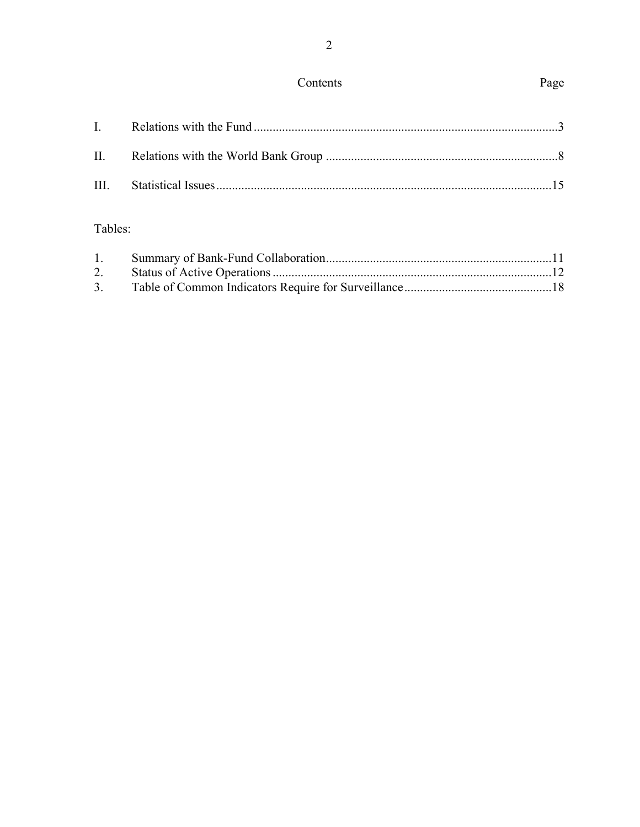# Contents

# Page

# Tables:

| 1. |  |
|----|--|
|    |  |
| 3. |  |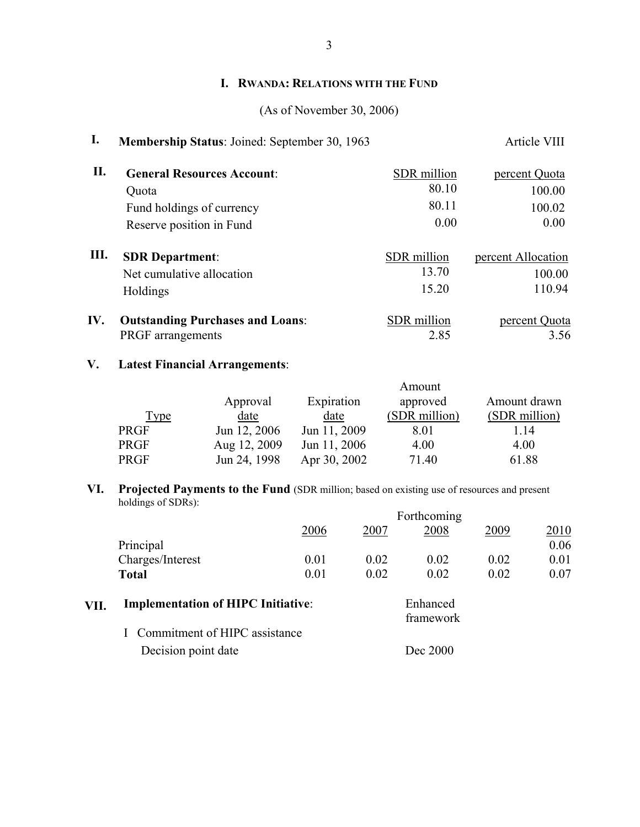## **I. RWANDA: RELATIONS WITH THE FUND**

### (As of November 30, 2006)

# **I.** Membership Status: Joined: September 30, 1963 Article VIII

| II. | <b>General Resources Account:</b>       | SDR million | percent Quota      |
|-----|-----------------------------------------|-------------|--------------------|
|     | Quota                                   | 80.10       | 100.00             |
|     | Fund holdings of currency               | 80.11       | 100.02             |
|     | Reserve position in Fund                | 0.00        | 0.00               |
| Ш.  | <b>SDR Department:</b>                  | SDR million | percent Allocation |
|     | Net cumulative allocation               | 13.70       | 100.00             |
|     | Holdings                                | 15.20       | 110.94             |
| IV. | <b>Outstanding Purchases and Loans:</b> | SDR million | percent Quota      |
|     | PRGF arrangements                       | 2.85        | 3.56               |

### **V. Latest Financial Arrangements**:

|             |              |              | Amount        |               |
|-------------|--------------|--------------|---------------|---------------|
|             | Approval     | Expiration   | approved      | Amount drawn  |
| <b>Type</b> | date         | date         | (SDR million) | (SDR million) |
| <b>PRGF</b> | Jun 12, 2006 | Jun 11, 2009 | 8.01          | 114           |
| <b>PRGF</b> | Aug 12, 2009 | Jun 11, 2006 | 4.00          | 4.00          |
| <b>PRGF</b> | Jun 24, 1998 | Apr 30, 2002 | 71.40         | 61.88         |

#### **VI. Projected Payments to the Fund** (SDR million; based on existing use of resources and present holdings of SDRs):

|                  | Forthcoming |      |      |      |      |  |  |
|------------------|-------------|------|------|------|------|--|--|
|                  | 2006        | 2007 | 2008 | 2009 | 2010 |  |  |
| Principal        |             |      |      |      | 0.06 |  |  |
| Charges/Interest | 0.01        | 0.02 | 0.02 | 0.02 | 0.01 |  |  |
| <b>Total</b>     | 0.01        | 0.02 | 0.02 | 0.02 | 0.07 |  |  |

| Enhanced  |
|-----------|
| framework |
|           |
| Dec 2000  |
|           |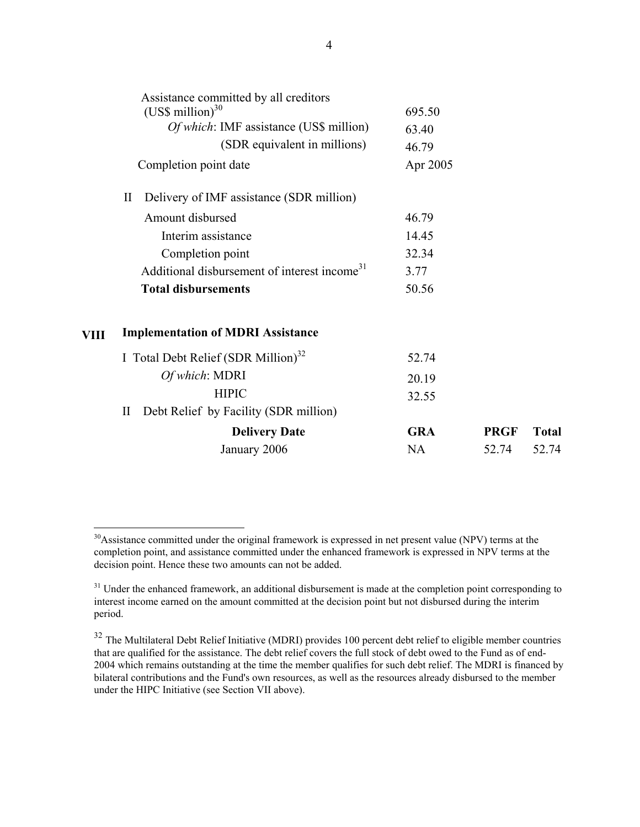|      | Assistance committed by all creditors<br>(US\$ million) $30$ | 695.50     |             |              |  |  |  |
|------|--------------------------------------------------------------|------------|-------------|--------------|--|--|--|
|      | <i>Of which</i> : IMF assistance (US\$ million)              | 63.40      |             |              |  |  |  |
|      | (SDR equivalent in millions)                                 | 46.79      |             |              |  |  |  |
|      | Completion point date                                        | Apr 2005   |             |              |  |  |  |
|      | Delivery of IMF assistance (SDR million)<br>$\rm II$         |            |             |              |  |  |  |
|      | Amount disbursed                                             | 46.79      |             |              |  |  |  |
|      | Interim assistance                                           | 14.45      |             |              |  |  |  |
|      | Completion point                                             | 32.34      |             |              |  |  |  |
|      | Additional disbursement of interest income <sup>31</sup>     | 3.77       |             |              |  |  |  |
|      | <b>Total disbursements</b>                                   | 50.56      |             |              |  |  |  |
| VIII | <b>Implementation of MDRI Assistance</b>                     |            |             |              |  |  |  |
|      | I Total Debt Relief $(SDR$ Million) <sup>32</sup>            | 52.74      |             |              |  |  |  |
|      | Of which: MDRI                                               | 20.19      |             |              |  |  |  |
|      | <b>HIPIC</b>                                                 | 32.55      |             |              |  |  |  |
|      | Debt Relief by Facility (SDR million)<br>$\rm II$            |            |             |              |  |  |  |
|      | <b>Delivery Date</b>                                         | <b>GRA</b> | <b>PRGF</b> | <b>Total</b> |  |  |  |
|      | January 2006                                                 | NA         | 52.74       | 52.74        |  |  |  |

 $\overline{a}$ 

<sup>&</sup>lt;sup>30</sup>Assistance committed under the original framework is expressed in net present value (NPV) terms at the completion point, and assistance committed under the enhanced framework is expressed in NPV terms at the decision point. Hence these two amounts can not be added.

<sup>&</sup>lt;sup>31</sup> Under the enhanced framework, an additional disbursement is made at the completion point corresponding to interest income earned on the amount committed at the decision point but not disbursed during the interim period.

<sup>&</sup>lt;sup>32</sup> The Multilateral Debt Relief Initiative (MDRI) provides 100 percent debt relief to eligible member countries that are qualified for the assistance. The debt relief covers the full stock of debt owed to the Fund as of end-2004 which remains outstanding at the time the member qualifies for such debt relief. The MDRI is financed by bilateral contributions and the Fund's own resources, as well as the resources already disbursed to the member under the HIPC Initiative (see Section VII above).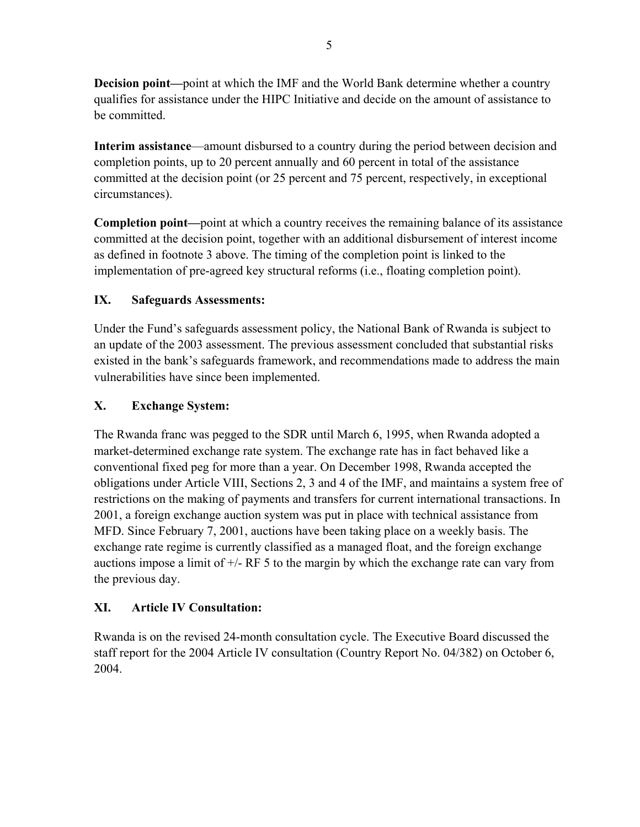**Decision point—**point at which the IMF and the World Bank determine whether a country qualifies for assistance under the HIPC Initiative and decide on the amount of assistance to be committed.

**Interim assistance**—amount disbursed to a country during the period between decision and completion points, up to 20 percent annually and 60 percent in total of the assistance committed at the decision point (or 25 percent and 75 percent, respectively, in exceptional circumstances).

**Completion point—**point at which a country receives the remaining balance of its assistance committed at the decision point, together with an additional disbursement of interest income as defined in footnote 3 above. The timing of the completion point is linked to the implementation of pre-agreed key structural reforms (i.e., floating completion point).

# **IX. Safeguards Assessments:**

Under the Fund's safeguards assessment policy, the National Bank of Rwanda is subject to an update of the 2003 assessment. The previous assessment concluded that substantial risks existed in the bank's safeguards framework, and recommendations made to address the main vulnerabilities have since been implemented.

# **X. Exchange System:**

The Rwanda franc was pegged to the SDR until March 6, 1995, when Rwanda adopted a market-determined exchange rate system. The exchange rate has in fact behaved like a conventional fixed peg for more than a year. On December 1998, Rwanda accepted the obligations under Article VIII, Sections 2, 3 and 4 of the IMF, and maintains a system free of restrictions on the making of payments and transfers for current international transactions. In 2001, a foreign exchange auction system was put in place with technical assistance from MFD. Since February 7, 2001, auctions have been taking place on a weekly basis. The exchange rate regime is currently classified as a managed float, and the foreign exchange auctions impose a limit of  $+/-$  RF 5 to the margin by which the exchange rate can vary from the previous day.

# **XI. Article IV Consultation:**

Rwanda is on the revised 24-month consultation cycle. The Executive Board discussed the staff report for the 2004 Article IV consultation (Country Report No. 04/382) on October 6, 2004.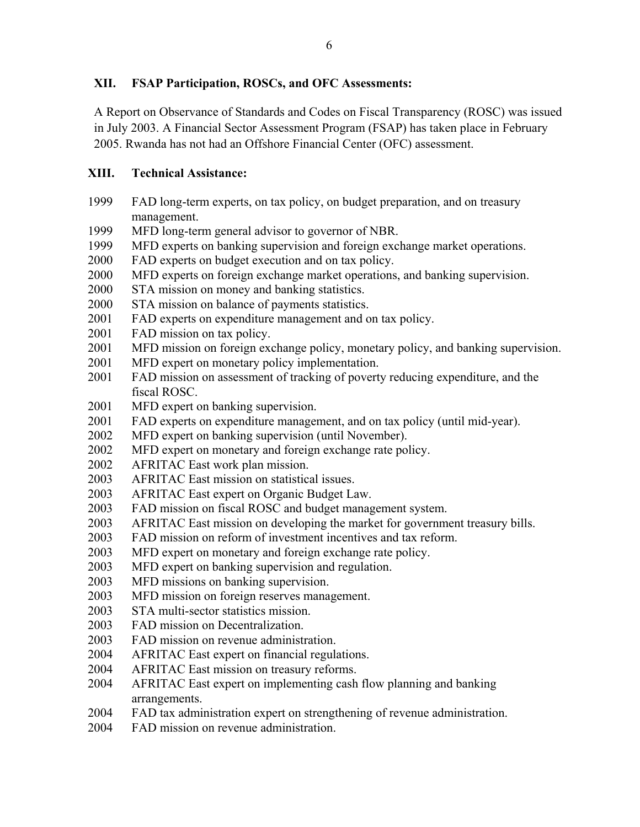# **XII. FSAP Participation, ROSCs, and OFC Assessments:**

A Report on Observance of Standards and Codes on Fiscal Transparency (ROSC) was issued in July 2003. A Financial Sector Assessment Program (FSAP) has taken place in February 2005. Rwanda has not had an Offshore Financial Center (OFC) assessment.

# **XIII. Technical Assistance:**

- 1999 FAD long-term experts, on tax policy, on budget preparation, and on treasury management.
- 1999 MFD long-term general advisor to governor of NBR.
- 1999 MFD experts on banking supervision and foreign exchange market operations.
- 2000 FAD experts on budget execution and on tax policy.
- 2000 MFD experts on foreign exchange market operations, and banking supervision.
- 2000 STA mission on money and banking statistics.
- 2000 STA mission on balance of payments statistics.
- 2001 FAD experts on expenditure management and on tax policy.
- 2001 FAD mission on tax policy.
- 2001 MFD mission on foreign exchange policy, monetary policy, and banking supervision.
- 2001 MFD expert on monetary policy implementation.
- 2001 FAD mission on assessment of tracking of poverty reducing expenditure, and the fiscal ROSC.
- 2001 MFD expert on banking supervision.
- 2001 FAD experts on expenditure management, and on tax policy (until mid-year).
- 2002 MFD expert on banking supervision (until November).
- 2002 MFD expert on monetary and foreign exchange rate policy.
- 2002 AFRITAC East work plan mission.
- 2003 AFRITAC East mission on statistical issues.
- 2003 AFRITAC East expert on Organic Budget Law.
- 2003 FAD mission on fiscal ROSC and budget management system.
- 2003 AFRITAC East mission on developing the market for government treasury bills.
- 2003 FAD mission on reform of investment incentives and tax reform.
- 2003 MFD expert on monetary and foreign exchange rate policy.
- 2003 MFD expert on banking supervision and regulation.
- 2003 MFD missions on banking supervision.
- 2003 MFD mission on foreign reserves management.
- 2003 STA multi-sector statistics mission.
- 2003 FAD mission on Decentralization.
- 2003 FAD mission on revenue administration.
- 2004 AFRITAC East expert on financial regulations.
- 2004 AFRITAC East mission on treasury reforms.
- 2004 AFRITAC East expert on implementing cash flow planning and banking arrangements.
- 2004 FAD tax administration expert on strengthening of revenue administration.
- 2004 FAD mission on revenue administration.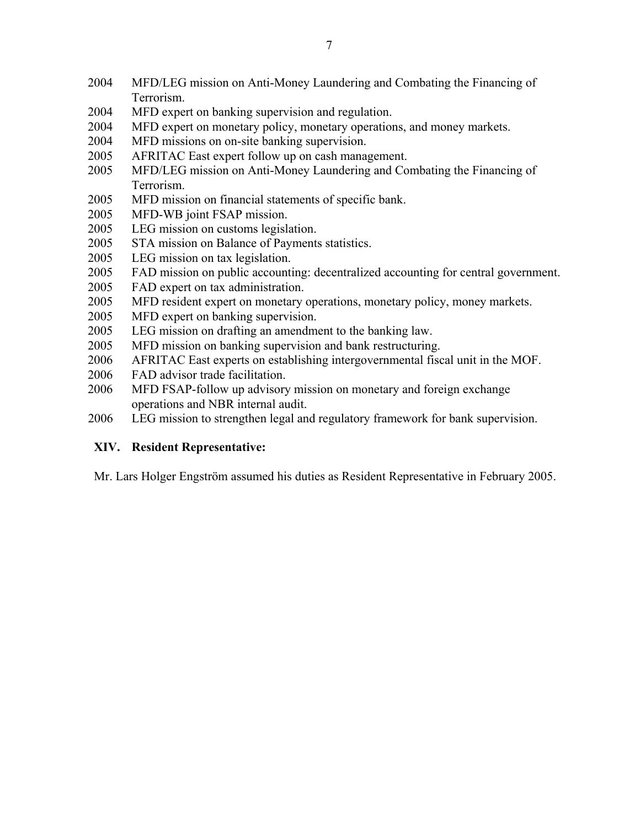- 2004 MFD/LEG mission on Anti-Money Laundering and Combating the Financing of Terrorism.
- 2004 MFD expert on banking supervision and regulation.
- 2004 MFD expert on monetary policy, monetary operations, and money markets.
- 2004 MFD missions on on-site banking supervision.
- 2005 AFRITAC East expert follow up on cash management.
- 2005 MFD/LEG mission on Anti-Money Laundering and Combating the Financing of Terrorism.
- 2005 MFD mission on financial statements of specific bank.
- 2005 MFD-WB joint FSAP mission.
- 2005 LEG mission on customs legislation.
- 2005 STA mission on Balance of Payments statistics.
- 2005 LEG mission on tax legislation.
- 2005 FAD mission on public accounting: decentralized accounting for central government.
- 2005 FAD expert on tax administration.
- 2005 MFD resident expert on monetary operations, monetary policy, money markets.
- 2005 MFD expert on banking supervision.
- 2005 LEG mission on drafting an amendment to the banking law.
- 2005 MFD mission on banking supervision and bank restructuring.
- 2006 AFRITAC East experts on establishing intergovernmental fiscal unit in the MOF.
- 2006 FAD advisor trade facilitation.
- 2006 MFD FSAP-follow up advisory mission on monetary and foreign exchange operations and NBR internal audit.
- 2006 LEG mission to strengthen legal and regulatory framework for bank supervision.

## **XIV. Resident Representative:**

Mr. Lars Holger Engström assumed his duties as Resident Representative in February 2005.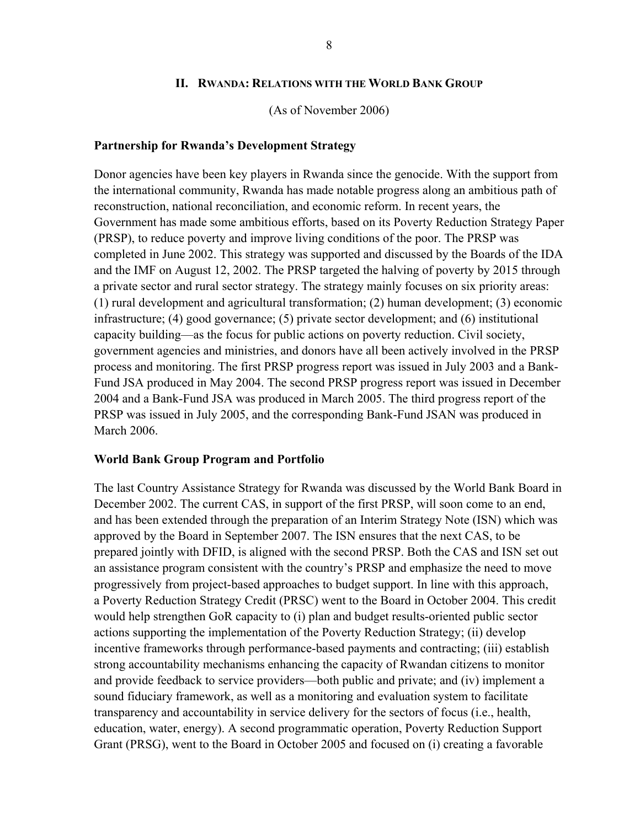#### **II. RWANDA: RELATIONS WITH THE WORLD BANK GROUP**

(As of November 2006)

#### **Partnership for Rwanda's Development Strategy**

Donor agencies have been key players in Rwanda since the genocide. With the support from the international community, Rwanda has made notable progress along an ambitious path of reconstruction, national reconciliation, and economic reform. In recent years, the Government has made some ambitious efforts, based on its Poverty Reduction Strategy Paper (PRSP), to reduce poverty and improve living conditions of the poor. The PRSP was completed in June 2002. This strategy was supported and discussed by the Boards of the IDA and the IMF on August 12, 2002. The PRSP targeted the halving of poverty by 2015 through a private sector and rural sector strategy. The strategy mainly focuses on six priority areas: (1) rural development and agricultural transformation; (2) human development; (3) economic infrastructure; (4) good governance; (5) private sector development; and (6) institutional capacity building—as the focus for public actions on poverty reduction. Civil society, government agencies and ministries, and donors have all been actively involved in the PRSP process and monitoring. The first PRSP progress report was issued in July 2003 and a Bank-Fund JSA produced in May 2004. The second PRSP progress report was issued in December 2004 and a Bank-Fund JSA was produced in March 2005. The third progress report of the PRSP was issued in July 2005, and the corresponding Bank-Fund JSAN was produced in March 2006.

#### **World Bank Group Program and Portfolio**

The last Country Assistance Strategy for Rwanda was discussed by the World Bank Board in December 2002. The current CAS, in support of the first PRSP, will soon come to an end, and has been extended through the preparation of an Interim Strategy Note (ISN) which was approved by the Board in September 2007. The ISN ensures that the next CAS, to be prepared jointly with DFID, is aligned with the second PRSP. Both the CAS and ISN set out an assistance program consistent with the country's PRSP and emphasize the need to move progressively from project-based approaches to budget support. In line with this approach, a Poverty Reduction Strategy Credit (PRSC) went to the Board in October 2004. This credit would help strengthen GoR capacity to (i) plan and budget results-oriented public sector actions supporting the implementation of the Poverty Reduction Strategy; (ii) develop incentive frameworks through performance-based payments and contracting; (iii) establish strong accountability mechanisms enhancing the capacity of Rwandan citizens to monitor and provide feedback to service providers—both public and private; and (iv) implement a sound fiduciary framework, as well as a monitoring and evaluation system to facilitate transparency and accountability in service delivery for the sectors of focus (i.e., health, education, water, energy). A second programmatic operation, Poverty Reduction Support Grant (PRSG), went to the Board in October 2005 and focused on (i) creating a favorable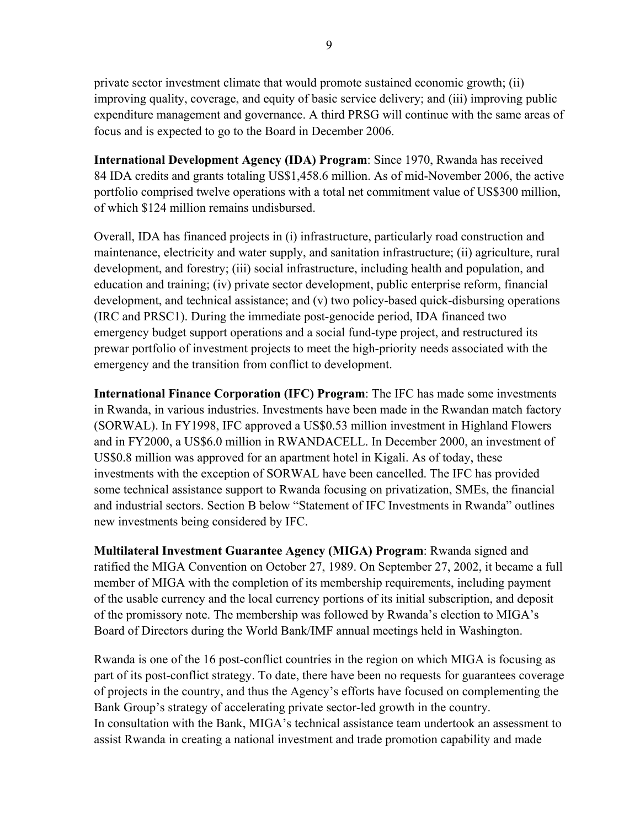private sector investment climate that would promote sustained economic growth; (ii) improving quality, coverage, and equity of basic service delivery; and (iii) improving public expenditure management and governance. A third PRSG will continue with the same areas of focus and is expected to go to the Board in December 2006.

**International Development Agency (IDA) Program**: Since 1970, Rwanda has received 84 IDA credits and grants totaling US\$1,458.6 million. As of mid-November 2006, the active portfolio comprised twelve operations with a total net commitment value of US\$300 million, of which \$124 million remains undisbursed.

Overall, IDA has financed projects in (i) infrastructure, particularly road construction and maintenance, electricity and water supply, and sanitation infrastructure; (ii) agriculture, rural development, and forestry; (iii) social infrastructure, including health and population, and education and training; (iv) private sector development, public enterprise reform, financial development, and technical assistance; and (v) two policy-based quick-disbursing operations (IRC and PRSC1). During the immediate post-genocide period, IDA financed two emergency budget support operations and a social fund-type project, and restructured its prewar portfolio of investment projects to meet the high-priority needs associated with the emergency and the transition from conflict to development.

**International Finance Corporation (IFC) Program**: The IFC has made some investments in Rwanda, in various industries. Investments have been made in the Rwandan match factory (SORWAL). In FY1998, IFC approved a US\$0.53 million investment in Highland Flowers and in FY2000, a US\$6.0 million in RWANDACELL. In December 2000, an investment of US\$0.8 million was approved for an apartment hotel in Kigali. As of today, these investments with the exception of SORWAL have been cancelled. The IFC has provided some technical assistance support to Rwanda focusing on privatization, SMEs, the financial and industrial sectors. Section B below "Statement of IFC Investments in Rwanda" outlines new investments being considered by IFC.

**Multilateral Investment Guarantee Agency (MIGA) Program**: Rwanda signed and ratified the MIGA Convention on October 27, 1989. On September 27, 2002, it became a full member of MIGA with the completion of its membership requirements, including payment of the usable currency and the local currency portions of its initial subscription, and deposit of the promissory note. The membership was followed by Rwanda's election to MIGA's Board of Directors during the World Bank/IMF annual meetings held in Washington.

Rwanda is one of the 16 post-conflict countries in the region on which MIGA is focusing as part of its post-conflict strategy. To date, there have been no requests for guarantees coverage of projects in the country, and thus the Agency's efforts have focused on complementing the Bank Group's strategy of accelerating private sector-led growth in the country. In consultation with the Bank, MIGA's technical assistance team undertook an assessment to assist Rwanda in creating a national investment and trade promotion capability and made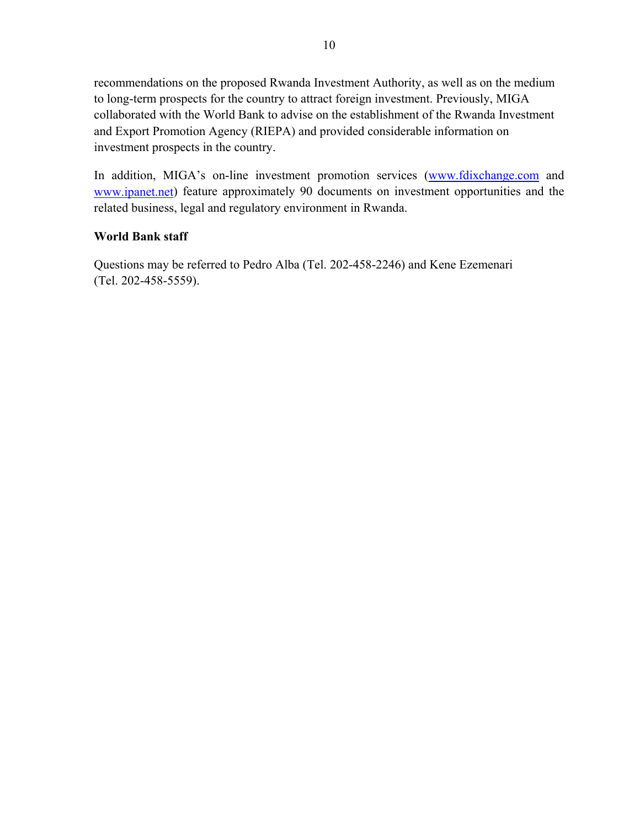recommendations on the proposed Rwanda Investment Authority, as well as on the medium to long-term prospects for the country to attract foreign investment. Previously, MIGA collaborated with the World Bank to advise on the establishment of the Rwanda Investment and Export Promotion Agency (RIEPA) and provided considerable information on investment prospects in the country.

In addition, MIGA's on-line investment promotion services (www.fdixchange.com and www.ipanet.net) feature approximately 90 documents on investment opportunities and the related business, legal and regulatory environment in Rwanda.

# **World Bank staff**

Questions may be referred to Pedro Alba (Tel. 202-458-2246) and Kene Ezemenari (Tel. 202-458-5559).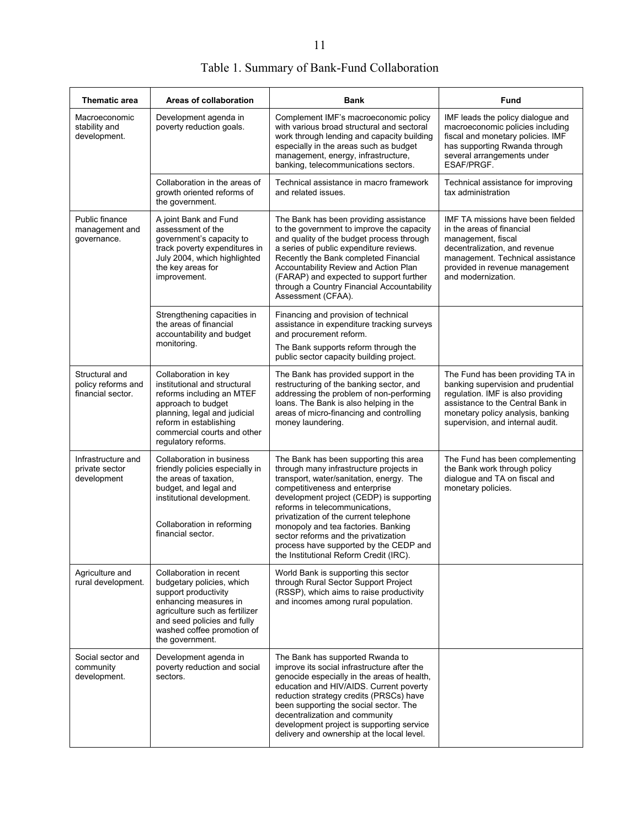| Thematic area                                             | Areas of collaboration                                                                                                                                                                                                  | Bank                                                                                                                                                                                                                                                                                                                                                                                                                                                       | Fund                                                                                                                                                                                                                       |
|-----------------------------------------------------------|-------------------------------------------------------------------------------------------------------------------------------------------------------------------------------------------------------------------------|------------------------------------------------------------------------------------------------------------------------------------------------------------------------------------------------------------------------------------------------------------------------------------------------------------------------------------------------------------------------------------------------------------------------------------------------------------|----------------------------------------------------------------------------------------------------------------------------------------------------------------------------------------------------------------------------|
| Macroeconomic<br>stability and<br>development.            | Development agenda in<br>poverty reduction goals.                                                                                                                                                                       | Complement IMF's macroeconomic policy<br>with various broad structural and sectoral<br>work through lending and capacity building<br>especially in the areas such as budget<br>management, energy, infrastructure,<br>banking, telecommunications sectors.                                                                                                                                                                                                 | IMF leads the policy dialogue and<br>macroeconomic policies including<br>fiscal and monetary policies. IMF<br>has supporting Rwanda through<br>several arrangements under<br>ESAF/PRGF.                                    |
|                                                           | Collaboration in the areas of<br>growth oriented reforms of<br>the government.                                                                                                                                          | Technical assistance in macro framework<br>and related issues.                                                                                                                                                                                                                                                                                                                                                                                             | Technical assistance for improving<br>tax administration                                                                                                                                                                   |
| Public finance<br>management and<br>governance.           | A joint Bank and Fund<br>assessment of the<br>government's capacity to<br>track poverty expenditures in<br>July 2004, which highlighted<br>the key areas for<br>improvement.                                            | The Bank has been providing assistance<br>to the government to improve the capacity<br>and quality of the budget process through<br>a series of public expenditure reviews.<br>Recently the Bank completed Financial<br>Accountability Review and Action Plan<br>(FARAP) and expected to support further<br>through a Country Financial Accountability<br>Assessment (CFAA).                                                                               | <b>IMF TA missions have been fielded</b><br>in the areas of financial<br>management, fiscal<br>decentralization, and revenue<br>management. Technical assistance<br>provided in revenue management<br>and modernization.   |
|                                                           | Strengthening capacities in<br>the areas of financial<br>accountability and budget<br>monitoring.                                                                                                                       | Financing and provision of technical<br>assistance in expenditure tracking surveys<br>and procurement reform.<br>The Bank supports reform through the                                                                                                                                                                                                                                                                                                      |                                                                                                                                                                                                                            |
|                                                           |                                                                                                                                                                                                                         | public sector capacity building project.                                                                                                                                                                                                                                                                                                                                                                                                                   |                                                                                                                                                                                                                            |
| Structural and<br>policy reforms and<br>financial sector. | Collaboration in key<br>institutional and structural<br>reforms including an MTEF<br>approach to budget<br>planning, legal and judicial<br>reform in establishing<br>commercial courts and other<br>regulatory reforms. | The Bank has provided support in the<br>restructuring of the banking sector, and<br>addressing the problem of non-performing<br>loans. The Bank is also helping in the<br>areas of micro-financing and controlling<br>money laundering.                                                                                                                                                                                                                    | The Fund has been providing TA in<br>banking supervision and prudential<br>regulation. IMF is also providing<br>assistance to the Central Bank in<br>monetary policy analysis, banking<br>supervision, and internal audit. |
| Infrastructure and<br>private sector<br>development       | Collaboration in business<br>friendly policies especially in<br>the areas of taxation,<br>budget, and legal and<br>institutional development.<br>Collaboration in reforming<br>financial sector.                        | The Bank has been supporting this area<br>through many infrastructure projects in<br>transport, water/sanitation, energy. The<br>competitiveness and enterprise<br>development project (CEDP) is supporting<br>reforms in telecommunications.<br>privatization of the current telephone<br>monopoly and tea factories. Banking<br>sector reforms and the privatization<br>process have supported by the CEDP and<br>the Institutional Reform Credit (IRC). | The Fund has been complementing<br>the Bank work through policy<br>dialogue and TA on fiscal and<br>monetary policies.                                                                                                     |
| Agriculture and<br>rural development.                     | Collaboration in recent<br>budgetary policies, which<br>support productivity<br>enhancing measures in<br>agriculture such as fertilizer<br>and seed policies and fully<br>washed coffee promotion of<br>the government. | World Bank is supporting this sector<br>through Rural Sector Support Project<br>(RSSP), which aims to raise productivity<br>and incomes among rural population.                                                                                                                                                                                                                                                                                            |                                                                                                                                                                                                                            |
| Social sector and<br>community<br>development.            | Development agenda in<br>poverty reduction and social<br>sectors.                                                                                                                                                       | The Bank has supported Rwanda to<br>improve its social infrastructure after the<br>genocide especially in the areas of health,<br>education and HIV/AIDS. Current poverty<br>reduction strategy credits (PRSCs) have<br>been supporting the social sector. The<br>decentralization and community<br>development project is supporting service<br>delivery and ownership at the local level.                                                                |                                                                                                                                                                                                                            |

# Table 1. Summary of Bank-Fund Collaboration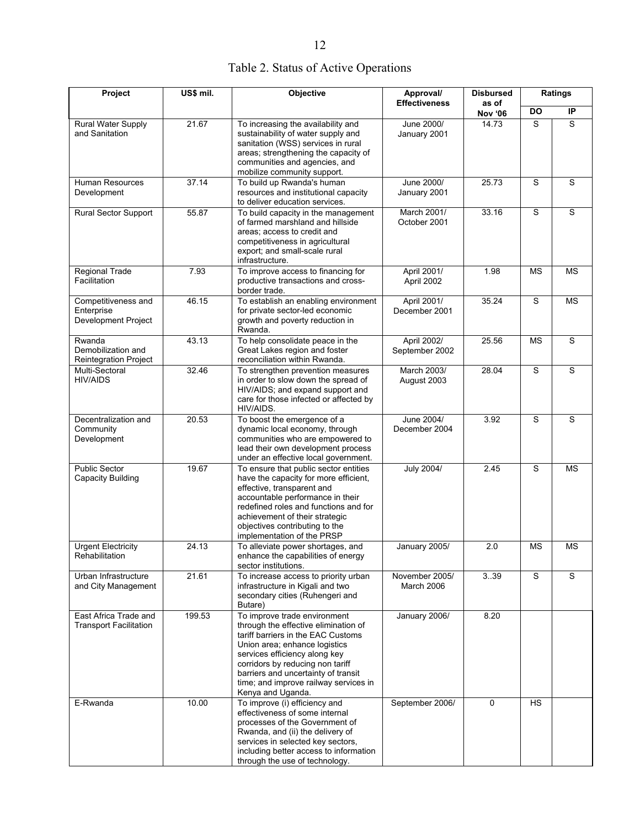|  |  |  | Table 2. Status of Active Operations |
|--|--|--|--------------------------------------|
|--|--|--|--------------------------------------|

| Project                                                         | US\$ mil. | Objective<br>Approval/<br><b>Effectiveness</b>                                                                                                                                                                                                                                                                        |                               | <b>Disbursed</b>        |             | Ratings     |
|-----------------------------------------------------------------|-----------|-----------------------------------------------------------------------------------------------------------------------------------------------------------------------------------------------------------------------------------------------------------------------------------------------------------------------|-------------------------------|-------------------------|-------------|-------------|
|                                                                 |           |                                                                                                                                                                                                                                                                                                                       |                               | as of<br><b>Nov '06</b> | <b>DO</b>   | IP          |
| Rural Water Supply<br>and Sanitation                            | 21.67     | To increasing the availability and<br>sustainability of water supply and<br>sanitation (WSS) services in rural<br>areas; strengthening the capacity of<br>communities and agencies, and<br>mobilize community support.                                                                                                | June 2000/<br>January 2001    | 14.73                   | S           | S           |
| Human Resources<br>Development                                  | 37.14     | To build up Rwanda's human<br>resources and institutional capacity<br>to deliver education services.                                                                                                                                                                                                                  | June 2000/<br>January 2001    | 25.73                   | $\mathbf S$ | $\mathbf S$ |
| <b>Rural Sector Support</b>                                     | 55.87     | To build capacity in the management<br>of farmed marshland and hillside<br>areas; access to credit and<br>competitiveness in agricultural<br>export; and small-scale rural<br>infrastructure.                                                                                                                         | March 2001/<br>October 2001   | 33.16                   | $\mathbf S$ | $\mathbf S$ |
| <b>Regional Trade</b><br>Facilitation                           | 7.93      | To improve access to financing for<br>productive transactions and cross-<br>border trade.                                                                                                                                                                                                                             | April 2001/<br>April 2002     | 1.98                    | <b>MS</b>   | <b>MS</b>   |
| Competitiveness and<br>Enterprise<br><b>Development Project</b> | 46.15     | To establish an enabling environment<br>for private sector-led economic<br>growth and poverty reduction in<br>Rwanda.                                                                                                                                                                                                 | April 2001/<br>December 2001  | 35.24                   | S           | <b>MS</b>   |
| Rwanda<br>Demobilization and<br><b>Reintegration Project</b>    | 43.13     | To help consolidate peace in the<br>Great Lakes region and foster<br>reconciliation within Rwanda.                                                                                                                                                                                                                    | April 2002/<br>September 2002 | 25.56                   | <b>MS</b>   | S           |
| Multi-Sectoral<br><b>HIV/AIDS</b>                               | 32.46     | To strengthen prevention measures<br>in order to slow down the spread of<br>HIV/AIDS; and expand support and<br>care for those infected or affected by<br>HIV/AIDS.                                                                                                                                                   | March 2003/<br>August 2003    | 28.04                   | S           | $\mathbf S$ |
| Decentralization and<br>Community<br>Development                | 20.53     | To boost the emergence of a<br>dynamic local economy, through<br>communities who are empowered to<br>lead their own development process<br>under an effective local government.                                                                                                                                       | June 2004/<br>December 2004   | 3.92                    | S           | $\mathbf S$ |
| <b>Public Sector</b><br>Capacity Building                       | 19.67     | To ensure that public sector entities<br>have the capacity for more efficient,<br>effective, transparent and<br>accountable performance in their<br>redefined roles and functions and for<br>achievement of their strategic<br>objectives contributing to the<br>implementation of the PRSP                           | <b>July 2004/</b>             | 2.45                    | S           | <b>MS</b>   |
| <b>Urgent Electricity</b><br>Rehabilitation                     | 24.13     | To alleviate power shortages, and<br>enhance the capabilities of energy<br>sector institutions.                                                                                                                                                                                                                       | January 2005/                 | 2.0                     | <b>MS</b>   | <b>MS</b>   |
| Urban Infrastructure<br>and City Management                     | 21.61     | To increase access to priority urban<br>infrastructure in Kigali and two<br>secondary cities (Ruhengeri and<br>Butare)                                                                                                                                                                                                | November 2005/<br>March 2006  | 3.39                    | $\mathbf S$ | S           |
| East Africa Trade and<br><b>Transport Facilitation</b>          | 199.53    | To improve trade environment<br>through the effective elimination of<br>tariff barriers in the EAC Customs<br>Union area; enhance logistics<br>services efficiency along key<br>corridors by reducing non tariff<br>barriers and uncertainty of transit<br>time; and improve railway services in<br>Kenya and Uganda. | January 2006/                 | 8.20                    |             |             |
| E-Rwanda                                                        | 10.00     | To improve (i) efficiency and<br>effectiveness of some internal<br>processes of the Government of<br>Rwanda, and (ii) the delivery of<br>services in selected key sectors,<br>including better access to information<br>through the use of technology.                                                                | September 2006/               | 0                       | <b>HS</b>   |             |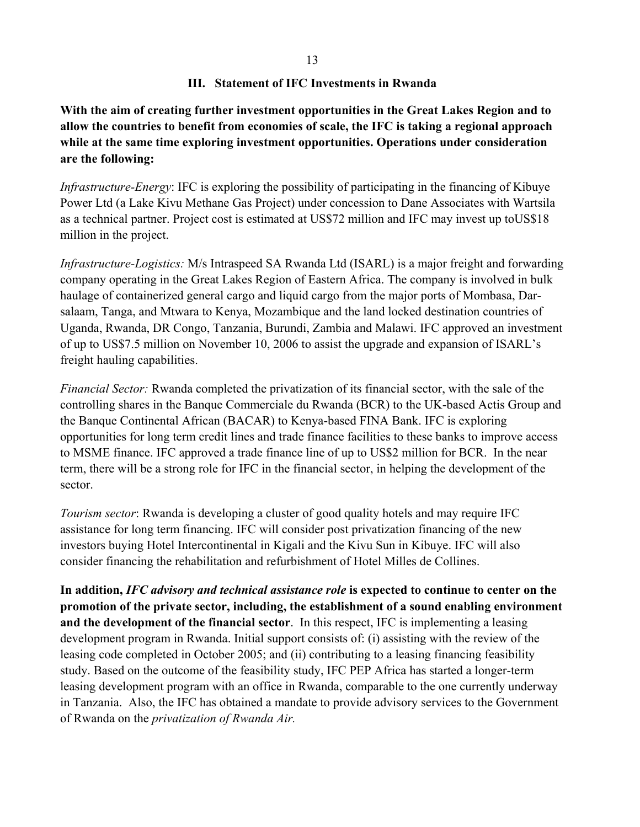### **III. Statement of IFC Investments in Rwanda**

**With the aim of creating further investment opportunities in the Great Lakes Region and to allow the countries to benefit from economies of scale, the IFC is taking a regional approach while at the same time exploring investment opportunities. Operations under consideration are the following:** 

*Infrastructure-Energy*: IFC is exploring the possibility of participating in the financing of Kibuye Power Ltd (a Lake Kivu Methane Gas Project) under concession to Dane Associates with Wartsila as a technical partner. Project cost is estimated at US\$72 million and IFC may invest up toUS\$18 million in the project.

*Infrastructure-Logistics:* M/s Intraspeed SA Rwanda Ltd (ISARL) is a major freight and forwarding company operating in the Great Lakes Region of Eastern Africa. The company is involved in bulk haulage of containerized general cargo and liquid cargo from the major ports of Mombasa, Darsalaam, Tanga, and Mtwara to Kenya, Mozambique and the land locked destination countries of Uganda, Rwanda, DR Congo, Tanzania, Burundi, Zambia and Malawi. IFC approved an investment of up to US\$7.5 million on November 10, 2006 to assist the upgrade and expansion of ISARL's freight hauling capabilities.

*Financial Sector:* Rwanda completed the privatization of its financial sector, with the sale of the controlling shares in the Banque Commerciale du Rwanda (BCR) to the UK-based Actis Group and the Banque Continental African (BACAR) to Kenya-based FINA Bank. IFC is exploring opportunities for long term credit lines and trade finance facilities to these banks to improve access to MSME finance. IFC approved a trade finance line of up to US\$2 million for BCR. In the near term, there will be a strong role for IFC in the financial sector, in helping the development of the sector.

*Tourism sector*: Rwanda is developing a cluster of good quality hotels and may require IFC assistance for long term financing. IFC will consider post privatization financing of the new investors buying Hotel Intercontinental in Kigali and the Kivu Sun in Kibuye. IFC will also consider financing the rehabilitation and refurbishment of Hotel Milles de Collines.

**In addition,** *IFC advisory and technical assistance role* **is expected to continue to center on the promotion of the private sector, including, the establishment of a sound enabling environment and the development of the financial sector**. In this respect, IFC is implementing a leasing development program in Rwanda. Initial support consists of: (i) assisting with the review of the leasing code completed in October 2005; and (ii) contributing to a leasing financing feasibility study. Based on the outcome of the feasibility study, IFC PEP Africa has started a longer-term leasing development program with an office in Rwanda, comparable to the one currently underway in Tanzania. Also, the IFC has obtained a mandate to provide advisory services to the Government of Rwanda on the *privatization of Rwanda Air.*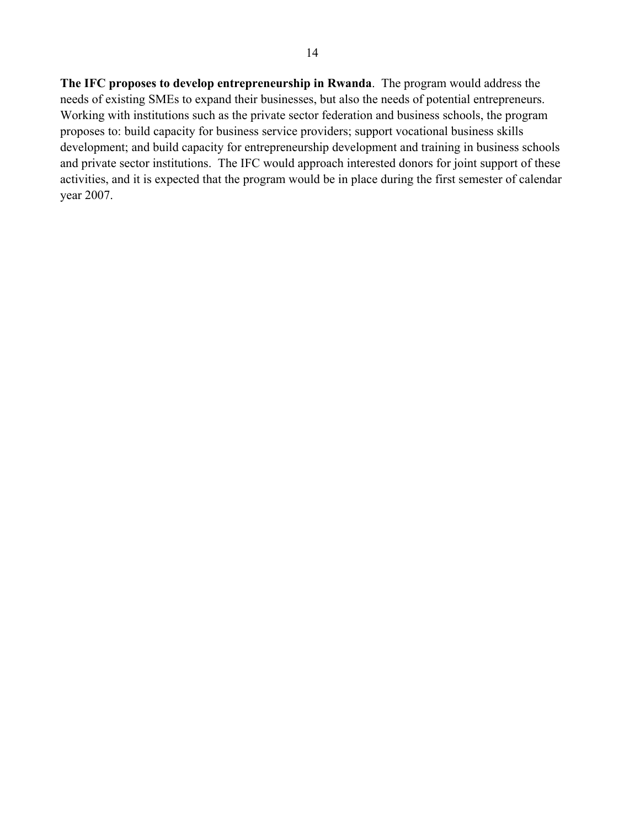**The IFC proposes to develop entrepreneurship in Rwanda**. The program would address the needs of existing SMEs to expand their businesses, but also the needs of potential entrepreneurs. Working with institutions such as the private sector federation and business schools, the program proposes to: build capacity for business service providers; support vocational business skills development; and build capacity for entrepreneurship development and training in business schools and private sector institutions. The IFC would approach interested donors for joint support of these activities, and it is expected that the program would be in place during the first semester of calendar year 2007.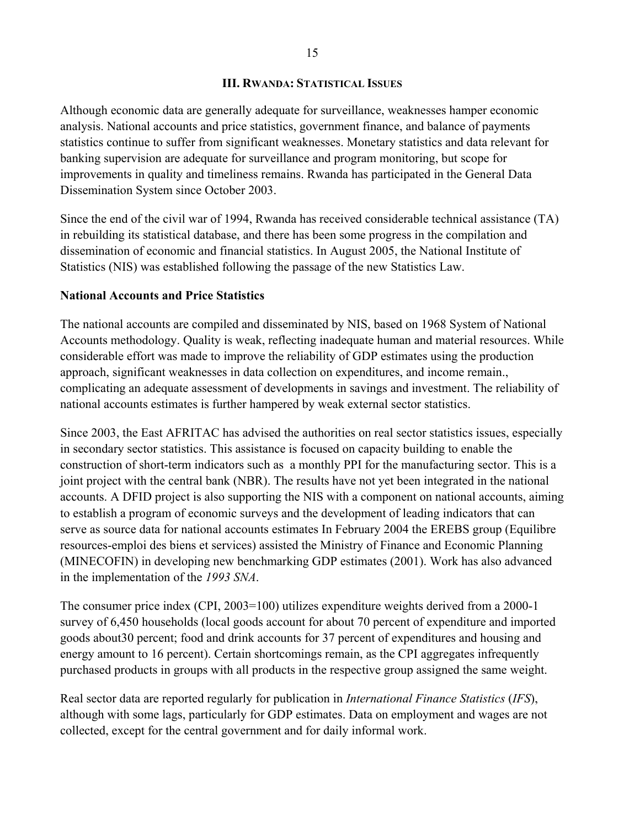#### **III. RWANDA: STATISTICAL ISSUES**

Although economic data are generally adequate for surveillance, weaknesses hamper economic analysis. National accounts and price statistics, government finance, and balance of payments statistics continue to suffer from significant weaknesses. Monetary statistics and data relevant for banking supervision are adequate for surveillance and program monitoring, but scope for improvements in quality and timeliness remains. Rwanda has participated in the General Data Dissemination System since October 2003.

Since the end of the civil war of 1994, Rwanda has received considerable technical assistance (TA) in rebuilding its statistical database, and there has been some progress in the compilation and dissemination of economic and financial statistics. In August 2005, the National Institute of Statistics (NIS) was established following the passage of the new Statistics Law.

### **National Accounts and Price Statistics**

The national accounts are compiled and disseminated by NIS, based on 1968 System of National Accounts methodology. Quality is weak, reflecting inadequate human and material resources. While considerable effort was made to improve the reliability of GDP estimates using the production approach, significant weaknesses in data collection on expenditures, and income remain., complicating an adequate assessment of developments in savings and investment. The reliability of national accounts estimates is further hampered by weak external sector statistics.

Since 2003, the East AFRITAC has advised the authorities on real sector statistics issues, especially in secondary sector statistics. This assistance is focused on capacity building to enable the construction of short-term indicators such as a monthly PPI for the manufacturing sector. This is a joint project with the central bank (NBR). The results have not yet been integrated in the national accounts. A DFID project is also supporting the NIS with a component on national accounts, aiming to establish a program of economic surveys and the development of leading indicators that can serve as source data for national accounts estimates In February 2004 the EREBS group (Equilibre resources-emploi des biens et services) assisted the Ministry of Finance and Economic Planning (MINECOFIN) in developing new benchmarking GDP estimates (2001). Work has also advanced in the implementation of the *1993 SNA*.

The consumer price index (CPI, 2003=100) utilizes expenditure weights derived from a 2000-1 survey of 6,450 households (local goods account for about 70 percent of expenditure and imported goods about30 percent; food and drink accounts for 37 percent of expenditures and housing and energy amount to 16 percent). Certain shortcomings remain, as the CPI aggregates infrequently purchased products in groups with all products in the respective group assigned the same weight.

Real sector data are reported regularly for publication in *International Finance Statistics* (*IFS*), although with some lags, particularly for GDP estimates. Data on employment and wages are not collected, except for the central government and for daily informal work.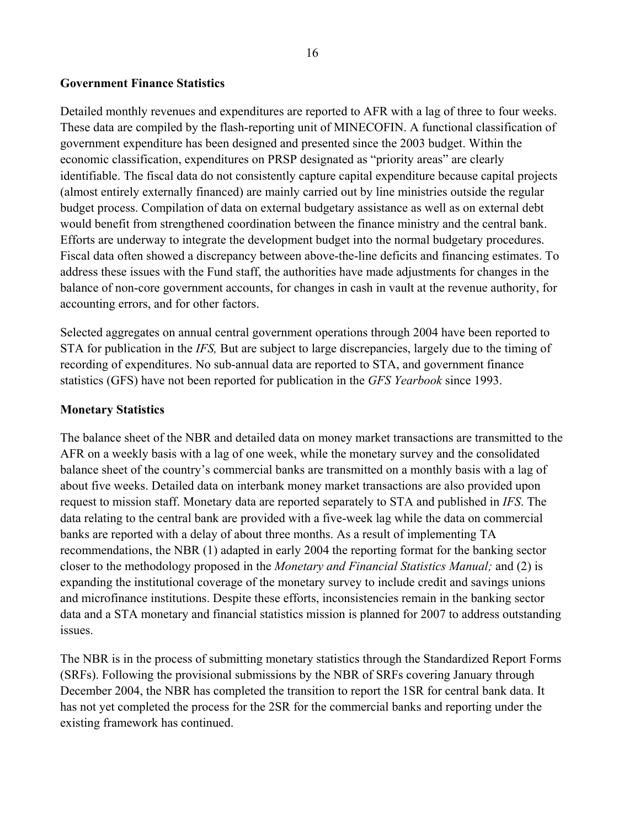#### **Government Finance Statistics**

Detailed monthly revenues and expenditures are reported to AFR with a lag of three to four weeks. These data are compiled by the flash-reporting unit of MINECOFIN. A functional classification of government expenditure has been designed and presented since the 2003 budget. Within the economic classification, expenditures on PRSP designated as "priority areas" are clearly identifiable. The fiscal data do not consistently capture capital expenditure because capital projects (almost entirely externally financed) are mainly carried out by line ministries outside the regular budget process. Compilation of data on external budgetary assistance as well as on external debt would benefit from strengthened coordination between the finance ministry and the central bank. Efforts are underway to integrate the development budget into the normal budgetary procedures. Fiscal data often showed a discrepancy between above-the-line deficits and financing estimates. To address these issues with the Fund staff, the authorities have made adjustments for changes in the balance of non-core government accounts, for changes in cash in vault at the revenue authority, for accounting errors, and for other factors.

Selected aggregates on annual central government operations through 2004 have been reported to STA for publication in the *IFS,* But are subject to large discrepancies, largely due to the timing of recording of expenditures. No sub-annual data are reported to STA, and government finance statistics (GFS) have not been reported for publication in the *GFS Yearbook* since 1993.

#### **Monetary Statistics**

The balance sheet of the NBR and detailed data on money market transactions are transmitted to the AFR on a weekly basis with a lag of one week, while the monetary survey and the consolidated balance sheet of the country's commercial banks are transmitted on a monthly basis with a lag of about five weeks. Detailed data on interbank money market transactions are also provided upon request to mission staff. Monetary data are reported separately to STA and published in *IFS*. The data relating to the central bank are provided with a five-week lag while the data on commercial banks are reported with a delay of about three months. As a result of implementing TA recommendations, the NBR (1) adapted in early 2004 the reporting format for the banking sector closer to the methodology proposed in the *Monetary and Financial Statistics Manual;* and (2) is expanding the institutional coverage of the monetary survey to include credit and savings unions and microfinance institutions. Despite these efforts, inconsistencies remain in the banking sector data and a STA monetary and financial statistics mission is planned for 2007 to address outstanding issues.

The NBR is in the process of submitting monetary statistics through the Standardized Report Forms (SRFs). Following the provisional submissions by the NBR of SRFs covering January through December 2004, the NBR has completed the transition to report the 1SR for central bank data. It has not yet completed the process for the 2SR for the commercial banks and reporting under the existing framework has continued.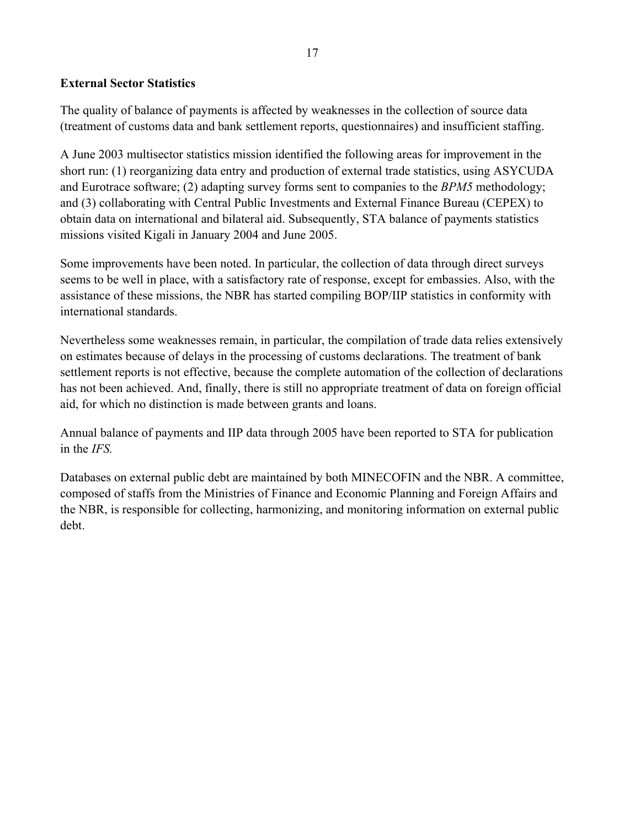### **External Sector Statistics**

The quality of balance of payments is affected by weaknesses in the collection of source data (treatment of customs data and bank settlement reports, questionnaires) and insufficient staffing.

A June 2003 multisector statistics mission identified the following areas for improvement in the short run: (1) reorganizing data entry and production of external trade statistics, using ASYCUDA and Eurotrace software; (2) adapting survey forms sent to companies to the *BPM5* methodology; and (3) collaborating with Central Public Investments and External Finance Bureau (CEPEX) to obtain data on international and bilateral aid. Subsequently, STA balance of payments statistics missions visited Kigali in January 2004 and June 2005.

Some improvements have been noted. In particular, the collection of data through direct surveys seems to be well in place, with a satisfactory rate of response, except for embassies. Also, with the assistance of these missions, the NBR has started compiling BOP/IIP statistics in conformity with international standards.

Nevertheless some weaknesses remain, in particular, the compilation of trade data relies extensively on estimates because of delays in the processing of customs declarations. The treatment of bank settlement reports is not effective, because the complete automation of the collection of declarations has not been achieved. And, finally, there is still no appropriate treatment of data on foreign official aid, for which no distinction is made between grants and loans.

Annual balance of payments and IIP data through 2005 have been reported to STA for publication in the *IFS.*

Databases on external public debt are maintained by both MINECOFIN and the NBR. A committee, composed of staffs from the Ministries of Finance and Economic Planning and Foreign Affairs and the NBR, is responsible for collecting, harmonizing, and monitoring information on external public debt.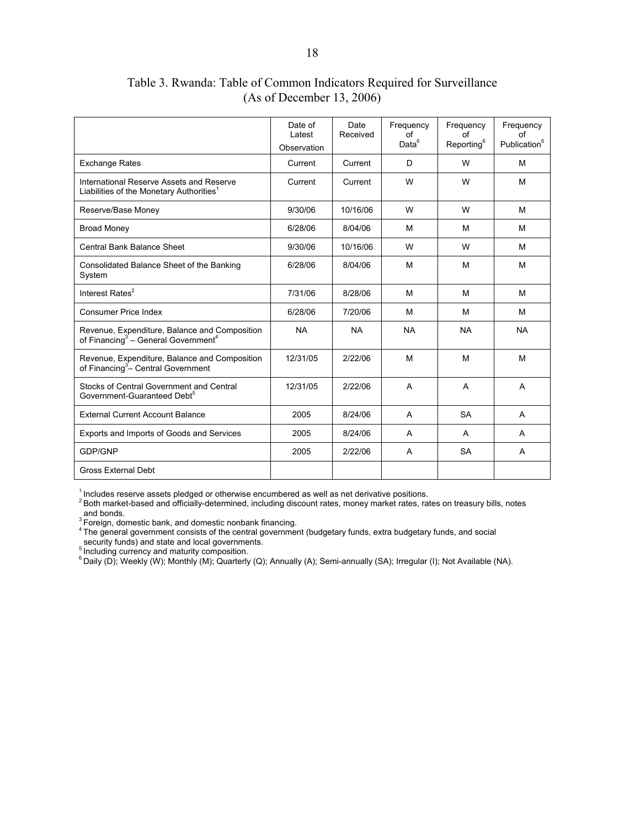Date of Latest **Observation** Date Received Frequency of  $Data<sup>6</sup>$ Frequency of Reporting<sup>6</sup> Frequency of Publication<sup>6</sup> Exchange Rates **Current Current | Current | D** | W | M International Reserve Assets and Reserve Liabilities of the Monetary Authorities $<sup>1</sup>$ </sup> Current | Current | W | W | M Reserve/Base Money | 9/30/06 | 10/16/06 | W | W | M Broad Money 6/28/06 8/04/06 M M M Central Bank Balance Sheet | 9/30/06 | 10/16/06 | W | W | M Consolidated Balance Sheet of the Banking System 6/28/06 | 8/04/06 | M | M | M Interest Rates<sup>2</sup> 17/31/06 8/28/06 M M M M M Consumer Price Index **Consumer Price Index Consumer Price Index** M M M G/28/06 | 7/20/06 | M | M | M Revenue, Expenditure, Balance and Composition of Financing $3 -$  General Government<sup>4</sup> NA NA NA NA NA Revenue, Expenditure, Balance and Composition of Financing<sup>3</sup>– Central Government 12/31/05 | 2/22/06 | M | M | M Stocks of Central Government and Central Government-Guaranteed Debt<sup>5</sup> 12/31/05 | 2/22/06 | A | A | A External Current Account Balance 2005 8/24/06 A SA A Exports and Imports of Goods and Services 2005 8/24/06 A A A GDP/GNP | 2005 | 2/22/06 | A | SA | A Gross External Debt

Table 3. Rwanda: Table of Common Indicators Required for Surveillance (As of December 13, 2006)

 $1$  Includes reserve assets pledged or otherwise encumbered as well as net derivative positions.<br><sup>2</sup> Both market-based and officially-determined, including discount rates, money market rates, rates on treasury bills, note and bonds.<br> ${}^{3}$  Foreign, domestic bank, and domestic nonbank financing.

<sup>4</sup> The general government consists of the central government (budgetary funds, extra budgetary funds, and social

security funds) and state and local governments.

<sup>5</sup> Including currency and maturity composition.

 $6$  Daily (D); Weekly (W); Monthly (M); Quarterly (Q); Annually (A); Semi-annually (SA); Irregular (I); Not Available (NA).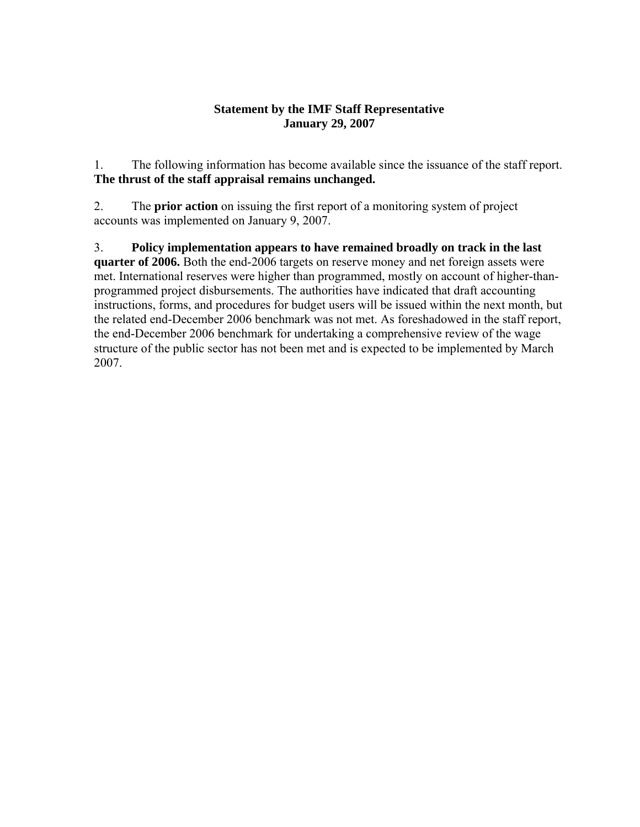### **Statement by the IMF Staff Representative January 29, 2007**

1. The following information has become available since the issuance of the staff report. **The thrust of the staff appraisal remains unchanged.** 

2. The **prior action** on issuing the first report of a monitoring system of project accounts was implemented on January 9, 2007.

3. **Policy implementation appears to have remained broadly on track in the last quarter of 2006.** Both the end-2006 targets on reserve money and net foreign assets were met. International reserves were higher than programmed, mostly on account of higher-thanprogrammed project disbursements. The authorities have indicated that draft accounting instructions, forms, and procedures for budget users will be issued within the next month, but the related end-December 2006 benchmark was not met. As foreshadowed in the staff report, the end-December 2006 benchmark for undertaking a comprehensive review of the wage structure of the public sector has not been met and is expected to be implemented by March 2007.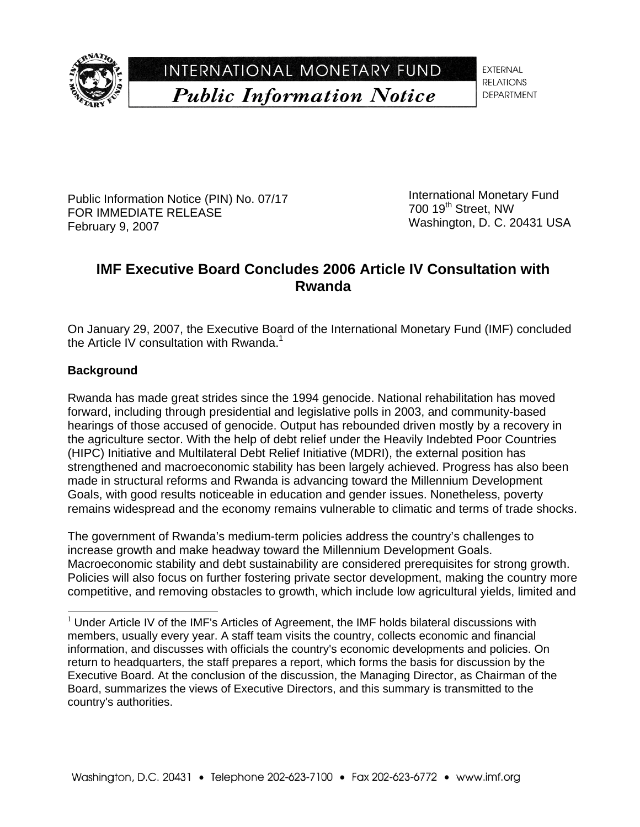

INTERNATIONAL MONETARY FUND **Public Information Notice** 

**EXTERNAL RELATIONS DEPARTMENT** 

Public Information Notice (PIN) No. 07/17 FOR IMMEDIATE RELEASE February 9, 2007

International Monetary Fund 700 19<sup>th</sup> Street, NW Washington, D. C. 20431 USA

# **IMF Executive Board Concludes 2006 Article IV Consultation with Rwanda**

On January 29, 2007, the Executive Board of the International Monetary Fund (IMF) concluded the Article IV consultation with Rwanda.<sup>1</sup>

# **Background**

-

Rwanda has made great strides since the 1994 genocide. National rehabilitation has moved forward, including through presidential and legislative polls in 2003, and community-based hearings of those accused of genocide. Output has rebounded driven mostly by a recovery in the agriculture sector. With the help of debt relief under the Heavily Indebted Poor Countries (HIPC) Initiative and Multilateral Debt Relief Initiative (MDRI), the external position has strengthened and macroeconomic stability has been largely achieved. Progress has also been made in structural reforms and Rwanda is advancing toward the Millennium Development Goals, with good results noticeable in education and gender issues. Nonetheless, poverty remains widespread and the economy remains vulnerable to climatic and terms of trade shocks.

The government of Rwanda's medium-term policies address the country's challenges to increase growth and make headway toward the Millennium Development Goals. Macroeconomic stability and debt sustainability are considered prerequisites for strong growth. Policies will also focus on further fostering private sector development, making the country more competitive, and removing obstacles to growth, which include low agricultural yields, limited and

 $1$  Under Article IV of the IMF's Articles of Agreement, the IMF holds bilateral discussions with members, usually every year. A staff team visits the country, collects economic and financial information, and discusses with officials the country's economic developments and policies. On return to headquarters, the staff prepares a report, which forms the basis for discussion by the Executive Board. At the conclusion of the discussion, the Managing Director, as Chairman of the Board, summarizes the views of Executive Directors, and this summary is transmitted to the country's authorities.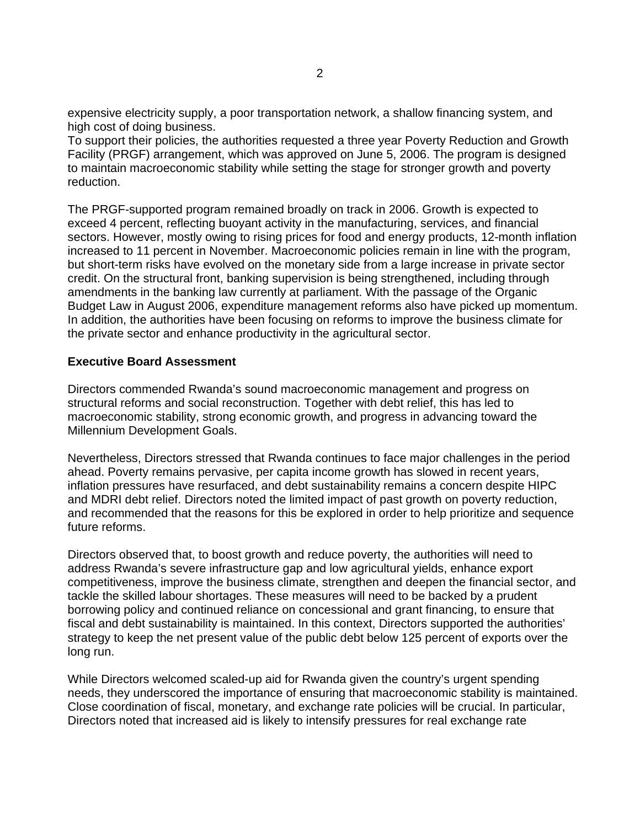expensive electricity supply, a poor transportation network, a shallow financing system, and high cost of doing business.

To support their policies, the authorities requested a three year Poverty Reduction and Growth Facility (PRGF) arrangement, which was approved on June 5, 2006. The program is designed to maintain macroeconomic stability while setting the stage for stronger growth and poverty reduction.

The PRGF-supported program remained broadly on track in 2006. Growth is expected to exceed 4 percent, reflecting buoyant activity in the manufacturing, services, and financial sectors. However, mostly owing to rising prices for food and energy products, 12-month inflation increased to 11 percent in November. Macroeconomic policies remain in line with the program, but short-term risks have evolved on the monetary side from a large increase in private sector credit. On the structural front, banking supervision is being strengthened, including through amendments in the banking law currently at parliament. With the passage of the Organic Budget Law in August 2006, expenditure management reforms also have picked up momentum. In addition, the authorities have been focusing on reforms to improve the business climate for the private sector and enhance productivity in the agricultural sector.

#### **Executive Board Assessment**

Directors commended Rwanda's sound macroeconomic management and progress on structural reforms and social reconstruction. Together with debt relief, this has led to macroeconomic stability, strong economic growth, and progress in advancing toward the Millennium Development Goals.

Nevertheless, Directors stressed that Rwanda continues to face major challenges in the period ahead. Poverty remains pervasive, per capita income growth has slowed in recent years, inflation pressures have resurfaced, and debt sustainability remains a concern despite HIPC and MDRI debt relief. Directors noted the limited impact of past growth on poverty reduction, and recommended that the reasons for this be explored in order to help prioritize and sequence future reforms.

Directors observed that, to boost growth and reduce poverty, the authorities will need to address Rwanda's severe infrastructure gap and low agricultural yields, enhance export competitiveness, improve the business climate, strengthen and deepen the financial sector, and tackle the skilled labour shortages. These measures will need to be backed by a prudent borrowing policy and continued reliance on concessional and grant financing, to ensure that fiscal and debt sustainability is maintained. In this context, Directors supported the authorities' strategy to keep the net present value of the public debt below 125 percent of exports over the long run.

While Directors welcomed scaled-up aid for Rwanda given the country's urgent spending needs, they underscored the importance of ensuring that macroeconomic stability is maintained. Close coordination of fiscal, monetary, and exchange rate policies will be crucial. In particular, Directors noted that increased aid is likely to intensify pressures for real exchange rate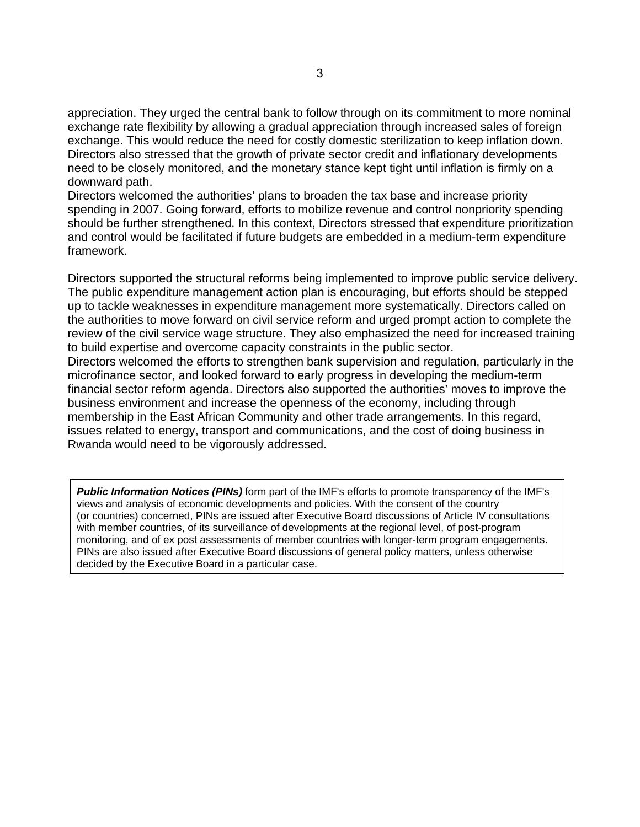appreciation. They urged the central bank to follow through on its commitment to more nominal exchange rate flexibility by allowing a gradual appreciation through increased sales of foreign exchange. This would reduce the need for costly domestic sterilization to keep inflation down. Directors also stressed that the growth of private sector credit and inflationary developments need to be closely monitored, and the monetary stance kept tight until inflation is firmly on a downward path.

Directors welcomed the authorities' plans to broaden the tax base and increase priority spending in 2007. Going forward, efforts to mobilize revenue and control nonpriority spending should be further strengthened. In this context, Directors stressed that expenditure prioritization and control would be facilitated if future budgets are embedded in a medium-term expenditure framework.

Directors supported the structural reforms being implemented to improve public service delivery. The public expenditure management action plan is encouraging, but efforts should be stepped up to tackle weaknesses in expenditure management more systematically. Directors called on the authorities to move forward on civil service reform and urged prompt action to complete the review of the civil service wage structure. They also emphasized the need for increased training to build expertise and overcome capacity constraints in the public sector.

Directors welcomed the efforts to strengthen bank supervision and regulation, particularly in the microfinance sector, and looked forward to early progress in developing the medium-term financial sector reform agenda. Directors also supported the authorities' moves to improve the business environment and increase the openness of the economy, including through membership in the East African Community and other trade arrangements. In this regard, issues related to energy, transport and communications, and the cost of doing business in Rwanda would need to be vigorously addressed.

*Public Information Notices (PINs)* form part of the IMF's efforts to promote transparency of the IMF's views and analysis of economic developments and policies. With the consent of the country (or countries) concerned, PINs are issued after Executive Board discussions of Article IV consultations with member countries, of its surveillance of developments at the regional level, of post-program monitoring, and of ex post assessments of member countries with longer-term program engagements. PINs are also issued after Executive Board discussions of general policy matters, unless otherwise decided by the Executive Board in a particular case.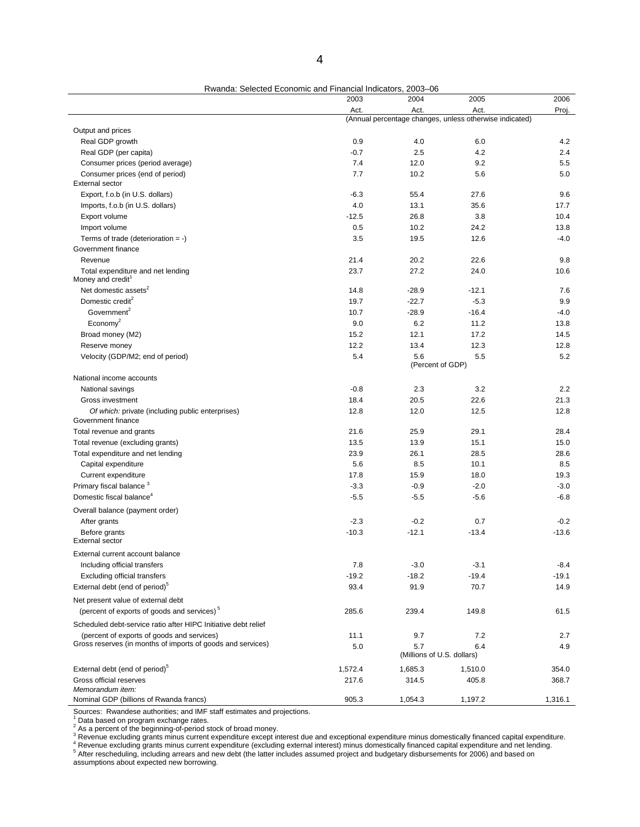|                                                                                               | 2003    | 2004                              | 2005                                                    | 2006    |  |
|-----------------------------------------------------------------------------------------------|---------|-----------------------------------|---------------------------------------------------------|---------|--|
|                                                                                               | Act.    | Act.                              | Act.                                                    | Proj.   |  |
|                                                                                               |         |                                   | (Annual percentage changes, unless otherwise indicated) |         |  |
| Output and prices                                                                             |         |                                   |                                                         |         |  |
| Real GDP growth                                                                               | 0.9     | 4.0                               | 6.0                                                     | 4.2     |  |
| Real GDP (per capita)                                                                         | $-0.7$  | 2.5                               | 4.2                                                     | 2.4     |  |
| Consumer prices (period average)                                                              | 7.4     | 12.0                              | 9.2                                                     | 5.5     |  |
| Consumer prices (end of period)<br><b>External sector</b>                                     | 7.7     | 10.2                              | 5.6                                                     | 5.0     |  |
| Export, f.o.b (in U.S. dollars)                                                               | $-6.3$  | 55.4                              | 27.6                                                    | 9.6     |  |
| Imports, f.o.b (in U.S. dollars)                                                              | 4.0     | 13.1                              | 35.6                                                    | 17.7    |  |
| Export volume                                                                                 | $-12.5$ | 26.8                              | 3.8                                                     | 10.4    |  |
| Import volume                                                                                 | 0.5     | 10.2                              | 24.2                                                    | 13.8    |  |
| Terms of trade (deterioration $= -$ )                                                         | 3.5     | 19.5                              | 12.6                                                    | $-4.0$  |  |
| Government finance                                                                            |         |                                   |                                                         |         |  |
| Revenue                                                                                       | 21.4    | 20.2                              | 22.6                                                    | 9.8     |  |
| Total expenditure and net lending<br>Money and credit                                         | 23.7    | 27.2                              | 24.0                                                    | 10.6    |  |
| Net domestic assets <sup>2</sup>                                                              | 14.8    | $-28.9$                           | $-12.1$                                                 | 7.6     |  |
| Domestic credit <sup>2</sup>                                                                  | 19.7    | $-22.7$                           | $-5.3$                                                  | 9.9     |  |
| Government <sup>2</sup>                                                                       | 10.7    | $-28.9$                           | $-16.4$                                                 | $-4.0$  |  |
| $E_{\text{conomy}^2}$                                                                         | 9.0     | 6.2                               | 11.2                                                    | 13.8    |  |
| Broad money (M2)                                                                              | 15.2    | 12.1                              | 17.2                                                    | 14.5    |  |
| Reserve money                                                                                 | 12.2    | 13.4                              | 12.3                                                    | 12.8    |  |
|                                                                                               | 5.4     | 5.6                               | 5.5                                                     | 5.2     |  |
| Velocity (GDP/M2; end of period)                                                              |         |                                   | (Percent of GDP)                                        |         |  |
| National income accounts                                                                      |         |                                   |                                                         |         |  |
| National savings                                                                              | $-0.8$  | 2.3                               | 3.2                                                     | 2.2     |  |
| Gross investment                                                                              | 18.4    | 20.5                              | 22.6                                                    | 21.3    |  |
| Of which: private (including public enterprises)<br>Government finance                        | 12.8    | 12.0                              | 12.5                                                    | 12.8    |  |
| Total revenue and grants                                                                      | 21.6    | 25.9                              | 29.1                                                    | 28.4    |  |
| Total revenue (excluding grants)                                                              | 13.5    | 13.9                              | 15.1                                                    | 15.0    |  |
| Total expenditure and net lending                                                             | 23.9    | 26.1                              | 28.5                                                    | 28.6    |  |
| Capital expenditure                                                                           | 5.6     | 8.5                               | 10.1                                                    | 8.5     |  |
| Current expenditure                                                                           | 17.8    | 15.9                              | 18.0                                                    | 19.3    |  |
| Primary fiscal balance <sup>3</sup>                                                           | $-3.3$  | $-0.9$                            | $-2.0$                                                  | $-3.0$  |  |
| Domestic fiscal balance <sup>4</sup>                                                          | $-5.5$  | $-5.5$                            | $-5.6$                                                  | $-6.8$  |  |
| Overall balance (payment order)                                                               |         |                                   |                                                         |         |  |
| After grants                                                                                  | $-2.3$  | $-0.2$                            | 0.7                                                     | $-0.2$  |  |
| Before grants<br><b>External sector</b>                                                       | $-10.3$ | $-12.1$                           | $-13.4$                                                 | $-13.6$ |  |
|                                                                                               |         |                                   |                                                         |         |  |
| External current account balance                                                              |         |                                   |                                                         |         |  |
| Including official transfers                                                                  | 7.8     | $-3.0$                            | $-3.1$                                                  | $-8.4$  |  |
| <b>Excluding official transfers</b>                                                           | $-19.2$ | $-18.2$                           | $-19.4$                                                 | $-19.1$ |  |
| External debt (end of period) <sup>5</sup>                                                    | 93.4    | 91.9                              | 70.7                                                    | 14.9    |  |
| Net present value of external debt<br>(percent of exports of goods and services) <sup>5</sup> | 285.6   | 239.4                             | 149.8                                                   | 61.5    |  |
|                                                                                               |         |                                   |                                                         |         |  |
| Scheduled debt-service ratio after HIPC Initiative debt relief                                |         |                                   |                                                         |         |  |
| (percent of exports of goods and services)                                                    | 11.1    | 9.7                               | 7.2                                                     | 2.7     |  |
| Gross reserves (in months of imports of goods and services)                                   | 5.0     | 5.7<br>(Millions of U.S. dollars) | 6.4                                                     | 4.9     |  |
| External debt (end of period) <sup>5</sup>                                                    | 1,572.4 | 1,685.3                           | 1,510.0                                                 | 354.0   |  |
| Gross official reserves                                                                       | 217.6   | 314.5                             | 405.8                                                   | 368.7   |  |
| Memorandum item:                                                                              |         |                                   |                                                         |         |  |

Rwanda: Selected Economic and Financial Indicators, 2003–06

Sources: Rwandese authorities; and IMF staff estimates and projections.<br><sup>1</sup> Data based on program exchange rates.<br><sup>2</sup> As a percent of the beginning-of-period stock of broad money.<br><sup>3</sup> Revenue excluding grants minus current

Nominal GDP (billions of Rwanda francs) 905.3 1,054.3 1,197.2 1,316.1

<sup>4</sup> Revenue excluding grants minus current expenditure (excluding external interest) minus domestically financed capital expenditure and net lending.<br><sup>5</sup> After rescheduling, including arrears and new debt (the latter inclu

assumptions about expected new borrowing.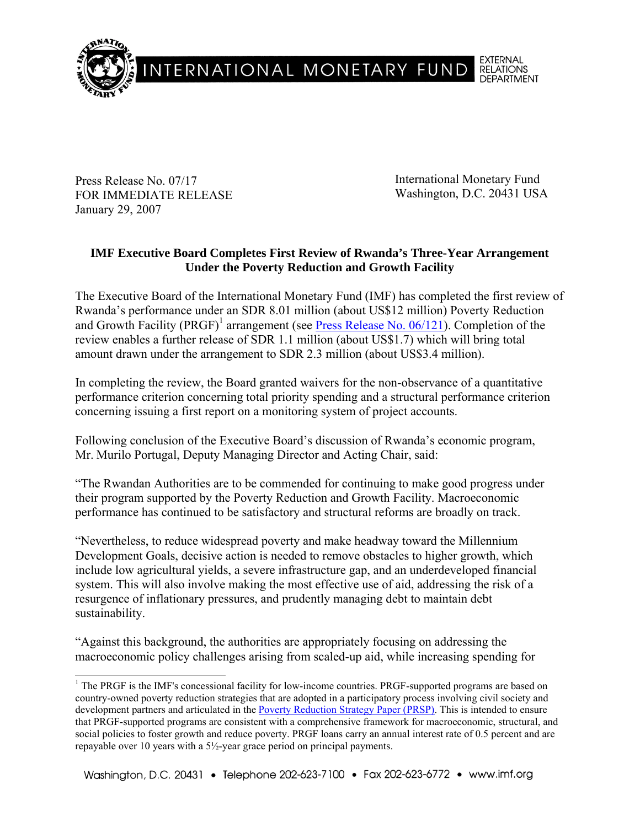

Press Release No. 07/17 FOR IMMEDIATE RELEASE January 29, 2007

International Monetary Fund Washington, D.C. 20431 USA

# **IMF Executive Board Completes First Review of Rwanda's Three-Year Arrangement Under the Poverty Reduction and Growth Facility**

The Executive Board of the International Monetary Fund (IMF) has completed the first review of Rwanda's performance under an SDR 8.01 million (about US\$12 million) Poverty Reduction and Growth Facility (PRGF)<sup>1</sup> arrangement (see **Press Release No. 06/121**). Completion of the review enables a further release of SDR 1.1 million (about US\$1.7) which will bring total amount drawn under the arrangement to SDR 2.3 million (about US\$3.4 million).

In completing the review, the Board granted waivers for the non-observance of a quantitative performance criterion concerning total priority spending and a structural performance criterion concerning issuing a first report on a monitoring system of project accounts.

Following conclusion of the Executive Board's discussion of Rwanda's economic program, Mr. Murilo Portugal, Deputy Managing Director and Acting Chair, said:

"The Rwandan Authorities are to be commended for continuing to make good progress under their program supported by the Poverty Reduction and Growth Facility. Macroeconomic performance has continued to be satisfactory and structural reforms are broadly on track.

"Nevertheless, to reduce widespread poverty and make headway toward the Millennium Development Goals, decisive action is needed to remove obstacles to higher growth, which include low agricultural yields, a severe infrastructure gap, and an underdeveloped financial system. This will also involve making the most effective use of aid, addressing the risk of a resurgence of inflationary pressures, and prudently managing debt to maintain debt sustainability.

"Against this background, the authorities are appropriately focusing on addressing the macroeconomic policy challenges arising from scaled-up aid, while increasing spending for

<sup>&</sup>lt;sup>1</sup> The PRGF is the IMF's concessional facility for low-income countries. PRGF-supported programs are based on country-owned poverty reduction strategies that are adopted in a participatory process involving civil society and development partners and articulated in the **Poverty Reduction Strategy Paper (PRSP)**. This is intended to ensure that PRGF-supported programs are consistent with a comprehensive framework for macroeconomic, structural, and social policies to foster growth and reduce poverty. PRGF loans carry an annual interest rate of 0.5 percent and are repayable over 10 years with a 5½-year grace period on principal payments.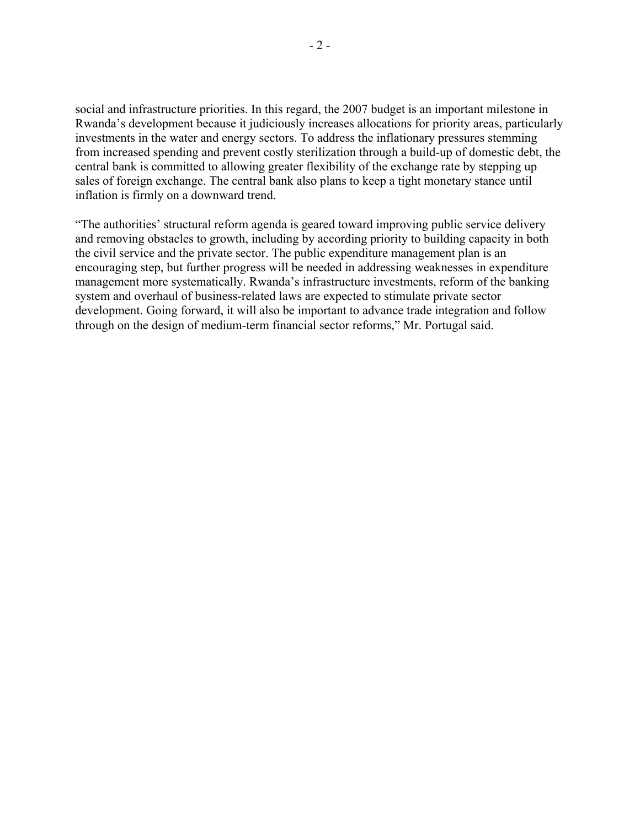social and infrastructure priorities. In this regard, the 2007 budget is an important milestone in Rwanda's development because it judiciously increases allocations for priority areas, particularly investments in the water and energy sectors. To address the inflationary pressures stemming from increased spending and prevent costly sterilization through a build-up of domestic debt, the central bank is committed to allowing greater flexibility of the exchange rate by stepping up sales of foreign exchange. The central bank also plans to keep a tight monetary stance until inflation is firmly on a downward trend.

"The authorities' structural reform agenda is geared toward improving public service delivery and removing obstacles to growth, including by according priority to building capacity in both the civil service and the private sector. The public expenditure management plan is an encouraging step, but further progress will be needed in addressing weaknesses in expenditure management more systematically. Rwanda's infrastructure investments, reform of the banking system and overhaul of business-related laws are expected to stimulate private sector development. Going forward, it will also be important to advance trade integration and follow through on the design of medium-term financial sector reforms," Mr. Portugal said.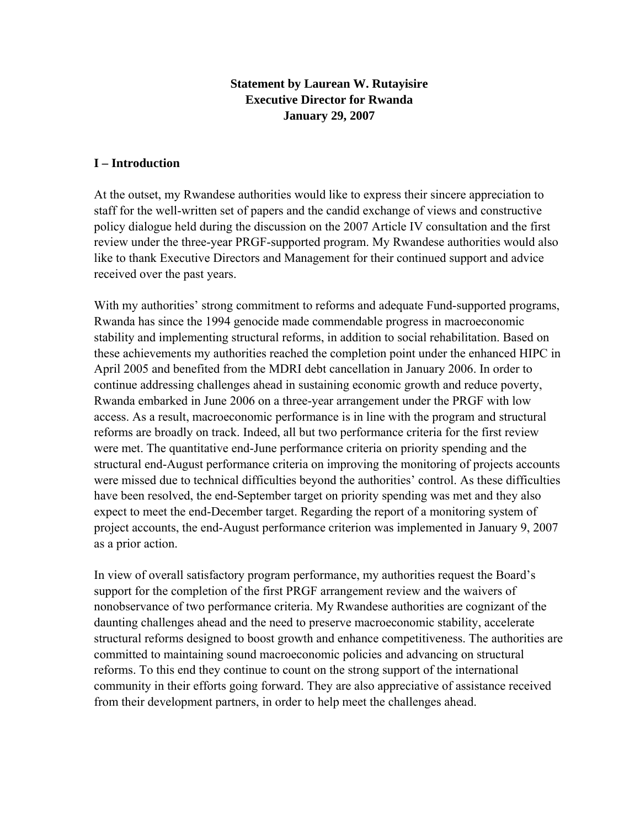# **Statement by Laurean W. Rutayisire Executive Director for Rwanda January 29, 2007**

### **I – Introduction**

At the outset, my Rwandese authorities would like to express their sincere appreciation to staff for the well-written set of papers and the candid exchange of views and constructive policy dialogue held during the discussion on the 2007 Article IV consultation and the first review under the three-year PRGF-supported program. My Rwandese authorities would also like to thank Executive Directors and Management for their continued support and advice received over the past years.

With my authorities' strong commitment to reforms and adequate Fund-supported programs, Rwanda has since the 1994 genocide made commendable progress in macroeconomic stability and implementing structural reforms, in addition to social rehabilitation. Based on these achievements my authorities reached the completion point under the enhanced HIPC in April 2005 and benefited from the MDRI debt cancellation in January 2006. In order to continue addressing challenges ahead in sustaining economic growth and reduce poverty, Rwanda embarked in June 2006 on a three-year arrangement under the PRGF with low access. As a result, macroeconomic performance is in line with the program and structural reforms are broadly on track. Indeed, all but two performance criteria for the first review were met. The quantitative end-June performance criteria on priority spending and the structural end-August performance criteria on improving the monitoring of projects accounts were missed due to technical difficulties beyond the authorities' control. As these difficulties have been resolved, the end-September target on priority spending was met and they also expect to meet the end-December target. Regarding the report of a monitoring system of project accounts, the end-August performance criterion was implemented in January 9, 2007 as a prior action.

In view of overall satisfactory program performance, my authorities request the Board's support for the completion of the first PRGF arrangement review and the waivers of nonobservance of two performance criteria. My Rwandese authorities are cognizant of the daunting challenges ahead and the need to preserve macroeconomic stability, accelerate structural reforms designed to boost growth and enhance competitiveness. The authorities are committed to maintaining sound macroeconomic policies and advancing on structural reforms. To this end they continue to count on the strong support of the international community in their efforts going forward. They are also appreciative of assistance received from their development partners, in order to help meet the challenges ahead.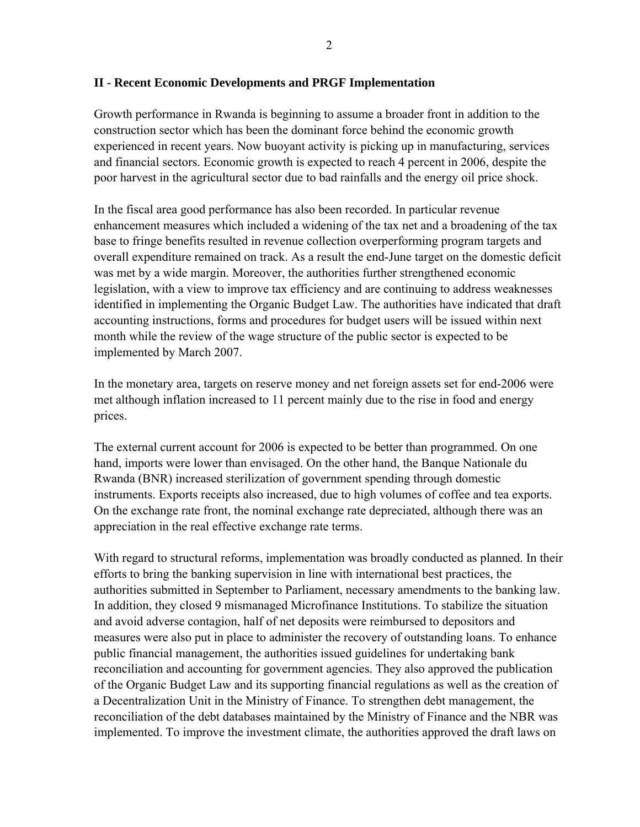#### **II - Recent Economic Developments and PRGF Implementation**

Growth performance in Rwanda is beginning to assume a broader front in addition to the construction sector which has been the dominant force behind the economic growth experienced in recent years. Now buoyant activity is picking up in manufacturing, services and financial sectors. Economic growth is expected to reach 4 percent in 2006, despite the poor harvest in the agricultural sector due to bad rainfalls and the energy oil price shock.

In the fiscal area good performance has also been recorded. In particular revenue enhancement measures which included a widening of the tax net and a broadening of the tax base to fringe benefits resulted in revenue collection overperforming program targets and overall expenditure remained on track. As a result the end-June target on the domestic deficit was met by a wide margin. Moreover, the authorities further strengthened economic legislation, with a view to improve tax efficiency and are continuing to address weaknesses identified in implementing the Organic Budget Law. The authorities have indicated that draft accounting instructions, forms and procedures for budget users will be issued within next month while the review of the wage structure of the public sector is expected to be implemented by March 2007.

In the monetary area, targets on reserve money and net foreign assets set for end-2006 were met although inflation increased to 11 percent mainly due to the rise in food and energy prices.

The external current account for 2006 is expected to be better than programmed. On one hand, imports were lower than envisaged. On the other hand, the Banque Nationale du Rwanda (BNR) increased sterilization of government spending through domestic instruments. Exports receipts also increased, due to high volumes of coffee and tea exports. On the exchange rate front, the nominal exchange rate depreciated, although there was an appreciation in the real effective exchange rate terms.

With regard to structural reforms, implementation was broadly conducted as planned. In their efforts to bring the banking supervision in line with international best practices, the authorities submitted in September to Parliament, necessary amendments to the banking law. In addition, they closed 9 mismanaged Microfinance Institutions. To stabilize the situation and avoid adverse contagion, half of net deposits were reimbursed to depositors and measures were also put in place to administer the recovery of outstanding loans. To enhance public financial management, the authorities issued guidelines for undertaking bank reconciliation and accounting for government agencies. They also approved the publication of the Organic Budget Law and its supporting financial regulations as well as the creation of a Decentralization Unit in the Ministry of Finance. To strengthen debt management, the reconciliation of the debt databases maintained by the Ministry of Finance and the NBR was implemented. To improve the investment climate, the authorities approved the draft laws on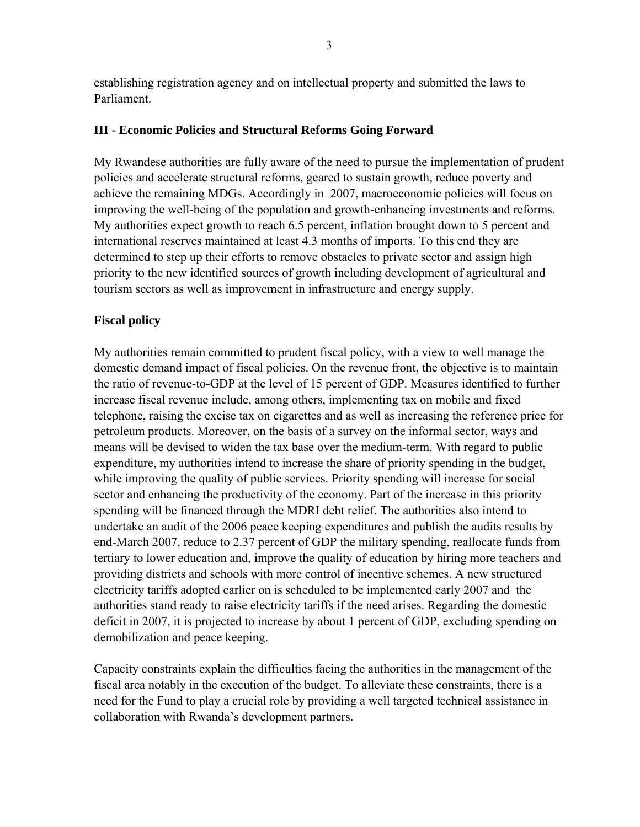establishing registration agency and on intellectual property and submitted the laws to Parliament.

## **III - Economic Policies and Structural Reforms Going Forward**

My Rwandese authorities are fully aware of the need to pursue the implementation of prudent policies and accelerate structural reforms, geared to sustain growth, reduce poverty and achieve the remaining MDGs. Accordingly in 2007, macroeconomic policies will focus on improving the well-being of the population and growth-enhancing investments and reforms. My authorities expect growth to reach 6.5 percent, inflation brought down to 5 percent and international reserves maintained at least 4.3 months of imports. To this end they are determined to step up their efforts to remove obstacles to private sector and assign high priority to the new identified sources of growth including development of agricultural and tourism sectors as well as improvement in infrastructure and energy supply.

# **Fiscal policy**

My authorities remain committed to prudent fiscal policy, with a view to well manage the domestic demand impact of fiscal policies. On the revenue front, the objective is to maintain the ratio of revenue-to-GDP at the level of 15 percent of GDP. Measures identified to further increase fiscal revenue include, among others, implementing tax on mobile and fixed telephone, raising the excise tax on cigarettes and as well as increasing the reference price for petroleum products. Moreover, on the basis of a survey on the informal sector, ways and means will be devised to widen the tax base over the medium-term. With regard to public expenditure, my authorities intend to increase the share of priority spending in the budget, while improving the quality of public services. Priority spending will increase for social sector and enhancing the productivity of the economy. Part of the increase in this priority spending will be financed through the MDRI debt relief. The authorities also intend to undertake an audit of the 2006 peace keeping expenditures and publish the audits results by end-March 2007, reduce to 2.37 percent of GDP the military spending, reallocate funds from tertiary to lower education and, improve the quality of education by hiring more teachers and providing districts and schools with more control of incentive schemes. A new structured electricity tariffs adopted earlier on is scheduled to be implemented early 2007 and the authorities stand ready to raise electricity tariffs if the need arises. Regarding the domestic deficit in 2007, it is projected to increase by about 1 percent of GDP, excluding spending on demobilization and peace keeping.

Capacity constraints explain the difficulties facing the authorities in the management of the fiscal area notably in the execution of the budget. To alleviate these constraints, there is a need for the Fund to play a crucial role by providing a well targeted technical assistance in collaboration with Rwanda's development partners.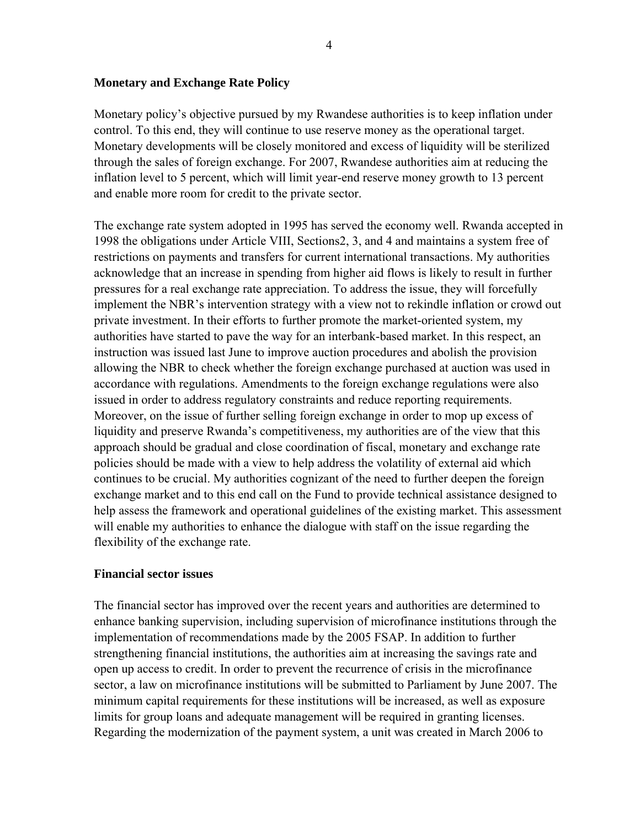#### **Monetary and Exchange Rate Policy**

Monetary policy's objective pursued by my Rwandese authorities is to keep inflation under control. To this end, they will continue to use reserve money as the operational target. Monetary developments will be closely monitored and excess of liquidity will be sterilized through the sales of foreign exchange. For 2007, Rwandese authorities aim at reducing the inflation level to 5 percent, which will limit year-end reserve money growth to 13 percent and enable more room for credit to the private sector.

The exchange rate system adopted in 1995 has served the economy well. Rwanda accepted in 1998 the obligations under Article VIII, Sections2, 3, and 4 and maintains a system free of restrictions on payments and transfers for current international transactions. My authorities acknowledge that an increase in spending from higher aid flows is likely to result in further pressures for a real exchange rate appreciation. To address the issue, they will forcefully implement the NBR's intervention strategy with a view not to rekindle inflation or crowd out private investment. In their efforts to further promote the market-oriented system, my authorities have started to pave the way for an interbank-based market. In this respect, an instruction was issued last June to improve auction procedures and abolish the provision allowing the NBR to check whether the foreign exchange purchased at auction was used in accordance with regulations. Amendments to the foreign exchange regulations were also issued in order to address regulatory constraints and reduce reporting requirements. Moreover, on the issue of further selling foreign exchange in order to mop up excess of liquidity and preserve Rwanda's competitiveness, my authorities are of the view that this approach should be gradual and close coordination of fiscal, monetary and exchange rate policies should be made with a view to help address the volatility of external aid which continues to be crucial. My authorities cognizant of the need to further deepen the foreign exchange market and to this end call on the Fund to provide technical assistance designed to help assess the framework and operational guidelines of the existing market. This assessment will enable my authorities to enhance the dialogue with staff on the issue regarding the flexibility of the exchange rate.

#### **Financial sector issues**

The financial sector has improved over the recent years and authorities are determined to enhance banking supervision, including supervision of microfinance institutions through the implementation of recommendations made by the 2005 FSAP. In addition to further strengthening financial institutions, the authorities aim at increasing the savings rate and open up access to credit. In order to prevent the recurrence of crisis in the microfinance sector, a law on microfinance institutions will be submitted to Parliament by June 2007. The minimum capital requirements for these institutions will be increased, as well as exposure limits for group loans and adequate management will be required in granting licenses. Regarding the modernization of the payment system, a unit was created in March 2006 to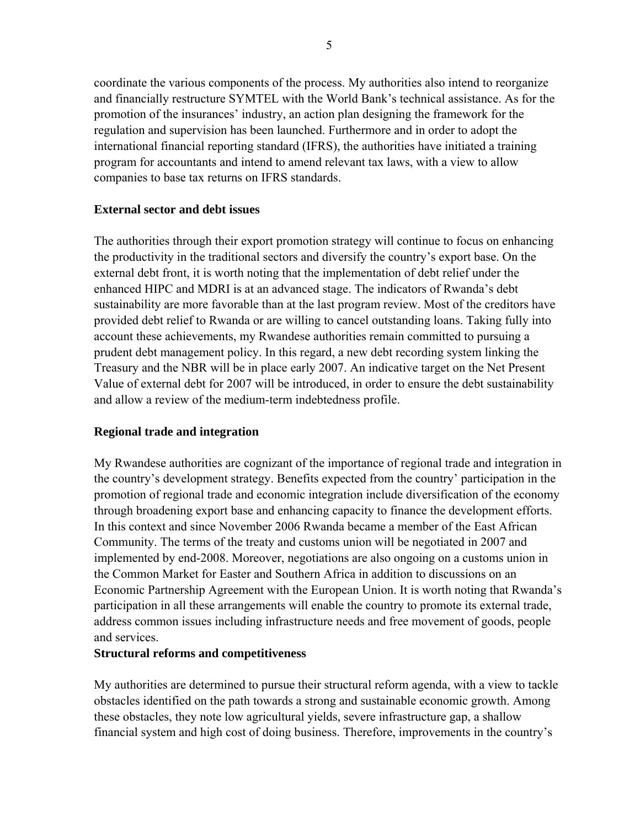coordinate the various components of the process. My authorities also intend to reorganize and financially restructure SYMTEL with the World Bank's technical assistance. As for the promotion of the insurances' industry, an action plan designing the framework for the regulation and supervision has been launched. Furthermore and in order to adopt the international financial reporting standard (IFRS), the authorities have initiated a training program for accountants and intend to amend relevant tax laws, with a view to allow companies to base tax returns on IFRS standards.

### **External sector and debt issues**

The authorities through their export promotion strategy will continue to focus on enhancing the productivity in the traditional sectors and diversify the country's export base. On the external debt front, it is worth noting that the implementation of debt relief under the enhanced HIPC and MDRI is at an advanced stage. The indicators of Rwanda's debt sustainability are more favorable than at the last program review. Most of the creditors have provided debt relief to Rwanda or are willing to cancel outstanding loans. Taking fully into account these achievements, my Rwandese authorities remain committed to pursuing a prudent debt management policy. In this regard, a new debt recording system linking the Treasury and the NBR will be in place early 2007. An indicative target on the Net Present Value of external debt for 2007 will be introduced, in order to ensure the debt sustainability and allow a review of the medium-term indebtedness profile.

## **Regional trade and integration**

My Rwandese authorities are cognizant of the importance of regional trade and integration in the country's development strategy. Benefits expected from the country' participation in the promotion of regional trade and economic integration include diversification of the economy through broadening export base and enhancing capacity to finance the development efforts. In this context and since November 2006 Rwanda became a member of the East African Community. The terms of the treaty and customs union will be negotiated in 2007 and implemented by end-2008. Moreover, negotiations are also ongoing on a customs union in the Common Market for Easter and Southern Africa in addition to discussions on an Economic Partnership Agreement with the European Union. It is worth noting that Rwanda's participation in all these arrangements will enable the country to promote its external trade, address common issues including infrastructure needs and free movement of goods, people and services.

#### **Structural reforms and competitiveness**

My authorities are determined to pursue their structural reform agenda, with a view to tackle obstacles identified on the path towards a strong and sustainable economic growth. Among these obstacles, they note low agricultural yields, severe infrastructure gap, a shallow financial system and high cost of doing business. Therefore, improvements in the country's